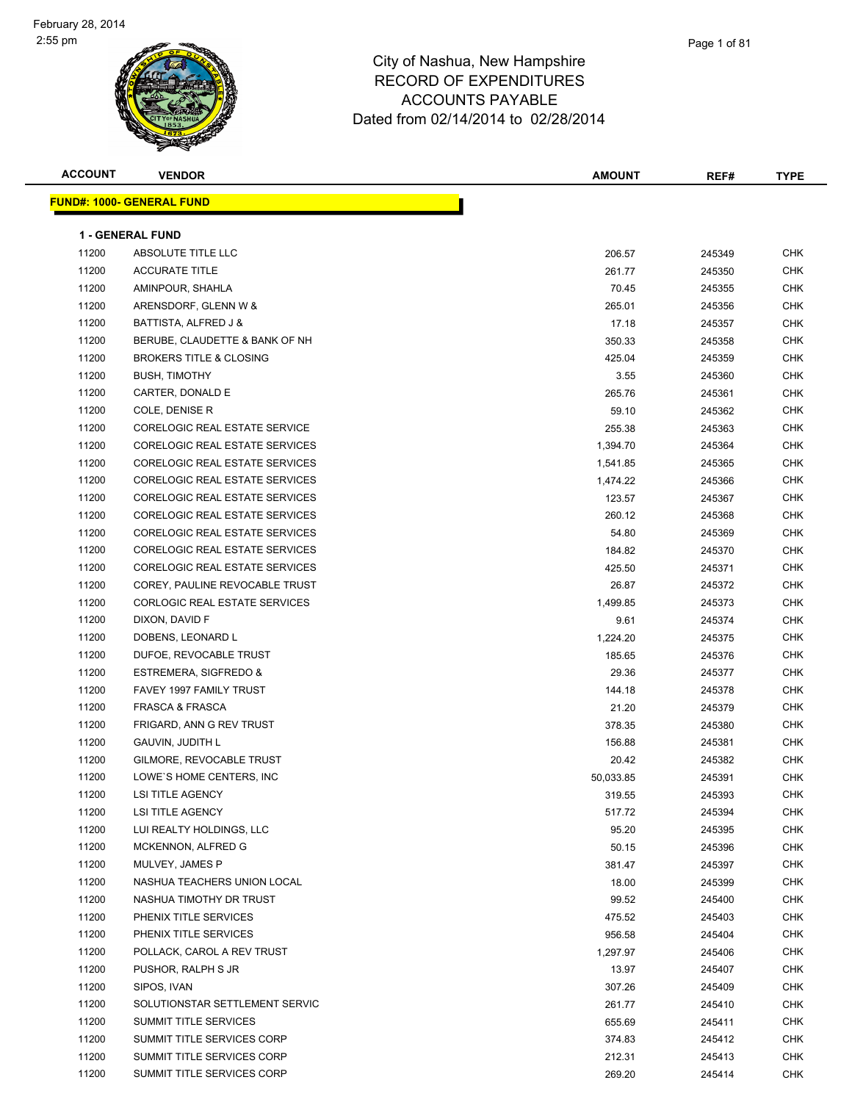| <b>ACCOUNT</b> | <b>VENDOR</b>                         | <b>AMOUNT</b> | REF#   | <b>TYPE</b> |
|----------------|---------------------------------------|---------------|--------|-------------|
|                | <u> FUND#: 1000- GENERAL FUND</u>     |               |        |             |
|                |                                       |               |        |             |
|                | <b>1 - GENERAL FUND</b>               |               |        |             |
| 11200          | ABSOLUTE TITLE LLC                    | 206.57        | 245349 | <b>CHK</b>  |
| 11200          | <b>ACCURATE TITLE</b>                 | 261.77        | 245350 | <b>CHK</b>  |
| 11200          | AMINPOUR, SHAHLA                      | 70.45         | 245355 | <b>CHK</b>  |
| 11200          | ARENSDORF, GLENN W &                  | 265.01        | 245356 | <b>CHK</b>  |
| 11200          | BATTISTA, ALFRED J &                  | 17.18         | 245357 | CHK         |
| 11200          | BERUBE, CLAUDETTE & BANK OF NH        | 350.33        | 245358 | CHK         |
| 11200          | <b>BROKERS TITLE &amp; CLOSING</b>    | 425.04        | 245359 | CHK         |
| 11200          | <b>BUSH, TIMOTHY</b>                  | 3.55          | 245360 | CHK         |
| 11200          | CARTER, DONALD E                      | 265.76        | 245361 | <b>CHK</b>  |
| 11200          | COLE, DENISE R                        | 59.10         | 245362 | <b>CHK</b>  |
| 11200          | CORELOGIC REAL ESTATE SERVICE         | 255.38        | 245363 | CHK         |
| 11200          | CORELOGIC REAL ESTATE SERVICES        | 1,394.70      | 245364 | <b>CHK</b>  |
| 11200          | CORELOGIC REAL ESTATE SERVICES        | 1,541.85      | 245365 | <b>CHK</b>  |
| 11200          | <b>CORELOGIC REAL ESTATE SERVICES</b> | 1,474.22      | 245366 | <b>CHK</b>  |
| 11200          | CORELOGIC REAL ESTATE SERVICES        | 123.57        | 245367 | <b>CHK</b>  |
| 11200          | CORELOGIC REAL ESTATE SERVICES        | 260.12        | 245368 | CHK         |
| 11200          | CORELOGIC REAL ESTATE SERVICES        | 54.80         | 245369 | CHK         |
| 11200          | CORELOGIC REAL ESTATE SERVICES        | 184.82        | 245370 | CHK         |
| 11200          | CORELOGIC REAL ESTATE SERVICES        | 425.50        | 245371 | CHK         |
| 11200          | COREY, PAULINE REVOCABLE TRUST        | 26.87         | 245372 | CHK         |
| 11200          | CORLOGIC REAL ESTATE SERVICES         | 1,499.85      | 245373 | CHK         |
| 11200          | DIXON, DAVID F                        | 9.61          | 245374 | <b>CHK</b>  |
| 11200          | DOBENS, LEONARD L                     | 1,224.20      | 245375 | <b>CHK</b>  |
| 11200          | DUFOE, REVOCABLE TRUST                | 185.65        | 245376 | CHK         |
| 11200          | ESTREMERA, SIGFREDO &                 | 29.36         | 245377 | <b>CHK</b>  |
| 11200          | FAVEY 1997 FAMILY TRUST               | 144.18        | 245378 | <b>CHK</b>  |
| 11200          | <b>FRASCA &amp; FRASCA</b>            | 21.20         | 245379 | <b>CHK</b>  |
| 11200          | FRIGARD, ANN G REV TRUST              | 378.35        | 245380 | CHK         |
| 11200          | GAUVIN, JUDITH L                      | 156.88        | 245381 | CHK         |
| 11200          | GILMORE, REVOCABLE TRUST              | 20.42         | 245382 | CHK         |
| 11200          | LOWE'S HOME CENTERS, INC              | 50,033.85     | 245391 | <b>CHK</b>  |
| 11200          | LSI TITLE AGENCY                      | 319.55        | 245393 | CHK         |
| 11200          | <b>LSI TITLE AGENCY</b>               | 517.72        | 245394 | <b>CHK</b>  |
| 11200          | LUI REALTY HOLDINGS, LLC              | 95.20         | 245395 | <b>CHK</b>  |
| 11200          | MCKENNON, ALFRED G                    | 50.15         | 245396 | CHK         |
| 11200          | MULVEY, JAMES P                       | 381.47        | 245397 | <b>CHK</b>  |
| 11200          | NASHUA TEACHERS UNION LOCAL           | 18.00         | 245399 | <b>CHK</b>  |
| 11200          | NASHUA TIMOTHY DR TRUST               | 99.52         | 245400 | CHK         |
| 11200          | PHENIX TITLE SERVICES                 | 475.52        | 245403 | CHK         |
| 11200          | PHENIX TITLE SERVICES                 | 956.58        | 245404 | CHK         |
| 11200          | POLLACK, CAROL A REV TRUST            | 1,297.97      | 245406 | CHK         |
| 11200          | PUSHOR, RALPH S JR                    | 13.97         | 245407 | CHK         |
| 11200          | SIPOS, IVAN                           | 307.26        | 245409 | CHK         |
| 11200          | SOLUTIONSTAR SETTLEMENT SERVIC        | 261.77        | 245410 | CHK         |
| 11200          | SUMMIT TITLE SERVICES                 | 655.69        | 245411 | CHK         |
| 11200          | SUMMIT TITLE SERVICES CORP            | 374.83        | 245412 | CHK         |
| 11200          | SUMMIT TITLE SERVICES CORP            |               |        | CHK         |
| 11200          | SUMMIT TITLE SERVICES CORP            | 212.31        | 245413 |             |
|                |                                       | 269.20        | 245414 | <b>CHK</b>  |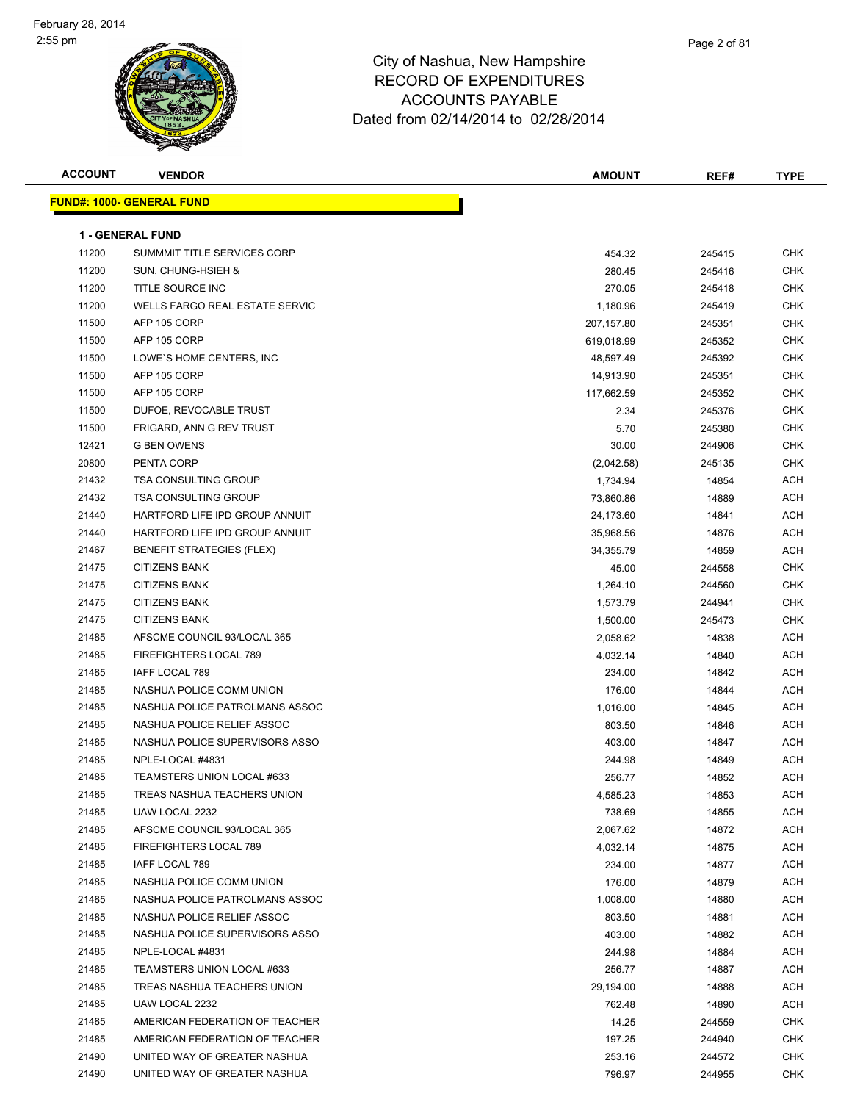

| <b>ACCOUNT</b> | <b>VENDOR</b>                     | <b>AMOUNT</b> | REF#   | <b>TYPE</b> |
|----------------|-----------------------------------|---------------|--------|-------------|
|                | <u> FUND#: 1000- GENERAL FUND</u> |               |        |             |
|                |                                   |               |        |             |
|                | <b>1 - GENERAL FUND</b>           |               |        |             |
| 11200          | SUMMMIT TITLE SERVICES CORP       | 454.32        | 245415 | CHK         |
| 11200          | SUN, CHUNG-HSIEH &                | 280.45        | 245416 | <b>CHK</b>  |
| 11200          | TITLE SOURCE INC                  | 270.05        | 245418 | <b>CHK</b>  |
| 11200          | WELLS FARGO REAL ESTATE SERVIC    | 1,180.96      | 245419 | CHK         |
| 11500          | AFP 105 CORP                      | 207,157.80    | 245351 | <b>CHK</b>  |
| 11500          | AFP 105 CORP                      | 619,018.99    | 245352 | CHK         |
| 11500          | LOWE'S HOME CENTERS, INC          | 48,597.49     | 245392 | CHK         |
| 11500          | AFP 105 CORP                      | 14,913.90     | 245351 | <b>CHK</b>  |
| 11500          | AFP 105 CORP                      | 117,662.59    | 245352 | CHK         |
| 11500          | DUFOE, REVOCABLE TRUST            | 2.34          | 245376 | <b>CHK</b>  |
| 11500          | FRIGARD, ANN G REV TRUST          | 5.70          | 245380 | CHK         |
| 12421          | <b>G BEN OWENS</b>                | 30.00         | 244906 | CHK         |
| 20800          | PENTA CORP                        | (2,042.58)    | 245135 | CHK         |
| 21432          | <b>TSA CONSULTING GROUP</b>       | 1,734.94      | 14854  | ACH         |
| 21432          | <b>TSA CONSULTING GROUP</b>       | 73,860.86     | 14889  | ACH         |
| 21440          | HARTFORD LIFE IPD GROUP ANNUIT    | 24,173.60     | 14841  | ACH         |
| 21440          | HARTFORD LIFE IPD GROUP ANNUIT    | 35,968.56     | 14876  | ACH         |
| 21467          | <b>BENEFIT STRATEGIES (FLEX)</b>  | 34,355.79     | 14859  | ACH         |
| 21475          | <b>CITIZENS BANK</b>              | 45.00         | 244558 | <b>CHK</b>  |
| 21475          | <b>CITIZENS BANK</b>              | 1,264.10      | 244560 | CHK         |
| 21475          | <b>CITIZENS BANK</b>              | 1,573.79      | 244941 | <b>CHK</b>  |
| 21475          | <b>CITIZENS BANK</b>              | 1,500.00      | 245473 | <b>CHK</b>  |
| 21485          | AFSCME COUNCIL 93/LOCAL 365       | 2,058.62      | 14838  | ACH         |
| 21485          | FIREFIGHTERS LOCAL 789            | 4,032.14      | 14840  | ACH         |
| 21485          | IAFF LOCAL 789                    | 234.00        | 14842  | ACH         |
| 21485          | NASHUA POLICE COMM UNION          | 176.00        | 14844  | ACH         |
| 21485          | NASHUA POLICE PATROLMANS ASSOC    | 1,016.00      | 14845  | ACH         |
| 21485          | NASHUA POLICE RELIEF ASSOC        | 803.50        | 14846  | ACH         |
| 21485          | NASHUA POLICE SUPERVISORS ASSO    | 403.00        | 14847  | ACH         |
| 21485          | NPLE-LOCAL #4831                  | 244.98        | 14849  | ACH         |
| 21485          | TEAMSTERS UNION LOCAL #633        | 256.77        | 14852  | ACH         |
| 21485          | TREAS NASHUA TEACHERS UNION       | 4,585.23      | 14853  | ACH         |
| 21485          | UAW LOCAL 2232                    | 738.69        | 14855  | ACH         |
| 21485          | AFSCME COUNCIL 93/LOCAL 365       | 2,067.62      | 14872  | ACH         |
| 21485          | FIREFIGHTERS LOCAL 789            | 4,032.14      | 14875  | ACH         |
| 21485          | IAFF LOCAL 789                    | 234.00        | 14877  | ACH         |
| 21485          | NASHUA POLICE COMM UNION          | 176.00        | 14879  | ACH         |
| 21485          | NASHUA POLICE PATROLMANS ASSOC    | 1,008.00      | 14880  | ACH         |
| 21485          | NASHUA POLICE RELIEF ASSOC        | 803.50        | 14881  | ACH         |
| 21485          | NASHUA POLICE SUPERVISORS ASSO    | 403.00        | 14882  | ACH         |
| 21485          | NPLE-LOCAL #4831                  | 244.98        | 14884  | ACH         |
| 21485          | TEAMSTERS UNION LOCAL #633        | 256.77        | 14887  | ACH         |
| 21485          | TREAS NASHUA TEACHERS UNION       | 29,194.00     | 14888  | ACH         |
| 21485          | UAW LOCAL 2232                    | 762.48        | 14890  | ACH         |
| 21485          | AMERICAN FEDERATION OF TEACHER    | 14.25         | 244559 | <b>CHK</b>  |
| 21485          | AMERICAN FEDERATION OF TEACHER    | 197.25        | 244940 | CHK         |
| 21490          | UNITED WAY OF GREATER NASHUA      | 253.16        | 244572 | CHK         |
| 21490          | UNITED WAY OF GREATER NASHUA      | 796.97        | 244955 | <b>CHK</b>  |
|                |                                   |               |        |             |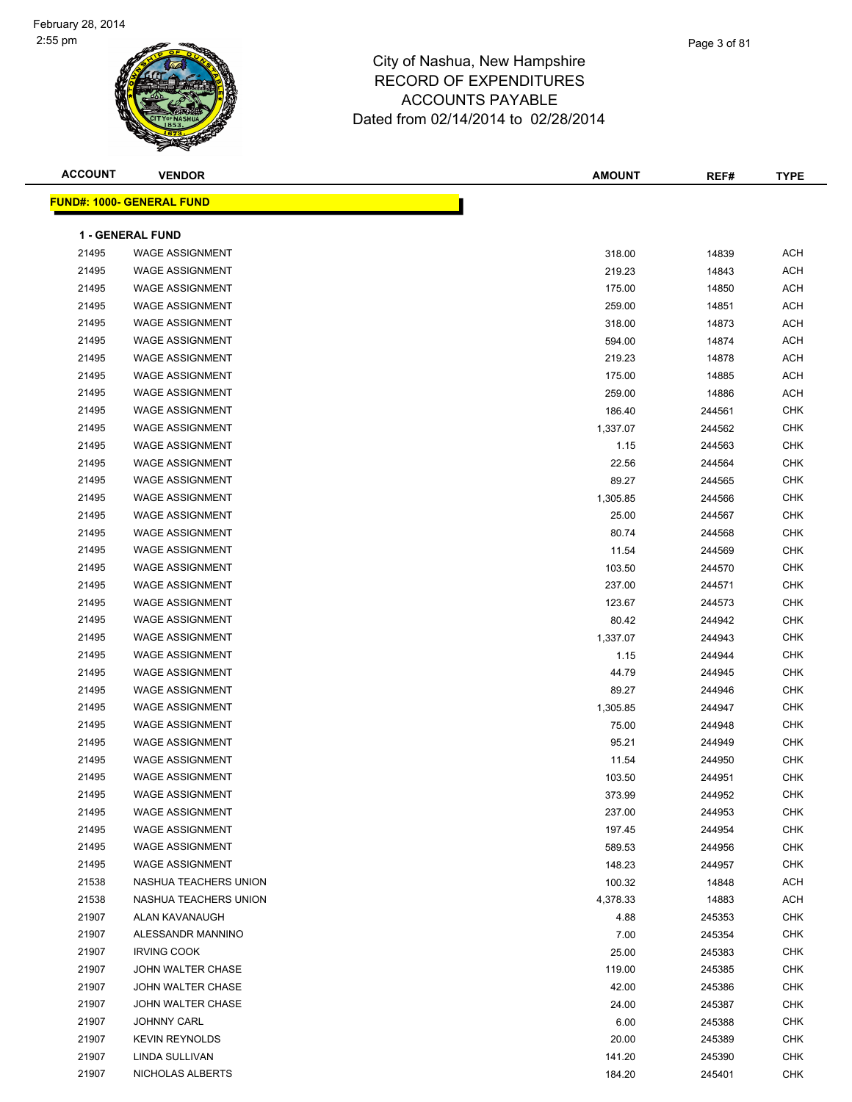

| <b>ACCOUNT</b> | <b>VENDOR</b>                    | <b>AMOUNT</b> | REF#   | <b>TYPE</b> |
|----------------|----------------------------------|---------------|--------|-------------|
|                | <b>FUND#: 1000- GENERAL FUND</b> |               |        |             |
|                | <b>1 - GENERAL FUND</b>          |               |        |             |
| 21495          | <b>WAGE ASSIGNMENT</b>           | 318.00        | 14839  | <b>ACH</b>  |
| 21495          | <b>WAGE ASSIGNMENT</b>           | 219.23        | 14843  | <b>ACH</b>  |
| 21495          | <b>WAGE ASSIGNMENT</b>           | 175.00        | 14850  | <b>ACH</b>  |
| 21495          | <b>WAGE ASSIGNMENT</b>           | 259.00        | 14851  | <b>ACH</b>  |
| 21495          | <b>WAGE ASSIGNMENT</b>           |               |        | <b>ACH</b>  |
| 21495          | <b>WAGE ASSIGNMENT</b>           | 318.00        | 14873  | <b>ACH</b>  |
| 21495          | <b>WAGE ASSIGNMENT</b>           | 594.00        | 14874  |             |
|                |                                  | 219.23        | 14878  | <b>ACH</b>  |
| 21495          | <b>WAGE ASSIGNMENT</b>           | 175.00        | 14885  | <b>ACH</b>  |
| 21495          | <b>WAGE ASSIGNMENT</b>           | 259.00        | 14886  | <b>ACH</b>  |
| 21495          | <b>WAGE ASSIGNMENT</b>           | 186.40        | 244561 | <b>CHK</b>  |
| 21495          | <b>WAGE ASSIGNMENT</b>           | 1,337.07      | 244562 | <b>CHK</b>  |
| 21495          | <b>WAGE ASSIGNMENT</b>           | 1.15          | 244563 | <b>CHK</b>  |
| 21495          | <b>WAGE ASSIGNMENT</b>           | 22.56         | 244564 | <b>CHK</b>  |
| 21495          | <b>WAGE ASSIGNMENT</b>           | 89.27         | 244565 | <b>CHK</b>  |
| 21495          | <b>WAGE ASSIGNMENT</b>           | 1,305.85      | 244566 | <b>CHK</b>  |
| 21495          | <b>WAGE ASSIGNMENT</b>           | 25.00         | 244567 | <b>CHK</b>  |
| 21495          | <b>WAGE ASSIGNMENT</b>           | 80.74         | 244568 | <b>CHK</b>  |
| 21495          | <b>WAGE ASSIGNMENT</b>           | 11.54         | 244569 | <b>CHK</b>  |
| 21495          | <b>WAGE ASSIGNMENT</b>           | 103.50        | 244570 | <b>CHK</b>  |
| 21495          | <b>WAGE ASSIGNMENT</b>           | 237.00        | 244571 | <b>CHK</b>  |
| 21495          | <b>WAGE ASSIGNMENT</b>           | 123.67        | 244573 | <b>CHK</b>  |
| 21495          | <b>WAGE ASSIGNMENT</b>           | 80.42         | 244942 | <b>CHK</b>  |
| 21495          | <b>WAGE ASSIGNMENT</b>           | 1,337.07      | 244943 | <b>CHK</b>  |
| 21495          | <b>WAGE ASSIGNMENT</b>           | 1.15          | 244944 | <b>CHK</b>  |
| 21495          | <b>WAGE ASSIGNMENT</b>           | 44.79         | 244945 | <b>CHK</b>  |
| 21495          | <b>WAGE ASSIGNMENT</b>           | 89.27         | 244946 | <b>CHK</b>  |
| 21495          | <b>WAGE ASSIGNMENT</b>           | 1,305.85      | 244947 | <b>CHK</b>  |
| 21495          | <b>WAGE ASSIGNMENT</b>           | 75.00         | 244948 | <b>CHK</b>  |
| 21495          | <b>WAGE ASSIGNMENT</b>           | 95.21         | 244949 | <b>CHK</b>  |
| 21495          | <b>WAGE ASSIGNMENT</b>           | 11.54         | 244950 | <b>CHK</b>  |
| 21495          | <b>WAGE ASSIGNMENT</b>           | 103.50        | 244951 | <b>CHK</b>  |
| 21495          | WAGE ASSIGNMENT                  | 373.99        | 244952 | <b>CHK</b>  |
| 21495          | <b>WAGE ASSIGNMENT</b>           | 237.00        | 244953 | <b>CHK</b>  |
| 21495          | <b>WAGE ASSIGNMENT</b>           | 197.45        | 244954 | <b>CHK</b>  |
| 21495          | <b>WAGE ASSIGNMENT</b>           | 589.53        | 244956 | <b>CHK</b>  |
| 21495          | WAGE ASSIGNMENT                  | 148.23        | 244957 | <b>CHK</b>  |
| 21538          | NASHUA TEACHERS UNION            | 100.32        | 14848  | <b>ACH</b>  |
| 21538          | NASHUA TEACHERS UNION            | 4,378.33      | 14883  | <b>ACH</b>  |
| 21907          | ALAN KAVANAUGH                   | 4.88          | 245353 | <b>CHK</b>  |
| 21907          | ALESSANDR MANNINO                | 7.00          | 245354 | <b>CHK</b>  |
| 21907          | <b>IRVING COOK</b>               | 25.00         | 245383 | <b>CHK</b>  |
| 21907          | JOHN WALTER CHASE                | 119.00        | 245385 | <b>CHK</b>  |
| 21907          | JOHN WALTER CHASE                | 42.00         | 245386 | <b>CHK</b>  |
| 21907          | JOHN WALTER CHASE                | 24.00         | 245387 | <b>CHK</b>  |
| 21907          | <b>JOHNNY CARL</b>               | 6.00          | 245388 | <b>CHK</b>  |
| 21907          | <b>KEVIN REYNOLDS</b>            | 20.00         | 245389 | <b>CHK</b>  |
| 21907          | LINDA SULLIVAN                   | 141.20        | 245390 | <b>CHK</b>  |
| 21907          | NICHOLAS ALBERTS                 | 184.20        | 245401 | <b>CHK</b>  |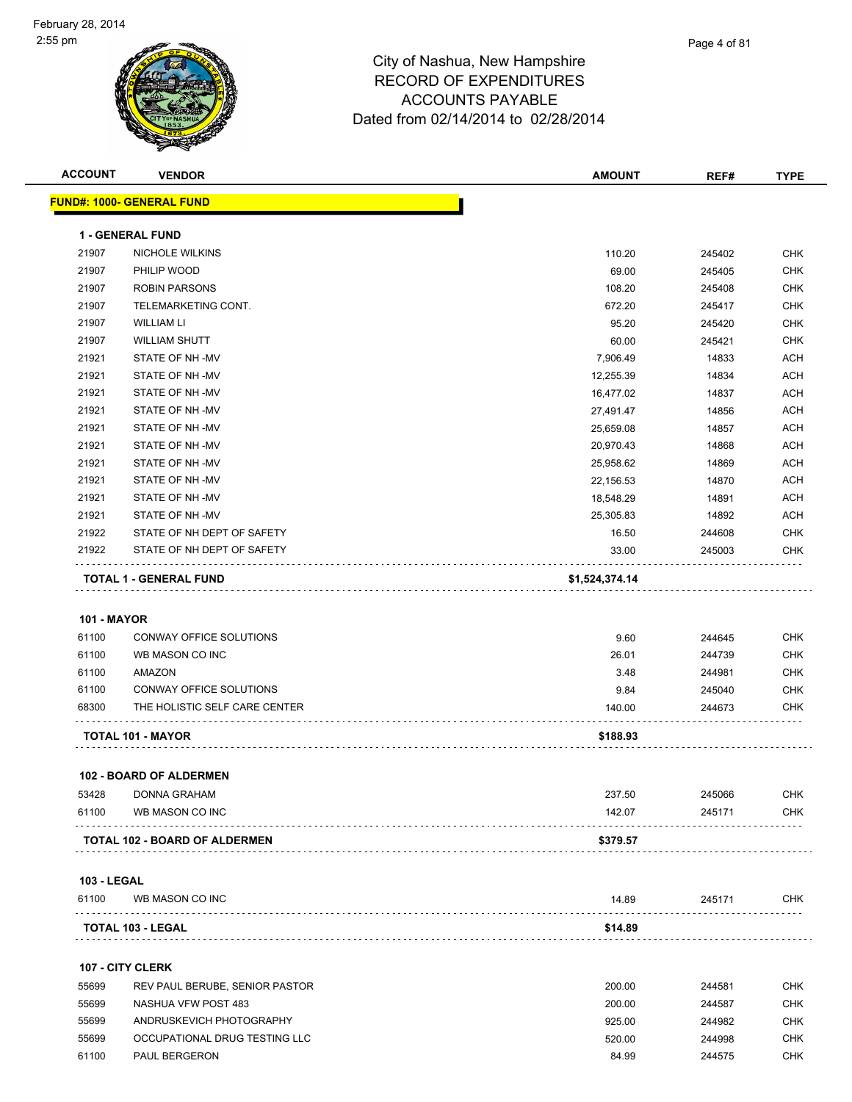

| <b>ACCOUNT</b>     | <b>VENDOR</b>                    | <b>AMOUNT</b>   | REF#             | <b>TYPE</b> |
|--------------------|----------------------------------|-----------------|------------------|-------------|
|                    | <b>FUND#: 1000- GENERAL FUND</b> |                 |                  |             |
|                    | 1 - GENERAL FUND                 |                 |                  |             |
| 21907              | <b>NICHOLE WILKINS</b>           |                 |                  | <b>CHK</b>  |
| 21907              | PHILIP WOOD                      | 110.20<br>69.00 | 245402<br>245405 | <b>CHK</b>  |
| 21907              | <b>ROBIN PARSONS</b>             | 108.20          | 245408           | <b>CHK</b>  |
| 21907              | TELEMARKETING CONT.              | 672.20          | 245417           | <b>CHK</b>  |
| 21907              | <b>WILLIAM LI</b>                | 95.20           | 245420           | <b>CHK</b>  |
| 21907              | <b>WILLIAM SHUTT</b>             | 60.00           | 245421           | <b>CHK</b>  |
| 21921              | STATE OF NH-MV                   | 7,906.49        | 14833            | <b>ACH</b>  |
| 21921              | STATE OF NH-MV                   | 12,255.39       | 14834            | <b>ACH</b>  |
| 21921              | STATE OF NH-MV                   | 16,477.02       | 14837            | ACH         |
| 21921              | STATE OF NH -MV                  | 27,491.47       | 14856            | <b>ACH</b>  |
| 21921              | STATE OF NH -MV                  | 25,659.08       | 14857            | ACH         |
| 21921              | STATE OF NH -MV                  | 20,970.43       | 14868            | <b>ACH</b>  |
| 21921              | STATE OF NH-MV                   |                 | 14869            | <b>ACH</b>  |
| 21921              | STATE OF NH-MV                   | 25,958.62       | 14870            | <b>ACH</b>  |
| 21921              |                                  | 22,156.53       |                  |             |
|                    | STATE OF NH -MV                  | 18,548.29       | 14891            | <b>ACH</b>  |
| 21921              | STATE OF NH-MV                   | 25,305.83       | 14892            | ACH         |
| 21922              | STATE OF NH DEPT OF SAFETY       | 16.50           | 244608           | <b>CHK</b>  |
| 21922              | STATE OF NH DEPT OF SAFETY       | 33.00           | 245003           | CHK         |
|                    | TOTAL 1 - GENERAL FUND           | \$1,524,374.14  |                  |             |
|                    |                                  |                 |                  |             |
| <b>101 - MAYOR</b> |                                  |                 |                  |             |
| 61100              | CONWAY OFFICE SOLUTIONS          | 9.60            | 244645           | <b>CHK</b>  |
| 61100              | WB MASON CO INC                  | 26.01           | 244739           | <b>CHK</b>  |
| 61100              | AMAZON                           | 3.48            | 244981           | <b>CHK</b>  |
| 61100              | CONWAY OFFICE SOLUTIONS          | 9.84            | 245040           | <b>CHK</b>  |
| 68300              | THE HOLISTIC SELF CARE CENTER    | 140.00          | 244673           | CHK         |
|                    | TOTAL 101 - MAYOR                | \$188.93        |                  |             |
|                    |                                  |                 |                  |             |
|                    | <b>102 - BOARD OF ALDERMEN</b>   |                 |                  |             |
| 53428              | DONNA GRAHAM                     | 237.50          | 245066           | CHK         |
| 61100              | WB MASON CO INC                  | 142.07          | 245171           | CHK         |
|                    | TOTAL 102 - BOARD OF ALDERMEN    | \$379.57        |                  |             |
|                    |                                  |                 |                  |             |
| <b>103 - LEGAL</b> |                                  |                 |                  |             |
| 61100              | WB MASON CO INC                  | 14.89           | 245171           | <b>CHK</b>  |
|                    | TOTAL 103 - LEGAL                | \$14.89         |                  |             |
|                    | 107 - CITY CLERK                 |                 |                  |             |
| 55699              |                                  |                 |                  | <b>CHK</b>  |
|                    | REV PAUL BERUBE, SENIOR PASTOR   | 200.00          | 244581           |             |
| 55699              | NASHUA VFW POST 483              | 200.00          | 244587           | <b>CHK</b>  |
| 55699              | ANDRUSKEVICH PHOTOGRAPHY         | 925.00          | 244982           | <b>CHK</b>  |
| 55699              | OCCUPATIONAL DRUG TESTING LLC    | 520.00          | 244998           | CHK         |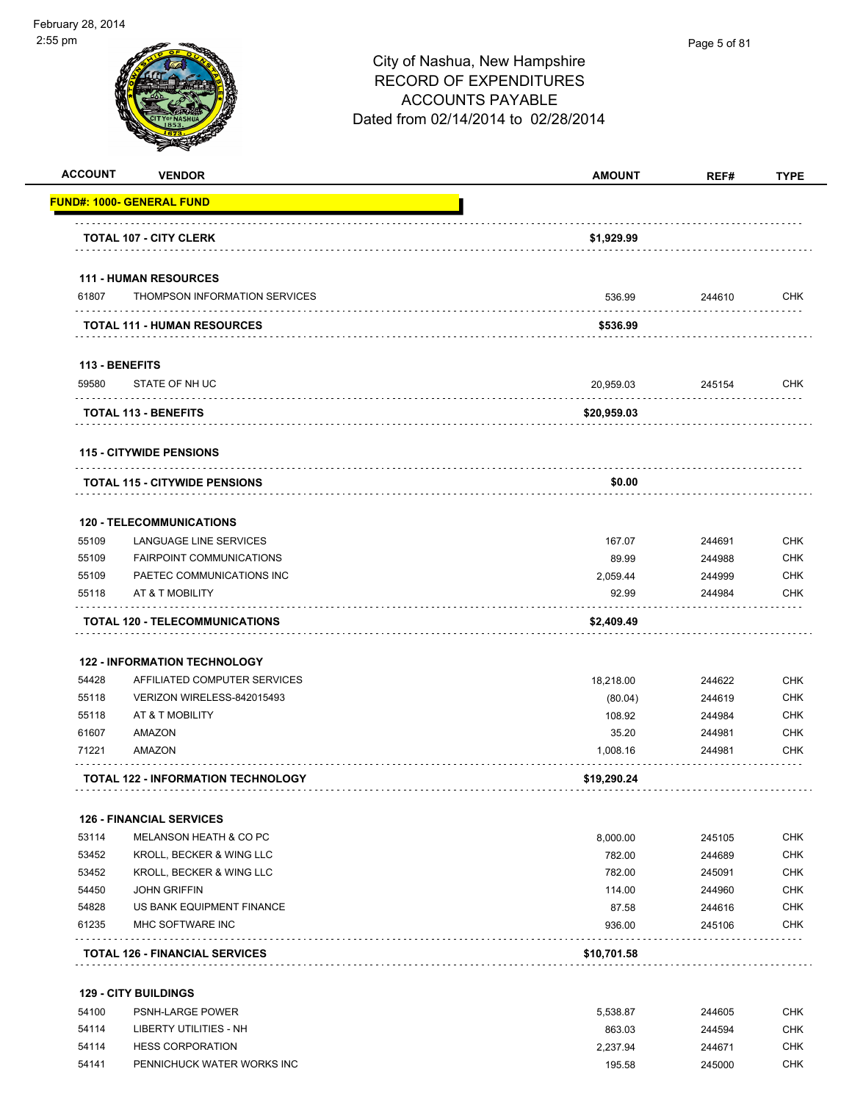

| <b>ACCOUNT</b> | <b>VENDOR</b>                         | <b>AMOUNT</b> | REF#   | <b>TYPE</b> |
|----------------|---------------------------------------|---------------|--------|-------------|
|                | <b>FUND#: 1000- GENERAL FUND</b>      |               |        |             |
|                | <b>TOTAL 107 - CITY CLERK</b>         | \$1,929.99    |        |             |
|                | <b>111 - HUMAN RESOURCES</b>          |               |        |             |
| 61807          | THOMPSON INFORMATION SERVICES         | 536.99        | 244610 | <b>CHK</b>  |
|                | <b>TOTAL 111 - HUMAN RESOURCES</b>    | \$536.99      |        |             |
| 113 - BENEFITS |                                       |               |        |             |
| 59580          | STATE OF NH UC                        | 20,959.03     | 245154 | <b>CHK</b>  |
|                | <b>TOTAL 113 - BENEFITS</b>           | \$20,959.03   |        |             |
|                | <b>115 - CITYWIDE PENSIONS</b>        |               |        |             |
|                | <b>TOTAL 115 - CITYWIDE PENSIONS</b>  | \$0.00        |        |             |
|                | <b>120 - TELECOMMUNICATIONS</b>       |               |        |             |
| 55109          | LANGUAGE LINE SERVICES                | 167.07        | 244691 | <b>CHK</b>  |
| 55109          | <b>FAIRPOINT COMMUNICATIONS</b>       | 89.99         | 244988 | <b>CHK</b>  |
| 55109          | PAETEC COMMUNICATIONS INC             | 2,059.44      | 244999 | <b>CHK</b>  |
| 55118          | AT & T MOBILITY                       | 92.99         | 244984 | <b>CHK</b>  |
|                | <b>TOTAL 120 - TELECOMMUNICATIONS</b> | \$2,409.49    |        |             |
|                | <b>122 - INFORMATION TECHNOLOGY</b>   |               |        |             |
| 54428          | AFFILIATED COMPUTER SERVICES          | 18,218.00     | 244622 | <b>CHK</b>  |
| 55118          | VERIZON WIRELESS-842015493            | (80.04)       | 244619 | <b>CHK</b>  |
| 55118          | AT & T MOBILITY                       | 108.92        | 244984 | <b>CHK</b>  |
| 61607          | AMAZON                                | 35.20         | 244981 | <b>CHK</b>  |
| 71221          | AMAZON                                | 1,008.16      | 244981 | <b>CHK</b>  |
|                | TOTAL 122 - INFORMATION TECHNOLOGY    | \$19,290.24   |        |             |
|                | <b>126 - FINANCIAL SERVICES</b>       |               |        |             |
| 53114          | <b>MELANSON HEATH &amp; CO PC</b>     | 8,000.00      | 245105 | <b>CHK</b>  |
| 53452          | KROLL, BECKER & WING LLC              | 782.00        | 244689 | <b>CHK</b>  |
| 53452          | KROLL, BECKER & WING LLC              | 782.00        | 245091 | <b>CHK</b>  |
| 54450          | <b>JOHN GRIFFIN</b>                   | 114.00        | 244960 | <b>CHK</b>  |
| 54828          | US BANK EQUIPMENT FINANCE             | 87.58         | 244616 | <b>CHK</b>  |
| 61235          | MHC SOFTWARE INC                      | 936.00        | 245106 | <b>CHK</b>  |
|                | <b>TOTAL 126 - FINANCIAL SERVICES</b> | \$10,701.58   |        |             |
|                | <b>129 - CITY BUILDINGS</b>           |               |        |             |
| 54100          | PSNH-LARGE POWER                      | 5,538.87      | 244605 | <b>CHK</b>  |

| 54114 | LIBERTY UTILITIES - NH     | 863.03   | 244594 | СНК |
|-------|----------------------------|----------|--------|-----|
| 54114 | <b>HESS CORPORATION</b>    | 2.237.94 | 244671 | СНК |
| 54141 | PENNICHUCK WATER WORKS INC | 195.58   | 245000 | СНК |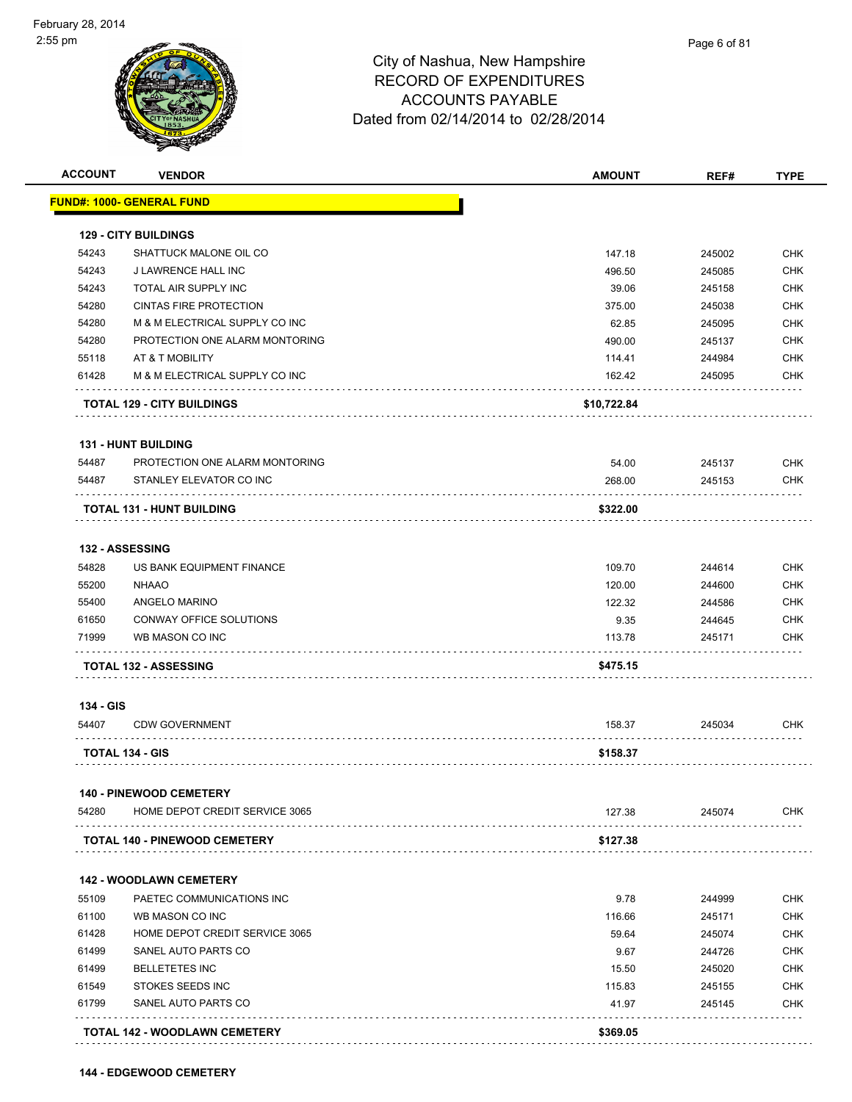| <b>ACCOUNT</b> | <b>VENDOR</b>                                                    | <b>AMOUNT</b>   | REF#             | <b>TYPE</b>                                                                                    |
|----------------|------------------------------------------------------------------|-----------------|------------------|------------------------------------------------------------------------------------------------|
|                | <u> FUND#: 1000- GENERAL FUND</u>                                |                 |                  |                                                                                                |
|                | <b>129 - CITY BUILDINGS</b>                                      |                 |                  |                                                                                                |
| 54243          | SHATTUCK MALONE OIL CO                                           | 147.18          | 245002           | <b>CHK</b>                                                                                     |
| 54243          | J LAWRENCE HALL INC                                              | 496.50          | 245085           | <b>CHK</b>                                                                                     |
| 54243          | TOTAL AIR SUPPLY INC                                             | 39.06           | 245158           | <b>CHK</b>                                                                                     |
| 54280          | <b>CINTAS FIRE PROTECTION</b>                                    | 375.00          | 245038           | <b>CHK</b>                                                                                     |
| 54280          | M & M ELECTRICAL SUPPLY CO INC                                   | 62.85           | 245095           | <b>CHK</b>                                                                                     |
| 54280          | PROTECTION ONE ALARM MONTORING                                   | 490.00          | 245137           | <b>CHK</b>                                                                                     |
| 55118          | AT & T MOBILITY                                                  | 114.41          | 244984           | <b>CHK</b>                                                                                     |
| 61428          | M & M ELECTRICAL SUPPLY CO INC                                   | 162.42          | 245095           | <b>CHK</b>                                                                                     |
|                | <b>TOTAL 129 - CITY BUILDINGS</b>                                | \$10,722.84     |                  |                                                                                                |
|                | <b>131 - HUNT BUILDING</b>                                       |                 |                  |                                                                                                |
| 54487          | PROTECTION ONE ALARM MONTORING                                   | 54.00           | 245137           | <b>CHK</b>                                                                                     |
| 54487          | STANLEY ELEVATOR CO INC                                          | 268.00          | 245153           | <b>CHK</b>                                                                                     |
|                | <b>TOTAL 131 - HUNT BUILDING</b>                                 | \$322.00        |                  |                                                                                                |
|                |                                                                  |                 |                  |                                                                                                |
|                | 132 - ASSESSING                                                  |                 |                  |                                                                                                |
| 54828          | US BANK EQUIPMENT FINANCE                                        | 109.70          | 244614           | <b>CHK</b>                                                                                     |
| 55200          | <b>NHAAO</b>                                                     | 120.00          | 244600           | <b>CHK</b>                                                                                     |
| 55400          | ANGELO MARINO                                                    | 122.32          | 244586           | <b>CHK</b>                                                                                     |
| 61650          | CONWAY OFFICE SOLUTIONS                                          | 9.35            | 244645           | <b>CHK</b>                                                                                     |
| 71999          | WB MASON CO INC                                                  | 113.78          | 245171           | <b>CHK</b>                                                                                     |
|                | <b>TOTAL 132 - ASSESSING</b>                                     | \$475.15        |                  |                                                                                                |
| 134 - GIS      |                                                                  |                 |                  |                                                                                                |
| 54407          | <b>CDW GOVERNMENT</b>                                            | 158.37          | 245034           | <b>CHK</b>                                                                                     |
|                | <b>TOTAL 134 - GIS</b>                                           | \$158.37        |                  |                                                                                                |
|                |                                                                  |                 |                  |                                                                                                |
|                |                                                                  |                 |                  |                                                                                                |
| 54280          | <b>140 - PINEWOOD CEMETERY</b><br>HOME DEPOT CREDIT SERVICE 3065 | 127.38          | 245074           |                                                                                                |
|                | TOTAL 140 - PINEWOOD CEMETERY                                    | \$127.38        |                  | <b>CHK</b>                                                                                     |
|                |                                                                  |                 |                  |                                                                                                |
|                | <b>142 - WOODLAWN CEMETERY</b>                                   |                 |                  |                                                                                                |
| 55109          | PAETEC COMMUNICATIONS INC                                        | 9.78            | 244999           |                                                                                                |
| 61100          | WB MASON CO INC                                                  | 116.66          | 245171           |                                                                                                |
| 61428          | HOME DEPOT CREDIT SERVICE 3065                                   | 59.64           | 245074           |                                                                                                |
| 61499          | SANEL AUTO PARTS CO                                              | 9.67            | 244726           |                                                                                                |
| 61499          | <b>BELLETETES INC</b>                                            | 15.50           | 245020           |                                                                                                |
| 61549<br>61799 | STOKES SEEDS INC<br>SANEL AUTO PARTS CO                          | 115.83<br>41.97 | 245155<br>245145 | <b>CHK</b><br><b>CHK</b><br><b>CHK</b><br><b>CHK</b><br><b>CHK</b><br><b>CHK</b><br><b>CHK</b> |

**144 - EDGEWOOD CEMETERY**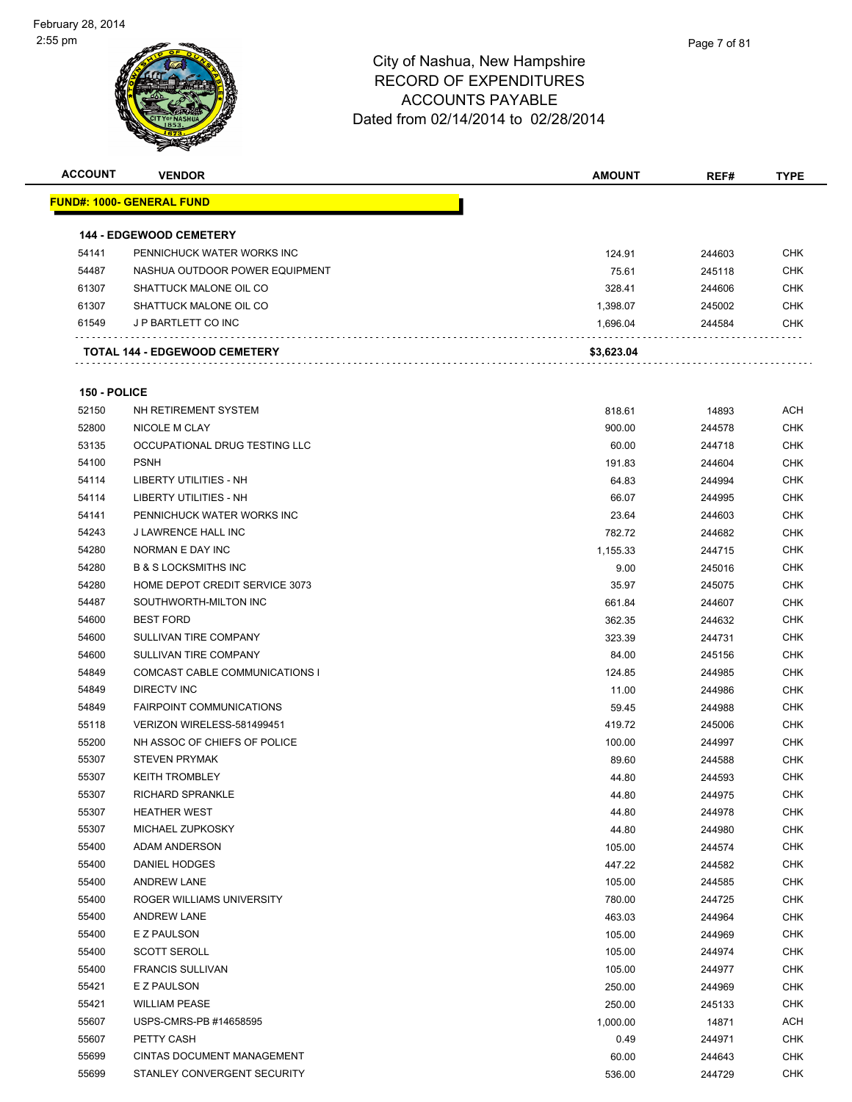| <b>ACCOUNT</b> | <b>VENDOR</b>                        | <b>AMOUNT</b> | REF#   | <b>TYPE</b> |
|----------------|--------------------------------------|---------------|--------|-------------|
|                | <u> FUND#: 1000- GENERAL FUND</u>    |               |        |             |
|                |                                      |               |        |             |
|                | <b>144 - EDGEWOOD CEMETERY</b>       |               |        |             |
| 54141          | PENNICHUCK WATER WORKS INC           | 124.91        | 244603 | <b>CHK</b>  |
| 54487          | NASHUA OUTDOOR POWER EQUIPMENT       | 75.61         | 245118 | <b>CHK</b>  |
| 61307          | SHATTUCK MALONE OIL CO               | 328.41        | 244606 | <b>CHK</b>  |
| 61307          | SHATTUCK MALONE OIL CO               | 1,398.07      | 245002 | <b>CHK</b>  |
| 61549          | J P BARTLETT CO INC                  | 1,696.04      | 244584 | CHK         |
|                | <b>TOTAL 144 - EDGEWOOD CEMETERY</b> | \$3,623.04    |        |             |
|                |                                      |               |        |             |
| 150 - POLICE   |                                      |               |        |             |
| 52150          | NH RETIREMENT SYSTEM                 | 818.61        | 14893  | ACH         |
| 52800          | NICOLE M CLAY                        | 900.00        | 244578 | <b>CHK</b>  |
| 53135          | OCCUPATIONAL DRUG TESTING LLC        | 60.00         | 244718 | <b>CHK</b>  |
| 54100          | <b>PSNH</b>                          | 191.83        | 244604 | <b>CHK</b>  |
| 54114          | LIBERTY UTILITIES - NH               | 64.83         | 244994 | CHK         |
| 54114          | LIBERTY UTILITIES - NH               | 66.07         | 244995 | <b>CHK</b>  |
| 54141          | PENNICHUCK WATER WORKS INC           | 23.64         | 244603 | CHK         |
| 54243          | J LAWRENCE HALL INC                  | 782.72        | 244682 | CHK         |
| 54280          | NORMAN E DAY INC                     | 1,155.33      | 244715 | <b>CHK</b>  |
| 54280          | <b>B &amp; S LOCKSMITHS INC</b>      | 9.00          | 245016 | CHK         |
| 54280          | HOME DEPOT CREDIT SERVICE 3073       | 35.97         | 245075 | <b>CHK</b>  |
| 54487          | SOUTHWORTH-MILTON INC                | 661.84        | 244607 | <b>CHK</b>  |
| 54600          | <b>BEST FORD</b>                     | 362.35        | 244632 | <b>CHK</b>  |
| 54600          | SULLIVAN TIRE COMPANY                | 323.39        | 244731 | <b>CHK</b>  |
| 54600          | SULLIVAN TIRE COMPANY                | 84.00         | 245156 | <b>CHK</b>  |
| 54849          | COMCAST CABLE COMMUNICATIONS I       | 124.85        | 244985 | <b>CHK</b>  |
| 54849          | DIRECTV INC                          | 11.00         | 244986 | <b>CHK</b>  |
| 54849          | <b>FAIRPOINT COMMUNICATIONS</b>      | 59.45         | 244988 | <b>CHK</b>  |
| 55118          | VERIZON WIRELESS-581499451           | 419.72        | 245006 | <b>CHK</b>  |
| 55200          | NH ASSOC OF CHIEFS OF POLICE         | 100.00        | 244997 | <b>CHK</b>  |
| 55307          | <b>STEVEN PRYMAK</b>                 | 89.60         | 244588 | <b>CHK</b>  |
| 55307          | <b>KEITH TROMBLEY</b>                | 44.80         | 244593 | <b>CHK</b>  |
| 55307          | RICHARD SPRANKLE                     | 44.80         | 244975 | <b>CHK</b>  |
| 55307          | <b>HEATHER WEST</b>                  | 44.80         | 244978 | <b>CHK</b>  |
| 55307          | MICHAEL ZUPKOSKY                     | 44.80         | 244980 | <b>CHK</b>  |
| 55400          | ADAM ANDERSON                        | 105.00        | 244574 | <b>CHK</b>  |
| 55400          | DANIEL HODGES                        | 447.22        | 244582 | <b>CHK</b>  |
| 55400          | <b>ANDREW LANE</b>                   | 105.00        | 244585 | <b>CHK</b>  |
| 55400          | ROGER WILLIAMS UNIVERSITY            | 780.00        | 244725 | <b>CHK</b>  |
| 55400          | <b>ANDREW LANE</b>                   | 463.03        | 244964 | <b>CHK</b>  |
| 55400          | E Z PAULSON                          | 105.00        | 244969 | <b>CHK</b>  |
| 55400          | <b>SCOTT SEROLL</b>                  | 105.00        | 244974 | <b>CHK</b>  |
| 55400          | <b>FRANCIS SULLIVAN</b>              | 105.00        | 244977 | <b>CHK</b>  |
| 55421          | E Z PAULSON                          | 250.00        | 244969 | <b>CHK</b>  |
| 55421          | <b>WILLIAM PEASE</b>                 | 250.00        | 245133 | <b>CHK</b>  |
| 55607          | USPS-CMRS-PB #14658595               | 1,000.00      | 14871  | ACH         |
| 55607          | PETTY CASH                           | 0.49          | 244971 | CHK         |
| 55699          | CINTAS DOCUMENT MANAGEMENT           | 60.00         | 244643 | CHK         |
| 55699          | STANLEY CONVERGENT SECURITY          | 536.00        | 244729 | <b>CHK</b>  |
|                |                                      |               |        |             |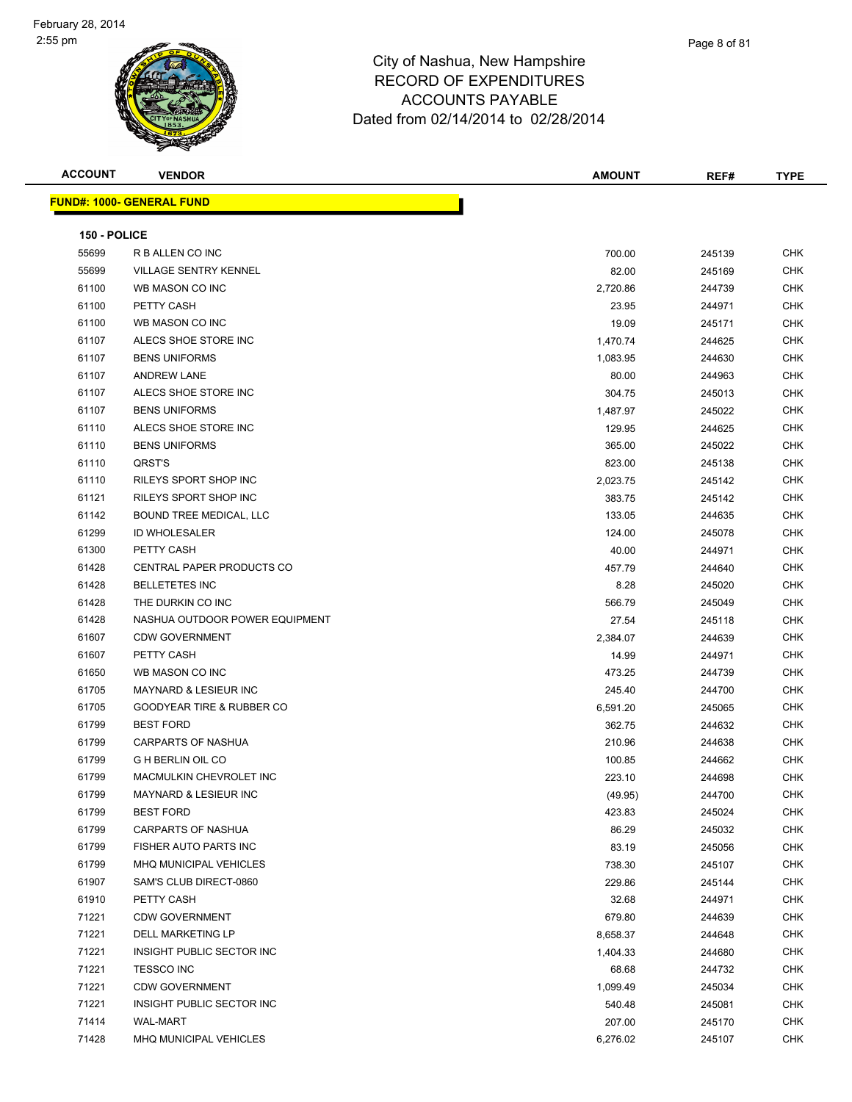

| Page 8 of 81 |
|--------------|
|              |

| <b>ACCOUNT</b> | <b>VENDOR</b>                        | <b>AMOUNT</b> | REF#   | <b>TYPE</b> |
|----------------|--------------------------------------|---------------|--------|-------------|
|                | <b>FUND#: 1000- GENERAL FUND</b>     |               |        |             |
|                |                                      |               |        |             |
| 150 - POLICE   |                                      |               |        |             |
| 55699          | R B ALLEN CO INC                     | 700.00        | 245139 | CHK         |
| 55699          | <b>VILLAGE SENTRY KENNEL</b>         | 82.00         | 245169 | <b>CHK</b>  |
| 61100          | WB MASON CO INC                      | 2,720.86      | 244739 | CHK         |
| 61100          | PETTY CASH                           | 23.95         | 244971 | <b>CHK</b>  |
| 61100          | WB MASON CO INC                      | 19.09         | 245171 | <b>CHK</b>  |
| 61107          | ALECS SHOE STORE INC                 | 1,470.74      | 244625 | <b>CHK</b>  |
| 61107          | <b>BENS UNIFORMS</b>                 | 1,083.95      | 244630 | <b>CHK</b>  |
| 61107          | <b>ANDREW LANE</b>                   | 80.00         | 244963 | CHK         |
| 61107          | ALECS SHOE STORE INC                 | 304.75        | 245013 | <b>CHK</b>  |
| 61107          | <b>BENS UNIFORMS</b>                 | 1,487.97      | 245022 | <b>CHK</b>  |
| 61110          | ALECS SHOE STORE INC                 | 129.95        | 244625 | CHK         |
| 61110          | <b>BENS UNIFORMS</b>                 | 365.00        | 245022 | <b>CHK</b>  |
| 61110          | QRST'S                               | 823.00        | 245138 | <b>CHK</b>  |
| 61110          | RILEYS SPORT SHOP INC                | 2,023.75      | 245142 | CHK         |
| 61121          | RILEYS SPORT SHOP INC                | 383.75        | 245142 | <b>CHK</b>  |
| 61142          | BOUND TREE MEDICAL, LLC              | 133.05        | 244635 | CHK         |
| 61299          | <b>ID WHOLESALER</b>                 | 124.00        | 245078 | CHK         |
| 61300          | PETTY CASH                           | 40.00         | 244971 | <b>CHK</b>  |
| 61428          | CENTRAL PAPER PRODUCTS CO            | 457.79        | 244640 | CHK         |
| 61428          | <b>BELLETETES INC</b>                | 8.28          | 245020 | <b>CHK</b>  |
| 61428          | THE DURKIN CO INC                    | 566.79        | 245049 | <b>CHK</b>  |
| 61428          | NASHUA OUTDOOR POWER EQUIPMENT       | 27.54         | 245118 | <b>CHK</b>  |
| 61607          | <b>CDW GOVERNMENT</b>                | 2,384.07      | 244639 | <b>CHK</b>  |
| 61607          | PETTY CASH                           | 14.99         | 244971 | <b>CHK</b>  |
| 61650          | WB MASON CO INC                      | 473.25        | 244739 | <b>CHK</b>  |
| 61705          | <b>MAYNARD &amp; LESIEUR INC</b>     | 245.40        | 244700 | <b>CHK</b>  |
| 61705          | <b>GOODYEAR TIRE &amp; RUBBER CO</b> | 6,591.20      | 245065 | CHK         |
| 61799          | <b>BEST FORD</b>                     | 362.75        | 244632 | <b>CHK</b>  |
| 61799          | CARPARTS OF NASHUA                   | 210.96        | 244638 | <b>CHK</b>  |
| 61799          | <b>G H BERLIN OIL CO</b>             | 100.85        | 244662 | CHK         |
| 61799          | MACMULKIN CHEVROLET INC              | 223.10        | 244698 | CHK         |
| 61799          | MAYNARD & LESIEUR INC                | (49.95)       | 244700 | CHK         |
| 61799          | <b>BEST FORD</b>                     | 423.83        | 245024 | <b>CHK</b>  |
| 61799          | CARPARTS OF NASHUA                   | 86.29         | 245032 | <b>CHK</b>  |
| 61799          | FISHER AUTO PARTS INC                | 83.19         | 245056 | <b>CHK</b>  |
| 61799          | MHQ MUNICIPAL VEHICLES               | 738.30        | 245107 | <b>CHK</b>  |
| 61907          | SAM'S CLUB DIRECT-0860               | 229.86        | 245144 | <b>CHK</b>  |
| 61910          | PETTY CASH                           | 32.68         | 244971 | <b>CHK</b>  |
| 71221          | <b>CDW GOVERNMENT</b>                | 679.80        | 244639 | <b>CHK</b>  |
| 71221          | DELL MARKETING LP                    | 8,658.37      | 244648 | CHK         |
| 71221          | INSIGHT PUBLIC SECTOR INC            | 1,404.33      | 244680 | <b>CHK</b>  |
| 71221          | <b>TESSCO INC</b>                    | 68.68         | 244732 | CHK         |
| 71221          | <b>CDW GOVERNMENT</b>                | 1,099.49      | 245034 | CHK         |
| 71221          | INSIGHT PUBLIC SECTOR INC            | 540.48        | 245081 | CHK         |
| 71414          | WAL-MART                             | 207.00        | 245170 | CHK         |
| 71428          | MHQ MUNICIPAL VEHICLES               | 6,276.02      | 245107 | <b>CHK</b>  |
|                |                                      |               |        |             |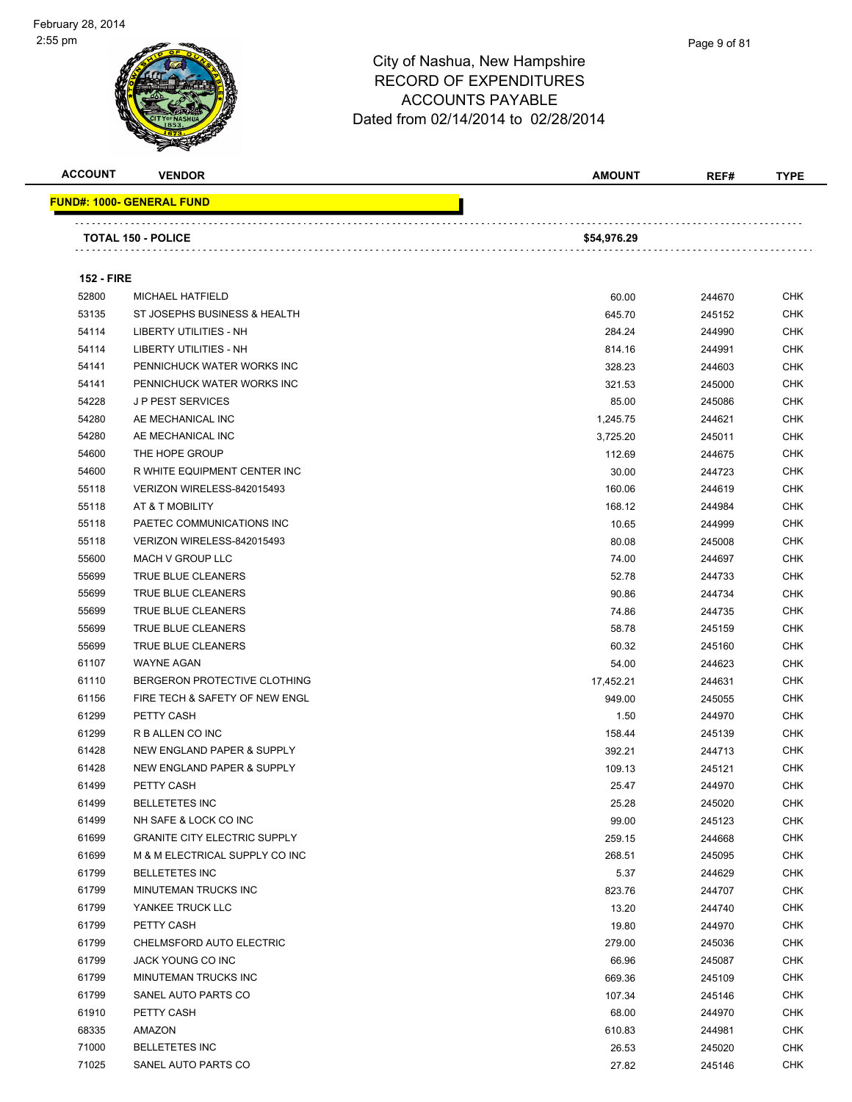



**FUND#: 1000- GENERAL FUND**

#### City of Nashua, New Hampshire RECORD OF EXPENDITURES ACC Dated from

|                   |                                  | <b>ACCOUNTS PAYABLE</b><br>Dated from 02/14/2014 to 02/28/2014 |               |        |             |
|-------------------|----------------------------------|----------------------------------------------------------------|---------------|--------|-------------|
| <b>ACCOUNT</b>    | <b>VENDOR</b>                    |                                                                | <b>AMOUNT</b> | REF#   | <b>TYPE</b> |
|                   | <u> IND#: 1000- GENERAL FUND</u> |                                                                |               |        |             |
|                   | <b>TOTAL 150 - POLICE</b>        |                                                                | \$54,976.29   |        |             |
| <b>152 - FIRE</b> |                                  |                                                                |               |        |             |
| 52800             | <b>MICHAEL HATFIELD</b>          |                                                                | 60.00         | 244670 | <b>CHK</b>  |
| 53135             | ST JOSEPHS BUSINESS & HEALTH     |                                                                | 645.70        | 245152 | <b>CHK</b>  |
| 54114             | LIBERTY UTILITIES - NH           |                                                                | 284.24        | 244990 | <b>CHK</b>  |
| 54114             | LIBERTY UTILITIES - NH           |                                                                | 814.16        | 244991 | <b>CHK</b>  |
| 54141             | PENNICHUCK WATER WORKS INC       |                                                                | 328.23        | 244603 | <b>CHK</b>  |
| 54141             | PENNICHUCK WATER WORKS INC       |                                                                | 321.53        | 245000 | <b>CHK</b>  |
| 54228             | J P PEST SERVICES                |                                                                | 85.00         | 245086 | <b>CHK</b>  |

| 54114 | <b>LIBERTY UTILITIES - NH</b>       | 284.24    | 244990 | CHK        |
|-------|-------------------------------------|-----------|--------|------------|
| 54114 | <b>LIBERTY UTILITIES - NH</b>       | 814.16    | 244991 | <b>CHK</b> |
| 54141 | PENNICHUCK WATER WORKS INC          | 328.23    | 244603 | <b>CHK</b> |
| 54141 | PENNICHUCK WATER WORKS INC          | 321.53    | 245000 | <b>CHK</b> |
| 54228 | <b>JP PEST SERVICES</b>             | 85.00     | 245086 | <b>CHK</b> |
| 54280 | AE MECHANICAL INC                   | 1,245.75  | 244621 | <b>CHK</b> |
| 54280 | AE MECHANICAL INC                   | 3,725.20  | 245011 | <b>CHK</b> |
| 54600 | THE HOPE GROUP                      | 112.69    | 244675 | <b>CHK</b> |
| 54600 | R WHITE EQUIPMENT CENTER INC        | 30.00     | 244723 | <b>CHK</b> |
| 55118 | VERIZON WIRELESS-842015493          | 160.06    | 244619 | <b>CHK</b> |
| 55118 | AT & T MOBILITY                     | 168.12    | 244984 | <b>CHK</b> |
| 55118 | PAETEC COMMUNICATIONS INC           | 10.65     | 244999 | CHK        |
| 55118 | VERIZON WIRELESS-842015493          | 80.08     | 245008 | <b>CHK</b> |
| 55600 | MACH V GROUP LLC                    | 74.00     | 244697 | <b>CHK</b> |
| 55699 | TRUE BLUE CLEANERS                  | 52.78     | 244733 | <b>CHK</b> |
| 55699 | TRUE BLUE CLEANERS                  | 90.86     | 244734 | <b>CHK</b> |
| 55699 | TRUE BLUE CLEANERS                  | 74.86     | 244735 | <b>CHK</b> |
| 55699 | TRUE BLUE CLEANERS                  | 58.78     | 245159 | <b>CHK</b> |
| 55699 | TRUE BLUE CLEANERS                  | 60.32     | 245160 | <b>CHK</b> |
| 61107 | <b>WAYNE AGAN</b>                   | 54.00     | 244623 | <b>CHK</b> |
| 61110 | BERGERON PROTECTIVE CLOTHING        | 17,452.21 | 244631 | <b>CHK</b> |
| 61156 | FIRE TECH & SAFETY OF NEW ENGL      | 949.00    | 245055 | <b>CHK</b> |
| 61299 | PETTY CASH                          | 1.50      | 244970 | <b>CHK</b> |
| 61299 | R B ALLEN CO INC                    | 158.44    | 245139 | <b>CHK</b> |
| 61428 | NEW ENGLAND PAPER & SUPPLY          | 392.21    | 244713 | <b>CHK</b> |
| 61428 | NEW ENGLAND PAPER & SUPPLY          | 109.13    | 245121 | <b>CHK</b> |
| 61499 | PETTY CASH                          | 25.47     | 244970 | <b>CHK</b> |
| 61499 | <b>BELLETETES INC</b>               | 25.28     | 245020 | <b>CHK</b> |
| 61499 | NH SAFE & LOCK CO INC               | 99.00     | 245123 | <b>CHK</b> |
| 61699 | <b>GRANITE CITY ELECTRIC SUPPLY</b> | 259.15    | 244668 | <b>CHK</b> |
| 61699 | M & M ELECTRICAL SUPPLY CO INC      | 268.51    | 245095 | <b>CHK</b> |
| 61799 | <b>BELLETETES INC</b>               | 5.37      | 244629 | <b>CHK</b> |
| 61799 | MINUTEMAN TRUCKS INC                | 823.76    | 244707 | <b>CHK</b> |
| 61799 | YANKEE TRUCK LLC                    | 13.20     | 244740 | <b>CHK</b> |
| 61799 | PETTY CASH                          | 19.80     | 244970 | CHK        |
| 61799 | CHELMSFORD AUTO ELECTRIC            | 279.00    | 245036 | <b>CHK</b> |
| 61799 | JACK YOUNG CO INC                   | 66.96     | 245087 | <b>CHK</b> |
| 61799 | MINUTEMAN TRUCKS INC                | 669.36    | 245109 | <b>CHK</b> |
| 61799 | SANEL AUTO PARTS CO                 | 107.34    | 245146 | <b>CHK</b> |
| 61910 | PETTY CASH                          | 68.00     | 244970 | CHK        |
| 68335 | AMAZON                              | 610.83    | 244981 | CHK        |
| 71000 | <b>BELLETETES INC</b>               | 26.53     | 245020 | <b>CHK</b> |
| 71025 | SANEL AUTO PARTS CO                 | 27.82     | 245146 | <b>CHK</b> |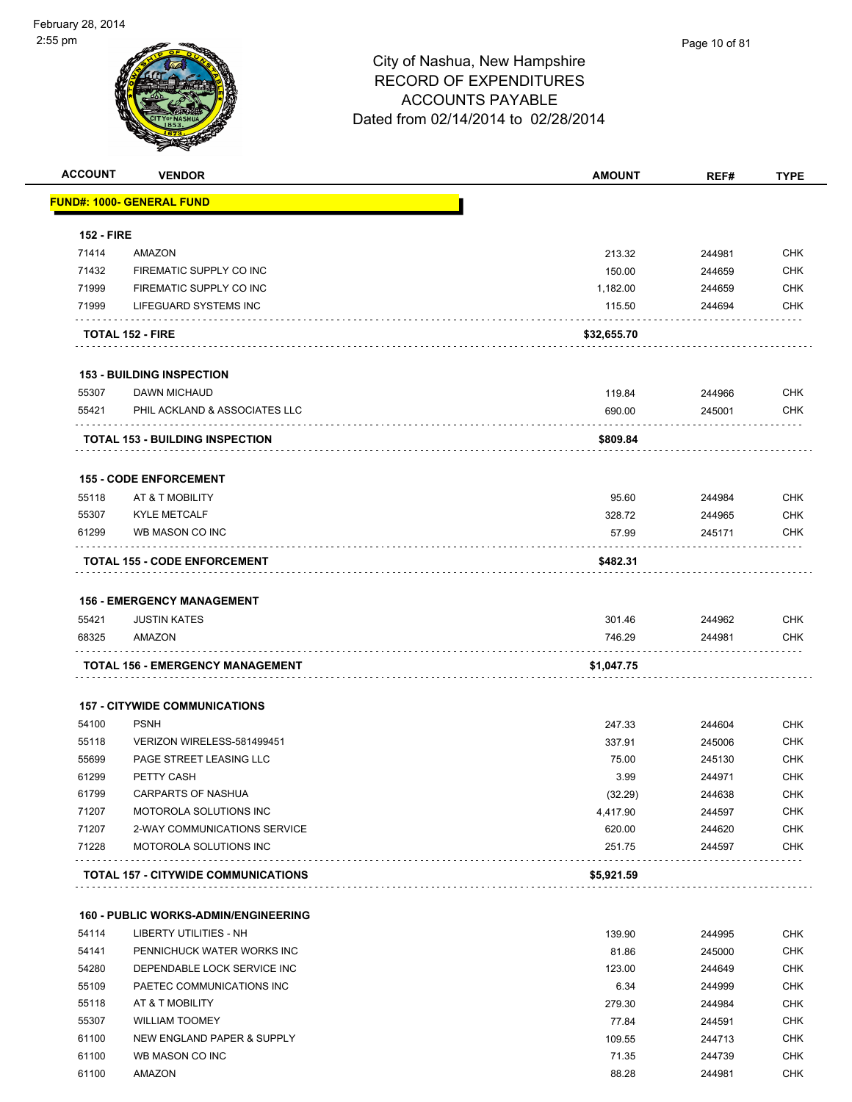| <b>ACCOUNT</b>    | <b>VENDOR</b>                               | <b>AMOUNT</b> | REF#   | <b>TYPE</b> |
|-------------------|---------------------------------------------|---------------|--------|-------------|
|                   | <b>FUND#: 1000- GENERAL FUND</b>            |               |        |             |
| <b>152 - FIRE</b> |                                             |               |        |             |
| 71414             | AMAZON                                      | 213.32        | 244981 | <b>CHK</b>  |
| 71432             | FIREMATIC SUPPLY CO INC                     | 150.00        | 244659 | <b>CHK</b>  |
| 71999             | FIREMATIC SUPPLY CO INC                     | 1,182.00      | 244659 | <b>CHK</b>  |
| 71999             | LIFEGUARD SYSTEMS INC                       | 115.50        | 244694 | CHK         |
|                   | <b>TOTAL 152 - FIRE</b>                     | \$32,655.70   |        |             |
|                   | <b>153 - BUILDING INSPECTION</b>            |               |        |             |
| 55307             | <b>DAWN MICHAUD</b>                         | 119.84        | 244966 | <b>CHK</b>  |
| 55421             | PHIL ACKLAND & ASSOCIATES LLC               | 690.00        | 245001 | <b>CHK</b>  |
|                   | <b>TOTAL 153 - BUILDING INSPECTION</b>      | \$809.84      |        |             |
|                   | <b>155 - CODE ENFORCEMENT</b>               |               |        |             |
| 55118             | AT & T MOBILITY                             | 95.60         | 244984 | <b>CHK</b>  |
| 55307             | <b>KYLE METCALF</b>                         | 328.72        | 244965 | <b>CHK</b>  |
| 61299             | WB MASON CO INC                             | 57.99         | 245171 | <b>CHK</b>  |
|                   | <b>TOTAL 155 - CODE ENFORCEMENT</b>         | \$482.31      |        |             |
|                   |                                             |               |        |             |
|                   | <b>156 - EMERGENCY MANAGEMENT</b>           |               |        |             |
| 55421             | <b>JUSTIN KATES</b>                         | 301.46        | 244962 | <b>CHK</b>  |
| 68325             | AMAZON                                      | 746.29        | 244981 | <b>CHK</b>  |
|                   | TOTAL 156 - EMERGENCY MANAGEMENT            | \$1,047.75    |        |             |
|                   | <b>157 - CITYWIDE COMMUNICATIONS</b>        |               |        |             |
| 54100             | <b>PSNH</b>                                 | 247.33        | 244604 | <b>CHK</b>  |
| 55118             | VERIZON WIRELESS-581499451                  | 337.91        | 245006 | <b>CHK</b>  |
| 55699             | PAGE STREET LEASING LLC                     | 75.00         | 245130 | <b>CHK</b>  |
| 61299             | PETTY CASH                                  | 3.99          | 244971 | <b>CHK</b>  |
| 61799             | CARPARTS OF NASHUA                          | (32.29)       | 244638 | <b>CHK</b>  |
| 71207             | MOTOROLA SOLUTIONS INC                      | 4,417.90      | 244597 | <b>CHK</b>  |
| 71207             | 2-WAY COMMUNICATIONS SERVICE                | 620.00        | 244620 | <b>CHK</b>  |
| 71228             | MOTOROLA SOLUTIONS INC                      | 251.75        | 244597 | <b>CHK</b>  |
|                   | <b>TOTAL 157 - CITYWIDE COMMUNICATIONS</b>  | \$5,921.59    |        |             |
|                   | <b>160 - PUBLIC WORKS-ADMIN/ENGINEERING</b> |               |        |             |
| 54114             | <b>LIBERTY UTILITIES - NH</b>               | 139.90        | 244995 | <b>CHK</b>  |
| 54141             | PENNICHUCK WATER WORKS INC                  | 81.86         | 245000 | <b>CHK</b>  |
| 54280             | DEPENDABLE LOCK SERVICE INC                 | 123.00        | 244649 | <b>CHK</b>  |
| 55109             | PAETEC COMMUNICATIONS INC                   | 6.34          | 244999 | <b>CHK</b>  |
| 55118             | AT & T MOBILITY                             | 279.30        | 244984 | <b>CHK</b>  |
| 55307             | <b>WILLIAM TOOMEY</b>                       | 77.84         | 244591 | <b>CHK</b>  |

 61100 NEW ENGLAND PAPER & SUPPLY 109.55 244713 CHK 61100 WB MASON CO INC 61100 CHK 61100 AMAZON 88.28 244981 CHK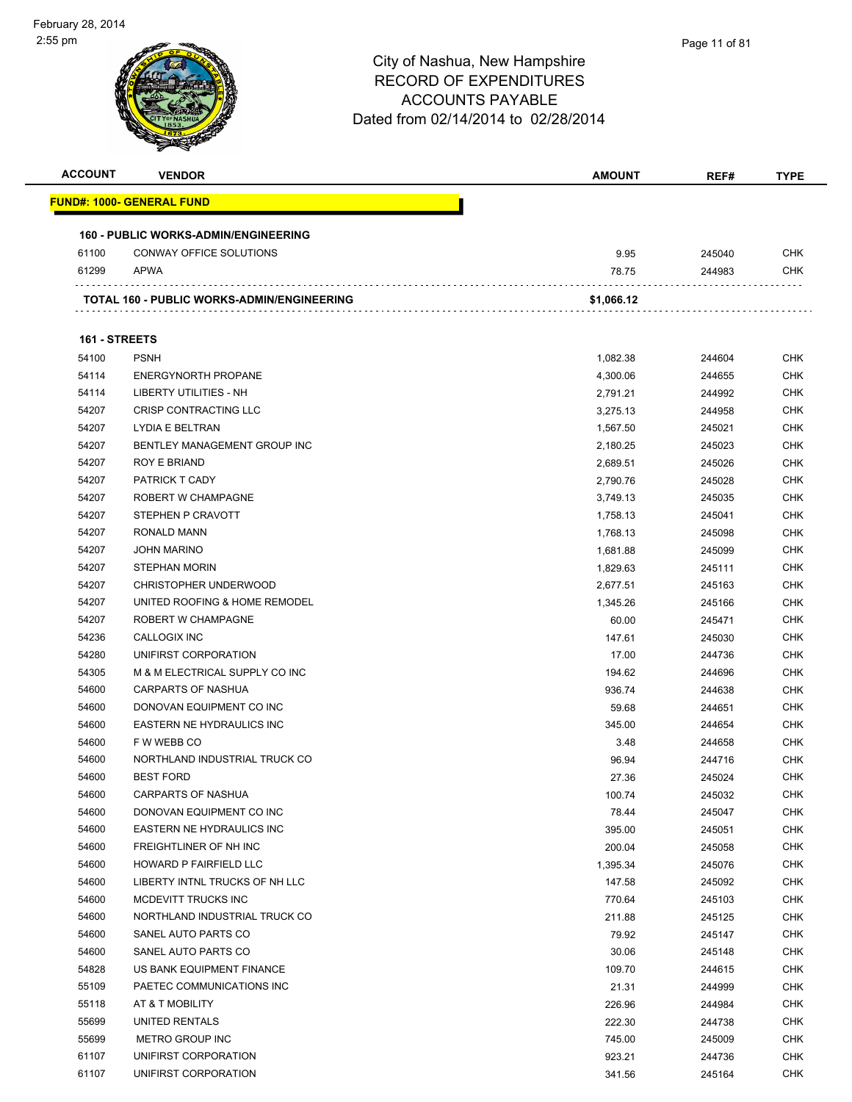| <b>ACCOUNT</b> | <b>VENDOR</b>                               | <b>AMOUNT</b> | REF#   | TYPE       |
|----------------|---------------------------------------------|---------------|--------|------------|
|                | <u> FUND#: 1000- GENERAL FUND</u>           |               |        |            |
|                | <b>160 - PUBLIC WORKS-ADMIN/ENGINEERING</b> |               |        |            |
| 61100          | <b>CONWAY OFFICE SOLUTIONS</b>              | 9.95          | 245040 | <b>CHK</b> |
| 61299          | APWA                                        | 78.75         | 244983 | <b>CHK</b> |
|                |                                             |               |        |            |
|                | TOTAL 160 - PUBLIC WORKS-ADMIN/ENGINEERING  | \$1,066.12    |        |            |
| 161 - STREETS  |                                             |               |        |            |
| 54100          | <b>PSNH</b>                                 | 1,082.38      | 244604 | <b>CHK</b> |
| 54114          | <b>ENERGYNORTH PROPANE</b>                  | 4,300.06      | 244655 | <b>CHK</b> |
| 54114          | LIBERTY UTILITIES - NH                      | 2,791.21      | 244992 | <b>CHK</b> |
| 54207          | <b>CRISP CONTRACTING LLC</b>                | 3,275.13      | 244958 | <b>CHK</b> |
| 54207          | LYDIA E BELTRAN                             | 1,567.50      | 245021 | <b>CHK</b> |
| 54207          | BENTLEY MANAGEMENT GROUP INC                | 2,180.25      | 245023 | <b>CHK</b> |
| 54207          | <b>ROY E BRIAND</b>                         | 2,689.51      | 245026 | <b>CHK</b> |
| 54207          | PATRICK T CADY                              | 2,790.76      | 245028 | <b>CHK</b> |
| 54207          | ROBERT W CHAMPAGNE                          | 3,749.13      | 245035 | <b>CHK</b> |
| 54207          | STEPHEN P CRAVOTT                           | 1,758.13      | 245041 | <b>CHK</b> |
| 54207          | RONALD MANN                                 | 1,768.13      | 245098 | <b>CHK</b> |
| 54207          | <b>JOHN MARINO</b>                          | 1,681.88      | 245099 | <b>CHK</b> |
| 54207          | <b>STEPHAN MORIN</b>                        | 1,829.63      | 245111 | <b>CHK</b> |
| 54207          | <b>CHRISTOPHER UNDERWOOD</b>                | 2,677.51      | 245163 | <b>CHK</b> |
| 54207          | UNITED ROOFING & HOME REMODEL               | 1,345.26      | 245166 | <b>CHK</b> |
| 54207          | ROBERT W CHAMPAGNE                          | 60.00         | 245471 | <b>CHK</b> |
| 54236          | CALLOGIX INC                                | 147.61        | 245030 | <b>CHK</b> |
| 54280          | UNIFIRST CORPORATION                        | 17.00         | 244736 | <b>CHK</b> |
| 54305          | M & M ELECTRICAL SUPPLY CO INC              | 194.62        | 244696 | <b>CHK</b> |
| 54600          | <b>CARPARTS OF NASHUA</b>                   | 936.74        | 244638 | <b>CHK</b> |
| 54600          | DONOVAN EQUIPMENT CO INC                    | 59.68         | 244651 | <b>CHK</b> |
| 54600          | <b>EASTERN NE HYDRAULICS INC</b>            | 345.00        | 244654 | <b>CHK</b> |
| 54600          | F W WEBB CO                                 | 3.48          | 244658 | <b>CHK</b> |
| 54600          | NORTHLAND INDUSTRIAL TRUCK CO               | 96.94         | 244716 | <b>CHK</b> |
| 54600          | <b>BEST FORD</b>                            | 27.36         | 245024 | CHK        |
| 54600          | <b>CARPARTS OF NASHUA</b>                   | 100.74        | 245032 | <b>CHK</b> |
| 54600          | DONOVAN EQUIPMENT CO INC                    | 78.44         | 245047 | <b>CHK</b> |
| 54600          | <b>EASTERN NE HYDRAULICS INC</b>            | 395.00        | 245051 | <b>CHK</b> |
| 54600          | FREIGHTLINER OF NH INC                      | 200.04        | 245058 | <b>CHK</b> |
| 54600          | <b>HOWARD P FAIRFIELD LLC</b>               | 1,395.34      | 245076 | <b>CHK</b> |
| 54600          | LIBERTY INTNL TRUCKS OF NH LLC              | 147.58        | 245092 | <b>CHK</b> |
| 54600          | MCDEVITT TRUCKS INC                         | 770.64        | 245103 | <b>CHK</b> |
| 54600          | NORTHLAND INDUSTRIAL TRUCK CO               | 211.88        | 245125 | <b>CHK</b> |
| 54600          | SANEL AUTO PARTS CO                         | 79.92         | 245147 | <b>CHK</b> |
| 54600          | SANEL AUTO PARTS CO                         | 30.06         | 245148 | <b>CHK</b> |
| 54828          | US BANK EQUIPMENT FINANCE                   | 109.70        | 244615 | <b>CHK</b> |
| 55109          | PAETEC COMMUNICATIONS INC                   | 21.31         | 244999 | <b>CHK</b> |
| 55118          | AT & T MOBILITY                             | 226.96        | 244984 | <b>CHK</b> |
| 55699          | UNITED RENTALS                              | 222.30        | 244738 | <b>CHK</b> |
| 55699          | METRO GROUP INC                             | 745.00        | 245009 | <b>CHK</b> |
| 61107          | UNIFIRST CORPORATION                        | 923.21        | 244736 | <b>CHK</b> |
| 61107          | UNIFIRST CORPORATION                        | 341.56        | 245164 | <b>CHK</b> |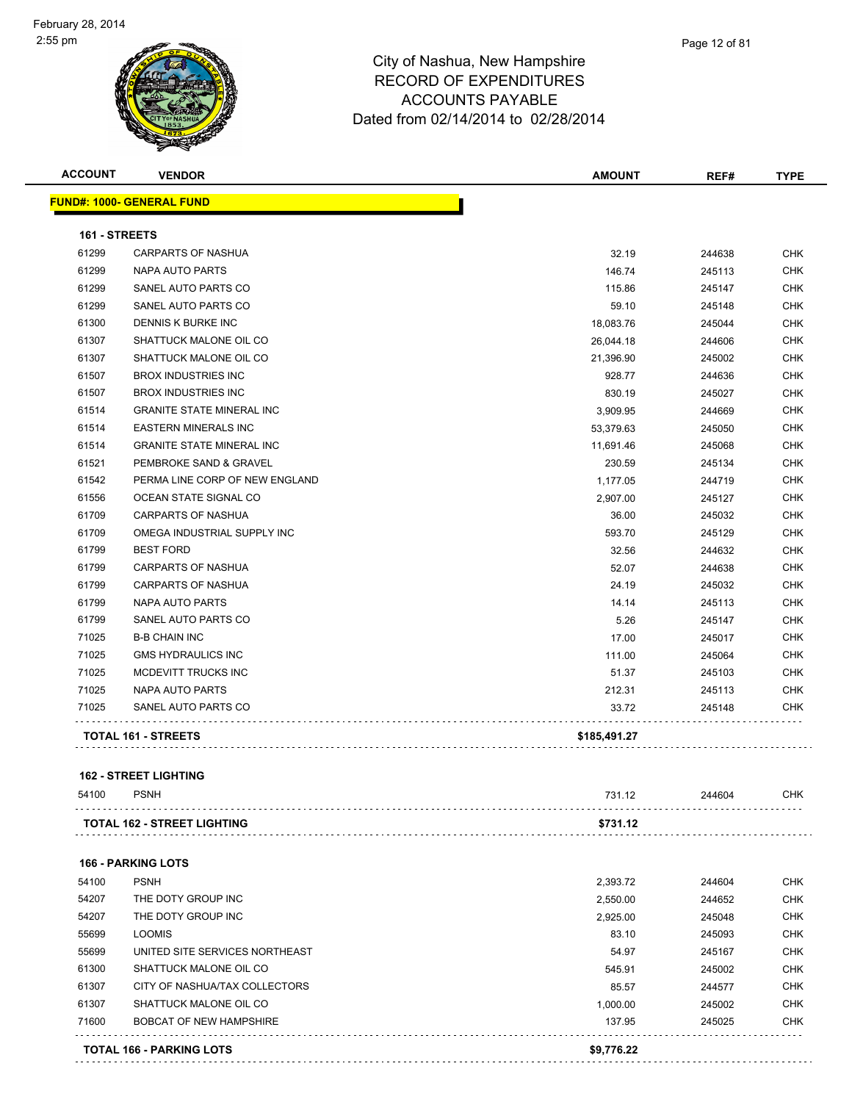

| <b>ACCOUNT</b> | <b>VENDOR</b>                    | <b>AMOUNT</b> | REF#   | <b>TYPE</b> |
|----------------|----------------------------------|---------------|--------|-------------|
|                | <b>FUND#: 1000- GENERAL FUND</b> |               |        |             |
| 161 - STREETS  |                                  |               |        |             |
| 61299          | <b>CARPARTS OF NASHUA</b>        | 32.19         | 244638 | CHK         |
| 61299          | NAPA AUTO PARTS                  | 146.74        | 245113 | <b>CHK</b>  |
| 61299          | SANEL AUTO PARTS CO              | 115.86        | 245147 | <b>CHK</b>  |
| 61299          | SANEL AUTO PARTS CO              | 59.10         | 245148 | <b>CHK</b>  |
| 61300          | DENNIS K BURKE INC               | 18,083.76     | 245044 | CHK         |
| 61307          | SHATTUCK MALONE OIL CO           | 26,044.18     | 244606 | <b>CHK</b>  |
| 61307          | SHATTUCK MALONE OIL CO           | 21,396.90     | 245002 | <b>CHK</b>  |
| 61507          | <b>BROX INDUSTRIES INC</b>       | 928.77        | 244636 | <b>CHK</b>  |
| 61507          | <b>BROX INDUSTRIES INC</b>       | 830.19        | 245027 | <b>CHK</b>  |
| 61514          | <b>GRANITE STATE MINERAL INC</b> | 3,909.95      | 244669 | <b>CHK</b>  |
| 61514          | <b>EASTERN MINERALS INC</b>      | 53,379.63     | 245050 | <b>CHK</b>  |
| 61514          | <b>GRANITE STATE MINERAL INC</b> | 11,691.46     | 245068 | <b>CHK</b>  |
| 61521          | PEMBROKE SAND & GRAVEL           | 230.59        | 245134 | <b>CHK</b>  |
| 61542          | PERMA LINE CORP OF NEW ENGLAND   | 1,177.05      | 244719 | <b>CHK</b>  |
| 61556          | OCEAN STATE SIGNAL CO            | 2,907.00      | 245127 | <b>CHK</b>  |
| 61709          | <b>CARPARTS OF NASHUA</b>        | 36.00         | 245032 | <b>CHK</b>  |
| 61709          | OMEGA INDUSTRIAL SUPPLY INC      | 593.70        | 245129 | CHK         |
| 61799          | <b>BEST FORD</b>                 | 32.56         | 244632 | <b>CHK</b>  |
| 61799          | <b>CARPARTS OF NASHUA</b>        | 52.07         | 244638 | <b>CHK</b>  |
| 61799          | <b>CARPARTS OF NASHUA</b>        | 24.19         | 245032 | <b>CHK</b>  |
| 61799          | <b>NAPA AUTO PARTS</b>           | 14.14         | 245113 | <b>CHK</b>  |
| 61799          | SANEL AUTO PARTS CO              | 5.26          | 245147 | <b>CHK</b>  |
| 71025          | <b>B-B CHAIN INC</b>             | 17.00         | 245017 | <b>CHK</b>  |
| 71025          | <b>GMS HYDRAULICS INC</b>        | 111.00        | 245064 | CHK         |
| 71025          | MCDEVITT TRUCKS INC              | 51.37         | 245103 | <b>CHK</b>  |
| 71025          | <b>NAPA AUTO PARTS</b>           | 212.31        | 245113 | <b>CHK</b>  |
| 71025          | SANEL AUTO PARTS CO              | 33.72         | 245148 | <b>CHK</b>  |
|                | TOTAL 161 - STREETS              | \$185,491.27  |        |             |

#### **162 - STREET LIGHTING**

| 54100 | <b>PSNH</b>                        | 731.12   | 244604 | <b>CHK</b> |
|-------|------------------------------------|----------|--------|------------|
|       | <b>TOTAL 162 - STREET LIGHTING</b> | \$731.12 |        |            |
|       | <b>166 - PARKING LOTS</b>          |          |        |            |
| 54100 | <b>PSNH</b>                        | 2,393.72 | 244604 | <b>CHK</b> |
| 54207 | THE DOTY GROUP INC                 | 2,550.00 | 244652 | <b>CHK</b> |
| 54207 | THE DOTY GROUP INC                 | 2,925.00 | 245048 | <b>CHK</b> |
| 55699 | <b>LOOMIS</b>                      | 83.10    | 245093 | <b>CHK</b> |
| 55699 | UNITED SITE SERVICES NORTHEAST     | 54.97    | 245167 | <b>CHK</b> |
| 61300 | SHATTUCK MALONE OIL CO             | 545.91   | 245002 | <b>CHK</b> |
| 61307 | CITY OF NASHUA/TAX COLLECTORS      | 85.57    | 244577 | <b>CHK</b> |
| 61307 | SHATTUCK MALONE OIL CO             | 1,000.00 | 245002 | <b>CHK</b> |
| 71600 | <b>BOBCAT OF NEW HAMPSHIRE</b>     | 137.95   | 245025 | <b>CHK</b> |
|       | TATAL 400 BABIZINA LATO            | 0.770.00 |        |            |

**TOTAL 166 - PARKING LOTS \$9,776.22**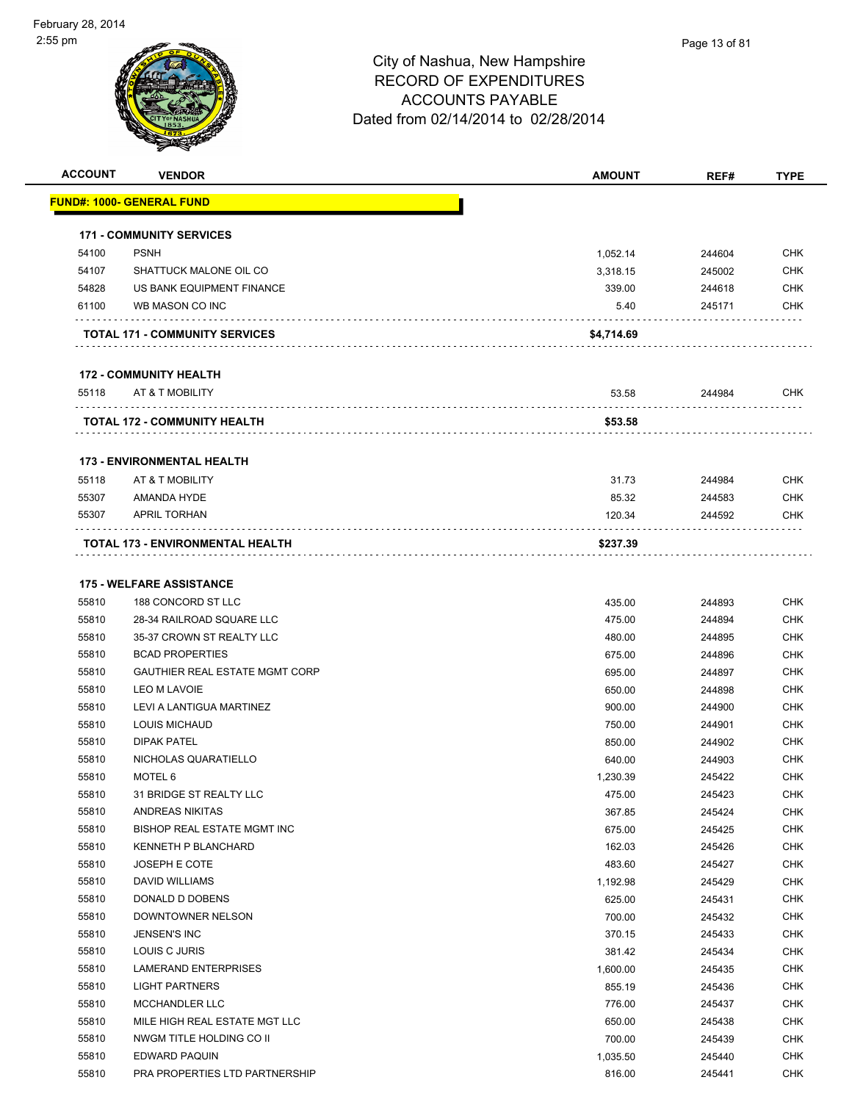

| <b>ACCOUNT</b> | <b>VENDOR</b>                         | <b>AMOUNT</b> | REF#   | <b>TYPE</b>       |
|----------------|---------------------------------------|---------------|--------|-------------------|
|                | <u> FUND#: 1000- GENERAL FUND</u>     |               |        |                   |
|                |                                       |               |        |                   |
|                | <b>171 - COMMUNITY SERVICES</b>       |               |        |                   |
| 54100          | <b>PSNH</b>                           | 1,052.14      | 244604 | <b>CHK</b>        |
| 54107          | SHATTUCK MALONE OIL CO                | 3,318.15      | 245002 | <b>CHK</b>        |
| 54828          | US BANK EQUIPMENT FINANCE             | 339.00        | 244618 | <b>CHK</b>        |
| 61100          | WB MASON CO INC                       | 5.40          | 245171 | <b>CHK</b>        |
|                | <b>TOTAL 171 - COMMUNITY SERVICES</b> | \$4,714.69    |        |                   |
|                | <b>172 - COMMUNITY HEALTH</b>         |               |        |                   |
| 55118          | AT & T MOBILITY                       | 53.58         | 244984 | CHK               |
|                | <b>TOTAL 172 - COMMUNITY HEALTH</b>   | \$53.58       |        |                   |
|                |                                       |               |        |                   |
|                | <b>173 - ENVIRONMENTAL HEALTH</b>     |               |        |                   |
| 55118          | AT & T MOBILITY                       | 31.73         | 244984 | <b>CHK</b>        |
| 55307<br>55307 | AMANDA HYDE<br><b>APRIL TORHAN</b>    | 85.32         | 244583 | <b>CHK</b><br>CHK |
|                |                                       | 120.34        | 244592 |                   |
|                | TOTAL 173 - ENVIRONMENTAL HEALTH      | \$237.39      |        |                   |
|                | <b>175 - WELFARE ASSISTANCE</b>       |               |        |                   |
| 55810          | 188 CONCORD ST LLC                    | 435.00        | 244893 | <b>CHK</b>        |
| 55810          | 28-34 RAILROAD SQUARE LLC             | 475.00        | 244894 | <b>CHK</b>        |
| 55810          | 35-37 CROWN ST REALTY LLC             | 480.00        | 244895 | <b>CHK</b>        |
| 55810          | <b>BCAD PROPERTIES</b>                | 675.00        | 244896 | <b>CHK</b>        |
| 55810          | <b>GAUTHIER REAL ESTATE MGMT CORP</b> | 695.00        | 244897 | <b>CHK</b>        |
| 55810          | <b>LEO M LAVOIE</b>                   | 650.00        | 244898 | <b>CHK</b>        |
| 55810          | LEVI A LANTIGUA MARTINEZ              | 900.00        | 244900 | CHK               |
| 55810          | <b>LOUIS MICHAUD</b>                  | 750.00        | 244901 | <b>CHK</b>        |
| 55810          | <b>DIPAK PATEL</b>                    | 850.00        | 244902 | <b>CHK</b>        |
| 55810          | NICHOLAS QUARATIELLO                  | 640.00        | 244903 | CHK               |
| 55810          | MOTEL 6                               | 1,230.39      | 245422 | CHK               |
| 55810          | 31 BRIDGE ST REALTY LLC               | 475.00        | 245423 | <b>CHK</b>        |
| 55810          | ANDREAS NIKITAS                       | 367.85        | 245424 | <b>CHK</b>        |
| 55810          | BISHOP REAL ESTATE MGMT INC           | 675.00        | 245425 | <b>CHK</b>        |
| 55810          | KENNETH P BLANCHARD                   | 162.03        | 245426 | <b>CHK</b>        |
| 55810          | JOSEPH E COTE                         | 483.60        | 245427 | <b>CHK</b>        |
| 55810          | DAVID WILLIAMS                        | 1,192.98      | 245429 | <b>CHK</b>        |
| 55810          | DONALD D DOBENS                       | 625.00        | 245431 | <b>CHK</b>        |
| 55810          | DOWNTOWNER NELSON                     | 700.00        | 245432 | <b>CHK</b>        |
| 55810          | <b>JENSEN'S INC</b>                   | 370.15        | 245433 | <b>CHK</b>        |
| 55810          | LOUIS C JURIS                         | 381.42        | 245434 | <b>CHK</b>        |
| 55810          | <b>LAMERAND ENTERPRISES</b>           | 1,600.00      | 245435 | <b>CHK</b>        |
| 55810          | <b>LIGHT PARTNERS</b>                 | 855.19        | 245436 | <b>CHK</b>        |
| 55810          | <b>MCCHANDLER LLC</b>                 | 776.00        | 245437 | <b>CHK</b>        |
| 55810          | MILE HIGH REAL ESTATE MGT LLC         | 650.00        | 245438 | <b>CHK</b>        |
| 55810          | NWGM TITLE HOLDING CO II              | 700.00        | 245439 | <b>CHK</b>        |
| 55810          | EDWARD PAQUIN                         | 1,035.50      | 245440 | <b>CHK</b>        |
| 55810          | PRA PROPERTIES LTD PARTNERSHIP        | 816.00        | 245441 | <b>CHK</b>        |
|                |                                       |               |        |                   |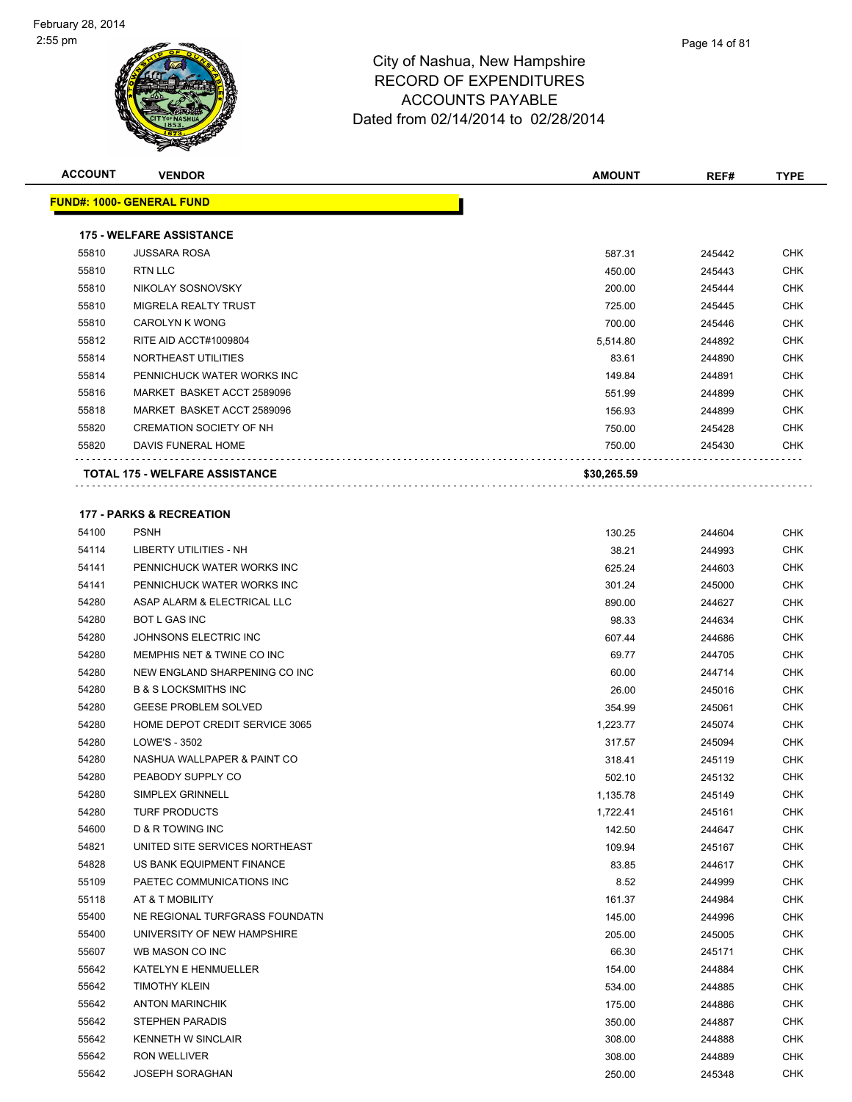| <b>ACCOUNT</b> | <b>VENDOR</b>                       | <b>AMOUNT</b> | REF#   | <b>TYPE</b> |
|----------------|-------------------------------------|---------------|--------|-------------|
|                | <u> FUND#: 1000- GENERAL FUND</u>   |               |        |             |
|                | <b>175 - WELFARE ASSISTANCE</b>     |               |        |             |
| 55810          | <b>JUSSARA ROSA</b>                 | 587.31        | 245442 | CHK         |
| 55810          | RTN LLC                             | 450.00        | 245443 | <b>CHK</b>  |
| 55810          | NIKOLAY SOSNOVSKY                   | 200.00        | 245444 | CHK         |
| 55810          | MIGRELA REALTY TRUST                |               |        | CHK         |
|                |                                     | 725.00        | 245445 |             |
| 55810          | <b>CAROLYN K WONG</b>               | 700.00        | 245446 | <b>CHK</b>  |
| 55812          | RITE AID ACCT#1009804               | 5,514.80      | 244892 | CHK         |
| 55814          | NORTHEAST UTILITIES                 | 83.61         | 244890 | <b>CHK</b>  |
| 55814          | PENNICHUCK WATER WORKS INC          | 149.84        | 244891 | CHK         |
| 55816          | MARKET BASKET ACCT 2589096          | 551.99        | 244899 | CHK         |
| 55818          | MARKET BASKET ACCT 2589096          | 156.93        | 244899 | CHK         |
| 55820          | <b>CREMATION SOCIETY OF NH</b>      | 750.00        | 245428 | CHK         |
| 55820          | DAVIS FUNERAL HOME                  | 750.00        | 245430 | CHK         |
|                | TOTAL 175 - WELFARE ASSISTANCE      | \$30,265.59   |        |             |
|                |                                     |               |        |             |
|                | <b>177 - PARKS &amp; RECREATION</b> |               |        |             |
| 54100          | <b>PSNH</b>                         | 130.25        | 244604 | CHK         |
| 54114          | LIBERTY UTILITIES - NH              | 38.21         | 244993 | <b>CHK</b>  |
| 54141          | PENNICHUCK WATER WORKS INC          | 625.24        | 244603 | CHK         |
| 54141          | PENNICHUCK WATER WORKS INC          | 301.24        | 245000 | CHK         |
| 54280          | ASAP ALARM & ELECTRICAL LLC         | 890.00        | 244627 | CHK         |
| 54280          | BOT L GAS INC                       | 98.33         | 244634 | CHK         |
| 54280          | JOHNSONS ELECTRIC INC               | 607.44        | 244686 | CHK         |
| 54280          | MEMPHIS NET & TWINE CO INC          | 69.77         | 244705 | <b>CHK</b>  |
| 54280          | NEW ENGLAND SHARPENING CO INC       | 60.00         | 244714 | CHK         |
| 54280          | <b>B &amp; S LOCKSMITHS INC</b>     | 26.00         | 245016 | CHK         |
| 54280          | <b>GEESE PROBLEM SOLVED</b>         | 354.99        | 245061 | CHK         |
| 54280          | HOME DEPOT CREDIT SERVICE 3065      | 1,223.77      | 245074 | CHK         |
| 54280          | LOWE'S - 3502                       | 317.57        | 245094 | <b>CHK</b>  |
| 54280          | NASHUA WALLPAPER & PAINT CO         | 318.41        | 245119 | CHK         |
| 54280          | PEABODY SUPPLY CO                   | 502.10        | 245132 | CHK         |
| 54280          | SIMPLEX GRINNELL                    | 1,135.78      | 245149 | <b>CHK</b>  |
| 54280          | <b>TURF PRODUCTS</b>                | 1,722.41      | 245161 | CHK         |
| 54600          | <b>D &amp; R TOWING INC</b>         | 142.50        | 244647 | CHK         |
| 54821          | UNITED SITE SERVICES NORTHEAST      | 109.94        | 245167 | <b>CHK</b>  |
| 54828          | US BANK EQUIPMENT FINANCE           | 83.85         | 244617 | CHK         |
| 55109          | PAETEC COMMUNICATIONS INC           | 8.52          | 244999 | <b>CHK</b>  |
| 55118          | AT & T MOBILITY                     | 161.37        | 244984 | <b>CHK</b>  |
| 55400          | NE REGIONAL TURFGRASS FOUNDATN      | 145.00        | 244996 | CHK         |
| 55400          | UNIVERSITY OF NEW HAMPSHIRE         | 205.00        | 245005 | <b>CHK</b>  |
| 55607          | WB MASON CO INC                     | 66.30         | 245171 | <b>CHK</b>  |
| 55642          | KATELYN E HENMUELLER                | 154.00        | 244884 | CHK         |
| 55642          | <b>TIMOTHY KLEIN</b>                | 534.00        | 244885 | CHK         |
| 55642          | <b>ANTON MARINCHIK</b>              | 175.00        | 244886 | CHK         |
| 55642          | STEPHEN PARADIS                     | 350.00        | 244887 | CHK         |
| 55642          | KENNETH W SINCLAIR                  | 308.00        | 244888 | <b>CHK</b>  |
| 55642          | RON WELLIVER                        | 308.00        | 244889 | CHK         |
| 55642          | <b>JOSEPH SORAGHAN</b>              | 250.00        | 245348 | <b>CHK</b>  |
|                |                                     |               |        |             |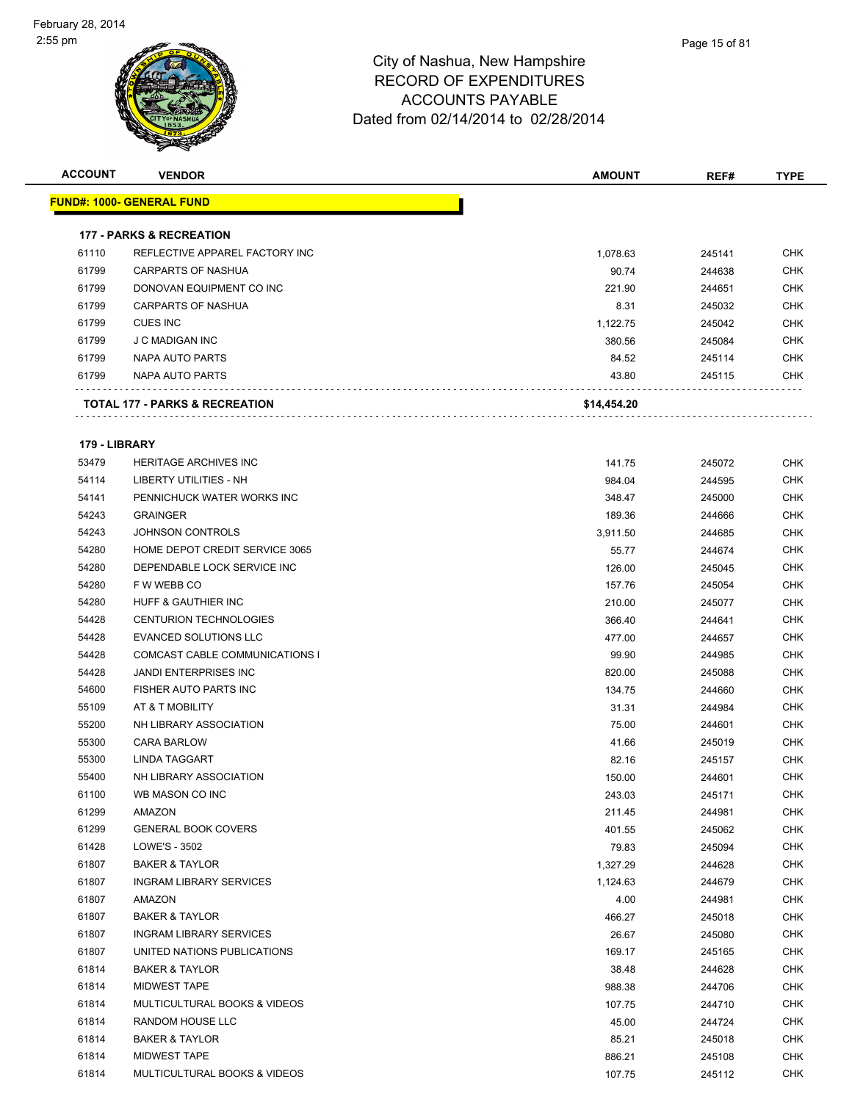

| <b>ACCOUNT</b> | <b>VENDOR</b>                             | <b>AMOUNT</b> | REF#   | <b>TYPE</b> |
|----------------|-------------------------------------------|---------------|--------|-------------|
|                | <b>FUND#: 1000- GENERAL FUND</b>          |               |        |             |
|                | <b>177 - PARKS &amp; RECREATION</b>       |               |        |             |
| 61110          | REFLECTIVE APPAREL FACTORY INC            | 1,078.63      | 245141 | <b>CHK</b>  |
| 61799          | <b>CARPARTS OF NASHUA</b>                 | 90.74         | 244638 | <b>CHK</b>  |
| 61799          | DONOVAN EQUIPMENT CO INC                  | 221.90        | 244651 | <b>CHK</b>  |
| 61799          | <b>CARPARTS OF NASHUA</b>                 | 8.31          | 245032 | <b>CHK</b>  |
| 61799          | <b>CUES INC</b>                           | 1,122.75      | 245042 | <b>CHK</b>  |
| 61799          | J C MADIGAN INC                           | 380.56        | 245084 | <b>CHK</b>  |
| 61799          | NAPA AUTO PARTS                           | 84.52         | 245114 | <b>CHK</b>  |
| 61799          | NAPA AUTO PARTS                           | 43.80         | 245115 | <b>CHK</b>  |
|                | <b>TOTAL 177 - PARKS &amp; RECREATION</b> | \$14,454.20   |        |             |
| 179 - LIBRARY  |                                           |               |        |             |
| 53479          | HERITAGE ARCHIVES INC.                    | 14175         | 245072 | <b>CHK</b>  |

| 53479 | <b>HERITAGE ARCHIVES INC</b>            | 141.75   | 245072 | <b>UHK</b> |
|-------|-----------------------------------------|----------|--------|------------|
| 54114 | LIBERTY UTILITIES - NH                  | 984.04   | 244595 | <b>CHK</b> |
| 54141 | PENNICHUCK WATER WORKS INC              | 348.47   | 245000 | <b>CHK</b> |
| 54243 | <b>GRAINGER</b>                         | 189.36   | 244666 | <b>CHK</b> |
| 54243 | <b>JOHNSON CONTROLS</b>                 | 3,911.50 | 244685 | <b>CHK</b> |
| 54280 | HOME DEPOT CREDIT SERVICE 3065          | 55.77    | 244674 | <b>CHK</b> |
| 54280 | DEPENDABLE LOCK SERVICE INC             | 126.00   | 245045 | <b>CHK</b> |
| 54280 | F W WEBB CO                             | 157.76   | 245054 | <b>CHK</b> |
| 54280 | HUFF & GAUTHIER INC                     | 210.00   | 245077 | <b>CHK</b> |
| 54428 | <b>CENTURION TECHNOLOGIES</b>           | 366.40   | 244641 | CHK        |
| 54428 | EVANCED SOLUTIONS LLC                   | 477.00   | 244657 | CHK        |
| 54428 | COMCAST CABLE COMMUNICATIONS I          | 99.90    | 244985 | <b>CHK</b> |
| 54428 | <b>JANDI ENTERPRISES INC</b>            | 820.00   | 245088 | <b>CHK</b> |
| 54600 | FISHER AUTO PARTS INC                   | 134.75   | 244660 | <b>CHK</b> |
| 55109 | AT & T MOBILITY                         | 31.31    | 244984 | <b>CHK</b> |
| 55200 | NH LIBRARY ASSOCIATION                  | 75.00    | 244601 | CHK        |
| 55300 | <b>CARA BARLOW</b>                      | 41.66    | 245019 | <b>CHK</b> |
| 55300 | LINDA TAGGART                           | 82.16    | 245157 | <b>CHK</b> |
| 55400 | NH LIBRARY ASSOCIATION                  | 150.00   | 244601 | <b>CHK</b> |
| 61100 | WB MASON CO INC                         | 243.03   | 245171 | CHK        |
| 61299 | AMAZON                                  | 211.45   | 244981 | CHK        |
| 61299 | <b>GENERAL BOOK COVERS</b>              | 401.55   | 245062 | <b>CHK</b> |
| 61428 | LOWE'S - 3502                           | 79.83    | 245094 | <b>CHK</b> |
| 61807 | <b>BAKER &amp; TAYLOR</b>               | 1,327.29 | 244628 | <b>CHK</b> |
| 61807 | <b>INGRAM LIBRARY SERVICES</b>          | 1,124.63 | 244679 | <b>CHK</b> |
| 61807 | AMAZON                                  | 4.00     | 244981 | CHK        |
| 61807 | <b>BAKER &amp; TAYLOR</b>               | 466.27   | 245018 | <b>CHK</b> |
| 61807 | <b>INGRAM LIBRARY SERVICES</b>          | 26.67    | 245080 | <b>CHK</b> |
| 61807 | UNITED NATIONS PUBLICATIONS             | 169.17   | 245165 | <b>CHK</b> |
| 61814 | <b>BAKER &amp; TAYLOR</b>               | 38.48    | 244628 | CHK        |
| 61814 | <b>MIDWEST TAPE</b>                     | 988.38   | 244706 | CHK        |
| 61814 | <b>MULTICULTURAL BOOKS &amp; VIDEOS</b> | 107.75   | 244710 | <b>CHK</b> |
| 61814 | RANDOM HOUSE LLC                        | 45.00    | 244724 | <b>CHK</b> |
| 61814 | <b>BAKER &amp; TAYLOR</b>               | 85.21    | 245018 | <b>CHK</b> |
| 61814 | <b>MIDWEST TAPE</b>                     | 886.21   | 245108 | <b>CHK</b> |
| 61814 | MULTICULTURAL BOOKS & VIDEOS            | 107.75   | 245112 | CHK        |
|       |                                         |          |        |            |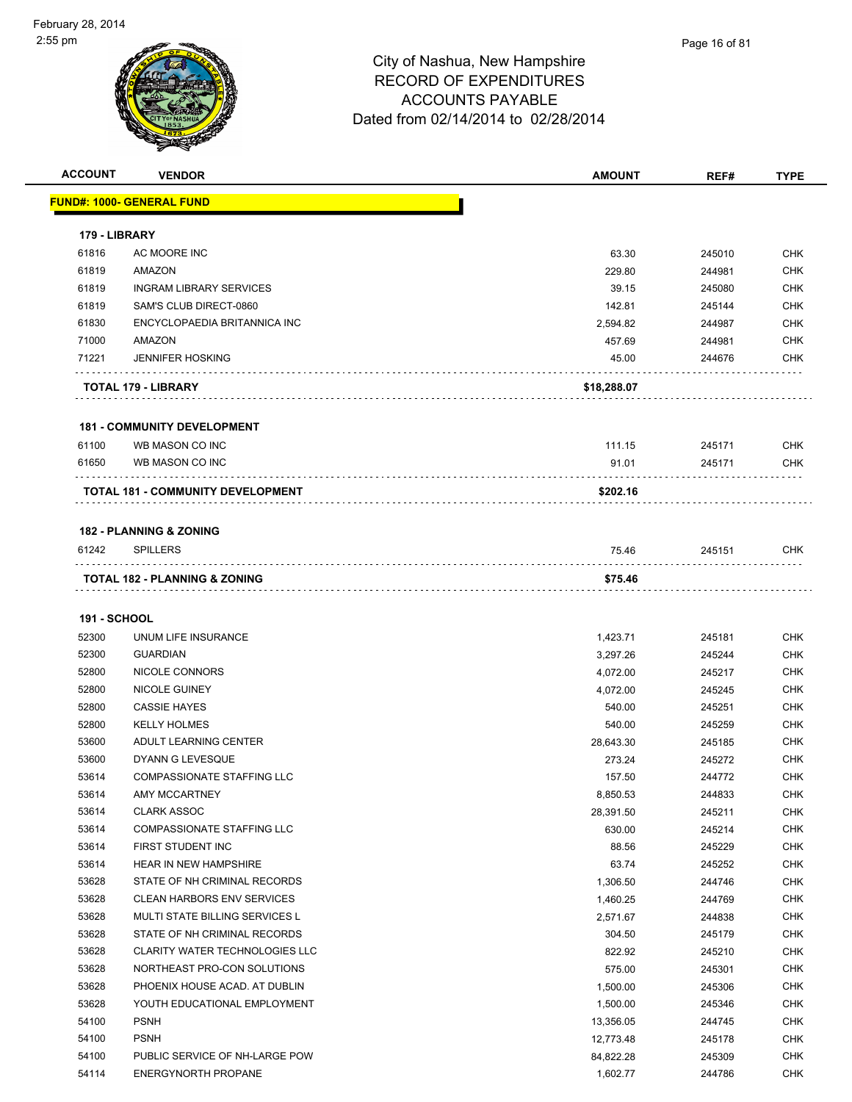| <b>ACCOUNT</b>      | <b>VENDOR</b>                            | AMOUNT      | REF#   | <b>TYPE</b> |
|---------------------|------------------------------------------|-------------|--------|-------------|
|                     | FUND#: 1000- GENERAL FUND                |             |        |             |
|                     |                                          |             |        |             |
| 179 - LIBRARY       |                                          |             |        |             |
| 61816               | AC MOORE INC                             | 63.30       | 245010 | <b>CHK</b>  |
| 61819               | AMAZON                                   | 229.80      | 244981 | <b>CHK</b>  |
| 61819               | INGRAM LIBRARY SERVICES                  | 39.15       | 245080 | <b>CHK</b>  |
| 61819               | SAM'S CLUB DIRECT-0860                   | 142.81      | 245144 | <b>CHK</b>  |
| 61830               | ENCYCLOPAEDIA BRITANNICA INC             | 2,594.82    | 244987 | <b>CHK</b>  |
| 71000               | AMAZON                                   | 457.69      | 244981 | <b>CHK</b>  |
| 71221               | <b>JENNIFER HOSKING</b>                  | 45.00       | 244676 | <b>CHK</b>  |
|                     | TOTAL 179 - LIBRARY                      | \$18,288.07 |        |             |
|                     | <b>181 - COMMUNITY DEVELOPMENT</b>       |             |        |             |
| 61100               | WB MASON CO INC                          | 111.15      | 245171 | <b>CHK</b>  |
| 61650               | WB MASON CO INC                          | 91.01       | 245171 | <b>CHK</b>  |
|                     |                                          |             |        |             |
|                     | <b>TOTAL 181 - COMMUNITY DEVELOPMENT</b> | \$202.16    |        |             |
|                     | <b>182 - PLANNING &amp; ZONING</b>       |             |        |             |
| 61242               | <b>SPILLERS</b>                          | 75.46       | 245151 | <b>CHK</b>  |
|                     | TOTAL 182 - PLANNING & ZONING            | \$75.46     |        |             |
| <b>191 - SCHOOL</b> |                                          |             |        |             |
| 52300               | UNUM LIFE INSURANCE                      | 1,423.71    | 245181 | <b>CHK</b>  |
| 52300               | <b>GUARDIAN</b>                          | 3,297.26    | 245244 | <b>CHK</b>  |
| 52800               | NICOLE CONNORS                           | 4,072.00    | 245217 | <b>CHK</b>  |
| 52800               | NICOLE GUINEY                            | 4,072.00    | 245245 | <b>CHK</b>  |
| 52800               | <b>CASSIE HAYES</b>                      | 540.00      | 245251 | <b>CHK</b>  |
| 52800               | <b>KELLY HOLMES</b>                      | 540.00      | 245259 | <b>CHK</b>  |
| 53600               | ADULT LEARNING CENTER                    | 28,643.30   | 245185 | <b>CHK</b>  |
| 53600               | DYANN G LEVESQUE                         | 273.24      | 245272 | <b>CHK</b>  |
| 53614               | <b>COMPASSIONATE STAFFING LLC</b>        | 157.50      | 244772 | <b>CHK</b>  |
| 53614               | <b>AMY MCCARTNEY</b>                     | 8,850.53    | 244833 | <b>CHK</b>  |
| 53614               | <b>CLARK ASSOC</b>                       | 28,391.50   | 245211 | <b>CHK</b>  |
| 53614               | COMPASSIONATE STAFFING LLC               | 630.00      | 245214 | <b>CHK</b>  |
| 53614               | FIRST STUDENT INC                        | 88.56       | 245229 | <b>CHK</b>  |
| 53614               | <b>HEAR IN NEW HAMPSHIRE</b>             | 63.74       | 245252 | <b>CHK</b>  |
| 53628               | STATE OF NH CRIMINAL RECORDS             | 1,306.50    | 244746 | <b>CHK</b>  |
| 53628               | <b>CLEAN HARBORS ENV SERVICES</b>        | 1,460.25    | 244769 | <b>CHK</b>  |
| 53628               | MULTI STATE BILLING SERVICES L           | 2,571.67    | 244838 | <b>CHK</b>  |
| 53628               | STATE OF NH CRIMINAL RECORDS             | 304.50      | 245179 | <b>CHK</b>  |
| 53628               | <b>CLARITY WATER TECHNOLOGIES LLC</b>    | 822.92      | 245210 | <b>CHK</b>  |
| 53628               | NORTHEAST PRO-CON SOLUTIONS              | 575.00      | 245301 | <b>CHK</b>  |
| 53628               | PHOENIX HOUSE ACAD. AT DUBLIN            | 1,500.00    | 245306 | <b>CHK</b>  |
| 53628               | YOUTH EDUCATIONAL EMPLOYMENT             | 1,500.00    | 245346 | <b>CHK</b>  |
| 54100               | <b>PSNH</b>                              | 13,356.05   | 244745 | <b>CHK</b>  |
| 54100               | <b>PSNH</b>                              | 12,773.48   | 245178 | CHK         |
| 54100               | PUBLIC SERVICE OF NH-LARGE POW           | 84,822.28   | 245309 | <b>CHK</b>  |
| 54114               | <b>ENERGYNORTH PROPANE</b>               | 1,602.77    | 244786 | <b>CHK</b>  |
|                     |                                          |             |        |             |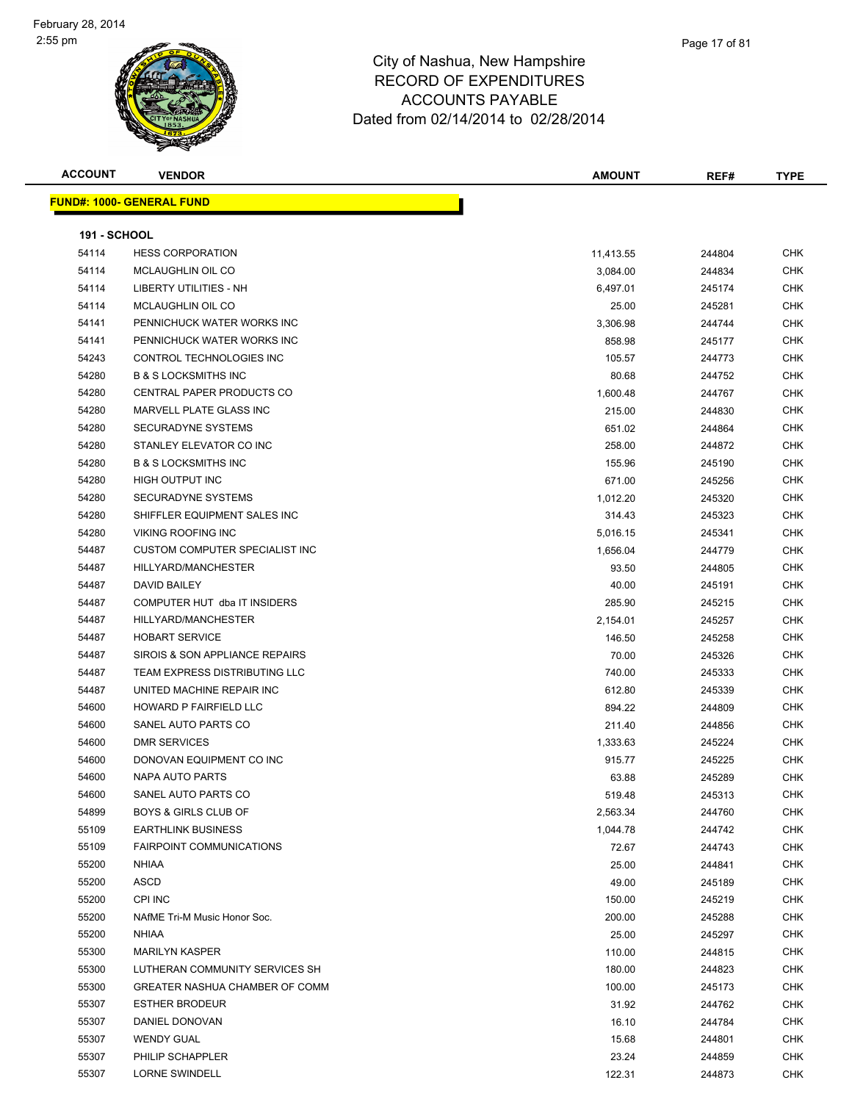

| <b>ACCOUNT</b>      | <b>VENDOR</b>                         | AMOUNT    | REF#   | <b>TYPE</b> |
|---------------------|---------------------------------------|-----------|--------|-------------|
|                     | <b>FUND#: 1000- GENERAL FUND</b>      |           |        |             |
|                     |                                       |           |        |             |
| <b>191 - SCHOOL</b> |                                       |           |        |             |
| 54114               | <b>HESS CORPORATION</b>               | 11,413.55 | 244804 | <b>CHK</b>  |
| 54114               | MCLAUGHLIN OIL CO                     | 3,084.00  | 244834 | <b>CHK</b>  |
| 54114               | LIBERTY UTILITIES - NH                | 6,497.01  | 245174 | <b>CHK</b>  |
| 54114               | MCLAUGHLIN OIL CO                     | 25.00     | 245281 | <b>CHK</b>  |
| 54141               | PENNICHUCK WATER WORKS INC            | 3,306.98  | 244744 | <b>CHK</b>  |
| 54141               | PENNICHUCK WATER WORKS INC            | 858.98    | 245177 | <b>CHK</b>  |
| 54243               | CONTROL TECHNOLOGIES INC              | 105.57    | 244773 | <b>CHK</b>  |
| 54280               | <b>B &amp; S LOCKSMITHS INC</b>       | 80.68     | 244752 | <b>CHK</b>  |
| 54280               | CENTRAL PAPER PRODUCTS CO             | 1,600.48  | 244767 | <b>CHK</b>  |
| 54280               | MARVELL PLATE GLASS INC               | 215.00    | 244830 | CHK         |
| 54280               | SECURADYNE SYSTEMS                    | 651.02    | 244864 | <b>CHK</b>  |
| 54280               | STANLEY ELEVATOR CO INC               | 258.00    | 244872 | CHK         |
| 54280               | <b>B &amp; S LOCKSMITHS INC</b>       | 155.96    | 245190 | CHK         |
| 54280               | <b>HIGH OUTPUT INC</b>                | 671.00    | 245256 | <b>CHK</b>  |
| 54280               | SECURADYNE SYSTEMS                    | 1,012.20  | 245320 | CHK         |
| 54280               | SHIFFLER EQUIPMENT SALES INC          | 314.43    | 245323 | <b>CHK</b>  |
| 54280               | <b>VIKING ROOFING INC</b>             | 5,016.15  | 245341 | <b>CHK</b>  |
| 54487               | <b>CUSTOM COMPUTER SPECIALIST INC</b> | 1,656.04  | 244779 | CHK         |
| 54487               | HILLYARD/MANCHESTER                   | 93.50     | 244805 | <b>CHK</b>  |
| 54487               | DAVID BAILEY                          | 40.00     | 245191 | <b>CHK</b>  |
| 54487               | COMPUTER HUT dba IT INSIDERS          | 285.90    | 245215 | <b>CHK</b>  |
| 54487               | HILLYARD/MANCHESTER                   | 2,154.01  | 245257 | <b>CHK</b>  |
| 54487               | <b>HOBART SERVICE</b>                 | 146.50    | 245258 | CHK         |
| 54487               | SIROIS & SON APPLIANCE REPAIRS        | 70.00     | 245326 | <b>CHK</b>  |
| 54487               | TEAM EXPRESS DISTRIBUTING LLC         | 740.00    | 245333 | <b>CHK</b>  |
| 54487               | UNITED MACHINE REPAIR INC             | 612.80    | 245339 | CHK         |
| 54600               | <b>HOWARD P FAIRFIELD LLC</b>         | 894.22    | 244809 | <b>CHK</b>  |
| 54600               | SANEL AUTO PARTS CO                   | 211.40    | 244856 | <b>CHK</b>  |
| 54600               | <b>DMR SERVICES</b>                   | 1,333.63  | 245224 | <b>CHK</b>  |
| 54600               | DONOVAN EQUIPMENT CO INC              | 915.77    | 245225 | <b>CHK</b>  |
| 54600               | <b>NAPA AUTO PARTS</b>                | 63.88     | 245289 | CHK         |
| 54600               | SANEL AUTO PARTS CO                   | 519.48    | 245313 | CHK         |
| 54899               | <b>BOYS &amp; GIRLS CLUB OF</b>       | 2,563.34  | 244760 | <b>CHK</b>  |
| 55109               | <b>EARTHLINK BUSINESS</b>             | 1,044.78  | 244742 | <b>CHK</b>  |
| 55109               | <b>FAIRPOINT COMMUNICATIONS</b>       | 72.67     | 244743 | <b>CHK</b>  |
| 55200               | NHIAA                                 | 25.00     | 244841 | <b>CHK</b>  |
| 55200               | <b>ASCD</b>                           | 49.00     | 245189 | CHK         |
| 55200               | CPI INC                               | 150.00    | 245219 | <b>CHK</b>  |
| 55200               | NAfME Tri-M Music Honor Soc.          | 200.00    | 245288 | <b>CHK</b>  |
| 55200               | <b>NHIAA</b>                          | 25.00     | 245297 | <b>CHK</b>  |
| 55300               | <b>MARILYN KASPER</b>                 | 110.00    | 244815 | CHK         |
| 55300               | LUTHERAN COMMUNITY SERVICES SH        | 180.00    | 244823 | <b>CHK</b>  |
| 55300               | GREATER NASHUA CHAMBER OF COMM        | 100.00    | 245173 | CHK         |
| 55307               | <b>ESTHER BRODEUR</b>                 | 31.92     | 244762 | <b>CHK</b>  |
| 55307               | DANIEL DONOVAN                        | 16.10     | 244784 | <b>CHK</b>  |
| 55307               | <b>WENDY GUAL</b>                     | 15.68     | 244801 | CHK         |
| 55307               | PHILIP SCHAPPLER                      | 23.24     | 244859 | CHK         |
| 55307               | <b>LORNE SWINDELL</b>                 | 122.31    | 244873 | <b>CHK</b>  |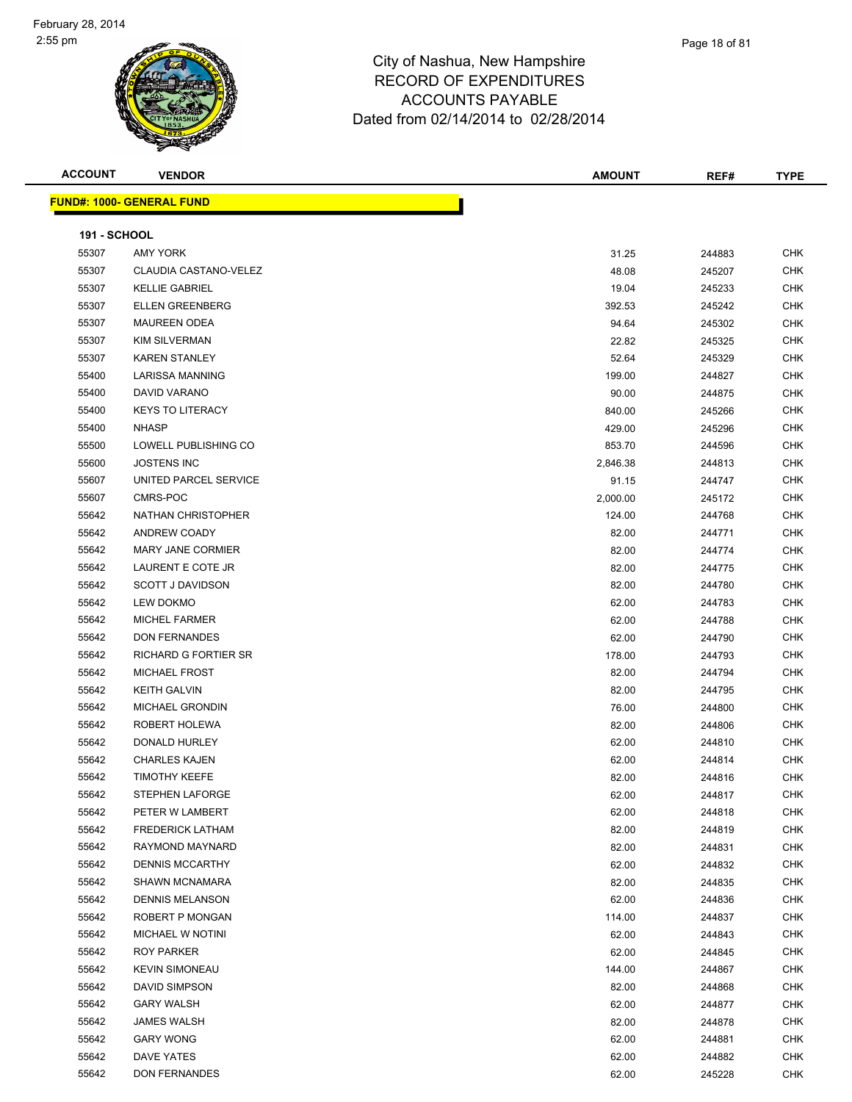

|   | Page 18 of 81 |  |
|---|---------------|--|
| э |               |  |
| ۰ |               |  |

| <b>ACCOUNT</b>      | <b>VENDOR</b>                    | <b>AMOUNT</b> | REF#   | <b>TYPE</b> |
|---------------------|----------------------------------|---------------|--------|-------------|
|                     | <b>FUND#: 1000- GENERAL FUND</b> |               |        |             |
|                     |                                  |               |        |             |
| <b>191 - SCHOOL</b> |                                  |               |        |             |
| 55307               | AMY YORK                         | 31.25         | 244883 | <b>CHK</b>  |
| 55307               | CLAUDIA CASTANO-VELEZ            | 48.08         | 245207 | <b>CHK</b>  |
| 55307               | <b>KELLIE GABRIEL</b>            | 19.04         | 245233 | <b>CHK</b>  |
| 55307               | <b>ELLEN GREENBERG</b>           | 392.53        | 245242 | <b>CHK</b>  |
| 55307               | <b>MAUREEN ODEA</b>              | 94.64         | 245302 | CHK         |
| 55307               | <b>KIM SILVERMAN</b>             | 22.82         | 245325 | <b>CHK</b>  |
| 55307               | <b>KAREN STANLEY</b>             | 52.64         | 245329 | <b>CHK</b>  |
| 55400               | LARISSA MANNING                  | 199.00        | 244827 | <b>CHK</b>  |
| 55400               | DAVID VARANO                     | 90.00         | 244875 | <b>CHK</b>  |
| 55400               | <b>KEYS TO LITERACY</b>          | 840.00        | 245266 | <b>CHK</b>  |
| 55400               | <b>NHASP</b>                     | 429.00        | 245296 | <b>CHK</b>  |
| 55500               | LOWELL PUBLISHING CO             | 853.70        | 244596 | <b>CHK</b>  |
| 55600               | <b>JOSTENS INC</b>               | 2,846.38      | 244813 | <b>CHK</b>  |
| 55607               | UNITED PARCEL SERVICE            | 91.15         | 244747 | <b>CHK</b>  |
| 55607               | CMRS-POC                         | 2,000.00      | 245172 | <b>CHK</b>  |
| 55642               | NATHAN CHRISTOPHER               | 124.00        | 244768 | CHK         |
| 55642               | ANDREW COADY                     | 82.00         | 244771 | <b>CHK</b>  |
| 55642               | MARY JANE CORMIER                | 82.00         | 244774 | <b>CHK</b>  |
| 55642               | LAURENT E COTE JR                | 82.00         | 244775 | <b>CHK</b>  |
| 55642               | <b>SCOTT J DAVIDSON</b>          | 82.00         | 244780 | <b>CHK</b>  |
| 55642               | <b>LEW DOKMO</b>                 | 62.00         | 244783 | <b>CHK</b>  |
| 55642               | <b>MICHEL FARMER</b>             | 62.00         | 244788 | <b>CHK</b>  |
| 55642               | <b>DON FERNANDES</b>             | 62.00         | 244790 | <b>CHK</b>  |
| 55642               | <b>RICHARD G FORTIER SR</b>      | 178.00        | 244793 | <b>CHK</b>  |
| 55642               | <b>MICHAEL FROST</b>             | 82.00         | 244794 | <b>CHK</b>  |
| 55642               | <b>KEITH GALVIN</b>              | 82.00         | 244795 | <b>CHK</b>  |
| 55642               | <b>MICHAEL GRONDIN</b>           | 76.00         | 244800 | <b>CHK</b>  |
| 55642               | ROBERT HOLEWA                    | 82.00         | 244806 | <b>CHK</b>  |
| 55642               | DONALD HURLEY                    | 62.00         | 244810 | <b>CHK</b>  |
| 55642               | <b>CHARLES KAJEN</b>             | 62.00         | 244814 | <b>CHK</b>  |
| 55642               | <b>TIMOTHY KEEFE</b>             | 82.00         | 244816 | <b>CHK</b>  |
| 55642               | STEPHEN LAFORGE                  | 62.00         | 244817 | CHK         |
| 55642               | PETER W LAMBERT                  | 62.00         | 244818 | <b>CHK</b>  |
| 55642               | <b>FREDERICK LATHAM</b>          | 82.00         | 244819 | <b>CHK</b>  |
| 55642               | RAYMOND MAYNARD                  | 82.00         | 244831 | <b>CHK</b>  |
| 55642               | <b>DENNIS MCCARTHY</b>           | 62.00         | 244832 | CHK         |
| 55642               | <b>SHAWN MCNAMARA</b>            | 82.00         | 244835 | <b>CHK</b>  |
| 55642               | <b>DENNIS MELANSON</b>           | 62.00         | 244836 | CHK         |
| 55642               | ROBERT P MONGAN                  | 114.00        | 244837 | CHK         |
| 55642               | MICHAEL W NOTINI                 | 62.00         | 244843 | CHK         |
| 55642               | ROY PARKER                       | 62.00         | 244845 | CHK         |
| 55642               | <b>KEVIN SIMONEAU</b>            | 144.00        | 244867 | <b>CHK</b>  |
| 55642               | DAVID SIMPSON                    | 82.00         | 244868 | <b>CHK</b>  |
| 55642               | <b>GARY WALSH</b>                | 62.00         | 244877 | <b>CHK</b>  |
| 55642               | <b>JAMES WALSH</b>               | 82.00         | 244878 | <b>CHK</b>  |
| 55642               | <b>GARY WONG</b>                 | 62.00         | 244881 | CHK         |
| 55642               | DAVE YATES                       | 62.00         | 244882 | <b>CHK</b>  |
| 55642               | <b>DON FERNANDES</b>             | 62.00         | 245228 | <b>CHK</b>  |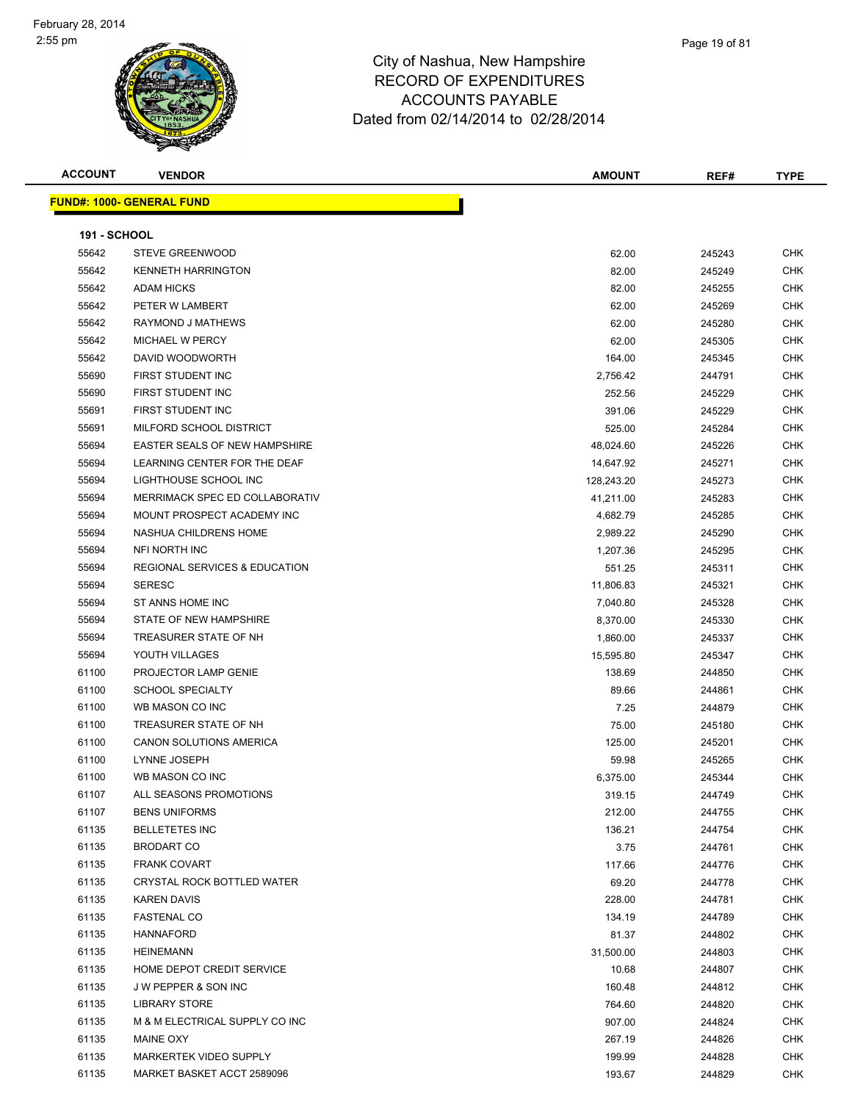

Page 19 of 81

| <b>ACCOUNT</b>      | <b>VENDOR</b>                            | <b>AMOUNT</b> | REF#   | <b>TYPE</b> |
|---------------------|------------------------------------------|---------------|--------|-------------|
|                     | <b>FUND#: 1000- GENERAL FUND</b>         |               |        |             |
|                     |                                          |               |        |             |
| <b>191 - SCHOOL</b> |                                          |               |        |             |
| 55642               | <b>STEVE GREENWOOD</b>                   | 62.00         | 245243 | <b>CHK</b>  |
| 55642               | <b>KENNETH HARRINGTON</b>                | 82.00         | 245249 | <b>CHK</b>  |
| 55642               | <b>ADAM HICKS</b>                        | 82.00         | 245255 | <b>CHK</b>  |
| 55642               | PETER W LAMBERT                          | 62.00         | 245269 | <b>CHK</b>  |
| 55642               | RAYMOND J MATHEWS                        | 62.00         | 245280 | <b>CHK</b>  |
| 55642               | <b>MICHAEL W PERCY</b>                   | 62.00         | 245305 | <b>CHK</b>  |
| 55642               | DAVID WOODWORTH                          | 164.00        | 245345 | <b>CHK</b>  |
| 55690               | FIRST STUDENT INC                        | 2,756.42      | 244791 | <b>CHK</b>  |
| 55690               | FIRST STUDENT INC                        | 252.56        | 245229 | CHK         |
| 55691               | FIRST STUDENT INC                        | 391.06        | 245229 | CHK         |
| 55691               | MILFORD SCHOOL DISTRICT                  | 525.00        | 245284 | CHK         |
| 55694               | <b>EASTER SEALS OF NEW HAMPSHIRE</b>     | 48,024.60     | 245226 | <b>CHK</b>  |
| 55694               | LEARNING CENTER FOR THE DEAF             | 14,647.92     | 245271 | CHK         |
| 55694               | LIGHTHOUSE SCHOOL INC                    | 128,243.20    | 245273 | <b>CHK</b>  |
| 55694               | MERRIMACK SPEC ED COLLABORATIV           | 41,211.00     | 245283 | CHK         |
| 55694               | MOUNT PROSPECT ACADEMY INC               | 4,682.79      | 245285 | <b>CHK</b>  |
| 55694               | NASHUA CHILDRENS HOME                    | 2,989.22      | 245290 | <b>CHK</b>  |
| 55694               | NFI NORTH INC                            | 1,207.36      | 245295 | <b>CHK</b>  |
| 55694               | <b>REGIONAL SERVICES &amp; EDUCATION</b> | 551.25        | 245311 | <b>CHK</b>  |
| 55694               | <b>SERESC</b>                            | 11,806.83     | 245321 | CHK         |
| 55694               | ST ANNS HOME INC                         | 7,040.80      | 245328 | CHK         |
| 55694               | STATE OF NEW HAMPSHIRE                   | 8,370.00      | 245330 | <b>CHK</b>  |
| 55694               | TREASURER STATE OF NH                    | 1,860.00      | 245337 | <b>CHK</b>  |
| 55694               | YOUTH VILLAGES                           | 15,595.80     | 245347 | <b>CHK</b>  |
| 61100               | PROJECTOR LAMP GENIE                     | 138.69        | 244850 | <b>CHK</b>  |
| 61100               | <b>SCHOOL SPECIALTY</b>                  | 89.66         | 244861 | <b>CHK</b>  |
| 61100               | WB MASON CO INC                          | 7.25          | 244879 | <b>CHK</b>  |
| 61100               | TREASURER STATE OF NH                    | 75.00         | 245180 | <b>CHK</b>  |
| 61100               | <b>CANON SOLUTIONS AMERICA</b>           | 125.00        | 245201 | CHK         |
| 61100               | LYNNE JOSEPH                             | 59.98         | 245265 | <b>CHK</b>  |
| 61100               | WB MASON CO INC                          | 6,375.00      | 245344 | <b>CHK</b>  |
| 61107               | ALL SEASONS PROMOTIONS                   | 319.15        | 244749 | <b>CHK</b>  |
| 61107               | <b>BENS UNIFORMS</b>                     | 212.00        | 244755 | <b>CHK</b>  |
| 61135               | <b>BELLETETES INC</b>                    | 136.21        | 244754 | <b>CHK</b>  |
| 61135               | <b>BRODART CO</b>                        | 3.75          | 244761 | <b>CHK</b>  |
| 61135               | <b>FRANK COVART</b>                      | 117.66        | 244776 | <b>CHK</b>  |
| 61135               | CRYSTAL ROCK BOTTLED WATER               | 69.20         | 244778 | <b>CHK</b>  |
| 61135               | <b>KAREN DAVIS</b>                       | 228.00        | 244781 | <b>CHK</b>  |
| 61135               | <b>FASTENAL CO</b>                       | 134.19        | 244789 | <b>CHK</b>  |
| 61135               | <b>HANNAFORD</b>                         | 81.37         | 244802 | <b>CHK</b>  |
| 61135               | <b>HEINEMANN</b>                         | 31,500.00     | 244803 | <b>CHK</b>  |
| 61135               | HOME DEPOT CREDIT SERVICE                | 10.68         | 244807 | CHK         |
| 61135               | J W PEPPER & SON INC                     | 160.48        | 244812 | CHK         |
| 61135               | <b>LIBRARY STORE</b>                     | 764.60        | 244820 | <b>CHK</b>  |

 M & M ELECTRICAL SUPPLY CO INC 907.00 244824 CHK MAINE OXY 267.19 244826 CHK er 199.99 MARKERTEK VIDEO SUPPLY And the state of the state of the 199.99 199.99 244828 CHK MARKET BASKET ACCT 2589096 193.67 244829 CHK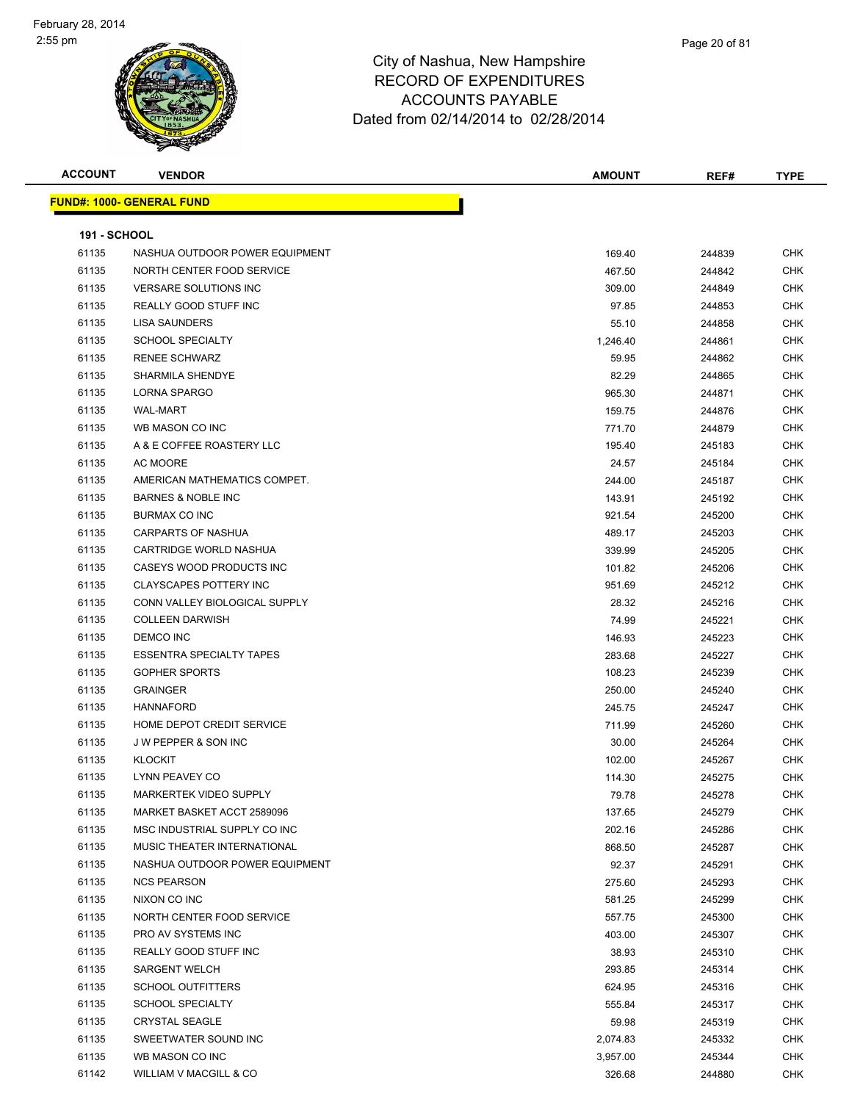

**ACCOUNT VENDOR AMOUNT REF# TYPE FUND#: 1000- GENERAL FUND 191 - SCHOOL** 61135 NASHUA OUTDOOR POWER EQUIPMENT 169.40 169.40 244839 CHK NORTH CENTER FOOD SERVICE 467.50 244842 CHK VERSARE SOLUTIONS INC 309.00 244849 CHK REALLY GOOD STUFF INC 97.85 244853 CHK LISA SAUNDERS 55.10 244858 CHK SCHOOL SPECIALTY 1,246.40 244861 CHK RENEE SCHWARZ 59.95 244862 CHK eddie and the SHARMILA SHENDYE SHARMID SHENDYE SHARMID SHENDYE SHARMID SHENDYE SHARMID SHENDYE SHARMID SHENDYE LORNA SPARGO 965.30 244871 CHK WAL-MART 159.75 244876 CHK WB MASON CO INC 771.70 244879 CHK er and the Second State of the Second State of the Second State of the Second State of the Second State of the Second State of the Second State of the Second State of the Second State of the Second State of the Second Stat AC MOORE 24.57 245184 CHK AMERICAN MATHEMATICS COMPET. 244.00 245187 CHK BARNES & NOBLE INC 143.91 245192 CHK BURMAX CO INC 921.54 245200 CHK CARPARTS OF NASHUA 489.17 245203 CHK CARTRIDGE WORLD NASHUA 339.99 245205 CHK er and the case of the case of the case of the case of the case of the control of the control of the control of the control of the control of the control of the control of the control of the control of the control of the c CLAYSCAPES POTTERY INC 951.69 245212 CHK CONN VALLEY BIOLOGICAL SUPPLY 28.32 245216 CHK COLLEEN DARWISH 74.99 245221 CHK DEMCO INC 146.93 245223 CHK ESSENTRA SPECIALTY TAPES 283.68 245227 CHK er and the set of the set of the set of the set of the set of the set of the set of the set of the set of the set of the set of the set of the set of the set of the set of the set of the set of the set of the set of the se GRAINGER 250.00 245240 CHK HANNAFORD 245.75 245247 CHK er and the Mome Department of the Service CHK of the Service CHK of the Service of the Service of the Service CHK of the Service of the Service of the Service of the Service of the Service of the Service of the Service of J W PEPPER & SON INC 30.00 245264 CHK KLOCKIT 102.00 245267 CHK LYNN PEAVEY CO 114.30 245275 CHK er by the MARKERTEK VIDEO SUPPLY And the control of the control of the control of the control of the control of the control of the control of the control of the control of the control of the control of the control of the c MARKET BASKET ACCT 2589096 137.65 245279 CHK MSC INDUSTRIAL SUPPLY CO INC 202.16 245286 CHK MUSIC THEATER INTERNATIONAL 868.50 245287 CHK 61135 NASHUA OUTDOOR POWER EQUIPMENT CHANGER AND RESERVE THE SERVE OF STREET AND RESERVE THE STREET OF STREET NCS PEARSON 275.60 245293 CHK NIXON CO INC 581.25 245299 CHK Resources the STATE STATE STATE STATE STATE STATE STATE STATE STATE STATE STATE STATE STATE STATE STATE STATE STATE STATE STATE STATE STATE STATE STATE STATE STATE STATE STATE STATE STATE STATE STATE STATE STATE STATE STAT PRO AV SYSTEMS INC 403.00 245307 CHK REALLY GOOD STUFF INC 38.93 245310 CHK SARGENT WELCH 293.85 245314 CHK SCHOOL OUTFITTERS 624.95 245316 CHK SCHOOL SPECIALTY 555.84 245317 CHK CRYSTAL SEAGLE 59.98 245319 CHK SWEETWATER SOUND INC 2,074.83 245332 CHK WB MASON CO INC 3,957.00 245344 CHK 61142 WILLIAM V MACGILL & CO 326.68 244880 CHK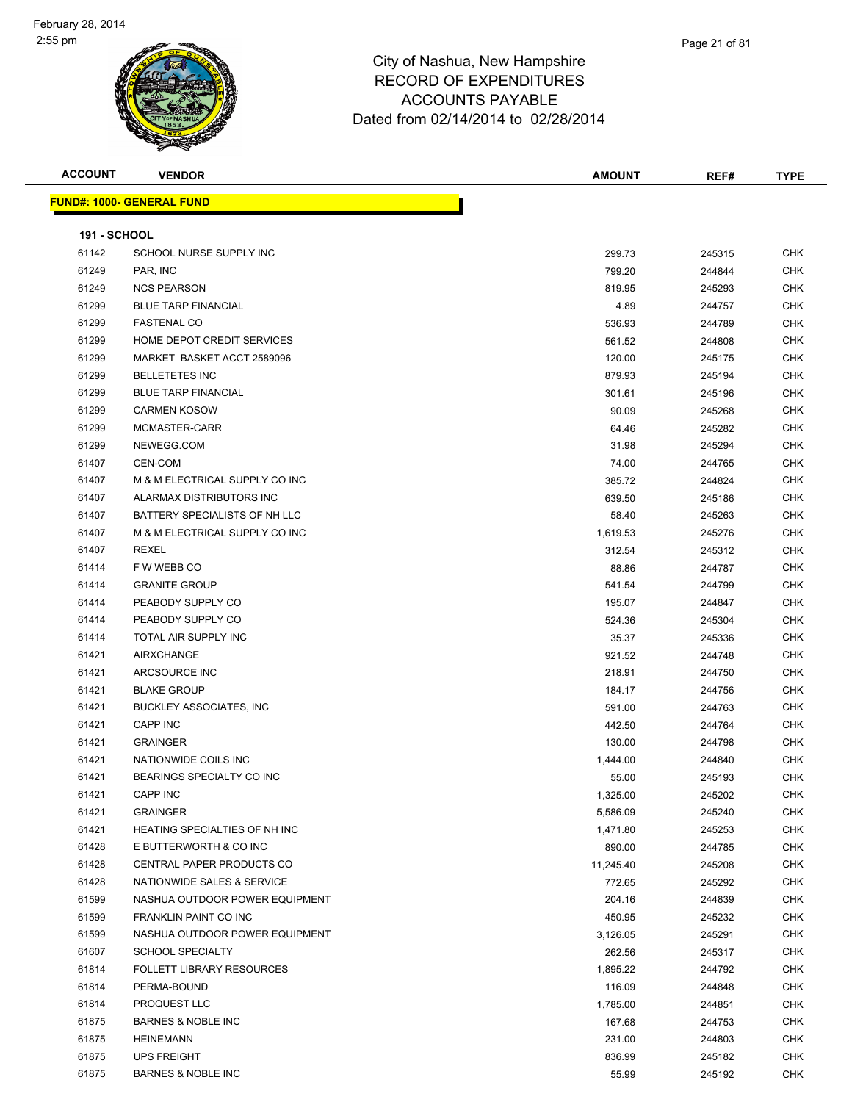| <b>ACCOUNT</b>      | <b>VENDOR</b>                    | <b>AMOUNT</b> | REF#   | <b>TYPE</b> |
|---------------------|----------------------------------|---------------|--------|-------------|
|                     | <b>FUND#: 1000- GENERAL FUND</b> |               |        |             |
|                     |                                  |               |        |             |
| <b>191 - SCHOOL</b> |                                  |               |        |             |
| 61142               | SCHOOL NURSE SUPPLY INC          | 299.73        | 245315 | CHK         |
| 61249               | PAR, INC                         | 799.20        | 244844 | <b>CHK</b>  |
| 61249               | <b>NCS PEARSON</b>               | 819.95        | 245293 | CHK         |
| 61299               | <b>BLUE TARP FINANCIAL</b>       | 4.89          | 244757 | CHK         |
| 61299               | <b>FASTENAL CO</b>               | 536.93        | 244789 | <b>CHK</b>  |
| 61299               | HOME DEPOT CREDIT SERVICES       | 561.52        | 244808 | CHK         |
| 61299               | MARKET BASKET ACCT 2589096       | 120.00        | 245175 | <b>CHK</b>  |
| 61299               | <b>BELLETETES INC</b>            | 879.93        | 245194 | CHK         |
| 61299               | <b>BLUE TARP FINANCIAL</b>       | 301.61        | 245196 | CHK         |
| 61299               | <b>CARMEN KOSOW</b>              | 90.09         | 245268 | CHK         |
| 61299               | MCMASTER-CARR                    | 64.46         | 245282 | CHK         |
| 61299               | NEWEGG.COM                       | 31.98         | 245294 | CHK         |
| 61407               | CEN-COM                          | 74.00         | 244765 | <b>CHK</b>  |
| 61407               | M & M ELECTRICAL SUPPLY CO INC   | 385.72        | 244824 | CHK         |
| 61407               | ALARMAX DISTRIBUTORS INC         | 639.50        | 245186 | CHK         |
| 61407               | BATTERY SPECIALISTS OF NH LLC    | 58.40         | 245263 | CHK         |
| 61407               | M & M ELECTRICAL SUPPLY CO INC   | 1,619.53      | 245276 | CHK         |
| 61407               | REXEL                            | 312.54        | 245312 | CHK         |
| 61414               | F W WEBB CO                      | 88.86         | 244787 | CHK         |
| 61414               | <b>GRANITE GROUP</b>             | 541.54        | 244799 | CHK         |
| 61414               | PEABODY SUPPLY CO                | 195.07        | 244847 | CHK         |
| 61414               | PEABODY SUPPLY CO                | 524.36        | 245304 | <b>CHK</b>  |
| 61414               | TOTAL AIR SUPPLY INC             | 35.37         | 245336 | CHK         |
| 61421               | AIRXCHANGE                       | 921.52        | 244748 | CHK         |
| 61421               | ARCSOURCE INC                    | 218.91        | 244750 | CHK         |
| 61421               | <b>BLAKE GROUP</b>               | 184.17        | 244756 | <b>CHK</b>  |
| 61421               | <b>BUCKLEY ASSOCIATES, INC</b>   | 591.00        | 244763 | <b>CHK</b>  |
| 61421               | CAPP INC                         | 442.50        | 244764 | <b>CHK</b>  |
| 61421               | <b>GRAINGER</b>                  | 130.00        | 244798 | <b>CHK</b>  |
| 61421               | NATIONWIDE COILS INC             | 1,444.00      | 244840 | CHK         |
| 61421               | BEARINGS SPECIALTY CO INC        | 55.00         | 245193 | CHK         |
| 61421               | <b>CAPP INC</b>                  | 1,325.00      | 245202 | <b>CHK</b>  |
| 61421               | <b>GRAINGER</b>                  | 5,586.09      | 245240 | <b>CHK</b>  |
| 61421               | HEATING SPECIALTIES OF NH INC    | 1,471.80      | 245253 | <b>CHK</b>  |
| 61428               | E BUTTERWORTH & CO INC           | 890.00        | 244785 | <b>CHK</b>  |
| 61428               | CENTRAL PAPER PRODUCTS CO        | 11,245.40     | 245208 | <b>CHK</b>  |
| 61428               | NATIONWIDE SALES & SERVICE       | 772.65        | 245292 | CHK         |
| 61599               | NASHUA OUTDOOR POWER EQUIPMENT   | 204.16        | 244839 | CHK         |
| 61599               | FRANKLIN PAINT CO INC            | 450.95        | 245232 | CHK         |
| 61599               | NASHUA OUTDOOR POWER EQUIPMENT   | 3,126.05      | 245291 | CHK         |
| 61607               | <b>SCHOOL SPECIALTY</b>          | 262.56        | 245317 | CHK         |
| 61814               | <b>FOLLETT LIBRARY RESOURCES</b> | 1,895.22      | 244792 | CHK         |
| 61814               | PERMA-BOUND                      | 116.09        | 244848 | CHK         |
| 61814               | PROQUEST LLC                     | 1,785.00      | 244851 | <b>CHK</b>  |
| 61875               | <b>BARNES &amp; NOBLE INC</b>    | 167.68        | 244753 | CHK         |
| 61875               | <b>HEINEMANN</b>                 | 231.00        | 244803 | CHK         |
| 61875               | <b>UPS FREIGHT</b>               | 836.99        | 245182 | CHK         |
| 61875               | BARNES & NOBLE INC               | 55.99         | 245192 | CHK         |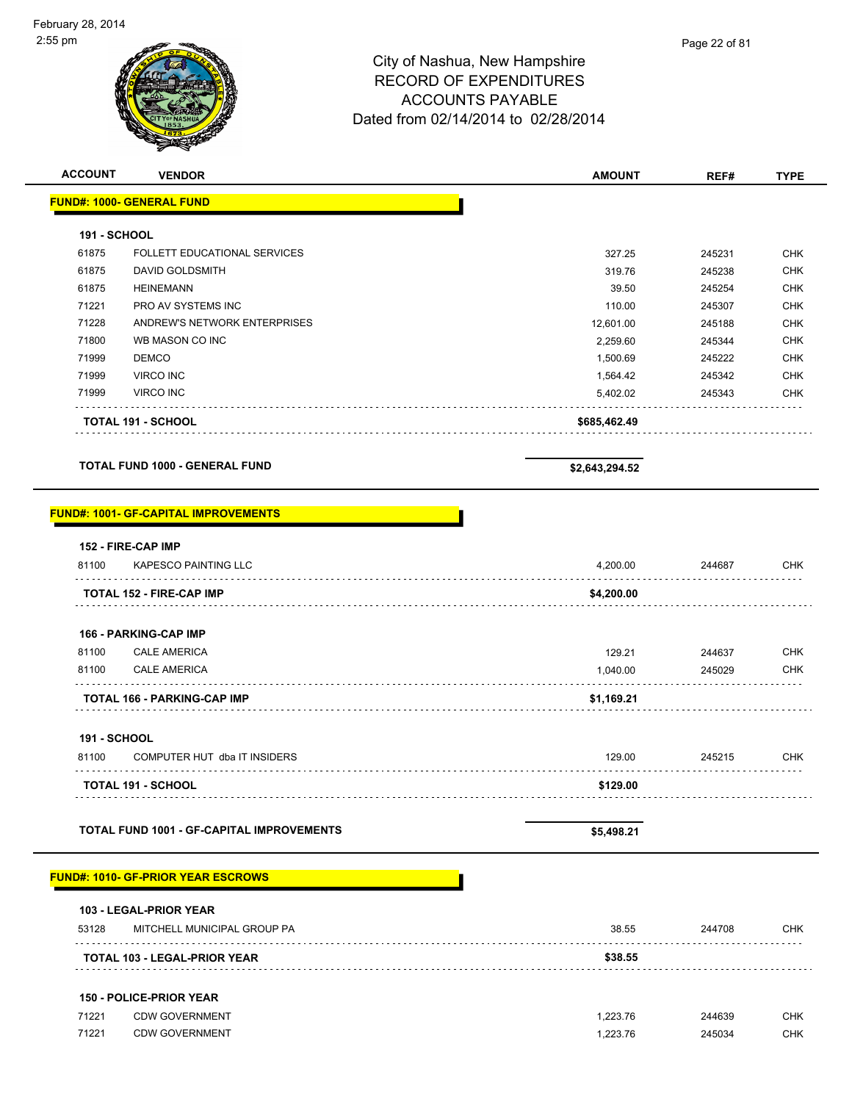| <b>ACCOUNT</b>      | <b>VENDOR</b>                                     | <b>AMOUNT</b>  | REF#   | <b>TYPE</b> |
|---------------------|---------------------------------------------------|----------------|--------|-------------|
|                     | <b>FUND#: 1000- GENERAL FUND</b>                  |                |        |             |
| <b>191 - SCHOOL</b> |                                                   |                |        |             |
| 61875               | FOLLETT EDUCATIONAL SERVICES                      | 327.25         | 245231 | <b>CHK</b>  |
| 61875               | <b>DAVID GOLDSMITH</b>                            | 319.76         | 245238 | <b>CHK</b>  |
| 61875               | <b>HEINEMANN</b>                                  | 39.50          | 245254 | <b>CHK</b>  |
| 71221               | PRO AV SYSTEMS INC                                | 110.00         | 245307 | <b>CHK</b>  |
| 71228               | ANDREW'S NETWORK ENTERPRISES                      | 12,601.00      | 245188 | <b>CHK</b>  |
| 71800               | WB MASON CO INC                                   | 2,259.60       | 245344 | <b>CHK</b>  |
| 71999               | <b>DEMCO</b>                                      | 1,500.69       | 245222 | <b>CHK</b>  |
| 71999               | <b>VIRCO INC</b>                                  | 1,564.42       | 245342 | <b>CHK</b>  |
| 71999               | <b>VIRCO INC</b>                                  | 5,402.02       | 245343 | CHK         |
|                     | <b>TOTAL 191 - SCHOOL</b>                         | \$685,462.49   |        |             |
|                     | <b>TOTAL FUND 1000 - GENERAL FUND</b>             | \$2,643,294.52 |        |             |
|                     | <b>FUND#: 1001- GF-CAPITAL IMPROVEMENTS</b>       |                |        |             |
| 81100               | 152 - FIRE-CAP IMP<br><b>KAPESCO PAINTING LLC</b> | 4,200.00       | 244687 | <b>CHK</b>  |
|                     | <b>TOTAL 152 - FIRE-CAP IMP</b>                   | \$4,200.00     |        |             |
|                     | <b>166 - PARKING-CAP IMP</b>                      |                |        |             |
| 81100               | <b>CALE AMERICA</b>                               | 129.21         | 244637 | <b>CHK</b>  |
| 81100               | <b>CALE AMERICA</b>                               | 1,040.00       | 245029 | <b>CHK</b>  |
|                     | TOTAL 166 - PARKING-CAP IMP                       | \$1,169.21     |        |             |
| <b>191 - SCHOOL</b> |                                                   |                |        |             |
| 81100               | COMPUTER HUT dba IT INSIDERS                      | 129.00         | 245215 | <b>CHK</b>  |
|                     |                                                   |                |        |             |
|                     | <b>TOTAL 191 - SCHOOL</b>                         | \$129.00       |        |             |

**TOTAL FUND 1001 - GF-CAPITAL IMPROVEMENTS \$5,498.21** 

#### **FUND#: 1010- GF-PRIOR YEAR ESCROWS**

| 53128 | <b>103 - LEGAL-PRIOR YEAR</b><br>MITCHELL MUNICIPAL GROUP PA | 38.55   | 244708 | CHK |
|-------|--------------------------------------------------------------|---------|--------|-----|
|       | <b>TOTAL 103 - LEGAL-PRIOR YEAR</b>                          | \$38.55 |        |     |
|       |                                                              |         |        |     |

#### **150 - POLICE-PRIOR YEAR**

| 71221 | <b>CDW GOVERNMENT</b> | .223.76 | 244639 | CHK |
|-------|-----------------------|---------|--------|-----|
| 71221 | <b>CDW GOVERNMENT</b> | .223.76 | 245034 | CHK |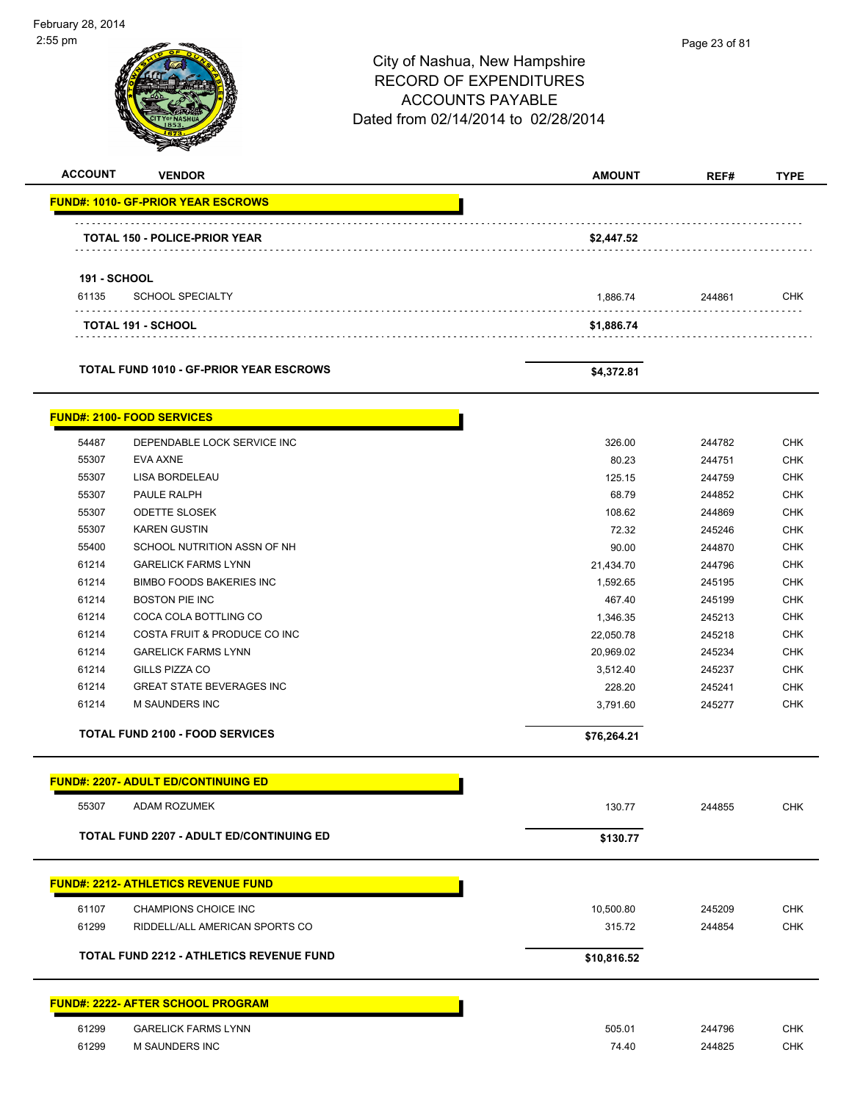| $2:55$ pm                                  |                                                 | City of Nashua, New Hampshire<br><b>RECORD OF EXPENDITURES</b><br><b>ACCOUNTS PAYABLE</b><br>Dated from 02/14/2014 to 02/28/2014 | Page 23 of 81    |             |
|--------------------------------------------|-------------------------------------------------|----------------------------------------------------------------------------------------------------------------------------------|------------------|-------------|
| <b>ACCOUNT</b>                             | <b>VENDOR</b>                                   | <b>AMOUNT</b>                                                                                                                    | REF#             | <b>TYPE</b> |
| <b>FUND#: 1010- GF-PRIOR YEAR ESCROWS</b>  |                                                 |                                                                                                                                  |                  |             |
| TOTAL 150 - POLICE-PRIOR YEAR              |                                                 | \$2,447.52                                                                                                                       |                  |             |
| <b>191 - SCHOOL</b>                        |                                                 |                                                                                                                                  |                  |             |
| 61135                                      | <b>SCHOOL SPECIALTY</b>                         | 1,886.74                                                                                                                         | 244861           | <b>CHK</b>  |
| TOTAL 191 - SCHOOL                         |                                                 | \$1,886.74                                                                                                                       |                  |             |
|                                            |                                                 |                                                                                                                                  |                  |             |
|                                            | <b>TOTAL FUND 1010 - GF-PRIOR YEAR ESCROWS</b>  | \$4,372.81                                                                                                                       |                  |             |
| <b>FUND#: 2100- FOOD SERVICES</b>          |                                                 |                                                                                                                                  |                  |             |
| 54487                                      | DEPENDABLE LOCK SERVICE INC                     | 326.00                                                                                                                           | 244782           | <b>CHK</b>  |
| 55307<br><b>EVA AXNE</b>                   |                                                 | 80.23                                                                                                                            | 244751           | CHK         |
| LISA BORDELEAU<br>55307                    |                                                 | 125.15                                                                                                                           | 244759           | <b>CHK</b>  |
| PAULE RALPH<br>55307                       |                                                 | 68.79                                                                                                                            | 244852           | <b>CHK</b>  |
| <b>ODETTE SLOSEK</b><br>55307              |                                                 | 108.62                                                                                                                           | 244869           | <b>CHK</b>  |
| 55307<br><b>KAREN GUSTIN</b>               |                                                 | 72.32                                                                                                                            | 245246           | <b>CHK</b>  |
| 55400                                      | SCHOOL NUTRITION ASSN OF NH                     | 90.00                                                                                                                            | 244870           | <b>CHK</b>  |
| 61214                                      | <b>GARELICK FARMS LYNN</b>                      | 21,434.70                                                                                                                        | 244796           | CHK         |
| 61214                                      | <b>BIMBO FOODS BAKERIES INC</b>                 | 1,592.65                                                                                                                         | 245195           | <b>CHK</b>  |
| 61214<br><b>BOSTON PIE INC</b>             |                                                 | 467.40                                                                                                                           | 245199           | <b>CHK</b>  |
| 61214                                      | COCA COLA BOTTLING CO                           | 1,346.35                                                                                                                         | 245213           | <b>CHK</b>  |
| 61214                                      | COSTA FRUIT & PRODUCE CO INC                    | 22,050.78                                                                                                                        | 245218           | <b>CHK</b>  |
| 61214                                      | <b>GARELICK FARMS LYNN</b>                      | 20,969.02                                                                                                                        | 245234           | <b>CHK</b>  |
| GILLS PIZZA CO<br>61214                    |                                                 | 3,512.40                                                                                                                         | 245237           | ${\sf CHK}$ |
| 61214<br>61214<br>M SAUNDERS INC           | <b>GREAT STATE BEVERAGES INC</b>                | 228.20<br>3,791.60                                                                                                               | 245241<br>245277 | CHK<br>CHK  |
|                                            |                                                 |                                                                                                                                  |                  |             |
| <b>TOTAL FUND 2100 - FOOD SERVICES</b>     |                                                 | \$76,264.21                                                                                                                      |                  |             |
| <b>FUND#: 2207- ADULT ED/CONTINUING ED</b> |                                                 |                                                                                                                                  |                  |             |
| 55307<br>ADAM ROZUMEK                      |                                                 | 130.77                                                                                                                           | 244855           | CHK         |
|                                            | <b>TOTAL FUND 2207 - ADULT ED/CONTINUING ED</b> | \$130.77                                                                                                                         |                  |             |

| 61107 | <b>CHAMPIONS CHOICE INC</b>                     | 10,500.80   | 245209 | <b>CHK</b> |
|-------|-------------------------------------------------|-------------|--------|------------|
| 61299 | RIDDELL/ALL AMERICAN SPORTS CO                  | 315.72      | 244854 | <b>CHK</b> |
|       | <b>TOTAL FUND 2212 - ATHLETICS REVENUE FUND</b> | \$10,816.52 |        |            |

61299 M SAUNDERS INC 74.40 244825 CHK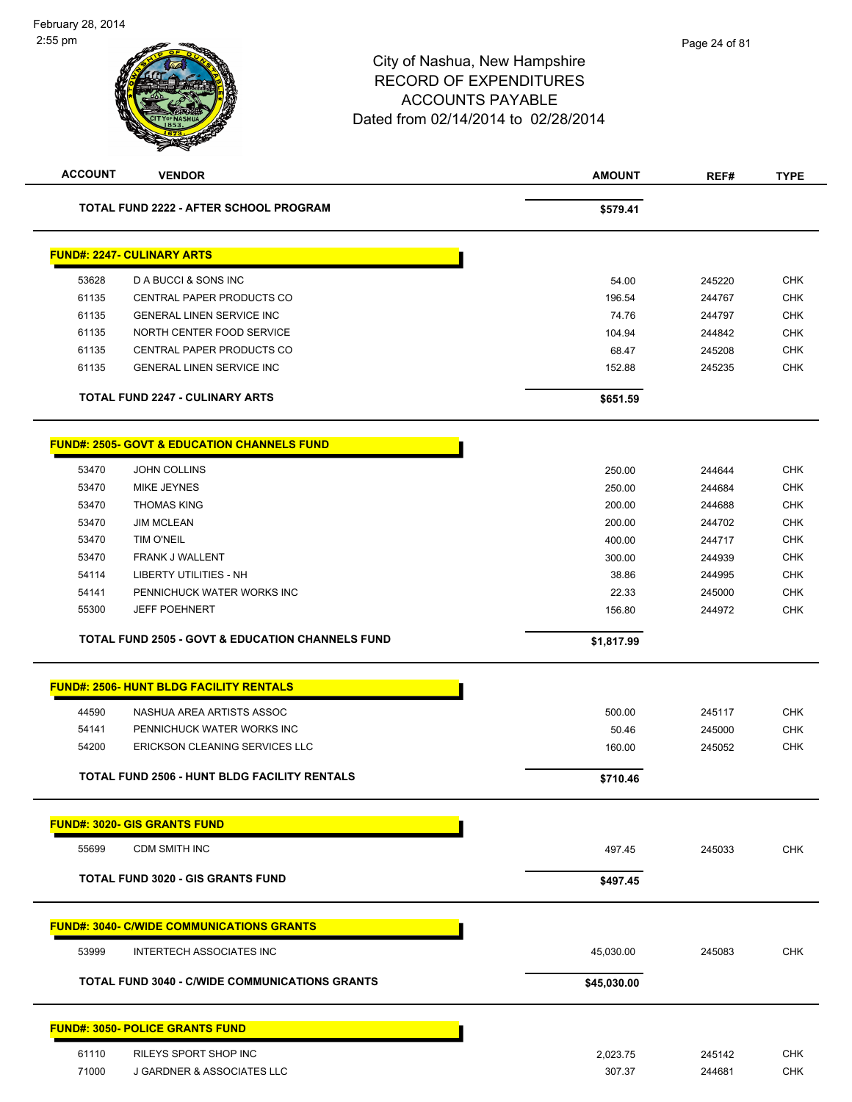|             | REF#                                                                                | <b>TYPE</b>                                                                            |
|-------------|-------------------------------------------------------------------------------------|----------------------------------------------------------------------------------------|
| \$579.41    |                                                                                     |                                                                                        |
|             |                                                                                     |                                                                                        |
| 54.00       | 245220                                                                              | <b>CHK</b>                                                                             |
| 196.54      | 244767                                                                              | <b>CHK</b>                                                                             |
| 74.76       | 244797                                                                              | <b>CHK</b>                                                                             |
| 104.94      | 244842                                                                              | <b>CHK</b>                                                                             |
| 68.47       | 245208                                                                              | <b>CHK</b>                                                                             |
| 152.88      | 245235                                                                              | <b>CHK</b>                                                                             |
| \$651.59    |                                                                                     |                                                                                        |
|             |                                                                                     |                                                                                        |
|             |                                                                                     | <b>CHK</b>                                                                             |
|             |                                                                                     | <b>CHK</b>                                                                             |
|             |                                                                                     | <b>CHK</b>                                                                             |
|             |                                                                                     | <b>CHK</b>                                                                             |
|             |                                                                                     | <b>CHK</b>                                                                             |
|             |                                                                                     | <b>CHK</b>                                                                             |
|             |                                                                                     | <b>CHK</b>                                                                             |
|             |                                                                                     | <b>CHK</b>                                                                             |
| 156.80      | 244972                                                                              | <b>CHK</b>                                                                             |
| \$1,817.99  |                                                                                     |                                                                                        |
|             |                                                                                     |                                                                                        |
| 500.00      | 245117                                                                              | <b>CHK</b>                                                                             |
|             |                                                                                     | <b>CHK</b>                                                                             |
| 160.00      | 245052                                                                              | <b>CHK</b>                                                                             |
| \$710.46    |                                                                                     |                                                                                        |
|             |                                                                                     |                                                                                        |
| 497.45      | 245033                                                                              | <b>CHK</b>                                                                             |
| \$497.45    |                                                                                     |                                                                                        |
|             |                                                                                     |                                                                                        |
|             |                                                                                     |                                                                                        |
| 45,030.00   | 245083                                                                              | CHK                                                                                    |
|             |                                                                                     |                                                                                        |
| \$45,030.00 |                                                                                     |                                                                                        |
|             |                                                                                     |                                                                                        |
| 2,023.75    | 245142                                                                              | <b>CHK</b>                                                                             |
|             | 250.00<br>250.00<br>200.00<br>200.00<br>400.00<br>300.00<br>38.86<br>22.33<br>50.46 | 244644<br>244684<br>244688<br>244702<br>244717<br>244939<br>244995<br>245000<br>245000 |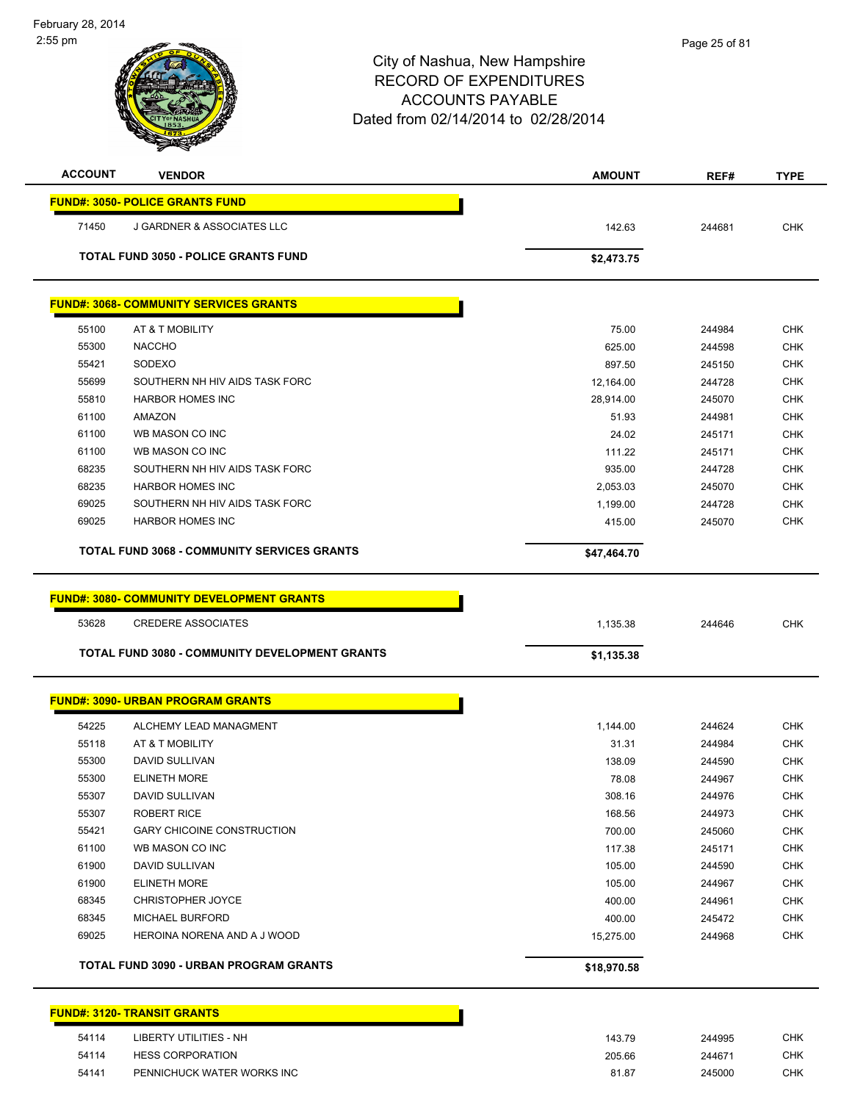| $\sim$ ndary<br>-----<br>$2:55$ pm |                                                    | City of Nashua, New Hampshire<br><b>RECORD OF EXPENDITURES</b><br><b>ACCOUNTS PAYABLE</b><br>Dated from 02/14/2014 to 02/28/2014 | Page 25 of 81 |             |
|------------------------------------|----------------------------------------------------|----------------------------------------------------------------------------------------------------------------------------------|---------------|-------------|
| <b>ACCOUNT</b>                     | <b>VENDOR</b>                                      | <b>AMOUNT</b>                                                                                                                    | REF#          | <b>TYPE</b> |
|                                    | <b>FUND#: 3050- POLICE GRANTS FUND</b>             |                                                                                                                                  |               |             |
| 71450                              | J GARDNER & ASSOCIATES LLC                         | 142.63                                                                                                                           | 244681        | <b>CHK</b>  |
|                                    | <b>TOTAL FUND 3050 - POLICE GRANTS FUND</b>        | \$2,473.75                                                                                                                       |               |             |
|                                    | <b>FUND#: 3068- COMMUNITY SERVICES GRANTS</b>      |                                                                                                                                  |               |             |
| 55100                              | AT & T MOBILITY                                    | 75.00                                                                                                                            | 244984        | <b>CHK</b>  |
| 55300                              | <b>NACCHO</b>                                      | 625.00                                                                                                                           | 244598        | <b>CHK</b>  |
| 55421                              | SODEXO                                             | 897.50                                                                                                                           | 245150        | <b>CHK</b>  |
| 55699                              | SOUTHERN NH HIV AIDS TASK FORC                     | 12,164.00                                                                                                                        | 244728        | <b>CHK</b>  |
| 55810                              | <b>HARBOR HOMES INC</b>                            | 28,914.00                                                                                                                        | 245070        | <b>CHK</b>  |
| 61100                              | <b>AMAZON</b>                                      | 51.93                                                                                                                            | 244981        | <b>CHK</b>  |
| 61100                              | WB MASON CO INC                                    | 24.02                                                                                                                            | 245171        | <b>CHK</b>  |
| 61100                              | WB MASON CO INC                                    | 111.22                                                                                                                           | 245171        | <b>CHK</b>  |
| 68235                              | SOUTHERN NH HIV AIDS TASK FORC                     | 935.00                                                                                                                           | 244728        | <b>CHK</b>  |
| 68235                              | <b>HARBOR HOMES INC</b>                            | 2,053.03                                                                                                                         | 245070        | <b>CHK</b>  |
| 69025                              | SOUTHERN NH HIV AIDS TASK FORC                     | 1,199.00                                                                                                                         | 244728        | <b>CHK</b>  |
| 69025                              | <b>HARBOR HOMES INC</b>                            | 415.00                                                                                                                           | 245070        | <b>CHK</b>  |
|                                    | <b>TOTAL FUND 3068 - COMMUNITY SERVICES GRANTS</b> | \$47,464.70                                                                                                                      |               |             |
|                                    | <b>FUND#: 3080- COMMUNITY DEVELOPMENT GRANTS</b>   |                                                                                                                                  |               |             |
| 53628                              | <b>CREDERE ASSOCIATES</b>                          | 1,135.38                                                                                                                         | 244646        | <b>CHK</b>  |
|                                    | TOTAL FUND 3080 - COMMUNITY DEVELOPMENT GRANTS     | \$1,135.38                                                                                                                       |               |             |
|                                    | <b>FUND#: 3090- URBAN PROGRAM GRANTS</b>           |                                                                                                                                  |               |             |
| 54225                              | ALCHEMY LEAD MANAGMENT                             | 1 144 00                                                                                                                         | 244624        | <b>CHK</b>  |

|       | <b>TOTAL FUND 3090 - URBAN PROGRAM GRANTS</b> | \$18,970.58 |        |            |
|-------|-----------------------------------------------|-------------|--------|------------|
| 69025 | HEROINA NORENA AND A J WOOD                   | 15,275.00   | 244968 | <b>CHK</b> |
| 68345 | <b>MICHAEL BURFORD</b>                        | 400.00      | 245472 | <b>CHK</b> |
| 68345 | <b>CHRISTOPHER JOYCE</b>                      | 400.00      | 244961 | <b>CHK</b> |
| 61900 | <b>ELINETH MORE</b>                           | 105.00      | 244967 | <b>CHK</b> |
| 61900 | DAVID SULLIVAN                                | 105.00      | 244590 | <b>CHK</b> |
| 61100 | WB MASON CO INC                               | 117.38      | 245171 | <b>CHK</b> |
| 55421 | <b>GARY CHICOINE CONSTRUCTION</b>             | 700.00      | 245060 | <b>CHK</b> |
| 55307 | <b>ROBERT RICE</b>                            | 168.56      | 244973 | <b>CHK</b> |
| 55307 | DAVID SULLIVAN                                | 308.16      | 244976 | <b>CHK</b> |
| 55300 | <b>ELINETH MORE</b>                           | 78.08       | 244967 | <b>CHK</b> |
| 55300 | DAVID SULLIVAN                                | 138.09      | 244590 | <b>CHK</b> |
| 55118 | AT & T MOBILITY                               | 31.31       | 244984 | <b>CHK</b> |
| 54225 | ALCHEMY LEAD MANAGMENT                        | 1,144.00    | 244624 | <b>CHK</b> |

### **FUND#: 3120- TRANSIT GRANTS** 54114 LIBERTY UTILITIES - NH 143.79 244995 CHK HESS CORPORATION 205.66 244671 CHK PENNICHUCK WATER WORKS INC 81.87 245000 CHK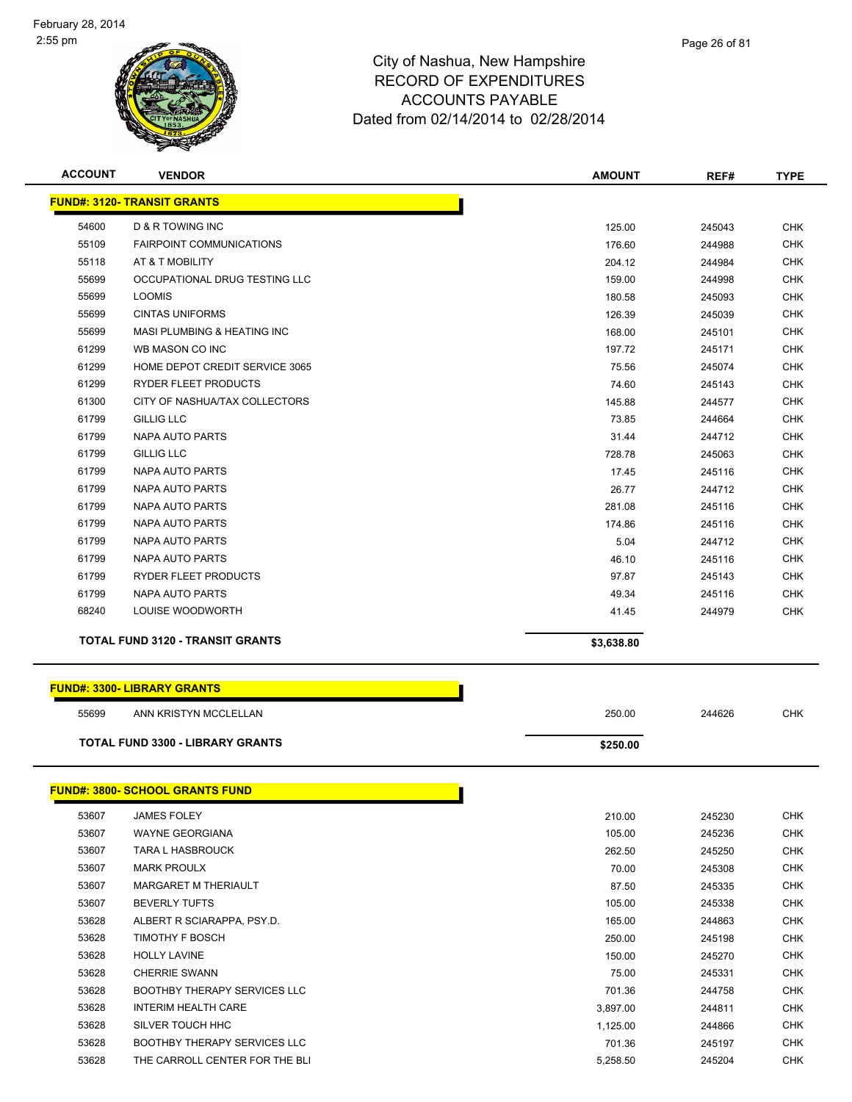

| <b>ACCOUNT</b><br><b>VENDOR</b><br><b>AMOUNT</b>                                | <b>TYPE</b><br>REF#  |
|---------------------------------------------------------------------------------|----------------------|
| <b>FUND#: 3120- TRANSIT GRANTS</b>                                              |                      |
| 54600<br><b>D &amp; R TOWING INC</b><br>125.00                                  | <b>CHK</b><br>245043 |
| 55109<br><b>FAIRPOINT COMMUNICATIONS</b><br>176.60                              | <b>CHK</b><br>244988 |
| 55118<br>AT & T MOBILITY<br>204.12                                              | <b>CHK</b><br>244984 |
| 55699<br>OCCUPATIONAL DRUG TESTING LLC<br>159.00                                | <b>CHK</b><br>244998 |
| 55699<br><b>LOOMIS</b><br>180.58                                                | <b>CHK</b><br>245093 |
| 55699<br><b>CINTAS UNIFORMS</b><br>126.39                                       | <b>CHK</b><br>245039 |
| 55699<br>MASI PLUMBING & HEATING INC<br>168.00                                  | <b>CHK</b><br>245101 |
| 61299<br>WB MASON CO INC<br>197.72                                              | <b>CHK</b><br>245171 |
| 61299<br>HOME DEPOT CREDIT SERVICE 3065<br>75.56                                | <b>CHK</b><br>245074 |
| 61299<br>RYDER FLEET PRODUCTS<br>74.60                                          | <b>CHK</b><br>245143 |
| 61300<br>CITY OF NASHUA/TAX COLLECTORS<br>145.88                                | <b>CHK</b><br>244577 |
| 61799<br><b>GILLIG LLC</b><br>73.85                                             | <b>CHK</b><br>244664 |
| 61799<br>NAPA AUTO PARTS<br>31.44                                               | <b>CHK</b><br>244712 |
| <b>GILLIG LLC</b><br>61799<br>728.78                                            | <b>CHK</b><br>245063 |
| 61799<br><b>NAPA AUTO PARTS</b><br>17.45                                        | <b>CHK</b><br>245116 |
| 61799<br>NAPA AUTO PARTS<br>26.77                                               | <b>CHK</b><br>244712 |
| 61799<br>NAPA AUTO PARTS<br>281.08                                              | <b>CHK</b><br>245116 |
| 61799<br><b>NAPA AUTO PARTS</b><br>174.86                                       | <b>CHK</b><br>245116 |
| 61799<br><b>NAPA AUTO PARTS</b><br>5.04                                         | 244712<br><b>CHK</b> |
| 61799<br><b>NAPA AUTO PARTS</b><br>46.10                                        | <b>CHK</b><br>245116 |
| 61799<br>RYDER FLEET PRODUCTS<br>97.87                                          | <b>CHK</b><br>245143 |
| 61799<br>NAPA AUTO PARTS<br>49.34                                               | <b>CHK</b><br>245116 |
| 68240<br>LOUISE WOODWORTH<br>41.45                                              | <b>CHK</b><br>244979 |
| <b>TOTAL FUND 3120 - TRANSIT GRANTS</b><br>\$3,638.80                           |                      |
|                                                                                 |                      |
| <b>FUND#: 3300- LIBRARY GRANTS</b>                                              |                      |
| 55699<br>ANN KRISTYN MCCLELLAN<br>250.00                                        | <b>CHK</b><br>244626 |
| <b>TOTAL FUND 3300 - LIBRARY GRANTS</b><br>\$250.00                             |                      |
|                                                                                 |                      |
| <u>FUND#: 3800- SCHOOL GRANTS FUND</u><br>53607<br>210.00<br><b>JAMES FOLEY</b> | CHK<br>245230        |
| 53607<br><b>WAYNE GEORGIANA</b><br>105.00                                       | <b>CHK</b><br>245236 |
| 53607<br><b>TARA L HASBROUCK</b><br>262.50                                      | 245250<br><b>CHK</b> |
| 53607<br><b>MARK PROULX</b><br>70.00                                            | <b>CHK</b><br>245308 |
| 53607<br>MARGARET M THERIAULT<br>87.50                                          | <b>CHK</b><br>245335 |
| 53607<br><b>BEVERLY TUFTS</b><br>105.00                                         | <b>CHK</b><br>245338 |
| 53628<br>ALBERT R SCIARAPPA, PSY.D.<br>165.00                                   | 244863<br><b>CHK</b> |
| 53628<br>TIMOTHY F BOSCH<br>250.00                                              | <b>CHK</b><br>245198 |
| 53628<br><b>HOLLY LAVINE</b><br>150.00                                          | <b>CHK</b><br>245270 |
| 53628<br><b>CHERRIE SWANN</b><br>75.00                                          | CHK<br>245331        |
| 53628<br><b>BOOTHBY THERAPY SERVICES LLC</b><br>701.36                          | <b>CHK</b><br>244758 |
| 53628<br><b>INTERIM HEALTH CARE</b><br>3,897.00                                 | <b>CHK</b><br>244811 |

 SILVER TOUCH HHC 1,125.00 244866 CHK 53628 BOOTHBY THERAPY SERVICES LLC **A CONSERVICES LLC** 245197 CHK THE CARROLL CENTER FOR THE BLI 5,258.50 245204 CHK

Page 26 of 81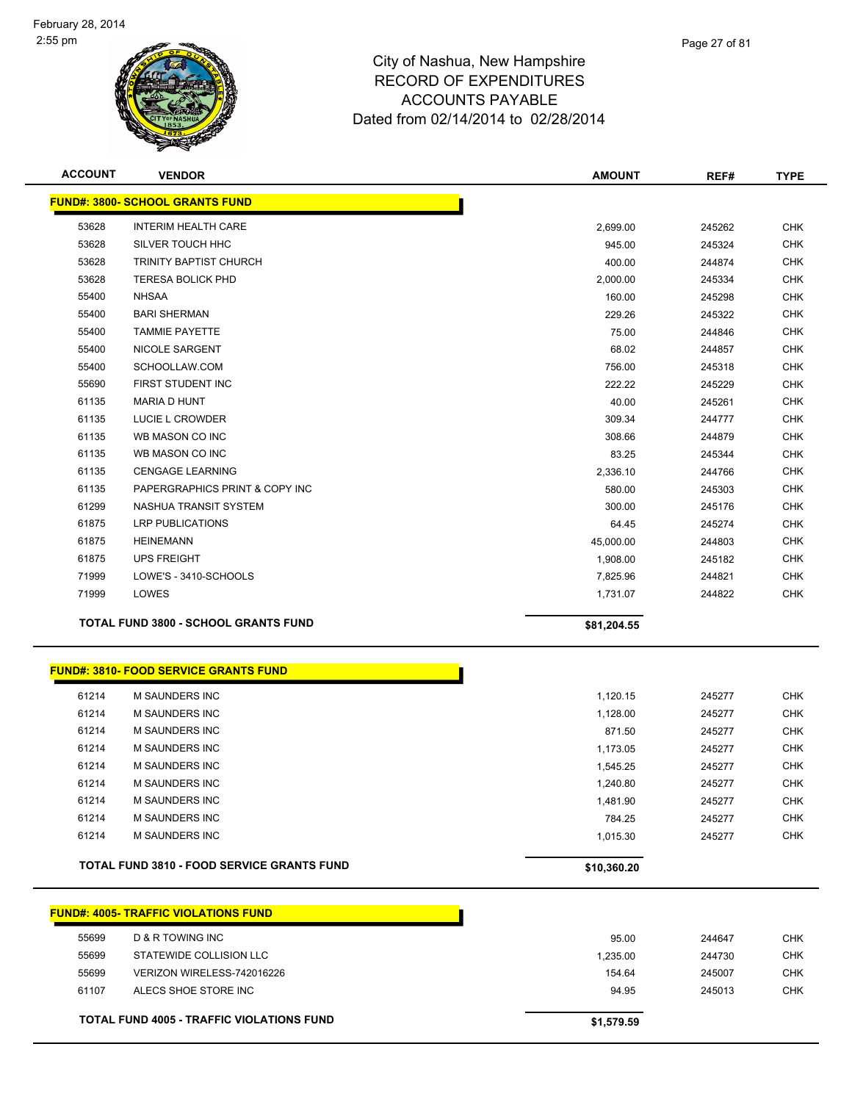

| <b>ACCOUNT</b> | <b>VENDOR</b>                                     | <b>AMOUNT</b> | REF#   | <b>TYPE</b> |
|----------------|---------------------------------------------------|---------------|--------|-------------|
|                | <b>FUND#: 3800- SCHOOL GRANTS FUND</b>            |               |        |             |
| 53628          | <b>INTERIM HEALTH CARE</b>                        | 2,699.00      | 245262 | <b>CHK</b>  |
| 53628          | SILVER TOUCH HHC                                  | 945.00        | 245324 | <b>CHK</b>  |
| 53628          | <b>TRINITY BAPTIST CHURCH</b>                     | 400.00        | 244874 | CHK         |
| 53628          | <b>TERESA BOLICK PHD</b>                          | 2,000.00      | 245334 | CHK         |
| 55400          | <b>NHSAA</b>                                      | 160.00        | 245298 | CHK         |
| 55400          | <b>BARI SHERMAN</b>                               | 229.26        | 245322 | <b>CHK</b>  |
| 55400          | <b>TAMMIE PAYETTE</b>                             | 75.00         | 244846 | CHK         |
| 55400          | NICOLE SARGENT                                    | 68.02         | 244857 | <b>CHK</b>  |
| 55400          | SCHOOLLAW.COM                                     | 756.00        | 245318 | <b>CHK</b>  |
| 55690          | FIRST STUDENT INC                                 | 222.22        | 245229 | <b>CHK</b>  |
| 61135          | <b>MARIA D HUNT</b>                               | 40.00         | 245261 | <b>CHK</b>  |
| 61135          | LUCIE L CROWDER                                   | 309.34        | 244777 | <b>CHK</b>  |
| 61135          | WB MASON CO INC                                   | 308.66        | 244879 | <b>CHK</b>  |
| 61135          | WB MASON CO INC                                   | 83.25         | 245344 | <b>CHK</b>  |
| 61135          | <b>CENGAGE LEARNING</b>                           | 2,336.10      | 244766 | <b>CHK</b>  |
| 61135          | PAPERGRAPHICS PRINT & COPY INC                    | 580.00        | 245303 | CHK         |
| 61299          | NASHUA TRANSIT SYSTEM                             | 300.00        | 245176 | <b>CHK</b>  |
| 61875          | LRP PUBLICATIONS                                  | 64.45         | 245274 | CHK         |
| 61875          | <b>HEINEMANN</b>                                  | 45,000.00     | 244803 | <b>CHK</b>  |
| 61875          | <b>UPS FREIGHT</b>                                | 1,908.00      | 245182 | <b>CHK</b>  |
| 71999          | LOWE'S - 3410-SCHOOLS                             | 7,825.96      | 244821 | <b>CHK</b>  |
| 71999          | LOWES                                             | 1,731.07      | 244822 | <b>CHK</b>  |
|                | TOTAL FUND 3800 - SCHOOL GRANTS FUND              | \$81,204.55   |        |             |
|                |                                                   |               |        |             |
|                | <b>FUND#: 3810- FOOD SERVICE GRANTS FUND</b>      |               |        |             |
| 61214          | <b>M SAUNDERS INC</b>                             | 1,120.15      | 245277 | <b>CHK</b>  |
| 61214          | M SAUNDERS INC                                    | 1,128.00      | 245277 | <b>CHK</b>  |
| 61214          | M SAUNDERS INC                                    | 871.50        | 245277 | CHK         |
| 61214          | M SAUNDERS INC                                    | 1,173.05      | 245277 | <b>CHK</b>  |
| 61214          | <b>M SAUNDERS INC</b>                             | 1,545.25      | 245277 | <b>CHK</b>  |
| 61214          | M SAUNDERS INC                                    | 1,240.80      | 245277 | <b>CHK</b>  |
| 61214          | M SAUNDERS INC                                    | 1,481.90      | 245277 | <b>CHK</b>  |
| 61214          | M SAUNDERS INC                                    | 784.25        | 245277 | <b>CHK</b>  |
| 61214          | M SAUNDERS INC                                    | 1,015.30      | 245277 | <b>CHK</b>  |
|                | <b>TOTAL FUND 3810 - FOOD SERVICE GRANTS FUND</b> | \$10,360.20   |        |             |
|                |                                                   |               |        |             |
|                | <b>FUND#: 4005- TRAFFIC VIOLATIONS FUND</b>       |               |        |             |
| 55699          | <b>D &amp; R TOWING INC</b>                       | 95.00         | 244647 | <b>CHK</b>  |
| 55699          | STATEWIDE COLLISION LLC                           | 1,235.00      | 244730 | <b>CHK</b>  |
| 55699          | VERIZON WIRELESS-742016226                        | 154.64        | 245007 | <b>CHK</b>  |
| 61107          | ALECS SHOE STORE INC                              | 94.95         | 245013 | <b>CHK</b>  |
|                |                                                   |               |        |             |
|                | TOTAL FUND 4005 - TRAFFIC VIOLATIONS FUND         | \$1,579.59    |        |             |

Page 27 of 81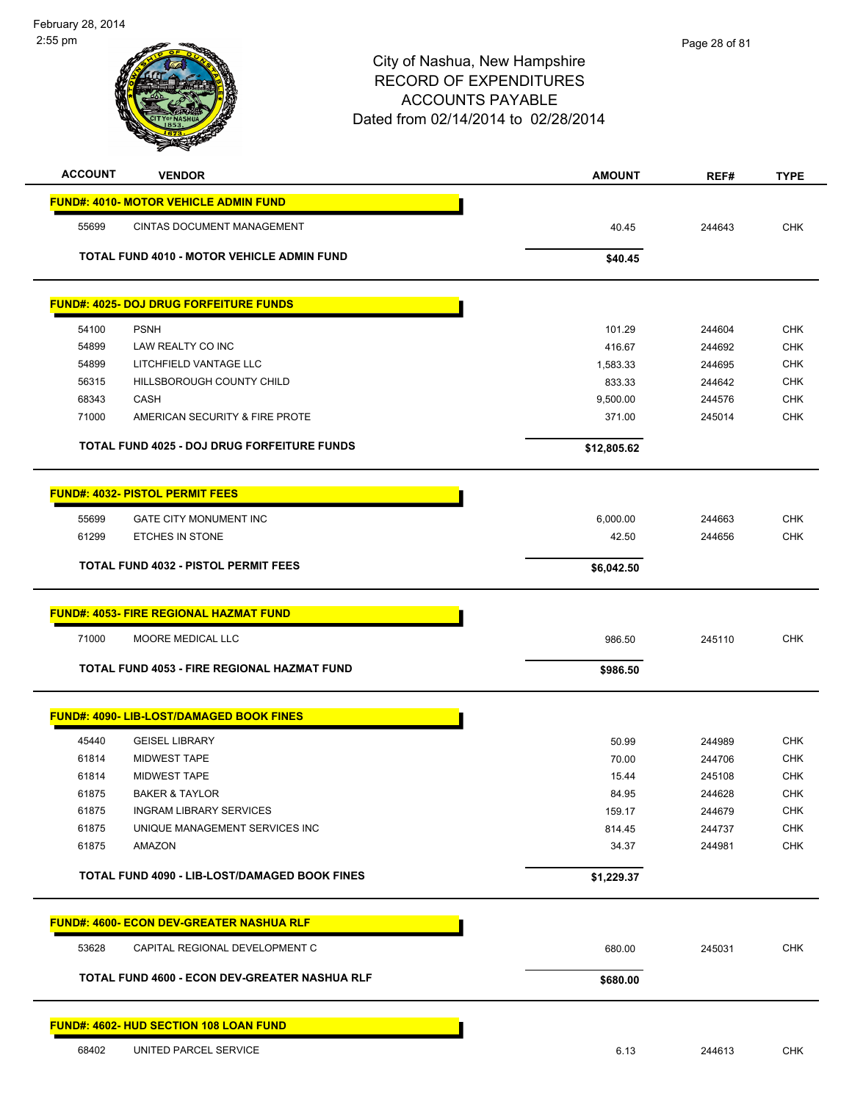

|       | <b>FUND#: 4025- DOJ DRUG FORFEITURE FUNDS</b> |          |        |     |
|-------|-----------------------------------------------|----------|--------|-----|
| 54100 | <b>PSNH</b>                                   | 101.29   | 244604 | CHK |
| 54899 | LAW REALTY CO INC                             | 416.67   | 244692 | CHK |
| 54899 | LITCHFIELD VANTAGE LLC                        | 1.583.33 | 244695 | CHK |
| 56315 | HILLSBOROUGH COUNTY CHILD                     | 833.33   | 244642 | CHK |
| 68343 | CASH                                          | 9.500.00 | 244576 | CHK |
| 71000 | AMERICAN SECURITY & FIRE PROTE                | 371.00   | 245014 | CHK |
|       |                                               |          |        |     |

**TOTAL FUND 4025 - DOJ DRUG FORFEITURE FUNDS \$12,805.62** 

|       | <b>FUND#: 4032- PISTOL PERMIT FEES</b>      |            |        |            |
|-------|---------------------------------------------|------------|--------|------------|
| 55699 | <b>GATE CITY MONUMENT INC</b>               | 6,000.00   | 244663 | <b>CHK</b> |
| 61299 | ETCHES IN STONE                             | 42.50      | 244656 | <b>CHK</b> |
|       | <b>TOTAL FUND 4032 - PISTOL PERMIT FEES</b> | \$6,042.50 |        |            |

|       | <b>FUND#: 4053- FIRE REGIONAL HAZMAT FUND</b> |          |        |     |
|-------|-----------------------------------------------|----------|--------|-----|
| 71000 | MOORE MEDICAL LLC                             | 986.50   | 245110 | CHK |
|       | TOTAL FUND 4053 - FIRE REGIONAL HAZMAT FUND   | \$986.50 |        |     |

| 45440 | <b>GEISEL LIBRARY</b>          | 50.99  | 244989 | <b>CHK</b> |
|-------|--------------------------------|--------|--------|------------|
| 61814 | <b>MIDWEST TAPE</b>            | 70.00  | 244706 | <b>CHK</b> |
| 61814 | MIDWEST TAPE                   | 15.44  | 245108 | <b>CHK</b> |
| 61875 | <b>BAKER &amp; TAYLOR</b>      | 84.95  | 244628 | <b>CHK</b> |
| 61875 | INGRAM LIBRARY SERVICES        | 159.17 | 244679 | <b>CHK</b> |
| 61875 | UNIQUE MANAGEMENT SERVICES INC | 814.45 | 244737 | <b>CHK</b> |
| 61875 | AMAZON                         | 34.37  | 244981 | <b>CHK</b> |

| 53628 | CAPITAL REGIONAL DEVELOPMENT C                | 680.00   | 245031 | CHK |
|-------|-----------------------------------------------|----------|--------|-----|
|       | TOTAL FUND 4600 - ECON DEV-GREATER NASHUA RLF | \$680.00 |        |     |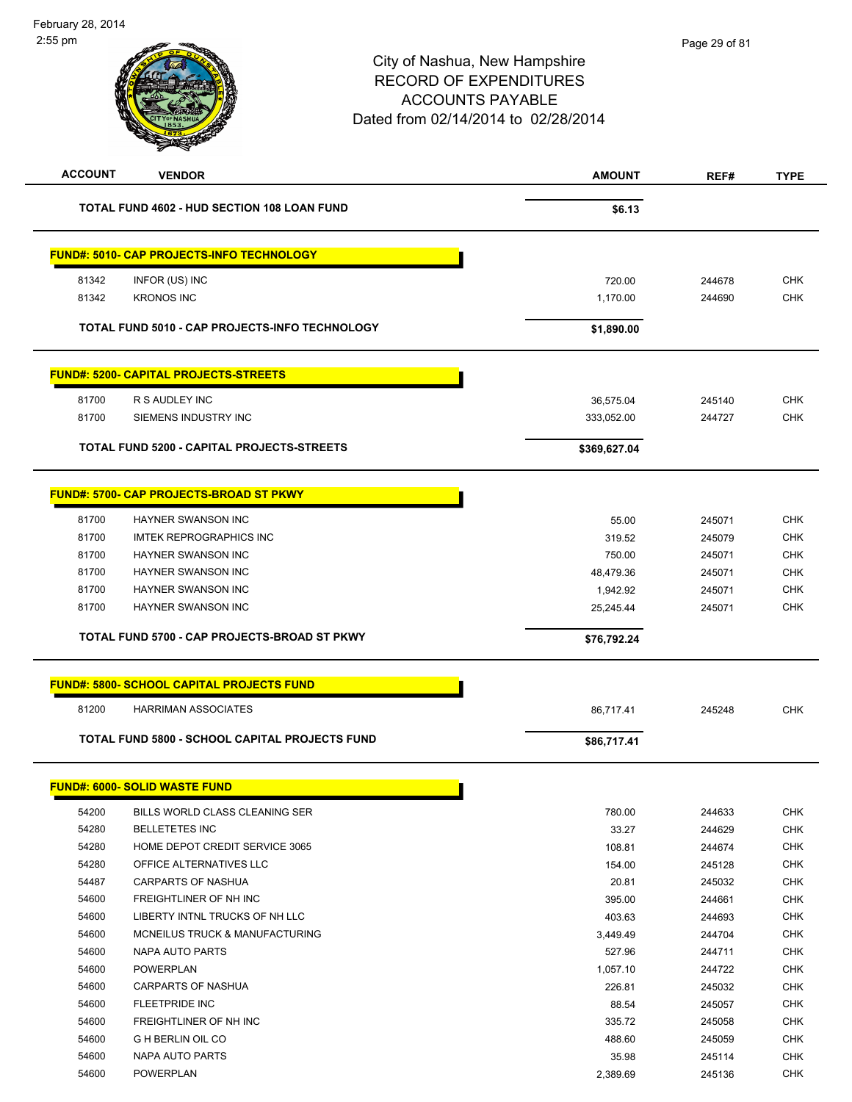# City of Nashua, New Hampshire RECORD OF EXPENDITURES ACCOUNTS PAYABLE Dated from 02/14/2014 to 02/28/2014 **ACCOUNT VENDOR AMOUNT REF# TYPE** TOTAL FUND 4602 - HUD SECTION 108 LOAN FUND<br>
\$6.13

|       | <b>FUND#: 5010- CAP PROJECTS-INFO TECHNOLOGY</b> |              |        |            |
|-------|--------------------------------------------------|--------------|--------|------------|
| 81342 | INFOR (US) INC                                   | 720.00       | 244678 | <b>CHK</b> |
| 81342 | <b>KRONOS INC</b>                                | 1,170.00     | 244690 | <b>CHK</b> |
|       |                                                  |              |        |            |
|       | TOTAL FUND 5010 - CAP PROJECTS-INFO TECHNOLOGY   | \$1,890.00   |        |            |
|       | <b>FUND#: 5200- CAPITAL PROJECTS-STREETS</b>     |              |        |            |
| 81700 | R S AUDLEY INC                                   | 36,575.04    | 245140 | <b>CHK</b> |
| 81700 | SIEMENS INDUSTRY INC                             | 333,052.00   | 244727 | <b>CHK</b> |
|       | TOTAL FUND 5200 - CAPITAL PROJECTS-STREETS       | \$369,627.04 |        |            |
|       | <b>FUND#: 5700- CAP PROJECTS-BROAD ST PKWY</b>   |              |        |            |
| 81700 | <b>HAYNER SWANSON INC</b>                        | 55.00        | 245071 | <b>CHK</b> |
| 81700 | <b>IMTEK REPROGRAPHICS INC</b>                   | 319.52       | 245079 | <b>CHK</b> |
| 81700 | HAYNER SWANSON INC                               | 750.00       | 245071 | <b>CHK</b> |
| 81700 | HAYNER SWANSON INC                               | 48,479.36    | 245071 | <b>CHK</b> |
| 81700 | HAYNER SWANSON INC                               | 1,942.92     | 245071 | <b>CHK</b> |
| 81700 | <b>HAYNER SWANSON INC</b>                        | 25,245.44    | 245071 | <b>CHK</b> |
|       | TOTAL FUND 5700 - CAP PROJECTS-BROAD ST PKWY     | \$76,792.24  |        |            |
|       | <b>FUND#: 5800- SCHOOL CAPITAL PROJECTS FUND</b> |              |        |            |
| 81200 | <b>HARRIMAN ASSOCIATES</b>                       | 86,717.41    | 245248 | <b>CHK</b> |
|       | TOTAL FUND 5800 - SCHOOL CAPITAL PROJECTS FUND   | \$86,717.41  |        |            |
|       | <b>FUND#: 6000- SOLID WASTE FUND</b>             |              |        |            |
| 54200 | BILLS WORLD CLASS CLEANING SER                   | 780.00       | 244633 | <b>CHK</b> |
| 54280 | <b>BELLETETES INC</b>                            | 33.27        | 244629 | <b>CHK</b> |
| 54280 | HOME DEPOT CREDIT SERVICE 3065                   | 108.81       | 244674 | <b>CHK</b> |
| 54280 | OFFICE ALTERNATIVES LLC                          | 154.00       | 245128 | <b>CHK</b> |
| 54487 | <b>CARPARTS OF NASHUA</b>                        | 20.81        | 245032 | <b>CHK</b> |
| 54600 | FREIGHTLINER OF NH INC                           | 395.00       | 244661 | <b>CHK</b> |
| 54600 | LIBERTY INTNL TRUCKS OF NH LLC                   | 403.63       | 244693 | <b>CHK</b> |

 MCNEILUS TRUCK & MANUFACTURING 3,449.49 244704 CHK NAPA AUTO PARTS 527.96 244711 CHK POWERPLAN 1,057.10 244722 CHK CARPARTS OF NASHUA 226.81 245032 CHK FLEETPRIDE INC 88.54 245057 CHK 54600 FREIGHTLINER OF NH INC **Same State of the State of State Control 335.72** 245058 CHK G H BERLIN OIL CO 488.60 245059 CHK NAPA AUTO PARTS 35.98 245114 CHK POWERPLAN 2,389.69 245136 CHK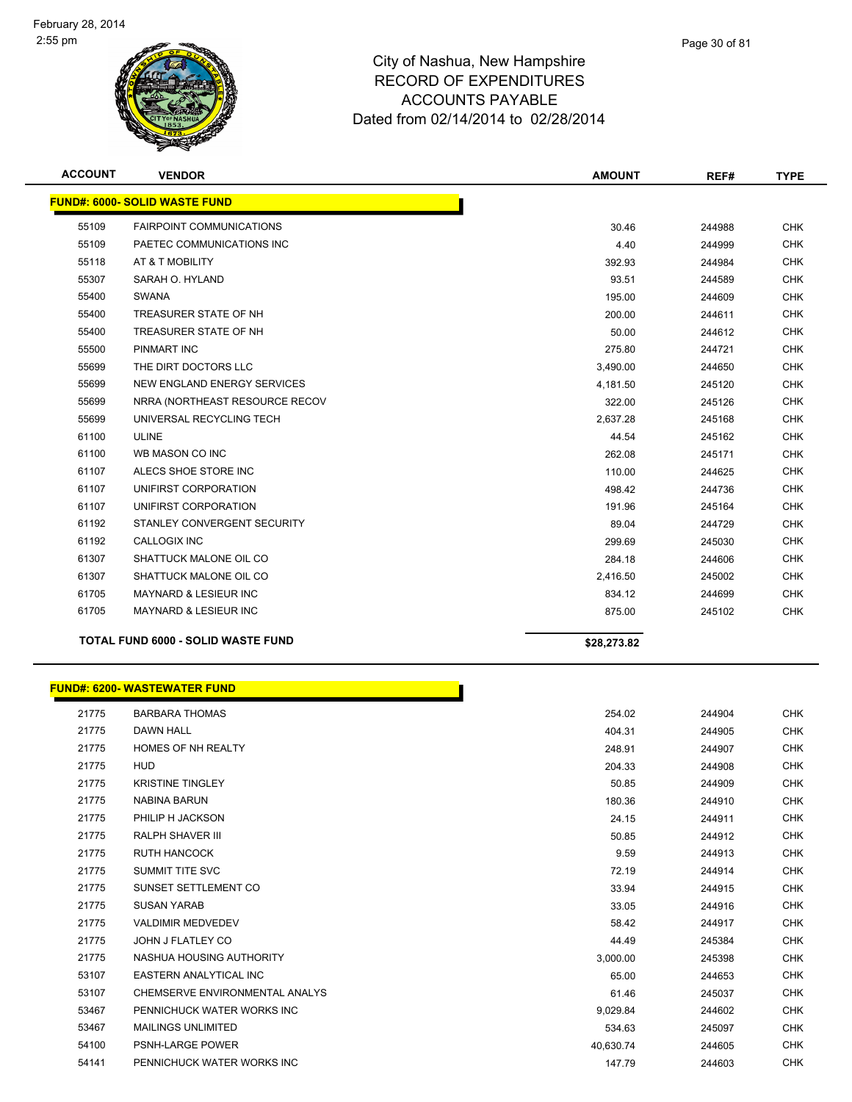

| <b>ACCOUNT</b> | <b>VENDOR</b>                             | <b>AMOUNT</b> | REF#   | <b>TYPE</b> |
|----------------|-------------------------------------------|---------------|--------|-------------|
|                | <b>FUND#: 6000- SOLID WASTE FUND</b>      |               |        |             |
| 55109          | <b>FAIRPOINT COMMUNICATIONS</b>           | 30.46         | 244988 | <b>CHK</b>  |
| 55109          | PAETEC COMMUNICATIONS INC                 | 4.40          | 244999 | <b>CHK</b>  |
| 55118          | AT & T MOBILITY                           | 392.93        | 244984 | <b>CHK</b>  |
| 55307          | SARAH O. HYLAND                           | 93.51         | 244589 | <b>CHK</b>  |
| 55400          | SWANA                                     | 195.00        | 244609 | <b>CHK</b>  |
| 55400          | TREASURER STATE OF NH                     | 200.00        | 244611 | <b>CHK</b>  |
| 55400          | TREASURER STATE OF NH                     | 50.00         | 244612 | <b>CHK</b>  |
| 55500          | PINMART INC                               | 275.80        | 244721 | <b>CHK</b>  |
| 55699          | THE DIRT DOCTORS LLC                      | 3,490.00      | 244650 | <b>CHK</b>  |
| 55699          | NEW ENGLAND ENERGY SERVICES               | 4,181.50      | 245120 | <b>CHK</b>  |
| 55699          | NRRA (NORTHEAST RESOURCE RECOV            | 322.00        | 245126 | <b>CHK</b>  |
| 55699          | UNIVERSAL RECYCLING TECH                  | 2,637.28      | 245168 | <b>CHK</b>  |
| 61100          | <b>ULINE</b>                              | 44.54         | 245162 | <b>CHK</b>  |
| 61100          | WB MASON CO INC                           | 262.08        | 245171 | <b>CHK</b>  |
| 61107          | ALECS SHOE STORE INC                      | 110.00        | 244625 | <b>CHK</b>  |
| 61107          | UNIFIRST CORPORATION                      | 498.42        | 244736 | <b>CHK</b>  |
| 61107          | UNIFIRST CORPORATION                      | 191.96        | 245164 | <b>CHK</b>  |
| 61192          | STANLEY CONVERGENT SECURITY               | 89.04         | 244729 | <b>CHK</b>  |
| 61192          | <b>CALLOGIX INC</b>                       | 299.69        | 245030 | <b>CHK</b>  |
| 61307          | SHATTUCK MALONE OIL CO                    | 284.18        | 244606 | <b>CHK</b>  |
| 61307          | SHATTUCK MALONE OIL CO                    | 2,416.50      | 245002 | <b>CHK</b>  |
| 61705          | <b>MAYNARD &amp; LESIEUR INC</b>          | 834.12        | 244699 | <b>CHK</b>  |
| 61705          | MAYNARD & LESIEUR INC                     | 875.00        | 245102 | <b>CHK</b>  |
|                | <b>TOTAL FUND 6000 - SOLID WASTE FUND</b> | \$28,273.82   |        |             |

|       | <b>FUND#: 6200- WASTEWATER FUND</b> |           |        |            |
|-------|-------------------------------------|-----------|--------|------------|
| 21775 | <b>BARBARA THOMAS</b>               | 254.02    | 244904 | <b>CHK</b> |
| 21775 | <b>DAWN HALL</b>                    | 404.31    | 244905 | CHK        |
| 21775 | <b>HOMES OF NH REALTY</b>           | 248.91    | 244907 | <b>CHK</b> |
| 21775 | <b>HUD</b>                          | 204.33    | 244908 | <b>CHK</b> |
| 21775 | <b>KRISTINE TINGLEY</b>             | 50.85     | 244909 | <b>CHK</b> |
| 21775 | <b>NABINA BARUN</b>                 | 180.36    | 244910 | <b>CHK</b> |
| 21775 | PHILIP H JACKSON                    | 24.15     | 244911 | <b>CHK</b> |
| 21775 | <b>RALPH SHAVER III</b>             | 50.85     | 244912 | <b>CHK</b> |
| 21775 | <b>RUTH HANCOCK</b>                 | 9.59      | 244913 | <b>CHK</b> |
| 21775 | <b>SUMMIT TITE SVC</b>              | 72.19     | 244914 | <b>CHK</b> |
| 21775 | SUNSET SETTLEMENT CO                | 33.94     | 244915 | <b>CHK</b> |
| 21775 | <b>SUSAN YARAB</b>                  | 33.05     | 244916 | <b>CHK</b> |
| 21775 | <b>VALDIMIR MEDVEDEV</b>            | 58.42     | 244917 | <b>CHK</b> |
| 21775 | JOHN J FLATLEY CO                   | 44.49     | 245384 | <b>CHK</b> |
| 21775 | NASHUA HOUSING AUTHORITY            | 3,000.00  | 245398 | <b>CHK</b> |
| 53107 | <b>EASTERN ANALYTICAL INC</b>       | 65.00     | 244653 | <b>CHK</b> |
| 53107 | CHEMSERVE ENVIRONMENTAL ANALYS      | 61.46     | 245037 | <b>CHK</b> |
| 53467 | PENNICHUCK WATER WORKS INC          | 9,029.84  | 244602 | <b>CHK</b> |
| 53467 | <b>MAILINGS UNLIMITED</b>           | 534.63    | 245097 | <b>CHK</b> |
| 54100 | PSNH-LARGE POWER                    | 40,630.74 | 244605 | <b>CHK</b> |
| 54141 | PENNICHUCK WATER WORKS INC          | 147.79    | 244603 | <b>CHK</b> |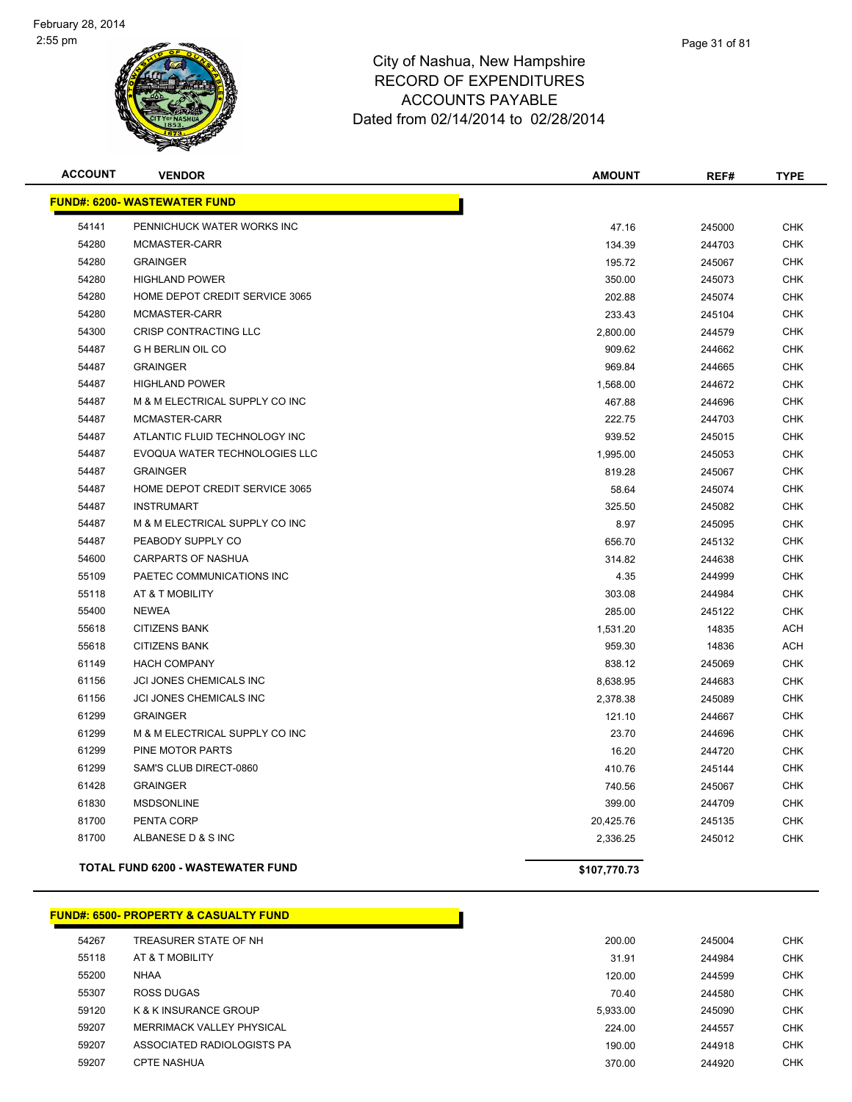

| <b>ACCOUNT</b> | <b>VENDOR</b>                            | <b>AMOUNT</b> | REF#   | <b>TYPE</b> |
|----------------|------------------------------------------|---------------|--------|-------------|
|                | <b>FUND#: 6200- WASTEWATER FUND</b>      |               |        |             |
| 54141          | PENNICHUCK WATER WORKS INC               | 47.16         | 245000 | <b>CHK</b>  |
| 54280          | MCMASTER-CARR                            | 134.39        | 244703 | <b>CHK</b>  |
| 54280          | <b>GRAINGER</b>                          | 195.72        | 245067 | <b>CHK</b>  |
| 54280          | <b>HIGHLAND POWER</b>                    | 350.00        | 245073 | <b>CHK</b>  |
| 54280          | HOME DEPOT CREDIT SERVICE 3065           | 202.88        | 245074 | <b>CHK</b>  |
| 54280          | MCMASTER-CARR                            | 233.43        | 245104 | <b>CHK</b>  |
| 54300          | CRISP CONTRACTING LLC                    | 2,800.00      | 244579 | <b>CHK</b>  |
| 54487          | <b>G H BERLIN OIL CO</b>                 | 909.62        | 244662 | <b>CHK</b>  |
| 54487          | <b>GRAINGER</b>                          | 969.84        | 244665 | <b>CHK</b>  |
| 54487          | <b>HIGHLAND POWER</b>                    | 1,568.00      | 244672 | <b>CHK</b>  |
| 54487          | M & M ELECTRICAL SUPPLY CO INC           | 467.88        | 244696 | <b>CHK</b>  |
| 54487          | MCMASTER-CARR                            | 222.75        | 244703 | <b>CHK</b>  |
| 54487          | ATLANTIC FLUID TECHNOLOGY INC            | 939.52        | 245015 | <b>CHK</b>  |
| 54487          | EVOQUA WATER TECHNOLOGIES LLC            | 1,995.00      | 245053 | <b>CHK</b>  |
| 54487          | <b>GRAINGER</b>                          | 819.28        | 245067 | <b>CHK</b>  |
| 54487          | HOME DEPOT CREDIT SERVICE 3065           | 58.64         | 245074 | <b>CHK</b>  |
| 54487          | <b>INSTRUMART</b>                        | 325.50        | 245082 | <b>CHK</b>  |
| 54487          | M & M ELECTRICAL SUPPLY CO INC           | 8.97          | 245095 | <b>CHK</b>  |
| 54487          | PEABODY SUPPLY CO                        | 656.70        | 245132 | <b>CHK</b>  |
| 54600          | <b>CARPARTS OF NASHUA</b>                | 314.82        | 244638 | <b>CHK</b>  |
| 55109          | PAETEC COMMUNICATIONS INC                | 4.35          | 244999 | <b>CHK</b>  |
| 55118          | AT & T MOBILITY                          | 303.08        | 244984 | <b>CHK</b>  |
| 55400          | <b>NEWEA</b>                             | 285.00        | 245122 | <b>CHK</b>  |
| 55618          | <b>CITIZENS BANK</b>                     | 1,531.20      | 14835  | <b>ACH</b>  |
| 55618          | <b>CITIZENS BANK</b>                     | 959.30        | 14836  | <b>ACH</b>  |
| 61149          | <b>HACH COMPANY</b>                      | 838.12        | 245069 | <b>CHK</b>  |
| 61156          | JCI JONES CHEMICALS INC                  | 8,638.95      | 244683 | <b>CHK</b>  |
| 61156          | JCI JONES CHEMICALS INC                  | 2,378.38      | 245089 | <b>CHK</b>  |
| 61299          | <b>GRAINGER</b>                          | 121.10        | 244667 | <b>CHK</b>  |
| 61299          | M & M ELECTRICAL SUPPLY CO INC           | 23.70         | 244696 | <b>CHK</b>  |
| 61299          | PINE MOTOR PARTS                         | 16.20         | 244720 | <b>CHK</b>  |
| 61299          | SAM'S CLUB DIRECT-0860                   | 410.76        | 245144 | <b>CHK</b>  |
| 61428          | <b>GRAINGER</b>                          | 740.56        | 245067 | <b>CHK</b>  |
| 61830          | <b>MSDSONLINE</b>                        | 399.00        | 244709 | <b>CHK</b>  |
| 81700          | PENTA CORP                               | 20,425.76     | 245135 | <b>CHK</b>  |
| 81700          | ALBANESE D & S INC                       | 2,336.25      | 245012 | <b>CHK</b>  |
|                | <b>TOTAL FUND 6200 - WASTEWATER FUND</b> | \$107,770.73  |        |             |

#### **FUND#: 6500- PROPERTY & CASUALTY FUND**

| 54267 | TREASURER STATE OF NH      | 200.00   | 245004 | <b>CHK</b> |
|-------|----------------------------|----------|--------|------------|
| 55118 | AT & T MOBILITY            | 31.91    | 244984 | <b>CHK</b> |
| 55200 | <b>NHAA</b>                | 120.00   | 244599 | <b>CHK</b> |
| 55307 | <b>ROSS DUGAS</b>          | 70.40    | 244580 | <b>CHK</b> |
| 59120 | K & K INSURANCE GROUP      | 5.933.00 | 245090 | CHK        |
| 59207 | MERRIMACK VALLEY PHYSICAL  | 224.00   | 244557 | <b>CHK</b> |
| 59207 | ASSOCIATED RADIOLOGISTS PA | 190.00   | 244918 | CHK        |
| 59207 | <b>CPTE NASHUA</b>         | 370.00   | 244920 | CHK        |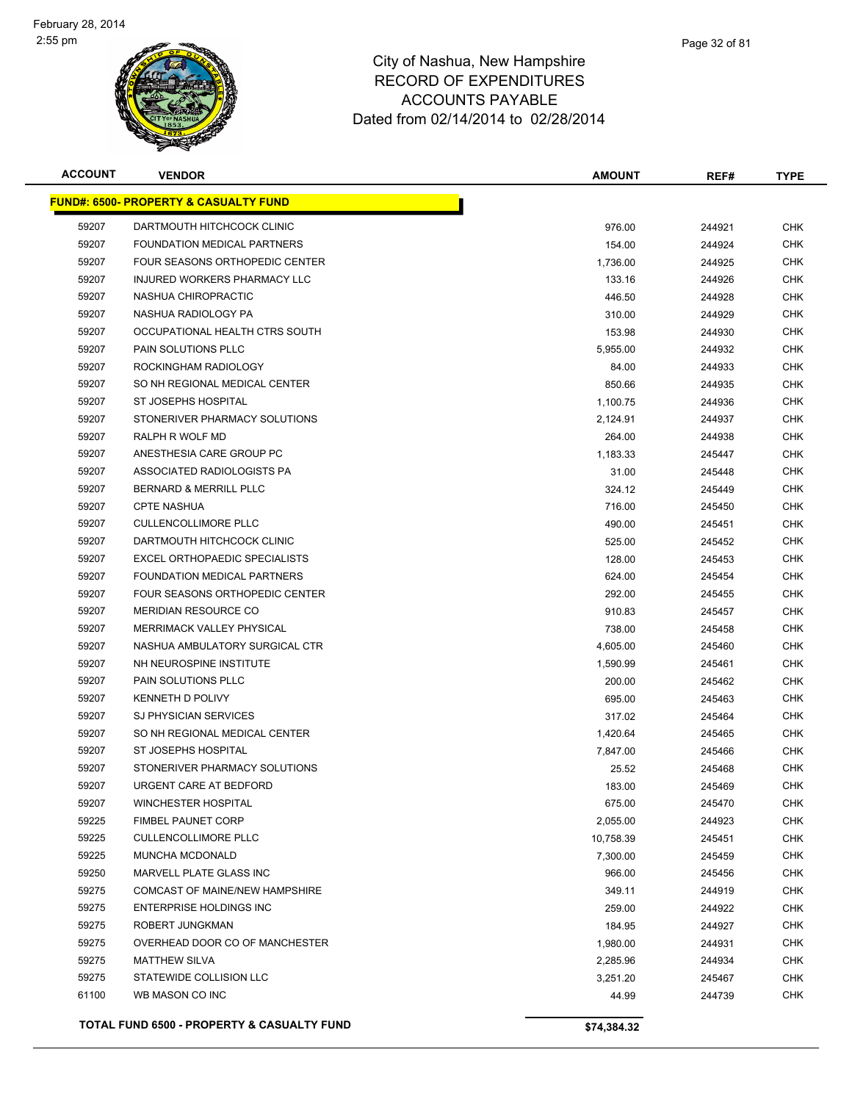

| <b>ACCOUNT</b> | <b>VENDOR</b>                                    | AMOUNT      | REF#   | TYPE       |
|----------------|--------------------------------------------------|-------------|--------|------------|
|                | <b>FUND#: 6500- PROPERTY &amp; CASUALTY FUND</b> |             |        |            |
| 59207          | DARTMOUTH HITCHCOCK CLINIC                       | 976.00      | 244921 | <b>CHK</b> |
| 59207          | FOUNDATION MEDICAL PARTNERS                      | 154.00      | 244924 | CHK        |
| 59207          | FOUR SEASONS ORTHOPEDIC CENTER                   | 1,736.00    | 244925 | CHK        |
| 59207          | INJURED WORKERS PHARMACY LLC                     | 133.16      | 244926 | CHK        |
| 59207          | NASHUA CHIROPRACTIC                              | 446.50      | 244928 | <b>CHK</b> |
| 59207          | NASHUA RADIOLOGY PA                              | 310.00      | 244929 | <b>CHK</b> |
| 59207          | OCCUPATIONAL HEALTH CTRS SOUTH                   | 153.98      | 244930 | CHK        |
| 59207          | PAIN SOLUTIONS PLLC                              | 5,955.00    | 244932 | <b>CHK</b> |
| 59207          | ROCKINGHAM RADIOLOGY                             | 84.00       | 244933 | CHK        |
| 59207          | SO NH REGIONAL MEDICAL CENTER                    | 850.66      | 244935 | CHK        |
| 59207          | ST JOSEPHS HOSPITAL                              | 1,100.75    | 244936 | CHK        |
| 59207          | STONERIVER PHARMACY SOLUTIONS                    | 2,124.91    | 244937 | CHK        |
| 59207          | RALPH R WOLF MD                                  | 264.00      | 244938 | CHK        |
| 59207          | ANESTHESIA CARE GROUP PC                         | 1,183.33    | 245447 | <b>CHK</b> |
| 59207          | ASSOCIATED RADIOLOGISTS PA                       | 31.00       | 245448 | CHK        |
| 59207          | BERNARD & MERRILL PLLC                           | 324.12      | 245449 | CHK        |
| 59207          | <b>CPTE NASHUA</b>                               | 716.00      | 245450 | <b>CHK</b> |
| 59207          | <b>CULLENCOLLIMORE PLLC</b>                      | 490.00      | 245451 | CHK        |
| 59207          | DARTMOUTH HITCHCOCK CLINIC                       | 525.00      | 245452 | <b>CHK</b> |
| 59207          | EXCEL ORTHOPAEDIC SPECIALISTS                    | 128.00      | 245453 | CHK        |
| 59207          | FOUNDATION MEDICAL PARTNERS                      | 624.00      | 245454 | <b>CHK</b> |
| 59207          | FOUR SEASONS ORTHOPEDIC CENTER                   | 292.00      | 245455 | <b>CHK</b> |
| 59207          | <b>MERIDIAN RESOURCE CO</b>                      | 910.83      | 245457 | CHK        |
| 59207          | MERRIMACK VALLEY PHYSICAL                        | 738.00      | 245458 | <b>CHK</b> |
| 59207          | NASHUA AMBULATORY SURGICAL CTR                   | 4,605.00    | 245460 | <b>CHK</b> |
| 59207          | NH NEUROSPINE INSTITUTE                          | 1,590.99    | 245461 | CHK        |
| 59207          | PAIN SOLUTIONS PLLC                              | 200.00      | 245462 | <b>CHK</b> |
| 59207          | KENNETH D POLIVY                                 | 695.00      | 245463 | <b>CHK</b> |
| 59207          | SJ PHYSICIAN SERVICES                            | 317.02      | 245464 | CHK        |
| 59207          | SO NH REGIONAL MEDICAL CENTER                    | 1,420.64    | 245465 | <b>CHK</b> |
| 59207          | <b>ST JOSEPHS HOSPITAL</b>                       | 7,847.00    | 245466 | CHK        |
| 59207          | STONERIVER PHARMACY SOLUTIONS                    | 25.52       | 245468 | CHK        |
| 59207          | URGENT CARE AT BEDFORD                           | 183.00      | 245469 | CHK        |
| 59207          | <b>WINCHESTER HOSPITAL</b>                       | 675.00      | 245470 | CHK        |
| 59225          | <b>FIMBEL PAUNET CORP</b>                        | 2,055.00    | 244923 | <b>CHK</b> |
| 59225          | <b>CULLENCOLLIMORE PLLC</b>                      | 10,758.39   | 245451 | <b>CHK</b> |
| 59225          | MUNCHA MCDONALD                                  | 7,300.00    | 245459 | CHK        |
| 59250          | MARVELL PLATE GLASS INC                          | 966.00      | 245456 | <b>CHK</b> |
| 59275          | <b>COMCAST OF MAINE/NEW HAMPSHIRE</b>            | 349.11      | 244919 | CHK        |
| 59275          | ENTERPRISE HOLDINGS INC                          | 259.00      | 244922 | <b>CHK</b> |
| 59275          | ROBERT JUNGKMAN                                  | 184.95      | 244927 | <b>CHK</b> |
| 59275          | OVERHEAD DOOR CO OF MANCHESTER                   | 1,980.00    | 244931 | CHK        |
| 59275          | <b>MATTHEW SILVA</b>                             | 2,285.96    | 244934 | CHK        |
| 59275          | STATEWIDE COLLISION LLC                          | 3,251.20    | 245467 | CHK        |
| 61100          | WB MASON CO INC                                  | 44.99       | 244739 | CHK        |
|                |                                                  |             |        |            |
|                | TOTAL FUND 6500 - PROPERTY & CASUALTY FUND       | \$74,384.32 |        |            |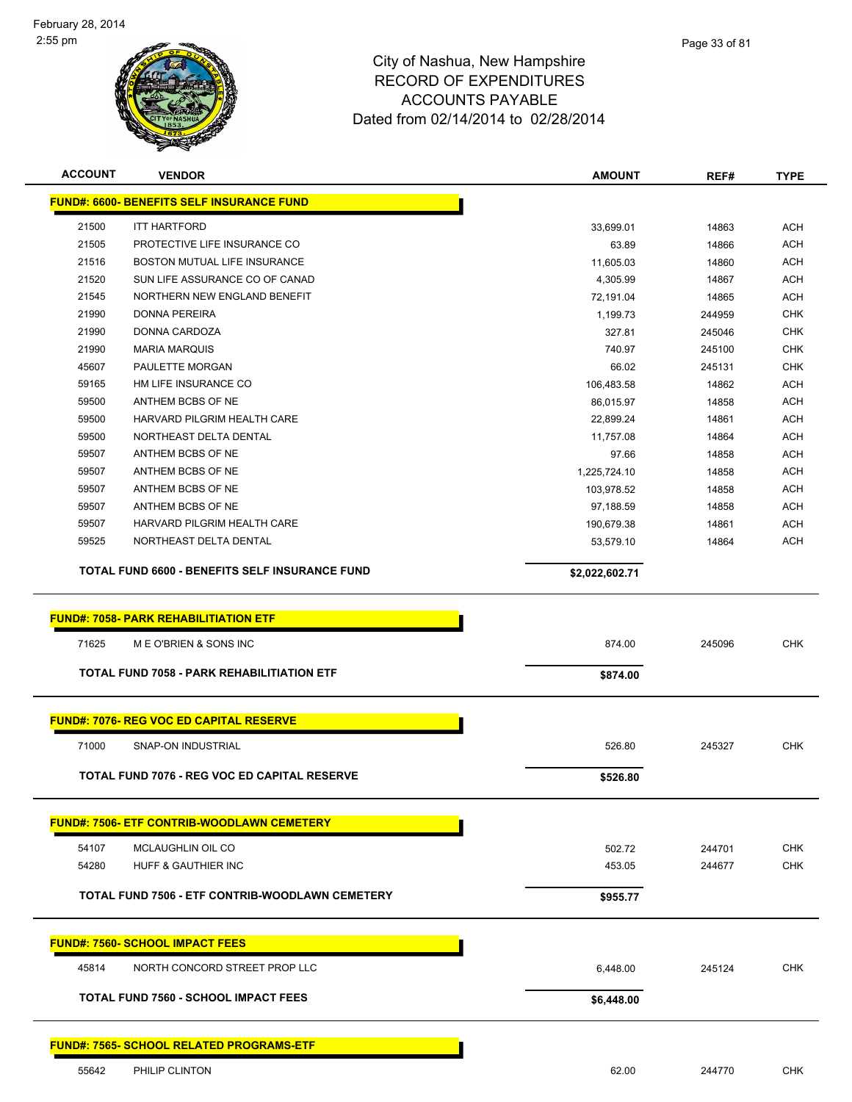

| <b>ACCOUNT</b> | <b>VENDOR</b>                                         | <b>AMOUNT</b>      | REF#           | <b>TYPE</b> |
|----------------|-------------------------------------------------------|--------------------|----------------|-------------|
|                | <b>FUND#: 6600- BENEFITS SELF INSURANCE FUND</b>      |                    |                |             |
| 21500          | <b>ITT HARTFORD</b>                                   |                    |                | <b>ACH</b>  |
| 21505          | PROTECTIVE LIFE INSURANCE CO                          | 33,699.01          | 14863<br>14866 | <b>ACH</b>  |
| 21516          | BOSTON MUTUAL LIFE INSURANCE                          | 63.89<br>11,605.03 | 14860          | <b>ACH</b>  |
| 21520          | SUN LIFE ASSURANCE CO OF CANAD                        | 4,305.99           | 14867          | <b>ACH</b>  |
| 21545          | NORTHERN NEW ENGLAND BENEFIT                          | 72,191.04          | 14865          | <b>ACH</b>  |
| 21990          | <b>DONNA PEREIRA</b>                                  | 1,199.73           | 244959         | <b>CHK</b>  |
| 21990          | DONNA CARDOZA                                         | 327.81             | 245046         | <b>CHK</b>  |
| 21990          | <b>MARIA MARQUIS</b>                                  | 740.97             | 245100         | <b>CHK</b>  |
| 45607          | PAULETTE MORGAN                                       | 66.02              | 245131         | <b>CHK</b>  |
| 59165          | HM LIFE INSURANCE CO                                  | 106,483.58         | 14862          | <b>ACH</b>  |
| 59500          | ANTHEM BCBS OF NE                                     | 86,015.97          | 14858          | <b>ACH</b>  |
| 59500          | HARVARD PILGRIM HEALTH CARE                           | 22,899.24          | 14861          | ACH         |
| 59500          | NORTHEAST DELTA DENTAL                                | 11,757.08          | 14864          | ACH         |
| 59507          | ANTHEM BCBS OF NE                                     | 97.66              | 14858          | ACH         |
| 59507          | ANTHEM BCBS OF NE                                     | 1,225,724.10       | 14858          | <b>ACH</b>  |
| 59507          | ANTHEM BCBS OF NE                                     | 103,978.52         | 14858          | ACH         |
| 59507          | ANTHEM BCBS OF NE                                     | 97,188.59          | 14858          | <b>ACH</b>  |
| 59507          | HARVARD PILGRIM HEALTH CARE                           | 190,679.38         | 14861          | <b>ACH</b>  |
| 59525          | NORTHEAST DELTA DENTAL                                | 53,579.10          | 14864          | <b>ACH</b>  |
|                |                                                       |                    |                |             |
|                | <b>TOTAL FUND 6600 - BENEFITS SELF INSURANCE FUND</b> | \$2,022,602.71     |                |             |
|                |                                                       |                    |                |             |
|                | <b>FUND#: 7058- PARK REHABILITIATION ETF</b>          |                    |                |             |
| 71625          | M E O'BRIEN & SONS INC                                | 874.00             | 245096         | <b>CHK</b>  |
|                | <b>TOTAL FUND 7058 - PARK REHABILITIATION ETF</b>     | \$874.00           |                |             |
|                |                                                       |                    |                |             |
|                | <b>FUND#: 7076- REG VOC ED CAPITAL RESERVE</b>        |                    |                |             |
|                |                                                       |                    |                |             |
| 71000          | SNAP-ON INDUSTRIAL                                    | 526.80             | 245327         | <b>CHK</b>  |
|                | TOTAL FUND 7076 - REG VOC ED CAPITAL RESERVE          | \$526.80           |                |             |
|                |                                                       |                    |                |             |
|                | <b>FUND#: 7506- ETF CONTRIB-WOODLAWN CEMETERY</b>     |                    |                |             |
| 54107          | MCLAUGHLIN OIL CO                                     | 502.72             | 244701         | <b>CHK</b>  |
| 54280          | HUFF & GAUTHIER INC                                   | 453.05             | 244677         | <b>CHK</b>  |
|                |                                                       |                    |                |             |
|                | TOTAL FUND 7506 - ETF CONTRIB-WOODLAWN CEMETERY       | \$955.77           |                |             |
|                |                                                       |                    |                |             |
|                | <b>FUND#: 7560- SCHOOL IMPACT FEES</b>                |                    |                |             |
| 45814          | NORTH CONCORD STREET PROP LLC                         | 6,448.00           | 245124         | <b>CHK</b>  |
|                | <b>TOTAL FUND 7560 - SCHOOL IMPACT FEES</b>           | \$6,448.00         |                |             |
|                |                                                       |                    |                |             |
|                | <b>FUND#: 7565- SCHOOL RELATED PROGRAMS-ETF</b>       |                    |                |             |
| 55642          | PHILIP CLINTON                                        | 62.00              | 244770         | <b>CHK</b>  |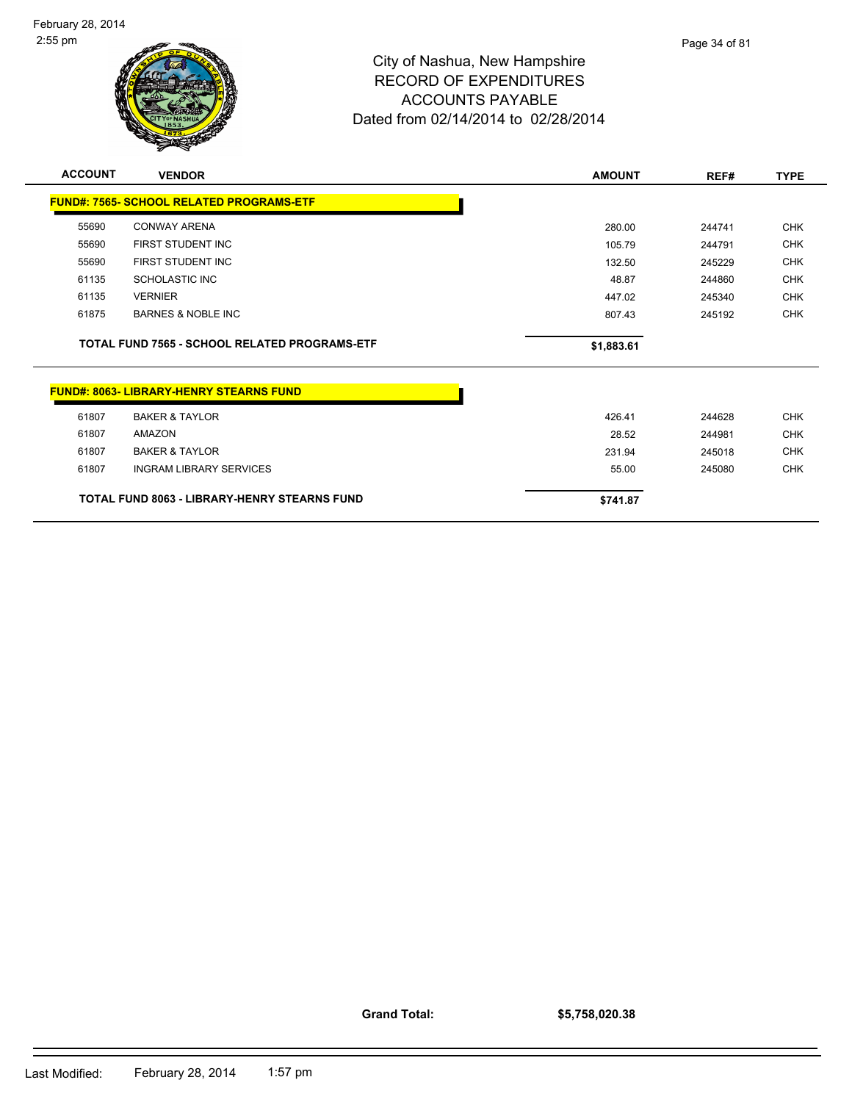

| <b>ACCOUNT</b> | <b>VENDOR</b>                                   | <b>AMOUNT</b> | REF#   | <b>TYPE</b> |
|----------------|-------------------------------------------------|---------------|--------|-------------|
|                | <b>FUND#: 7565- SCHOOL RELATED PROGRAMS-ETF</b> |               |        |             |
| 55690          | <b>CONWAY ARENA</b>                             | 280.00        | 244741 | <b>CHK</b>  |
| 55690          | FIRST STUDENT INC                               | 105.79        | 244791 | <b>CHK</b>  |
| 55690          | FIRST STUDENT INC                               | 132.50        | 245229 | <b>CHK</b>  |
| 61135          | <b>SCHOLASTIC INC</b>                           | 48.87         | 244860 | <b>CHK</b>  |
| 61135          | <b>VERNIER</b>                                  | 447.02        | 245340 | <b>CHK</b>  |
| 61875          | <b>BARNES &amp; NOBLE INC</b>                   | 807.43        | 245192 | <b>CHK</b>  |
|                | TOTAL FUND 7565 - SCHOOL RELATED PROGRAMS-ETF   | \$1,883.61    |        |             |
|                | <b>FUND#: 8063- LIBRARY-HENRY STEARNS FUND</b>  |               |        |             |
| 61807          | <b>BAKER &amp; TAYLOR</b>                       | 426.41        | 244628 | <b>CHK</b>  |
| 61807          | <b>AMAZON</b>                                   | 28.52         | 244981 | <b>CHK</b>  |
| 61807          | <b>BAKER &amp; TAYLOR</b>                       | 231.94        | 245018 | <b>CHK</b>  |
| 61807          | <b>INGRAM LIBRARY SERVICES</b>                  | 55.00         | 245080 | <b>CHK</b>  |
|                | TOTAL FUND 8063 - LIBRARY-HENRY STEARNS FUND    | \$741.87      |        |             |

**Grand Total:**

**\$5,758,020.38**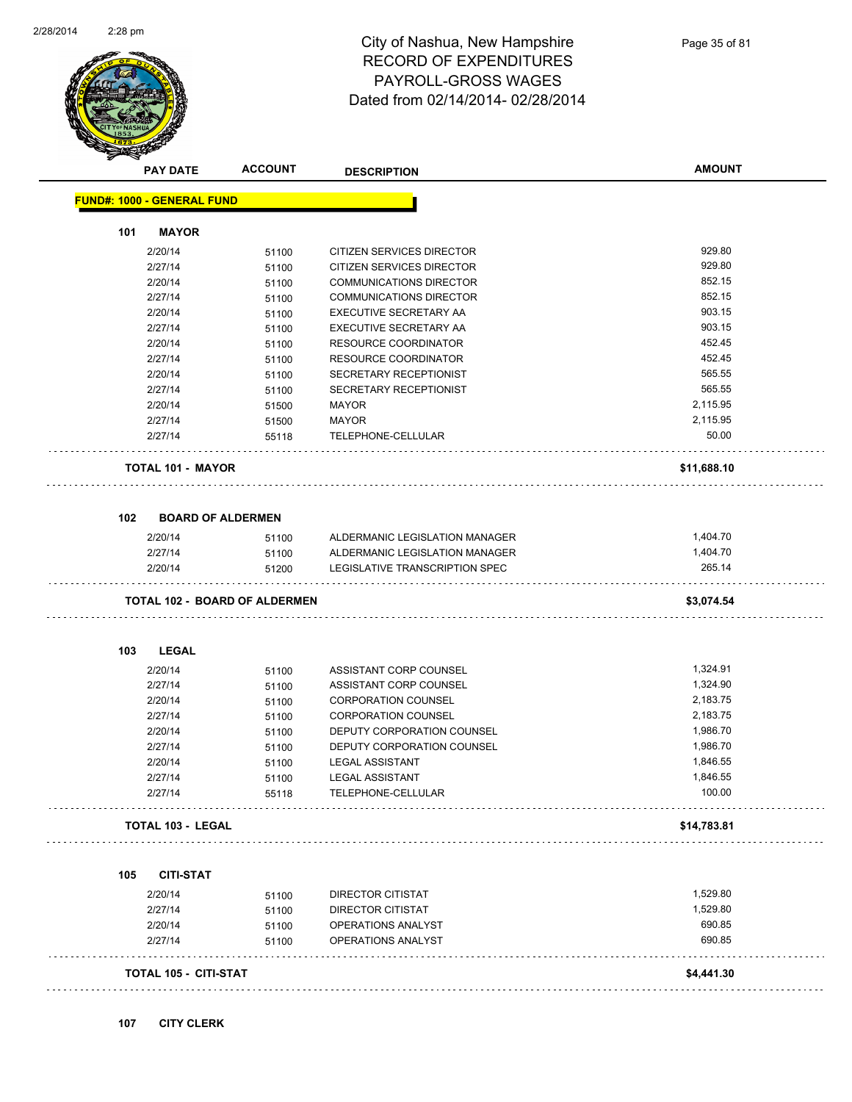

#### City of Nashua, New Hampshire RECORD OF EXPENDITURES PAYROLL-GROSS WAGES Dated from 02/14/2014- 02/28/2014

| <b>FUND#: 1000 - GENERAL FUND</b><br><b>MAYOR</b><br>101<br>929.80<br>2/20/14<br>CITIZEN SERVICES DIRECTOR<br>51100<br>929.80<br>2/27/14<br>CITIZEN SERVICES DIRECTOR<br>51100<br>852.15<br>2/20/14<br><b>COMMUNICATIONS DIRECTOR</b><br>51100<br>852.15<br>2/27/14<br><b>COMMUNICATIONS DIRECTOR</b><br>51100<br>903.15<br>2/20/14<br>EXECUTIVE SECRETARY AA<br>51100<br>903.15<br>2/27/14<br>EXECUTIVE SECRETARY AA<br>51100<br>452.45<br>2/20/14<br>RESOURCE COORDINATOR<br>51100<br>452.45<br>2/27/14<br><b>RESOURCE COORDINATOR</b><br>51100<br>565.55<br>2/20/14<br>SECRETARY RECEPTIONIST<br>51100<br>565.55<br>2/27/14<br>SECRETARY RECEPTIONIST<br>51100<br>2,115.95<br>2/20/14<br><b>MAYOR</b><br>51500<br>2,115.95<br>2/27/14<br><b>MAYOR</b><br>51500<br>50.00<br>2/27/14<br>TELEPHONE-CELLULAR<br>55118<br><b>TOTAL 101 - MAYOR</b><br>\$11,688.10<br>102<br><b>BOARD OF ALDERMEN</b><br>1,404.70<br>2/20/14<br>ALDERMANIC LEGISLATION MANAGER<br>51100<br>1,404.70<br>2/27/14<br>51100<br>ALDERMANIC LEGISLATION MANAGER<br>LEGISLATIVE TRANSCRIPTION SPEC<br>265.14<br>2/20/14<br>51200<br><b>TOTAL 102 - BOARD OF ALDERMEN</b><br>\$3,074.54<br>103<br><b>LEGAL</b><br>1,324.91<br>2/20/14<br>ASSISTANT CORP COUNSEL<br>51100<br>1,324.90<br>2/27/14<br>ASSISTANT CORP COUNSEL<br>51100<br>2,183.75<br>2/20/14<br><b>CORPORATION COUNSEL</b><br>51100<br>2,183.75<br>2/27/14<br><b>CORPORATION COUNSEL</b><br>51100<br>1,986.70<br>2/20/14<br>DEPUTY CORPORATION COUNSEL<br>51100<br>1,986.70<br>2/27/14<br>51100<br>DEPUTY CORPORATION COUNSEL<br>1,846.55<br>2/20/14<br><b>LEGAL ASSISTANT</b><br>51100<br>2/27/14<br>1,846.55<br><b>LEGAL ASSISTANT</b><br>51100<br>100.00<br>2/27/14<br>TELEPHONE-CELLULAR<br>55118<br><b>TOTAL 103 - LEGAL</b><br>\$14,783.81<br><b>CITI-STAT</b><br>1,529.80<br>2/20/14<br>DIRECTOR CITISTAT<br>51100<br>1,529.80<br>2/27/14<br>DIRECTOR CITISTAT<br>51100<br>690.85<br>2/20/14<br>OPERATIONS ANALYST<br>51100<br>690.85<br>2/27/14<br>OPERATIONS ANALYST<br>51100<br><b>TOTAL 105 - CITI-STAT</b><br>\$4,441.30 | <b>PAY DATE</b> | <b>ACCOUNT</b> | <b>DESCRIPTION</b> | <b>AMOUNT</b> |
|------------------------------------------------------------------------------------------------------------------------------------------------------------------------------------------------------------------------------------------------------------------------------------------------------------------------------------------------------------------------------------------------------------------------------------------------------------------------------------------------------------------------------------------------------------------------------------------------------------------------------------------------------------------------------------------------------------------------------------------------------------------------------------------------------------------------------------------------------------------------------------------------------------------------------------------------------------------------------------------------------------------------------------------------------------------------------------------------------------------------------------------------------------------------------------------------------------------------------------------------------------------------------------------------------------------------------------------------------------------------------------------------------------------------------------------------------------------------------------------------------------------------------------------------------------------------------------------------------------------------------------------------------------------------------------------------------------------------------------------------------------------------------------------------------------------------------------------------------------------------------------------------------------------------------------------------------------------------------------------------------------------------------------------------------------------------|-----------------|----------------|--------------------|---------------|
|                                                                                                                                                                                                                                                                                                                                                                                                                                                                                                                                                                                                                                                                                                                                                                                                                                                                                                                                                                                                                                                                                                                                                                                                                                                                                                                                                                                                                                                                                                                                                                                                                                                                                                                                                                                                                                                                                                                                                                                                                                                                        |                 |                |                    |               |
|                                                                                                                                                                                                                                                                                                                                                                                                                                                                                                                                                                                                                                                                                                                                                                                                                                                                                                                                                                                                                                                                                                                                                                                                                                                                                                                                                                                                                                                                                                                                                                                                                                                                                                                                                                                                                                                                                                                                                                                                                                                                        |                 |                |                    |               |
|                                                                                                                                                                                                                                                                                                                                                                                                                                                                                                                                                                                                                                                                                                                                                                                                                                                                                                                                                                                                                                                                                                                                                                                                                                                                                                                                                                                                                                                                                                                                                                                                                                                                                                                                                                                                                                                                                                                                                                                                                                                                        |                 |                |                    |               |
|                                                                                                                                                                                                                                                                                                                                                                                                                                                                                                                                                                                                                                                                                                                                                                                                                                                                                                                                                                                                                                                                                                                                                                                                                                                                                                                                                                                                                                                                                                                                                                                                                                                                                                                                                                                                                                                                                                                                                                                                                                                                        |                 |                |                    |               |
|                                                                                                                                                                                                                                                                                                                                                                                                                                                                                                                                                                                                                                                                                                                                                                                                                                                                                                                                                                                                                                                                                                                                                                                                                                                                                                                                                                                                                                                                                                                                                                                                                                                                                                                                                                                                                                                                                                                                                                                                                                                                        |                 |                |                    |               |
|                                                                                                                                                                                                                                                                                                                                                                                                                                                                                                                                                                                                                                                                                                                                                                                                                                                                                                                                                                                                                                                                                                                                                                                                                                                                                                                                                                                                                                                                                                                                                                                                                                                                                                                                                                                                                                                                                                                                                                                                                                                                        |                 |                |                    |               |
|                                                                                                                                                                                                                                                                                                                                                                                                                                                                                                                                                                                                                                                                                                                                                                                                                                                                                                                                                                                                                                                                                                                                                                                                                                                                                                                                                                                                                                                                                                                                                                                                                                                                                                                                                                                                                                                                                                                                                                                                                                                                        |                 |                |                    |               |
|                                                                                                                                                                                                                                                                                                                                                                                                                                                                                                                                                                                                                                                                                                                                                                                                                                                                                                                                                                                                                                                                                                                                                                                                                                                                                                                                                                                                                                                                                                                                                                                                                                                                                                                                                                                                                                                                                                                                                                                                                                                                        |                 |                |                    |               |
|                                                                                                                                                                                                                                                                                                                                                                                                                                                                                                                                                                                                                                                                                                                                                                                                                                                                                                                                                                                                                                                                                                                                                                                                                                                                                                                                                                                                                                                                                                                                                                                                                                                                                                                                                                                                                                                                                                                                                                                                                                                                        |                 |                |                    |               |
|                                                                                                                                                                                                                                                                                                                                                                                                                                                                                                                                                                                                                                                                                                                                                                                                                                                                                                                                                                                                                                                                                                                                                                                                                                                                                                                                                                                                                                                                                                                                                                                                                                                                                                                                                                                                                                                                                                                                                                                                                                                                        |                 |                |                    |               |
|                                                                                                                                                                                                                                                                                                                                                                                                                                                                                                                                                                                                                                                                                                                                                                                                                                                                                                                                                                                                                                                                                                                                                                                                                                                                                                                                                                                                                                                                                                                                                                                                                                                                                                                                                                                                                                                                                                                                                                                                                                                                        |                 |                |                    |               |
|                                                                                                                                                                                                                                                                                                                                                                                                                                                                                                                                                                                                                                                                                                                                                                                                                                                                                                                                                                                                                                                                                                                                                                                                                                                                                                                                                                                                                                                                                                                                                                                                                                                                                                                                                                                                                                                                                                                                                                                                                                                                        |                 |                |                    |               |
|                                                                                                                                                                                                                                                                                                                                                                                                                                                                                                                                                                                                                                                                                                                                                                                                                                                                                                                                                                                                                                                                                                                                                                                                                                                                                                                                                                                                                                                                                                                                                                                                                                                                                                                                                                                                                                                                                                                                                                                                                                                                        |                 |                |                    |               |
|                                                                                                                                                                                                                                                                                                                                                                                                                                                                                                                                                                                                                                                                                                                                                                                                                                                                                                                                                                                                                                                                                                                                                                                                                                                                                                                                                                                                                                                                                                                                                                                                                                                                                                                                                                                                                                                                                                                                                                                                                                                                        |                 |                |                    |               |
|                                                                                                                                                                                                                                                                                                                                                                                                                                                                                                                                                                                                                                                                                                                                                                                                                                                                                                                                                                                                                                                                                                                                                                                                                                                                                                                                                                                                                                                                                                                                                                                                                                                                                                                                                                                                                                                                                                                                                                                                                                                                        |                 |                |                    |               |
|                                                                                                                                                                                                                                                                                                                                                                                                                                                                                                                                                                                                                                                                                                                                                                                                                                                                                                                                                                                                                                                                                                                                                                                                                                                                                                                                                                                                                                                                                                                                                                                                                                                                                                                                                                                                                                                                                                                                                                                                                                                                        |                 |                |                    |               |
|                                                                                                                                                                                                                                                                                                                                                                                                                                                                                                                                                                                                                                                                                                                                                                                                                                                                                                                                                                                                                                                                                                                                                                                                                                                                                                                                                                                                                                                                                                                                                                                                                                                                                                                                                                                                                                                                                                                                                                                                                                                                        |                 |                |                    |               |
|                                                                                                                                                                                                                                                                                                                                                                                                                                                                                                                                                                                                                                                                                                                                                                                                                                                                                                                                                                                                                                                                                                                                                                                                                                                                                                                                                                                                                                                                                                                                                                                                                                                                                                                                                                                                                                                                                                                                                                                                                                                                        |                 |                |                    |               |
|                                                                                                                                                                                                                                                                                                                                                                                                                                                                                                                                                                                                                                                                                                                                                                                                                                                                                                                                                                                                                                                                                                                                                                                                                                                                                                                                                                                                                                                                                                                                                                                                                                                                                                                                                                                                                                                                                                                                                                                                                                                                        |                 |                |                    |               |
|                                                                                                                                                                                                                                                                                                                                                                                                                                                                                                                                                                                                                                                                                                                                                                                                                                                                                                                                                                                                                                                                                                                                                                                                                                                                                                                                                                                                                                                                                                                                                                                                                                                                                                                                                                                                                                                                                                                                                                                                                                                                        |                 |                |                    |               |
|                                                                                                                                                                                                                                                                                                                                                                                                                                                                                                                                                                                                                                                                                                                                                                                                                                                                                                                                                                                                                                                                                                                                                                                                                                                                                                                                                                                                                                                                                                                                                                                                                                                                                                                                                                                                                                                                                                                                                                                                                                                                        |                 |                |                    |               |
|                                                                                                                                                                                                                                                                                                                                                                                                                                                                                                                                                                                                                                                                                                                                                                                                                                                                                                                                                                                                                                                                                                                                                                                                                                                                                                                                                                                                                                                                                                                                                                                                                                                                                                                                                                                                                                                                                                                                                                                                                                                                        |                 |                |                    |               |
|                                                                                                                                                                                                                                                                                                                                                                                                                                                                                                                                                                                                                                                                                                                                                                                                                                                                                                                                                                                                                                                                                                                                                                                                                                                                                                                                                                                                                                                                                                                                                                                                                                                                                                                                                                                                                                                                                                                                                                                                                                                                        |                 |                |                    |               |
|                                                                                                                                                                                                                                                                                                                                                                                                                                                                                                                                                                                                                                                                                                                                                                                                                                                                                                                                                                                                                                                                                                                                                                                                                                                                                                                                                                                                                                                                                                                                                                                                                                                                                                                                                                                                                                                                                                                                                                                                                                                                        |                 |                |                    |               |
|                                                                                                                                                                                                                                                                                                                                                                                                                                                                                                                                                                                                                                                                                                                                                                                                                                                                                                                                                                                                                                                                                                                                                                                                                                                                                                                                                                                                                                                                                                                                                                                                                                                                                                                                                                                                                                                                                                                                                                                                                                                                        |                 |                |                    |               |
|                                                                                                                                                                                                                                                                                                                                                                                                                                                                                                                                                                                                                                                                                                                                                                                                                                                                                                                                                                                                                                                                                                                                                                                                                                                                                                                                                                                                                                                                                                                                                                                                                                                                                                                                                                                                                                                                                                                                                                                                                                                                        |                 |                |                    |               |
|                                                                                                                                                                                                                                                                                                                                                                                                                                                                                                                                                                                                                                                                                                                                                                                                                                                                                                                                                                                                                                                                                                                                                                                                                                                                                                                                                                                                                                                                                                                                                                                                                                                                                                                                                                                                                                                                                                                                                                                                                                                                        |                 |                |                    |               |
|                                                                                                                                                                                                                                                                                                                                                                                                                                                                                                                                                                                                                                                                                                                                                                                                                                                                                                                                                                                                                                                                                                                                                                                                                                                                                                                                                                                                                                                                                                                                                                                                                                                                                                                                                                                                                                                                                                                                                                                                                                                                        |                 |                |                    |               |
|                                                                                                                                                                                                                                                                                                                                                                                                                                                                                                                                                                                                                                                                                                                                                                                                                                                                                                                                                                                                                                                                                                                                                                                                                                                                                                                                                                                                                                                                                                                                                                                                                                                                                                                                                                                                                                                                                                                                                                                                                                                                        |                 |                |                    |               |
|                                                                                                                                                                                                                                                                                                                                                                                                                                                                                                                                                                                                                                                                                                                                                                                                                                                                                                                                                                                                                                                                                                                                                                                                                                                                                                                                                                                                                                                                                                                                                                                                                                                                                                                                                                                                                                                                                                                                                                                                                                                                        |                 |                |                    |               |
|                                                                                                                                                                                                                                                                                                                                                                                                                                                                                                                                                                                                                                                                                                                                                                                                                                                                                                                                                                                                                                                                                                                                                                                                                                                                                                                                                                                                                                                                                                                                                                                                                                                                                                                                                                                                                                                                                                                                                                                                                                                                        |                 |                |                    |               |
|                                                                                                                                                                                                                                                                                                                                                                                                                                                                                                                                                                                                                                                                                                                                                                                                                                                                                                                                                                                                                                                                                                                                                                                                                                                                                                                                                                                                                                                                                                                                                                                                                                                                                                                                                                                                                                                                                                                                                                                                                                                                        |                 |                |                    |               |
|                                                                                                                                                                                                                                                                                                                                                                                                                                                                                                                                                                                                                                                                                                                                                                                                                                                                                                                                                                                                                                                                                                                                                                                                                                                                                                                                                                                                                                                                                                                                                                                                                                                                                                                                                                                                                                                                                                                                                                                                                                                                        |                 |                |                    |               |
|                                                                                                                                                                                                                                                                                                                                                                                                                                                                                                                                                                                                                                                                                                                                                                                                                                                                                                                                                                                                                                                                                                                                                                                                                                                                                                                                                                                                                                                                                                                                                                                                                                                                                                                                                                                                                                                                                                                                                                                                                                                                        |                 |                |                    |               |
|                                                                                                                                                                                                                                                                                                                                                                                                                                                                                                                                                                                                                                                                                                                                                                                                                                                                                                                                                                                                                                                                                                                                                                                                                                                                                                                                                                                                                                                                                                                                                                                                                                                                                                                                                                                                                                                                                                                                                                                                                                                                        | 105             |                |                    |               |
|                                                                                                                                                                                                                                                                                                                                                                                                                                                                                                                                                                                                                                                                                                                                                                                                                                                                                                                                                                                                                                                                                                                                                                                                                                                                                                                                                                                                                                                                                                                                                                                                                                                                                                                                                                                                                                                                                                                                                                                                                                                                        |                 |                |                    |               |
|                                                                                                                                                                                                                                                                                                                                                                                                                                                                                                                                                                                                                                                                                                                                                                                                                                                                                                                                                                                                                                                                                                                                                                                                                                                                                                                                                                                                                                                                                                                                                                                                                                                                                                                                                                                                                                                                                                                                                                                                                                                                        |                 |                |                    |               |
|                                                                                                                                                                                                                                                                                                                                                                                                                                                                                                                                                                                                                                                                                                                                                                                                                                                                                                                                                                                                                                                                                                                                                                                                                                                                                                                                                                                                                                                                                                                                                                                                                                                                                                                                                                                                                                                                                                                                                                                                                                                                        |                 |                |                    |               |
|                                                                                                                                                                                                                                                                                                                                                                                                                                                                                                                                                                                                                                                                                                                                                                                                                                                                                                                                                                                                                                                                                                                                                                                                                                                                                                                                                                                                                                                                                                                                                                                                                                                                                                                                                                                                                                                                                                                                                                                                                                                                        |                 |                |                    |               |
|                                                                                                                                                                                                                                                                                                                                                                                                                                                                                                                                                                                                                                                                                                                                                                                                                                                                                                                                                                                                                                                                                                                                                                                                                                                                                                                                                                                                                                                                                                                                                                                                                                                                                                                                                                                                                                                                                                                                                                                                                                                                        |                 |                |                    |               |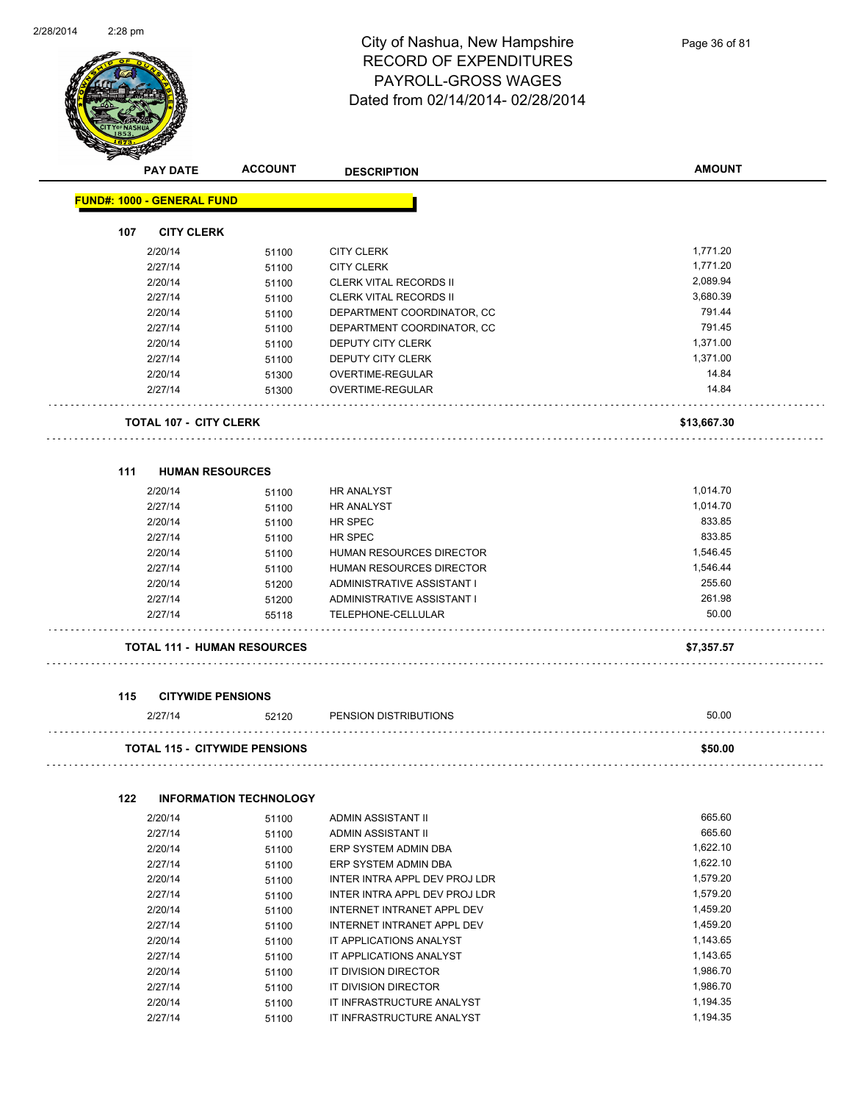

#### City of Nashua, New Hampshire RECORD OF EXPENDITURES PAYROLL-GROSS WAGES Dated from 02/14/2014- 02/28/2014

|     | <b>PAY DATE</b>                   | <b>ACCOUNT</b>                       | <b>DESCRIPTION</b>            | <b>AMOUNT</b> |
|-----|-----------------------------------|--------------------------------------|-------------------------------|---------------|
|     | <b>FUND#: 1000 - GENERAL FUND</b> |                                      |                               |               |
| 107 | <b>CITY CLERK</b>                 |                                      |                               |               |
|     | 2/20/14                           | 51100                                | <b>CITY CLERK</b>             | 1,771.20      |
|     | 2/27/14                           | 51100                                | <b>CITY CLERK</b>             | 1,771.20      |
|     | 2/20/14                           | 51100                                | <b>CLERK VITAL RECORDS II</b> | 2,089.94      |
|     | 2/27/14                           | 51100                                | <b>CLERK VITAL RECORDS II</b> | 3,680.39      |
|     | 2/20/14                           | 51100                                | DEPARTMENT COORDINATOR, CC    | 791.44        |
|     | 2/27/14                           | 51100                                | DEPARTMENT COORDINATOR, CC    | 791.45        |
|     | 2/20/14                           | 51100                                | DEPUTY CITY CLERK             | 1,371.00      |
|     | 2/27/14                           | 51100                                | DEPUTY CITY CLERK             | 1,371.00      |
|     | 2/20/14                           | 51300                                | OVERTIME-REGULAR              | 14.84         |
|     | 2/27/14                           | 51300                                | OVERTIME-REGULAR              | 14.84         |
|     | <b>TOTAL 107 - CITY CLERK</b>     |                                      |                               | \$13,667.30   |
| 111 | <b>HUMAN RESOURCES</b>            |                                      |                               |               |
|     | 2/20/14                           |                                      | <b>HR ANALYST</b>             | 1,014.70      |
|     | 2/27/14                           | 51100                                | <b>HR ANALYST</b>             | 1,014.70      |
|     | 2/20/14                           | 51100<br>51100                       | HR SPEC                       | 833.85        |
|     | 2/27/14                           | 51100                                | HR SPEC                       | 833.85        |
|     | 2/20/14                           | 51100                                | HUMAN RESOURCES DIRECTOR      | 1,546.45      |
|     | 2/27/14                           | 51100                                | HUMAN RESOURCES DIRECTOR      | 1,546.44      |
|     | 2/20/14                           | 51200                                | ADMINISTRATIVE ASSISTANT I    | 255.60        |
|     | 2/27/14                           | 51200                                | ADMINISTRATIVE ASSISTANT I    | 261.98        |
|     | 2/27/14                           | 55118                                | TELEPHONE-CELLULAR            | 50.00         |
|     |                                   | <b>TOTAL 111 - HUMAN RESOURCES</b>   |                               | \$7,357.57    |
| 115 | <b>CITYWIDE PENSIONS</b>          |                                      |                               |               |
|     | 2/27/14                           | 52120                                | PENSION DISTRIBUTIONS         | 50.00         |
|     |                                   | <b>TOTAL 115 - CITYWIDE PENSIONS</b> |                               | \$50.00       |
| 122 |                                   | <b>INFORMATION TECHNOLOGY</b>        |                               |               |
|     | 2/20/14                           | 51100                                | ADMIN ASSISTANT II            | 665.60        |
|     | 2/27/14                           | 51100                                | ADMIN ASSISTANT II            | 665.60        |
|     | 2/20/14                           | 51100                                | ERP SYSTEM ADMIN DBA          | 1,622.10      |
|     | 2/27/14                           | 51100                                | ERP SYSTEM ADMIN DBA          | 1,622.10      |
|     | 2/20/14                           | 51100                                | INTER INTRA APPL DEV PROJ LDR | 1,579.20      |
|     | 2/27/14                           | 51100                                | INTER INTRA APPL DEV PROJ LDR | 1,579.20      |
|     | 2/20/14                           | 51100                                | INTERNET INTRANET APPL DEV    | 1,459.20      |
|     | 2/27/14                           | 51100                                | INTERNET INTRANET APPL DEV    | 1,459.20      |
|     | 2/20/14                           | 51100                                | IT APPLICATIONS ANALYST       | 1,143.65      |
|     | 2/27/14                           | 51100                                | IT APPLICATIONS ANALYST       | 1,143.65      |
|     | 2/20/14                           | 51100                                | IT DIVISION DIRECTOR          | 1,986.70      |
|     | 2/27/14                           | 51100                                | IT DIVISION DIRECTOR          | 1,986.70      |

2/20/14 51100 IT INFRASTRUCTURE ANALYST 2/27/14 51100 IT INFRASTRUCTURE ANALYST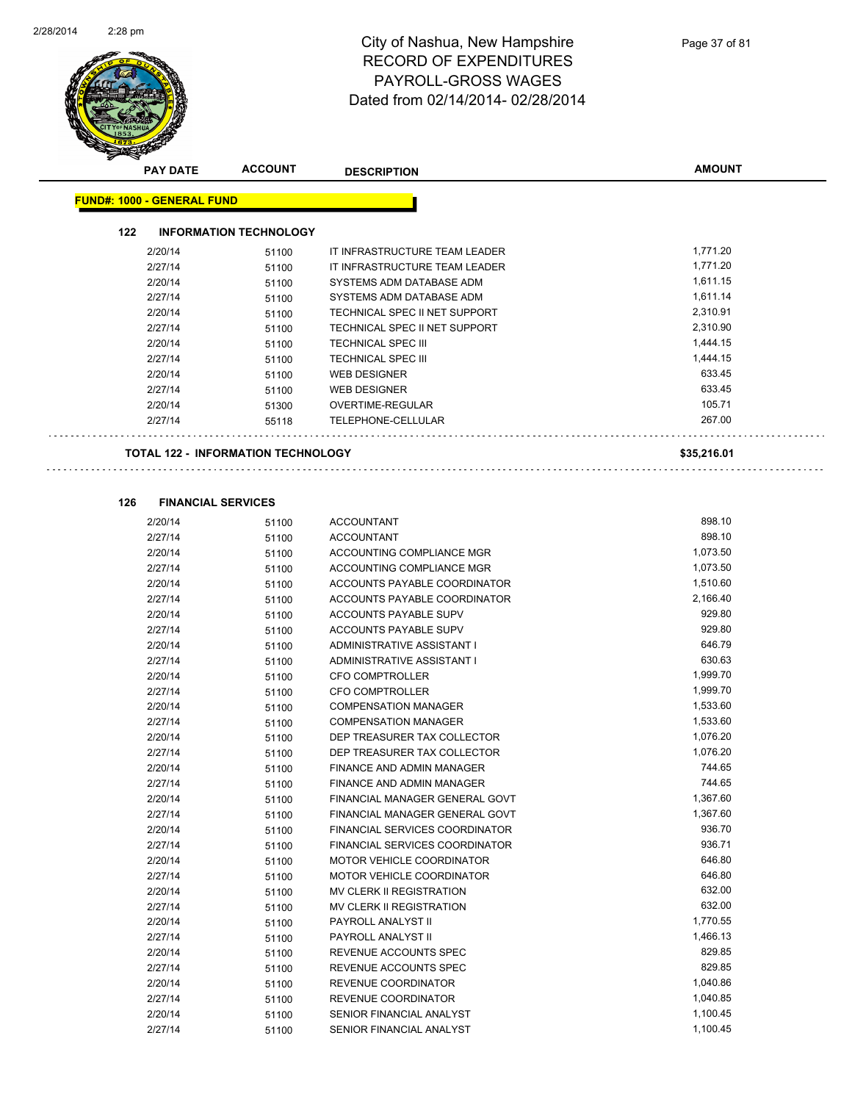

|     | <b>PAY DATE</b>                   | <b>ACCOUNT</b>                            | <b>DESCRIPTION</b>             | <b>AMOUNT</b> |
|-----|-----------------------------------|-------------------------------------------|--------------------------------|---------------|
|     | <b>FUND#: 1000 - GENERAL FUND</b> |                                           |                                |               |
|     |                                   |                                           |                                |               |
| 122 |                                   | <b>INFORMATION TECHNOLOGY</b>             |                                |               |
|     | 2/20/14                           | 51100                                     | IT INFRASTRUCTURE TEAM LEADER  | 1,771.20      |
|     | 2/27/14                           | 51100                                     | IT INFRASTRUCTURE TEAM LEADER  | 1,771.20      |
|     | 2/20/14                           | 51100                                     | SYSTEMS ADM DATABASE ADM       | 1,611.15      |
|     | 2/27/14                           | 51100                                     | SYSTEMS ADM DATABASE ADM       | 1,611.14      |
|     | 2/20/14                           | 51100                                     | TECHNICAL SPEC II NET SUPPORT  | 2,310.91      |
|     | 2/27/14                           | 51100                                     | TECHNICAL SPEC II NET SUPPORT  | 2,310.90      |
|     | 2/20/14                           | 51100                                     | <b>TECHNICAL SPEC III</b>      | 1,444.15      |
|     | 2/27/14                           | 51100                                     | <b>TECHNICAL SPEC III</b>      | 1,444.15      |
|     | 2/20/14                           | 51100                                     | <b>WEB DESIGNER</b>            | 633.45        |
|     | 2/27/14                           | 51100                                     | <b>WEB DESIGNER</b>            | 633.45        |
|     | 2/20/14                           | 51300                                     | OVERTIME-REGULAR               | 105.71        |
|     | 2/27/14                           | 55118                                     | TELEPHONE-CELLULAR             | 267.00        |
|     |                                   | <b>TOTAL 122 - INFORMATION TECHNOLOGY</b> |                                | \$35,216.01   |
|     |                                   |                                           |                                |               |
|     |                                   |                                           |                                |               |
| 126 |                                   | <b>FINANCIAL SERVICES</b>                 |                                |               |
|     | 2/20/14                           | 51100                                     | <b>ACCOUNTANT</b>              | 898.10        |
|     | 2/27/14                           | 51100                                     | <b>ACCOUNTANT</b>              | 898.10        |
|     | 2/20/14                           | 51100                                     | ACCOUNTING COMPLIANCE MGR      | 1,073.50      |
|     | 2/27/14                           | 51100                                     | ACCOUNTING COMPLIANCE MGR      | 1,073.50      |
|     | 2/20/14                           | 51100                                     | ACCOUNTS PAYABLE COORDINATOR   | 1,510.60      |
|     | 2/27/14                           | 51100                                     | ACCOUNTS PAYABLE COORDINATOR   | 2,166.40      |
|     | 2/20/14                           | 51100                                     | ACCOUNTS PAYABLE SUPV          | 929.80        |
|     | 2/27/14                           | 51100                                     | ACCOUNTS PAYABLE SUPV          | 929.80        |
|     | 2/20/14                           | 51100                                     | ADMINISTRATIVE ASSISTANT I     | 646.79        |
|     | 2/27/14                           | 51100                                     | ADMINISTRATIVE ASSISTANT I     | 630.63        |
|     | 2/20/14                           | 51100                                     | <b>CFO COMPTROLLER</b>         | 1,999.70      |
|     | 2/27/14                           | 51100                                     | <b>CFO COMPTROLLER</b>         | 1,999.70      |
|     | 2/20/14                           | 51100                                     | <b>COMPENSATION MANAGER</b>    | 1,533.60      |
|     | 2/27/14                           | 51100                                     | <b>COMPENSATION MANAGER</b>    | 1,533.60      |
|     | 2/20/14                           | 51100                                     | DEP TREASURER TAX COLLECTOR    | 1,076.20      |
|     | 2/27/14                           | 51100                                     | DEP TREASURER TAX COLLECTOR    | 1,076.20      |
|     | 2/20/14                           | 51100                                     | FINANCE AND ADMIN MANAGER      | 744.65        |
|     | 2/27/14                           | 51100                                     | FINANCE AND ADMIN MANAGER      | 744.65        |
|     | 2/20/14                           | 51100                                     | FINANCIAL MANAGER GENERAL GOVT | 1,367.60      |
|     | 2/27/14                           | 51100                                     | FINANCIAL MANAGER GENERAL GOVT | 1,367.60      |
|     | 2/20/14                           | 51100                                     | FINANCIAL SERVICES COORDINATOR | 936.70        |
|     | 2/27/14                           | 51100                                     | FINANCIAL SERVICES COORDINATOR | 936.71        |
|     | 2/20/14                           | 51100                                     | MOTOR VEHICLE COORDINATOR      | 646.80        |
|     | 2/27/14                           | 51100                                     | MOTOR VEHICLE COORDINATOR      | 646.80        |
|     | 2/20/14                           | 51100                                     | MV CLERK II REGISTRATION       | 632.00        |
|     | 2/27/14                           | 51100                                     | MV CLERK II REGISTRATION       | 632.00        |

2/20/14 51100 PAYROLL ANALYST II 1,770.55 2/27/14 51100 PAYROLL ANALYST II 1,466.13 2/20/14 51100 REVENUE ACCOUNTS SPEC 829.85

2/20/14 51100 REVENUE COORDINATOR 1,040.86 2/27/14 51100 REVENUE COORDINATOR 1,040.85 2/20/14 51100 SENIOR FINANCIAL ANALYST 51100 55 1,100.45 2/27/14 51100 SENIOR FINANCIAL ANALYST 51100 55 1,100.45

2/27/14 51100 REVENUE ACCOUNTS SPEC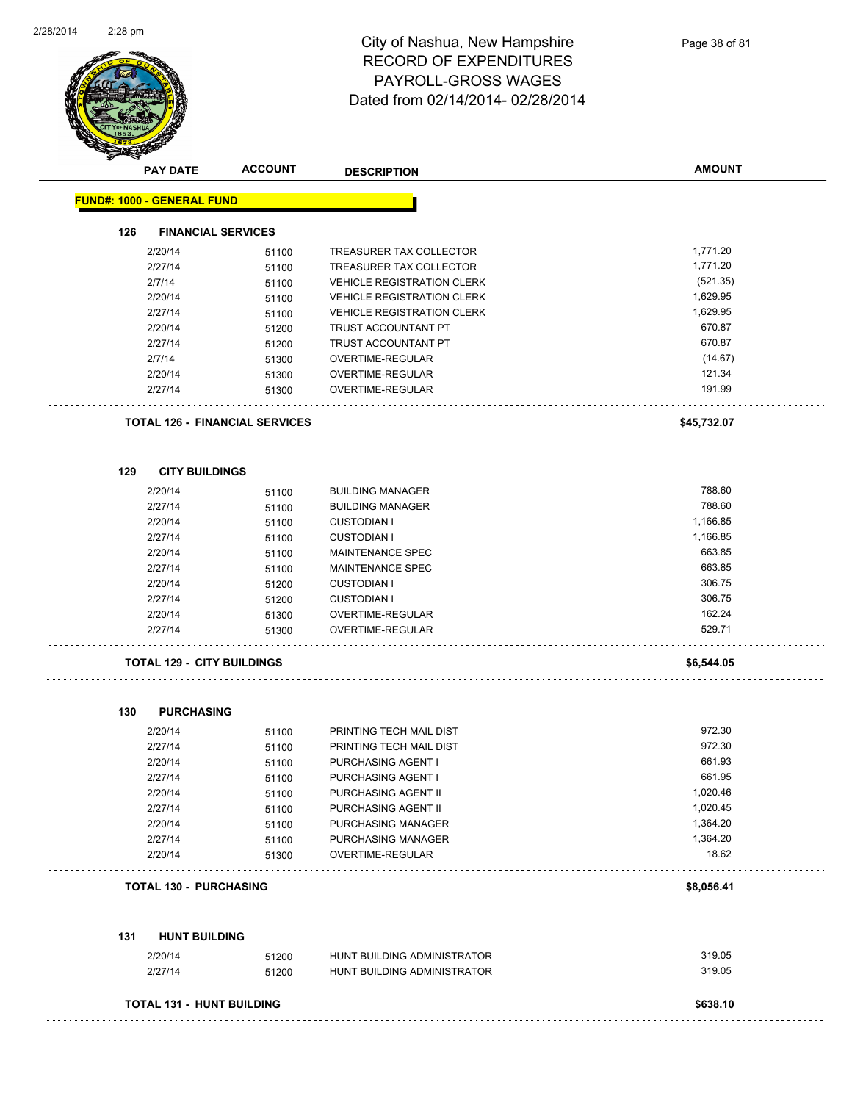

|     | <b>PAY DATE</b>                   | <b>ACCOUNT</b>                        | <b>DESCRIPTION</b>                                         | <b>AMOUNT</b>    |
|-----|-----------------------------------|---------------------------------------|------------------------------------------------------------|------------------|
|     | <b>FUND#: 1000 - GENERAL FUND</b> |                                       |                                                            |                  |
| 126 | <b>FINANCIAL SERVICES</b>         |                                       |                                                            |                  |
|     | 2/20/14                           | 51100                                 | TREASURER TAX COLLECTOR                                    | 1,771.20         |
|     | 2/27/14                           | 51100                                 | TREASURER TAX COLLECTOR                                    | 1,771.20         |
|     | 2/7/14                            | 51100                                 | <b>VEHICLE REGISTRATION CLERK</b>                          | (521.35)         |
|     | 2/20/14                           | 51100                                 | <b>VEHICLE REGISTRATION CLERK</b>                          | 1,629.95         |
|     | 2/27/14                           | 51100                                 | <b>VEHICLE REGISTRATION CLERK</b>                          | 1,629.95         |
|     | 2/20/14                           | 51200                                 | TRUST ACCOUNTANT PT                                        | 670.87           |
|     | 2/27/14                           | 51200                                 | TRUST ACCOUNTANT PT                                        | 670.87           |
|     | 2/7/14                            | 51300                                 | OVERTIME-REGULAR                                           | (14.67)          |
|     | 2/20/14                           | 51300                                 | OVERTIME-REGULAR                                           | 121.34           |
|     | 2/27/14                           | 51300                                 | OVERTIME-REGULAR                                           | 191.99           |
|     |                                   | <b>TOTAL 126 - FINANCIAL SERVICES</b> |                                                            | \$45,732.07      |
| 129 | <b>CITY BUILDINGS</b>             |                                       |                                                            |                  |
|     | 2/20/14                           | 51100                                 | <b>BUILDING MANAGER</b>                                    | 788.60           |
|     | 2/27/14                           | 51100                                 | <b>BUILDING MANAGER</b>                                    | 788.60           |
|     | 2/20/14                           | 51100                                 | <b>CUSTODIAN I</b>                                         | 1,166.85         |
|     | 2/27/14                           | 51100                                 | <b>CUSTODIAN I</b>                                         | 1,166.85         |
|     | 2/20/14                           | 51100                                 | MAINTENANCE SPEC                                           | 663.85           |
|     | 2/27/14                           | 51100                                 | MAINTENANCE SPEC                                           | 663.85           |
|     | 2/20/14                           | 51200                                 | <b>CUSTODIAN I</b>                                         | 306.75           |
|     | 2/27/14                           | 51200                                 | <b>CUSTODIAN I</b>                                         | 306.75           |
|     | 2/20/14                           | 51300                                 | OVERTIME-REGULAR                                           | 162.24           |
|     | 2/27/14                           | 51300                                 | OVERTIME-REGULAR                                           | 529.71           |
|     | <b>TOTAL 129 - CITY BUILDINGS</b> |                                       |                                                            | \$6,544.05       |
|     |                                   |                                       |                                                            |                  |
| 130 | <b>PURCHASING</b>                 |                                       |                                                            |                  |
|     | 2/20/14                           | 51100                                 | PRINTING TECH MAIL DIST                                    | 972.30           |
|     | 2/27/14                           | 51100                                 | PRINTING TECH MAIL DIST                                    | 972.30           |
|     | 2/20/14                           | 51100                                 | PURCHASING AGENT I                                         | 661.93           |
|     | 2/27/14                           | 51100                                 | PURCHASING AGENT I                                         | 661.95           |
|     | 2/20/14                           | 51100                                 | PURCHASING AGENT II                                        | 1,020.46         |
|     | 2/27/14                           | 51100                                 | PURCHASING AGENT II                                        | 1,020.45         |
|     | 2/20/14                           | 51100                                 | PURCHASING MANAGER                                         | 1,364.20         |
|     | 2/27/14                           | 51100                                 | PURCHASING MANAGER                                         | 1,364.20         |
|     | 2/20/14                           | 51300                                 | OVERTIME-REGULAR                                           | 18.62            |
|     | <b>TOTAL 130 - PURCHASING</b>     |                                       |                                                            | \$8,056.41       |
|     |                                   |                                       |                                                            |                  |
|     |                                   |                                       |                                                            |                  |
| 131 | <b>HUNT BUILDING</b>              |                                       |                                                            |                  |
|     | 2/20/14<br>2/27/14                | 51200                                 | HUNT BUILDING ADMINISTRATOR<br>HUNT BUILDING ADMINISTRATOR | 319.05<br>319.05 |

**TOTAL 131 - HUNT BUILDING \$638.10**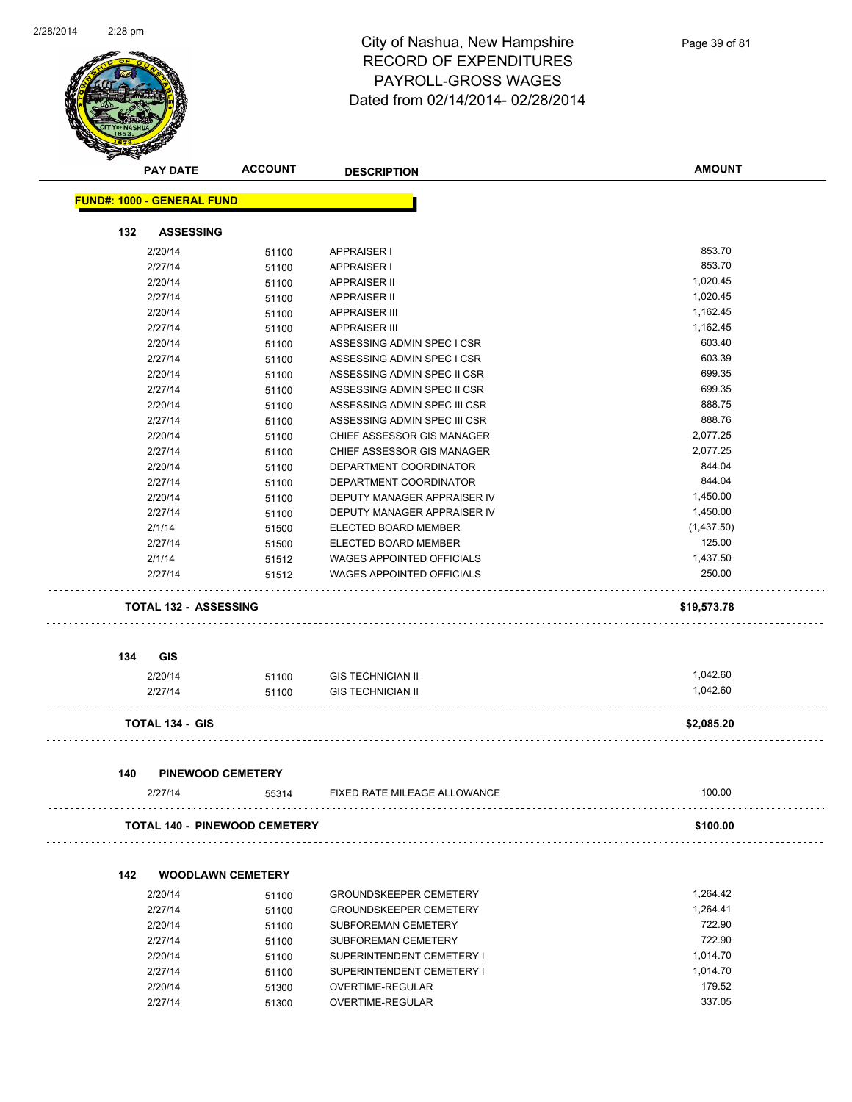

|     | <b>PAY DATE</b>                   | <b>ACCOUNT</b>                | <b>DESCRIPTION</b>            | <b>AMOUNT</b> |
|-----|-----------------------------------|-------------------------------|-------------------------------|---------------|
|     | <b>FUND#: 1000 - GENERAL FUND</b> |                               |                               |               |
| 132 | <b>ASSESSING</b>                  |                               |                               |               |
|     | 2/20/14                           | 51100                         | <b>APPRAISER I</b>            | 853.70        |
|     | 2/27/14                           | 51100                         | <b>APPRAISER I</b>            | 853.70        |
|     | 2/20/14                           | 51100                         | <b>APPRAISER II</b>           | 1,020.45      |
|     | 2/27/14                           | 51100                         | <b>APPRAISER II</b>           | 1,020.45      |
|     | 2/20/14                           | 51100                         | <b>APPRAISER III</b>          | 1,162.45      |
|     | 2/27/14                           | 51100                         | <b>APPRAISER III</b>          | 1,162.45      |
|     | 2/20/14                           | 51100                         | ASSESSING ADMIN SPEC I CSR    | 603.40        |
|     | 2/27/14                           | 51100                         | ASSESSING ADMIN SPEC I CSR    | 603.39        |
|     | 2/20/14                           | 51100                         | ASSESSING ADMIN SPEC II CSR   | 699.35        |
|     | 2/27/14                           | 51100                         | ASSESSING ADMIN SPEC II CSR   | 699.35        |
|     | 2/20/14                           | 51100                         | ASSESSING ADMIN SPEC III CSR  | 888.75        |
|     | 2/27/14                           | 51100                         | ASSESSING ADMIN SPEC III CSR  | 888.76        |
|     | 2/20/14                           | 51100                         | CHIEF ASSESSOR GIS MANAGER    | 2,077.25      |
|     | 2/27/14                           | 51100                         | CHIEF ASSESSOR GIS MANAGER    | 2,077.25      |
|     | 2/20/14                           | 51100                         | DEPARTMENT COORDINATOR        | 844.04        |
|     | 2/27/14                           | 51100                         | DEPARTMENT COORDINATOR        | 844.04        |
|     | 2/20/14                           | 51100                         | DEPUTY MANAGER APPRAISER IV   | 1,450.00      |
|     | 2/27/14                           | 51100                         | DEPUTY MANAGER APPRAISER IV   | 1,450.00      |
|     | 2/1/14                            | 51500                         | ELECTED BOARD MEMBER          | (1,437.50)    |
|     | 2/27/14                           | 51500                         | ELECTED BOARD MEMBER          | 125.00        |
|     | 2/1/14                            | 51512                         | WAGES APPOINTED OFFICIALS     | 1,437.50      |
|     | 2/27/14                           | 51512                         | WAGES APPOINTED OFFICIALS     | 250.00        |
|     | <b>TOTAL 132 - ASSESSING</b>      |                               |                               | \$19,573.78   |
|     |                                   |                               |                               |               |
| 134 | <b>GIS</b>                        |                               |                               |               |
|     | 2/20/14                           | 51100                         | <b>GIS TECHNICIAN II</b>      | 1,042.60      |
|     | 2/27/14                           | 51100                         | <b>GIS TECHNICIAN II</b>      | 1,042.60      |
|     | <b>TOTAL 134 - GIS</b>            |                               |                               | \$2,085.20    |
| 140 | <b>PINEWOOD CEMETERY</b>          |                               |                               |               |
|     | 2/27/14                           | 55314                         | FIXED RATE MILEAGE ALLOWANCE  | 100.00        |
|     |                                   | TOTAL 140 - PINEWOOD CEMETERY |                               | \$100.00      |
|     |                                   |                               |                               |               |
| 142 |                                   | <b>WOODLAWN CEMETERY</b>      |                               |               |
|     | 2/20/14                           | 51100                         | <b>GROUNDSKEEPER CEMETERY</b> | 1,264.42      |
|     | 2/27/14                           | 51100                         | GROUNDSKEEPER CEMETERY        | 1,264.41      |
|     | 2/20/14                           | 51100                         | SUBFOREMAN CEMETERY           | 722.90        |

| 2/20/14 | 51100 | SUBFOREMAN CEMETERY       | 722.90   |
|---------|-------|---------------------------|----------|
| 2/27/14 | 51100 | SUBFOREMAN CEMETERY       | 722.90   |
| 2/20/14 | 51100 | SUPERINTENDENT CEMETERY I | 1.014.70 |
| 2/27/14 | 51100 | SUPERINTENDENT CEMETERY I | 1.014.70 |
| 2/20/14 | 51300 | OVERTIME-REGULAR          | 179.52   |
| 2/27/14 | 51300 | OVERTIME-REGULAR          | 337.05   |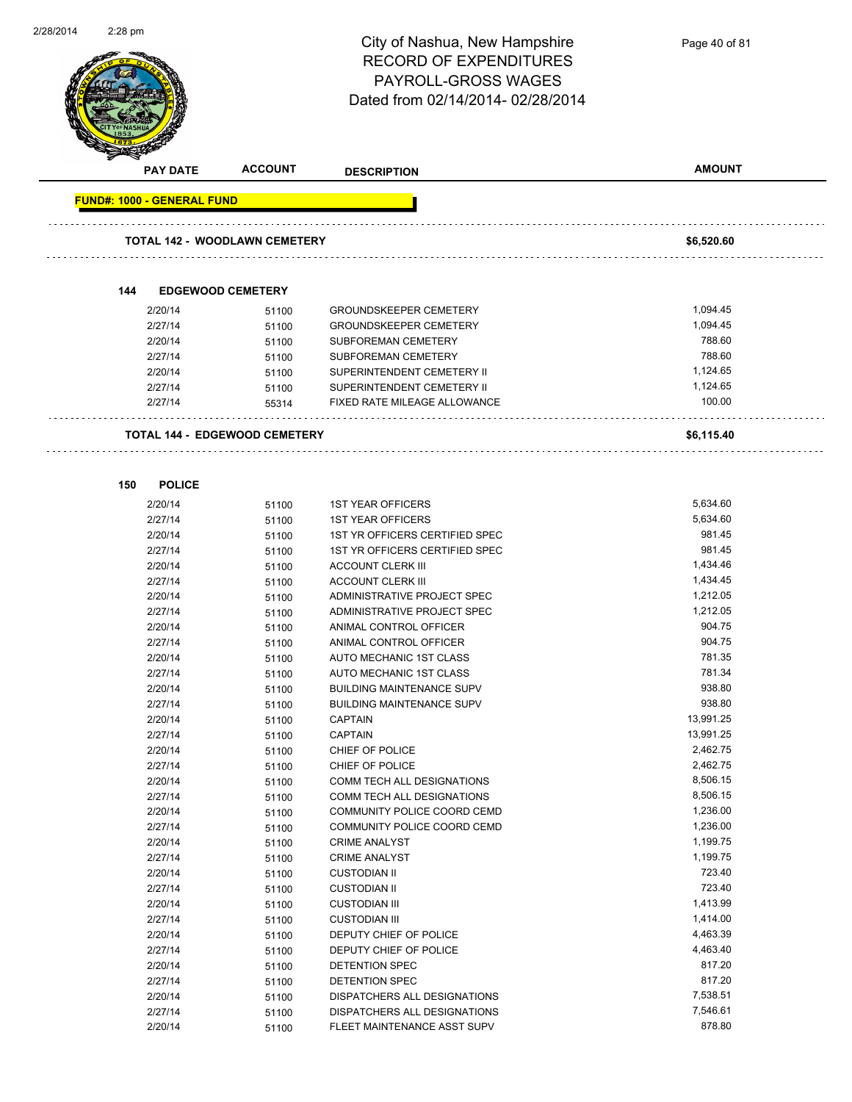

**PAY DATE ACCOUNT DESCRIPTION AMOUNT FUND#: 1000 - GENERAL FUND TOTAL 142 - WOODLAWN CEMETERY \$6,520.60 144 EDGEWOOD CEMETERY** 2/20/14 51100 GROUNDSKEEPER CEMETERY 51.094.45 2/27/14 51100 GROUNDSKEEPER CEMETERY 51,094.45 2/20/14 51100 SUBFOREMAN CEMETERY 788.60 2/27/14 51100 SUBFOREMAN CEMETERY 788.60 2/20/14 51100 SUPERINTENDENT CEMETERY II 1,124.65 2/27/14 51100 SUPERINTENDENT CEMETERY II 1,124.65 2/27/14 55314 FIXED RATE MILEAGE ALLOWANCE 100.00 **TOTAL 144 - EDGEWOOD CEMETERY \$6,115.40 150 POLICE** 2/20/14 51100 1ST YEAR OFFICERS 5,634.60 2/27/14 51100 1ST YEAR OFFICERS 5,634.60 2/20/14 51100 1ST YR OFFICERS CERTIFIED SPEC 981.45 2/27/14 51100 1ST YR OFFICERS CERTIFIED SPEC 981.45 2/20/14 51100 ACCOUNT CLERK III 1,434.46 2/27/14 51100 ACCOUNT CLERK III 1,434.45 2/20/14 51100 ADMINISTRATIVE PROJECT SPEC 1,212.05 2/27/14 51100 ADMINISTRATIVE PROJECT SPEC 1,212.05 2/20/14 51100 ANIMAL CONTROL OFFICER 904.75 2/27/14 51100 ANIMAL CONTROL OFFICER 904.75 2/20/14 51100 AUTO MECHANIC 1ST CLASS 781.35 2/27/14 51100 AUTO MECHANIC 1ST CLASS 781.34 2/20/14 51100 BUILDING MAINTENANCE SUPV 938.80 2/27/14 51100 BUILDING MAINTENANCE SUPV 938.80 2/20/14 51100 CAPTAIN 13,991.25 2/27/14 51100 CAPTAIN 13,991.25 2/20/14 51100 CHIEF OF POLICE 2,462.75 2/27/14 51100 CHIEF OF POLICE 2,462.75 2/20/14 51100 COMM TECH ALL DESIGNATIONS 8,506.15 2/27/14 51100 COMM TECH ALL DESIGNATIONS 8,506.15 2/20/14 51100 COMMUNITY POLICE COORD CEMD 1,236.00 2/27/14 51100 COMMUNITY POLICE COORD CEMD 1,236.00 2/20/14 51100 CRIME ANALYST 1,199.75 2/27/14 51100 CRIME ANALYST 1,199.75 2/20/14 51100 CUSTODIAN II 723.40 2/27/14 51100 CUSTODIAN II 723.40 2/20/14 51100 CUSTODIAN III 1,413.99 2/27/14 51100 CUSTODIAN III 1,414.00 2/20/14 51100 DEPUTY CHIEF OF POLICE 4,463.39 2/27/14 51100 DEPUTY CHIEF OF POLICE 54,463.40 2/20/14 51100 DETENTION SPEC 817.20 2/27/14 51100 DETENTION SPEC 817.20 2/20/14 51100 DISPATCHERS ALL DESIGNATIONS 7,538.51 2/27/14 51100 DISPATCHERS ALL DESIGNATIONS 7,546.61

2/20/14 51100 FLEET MAINTENANCE ASST SUPV 878.80

Page 40 of 81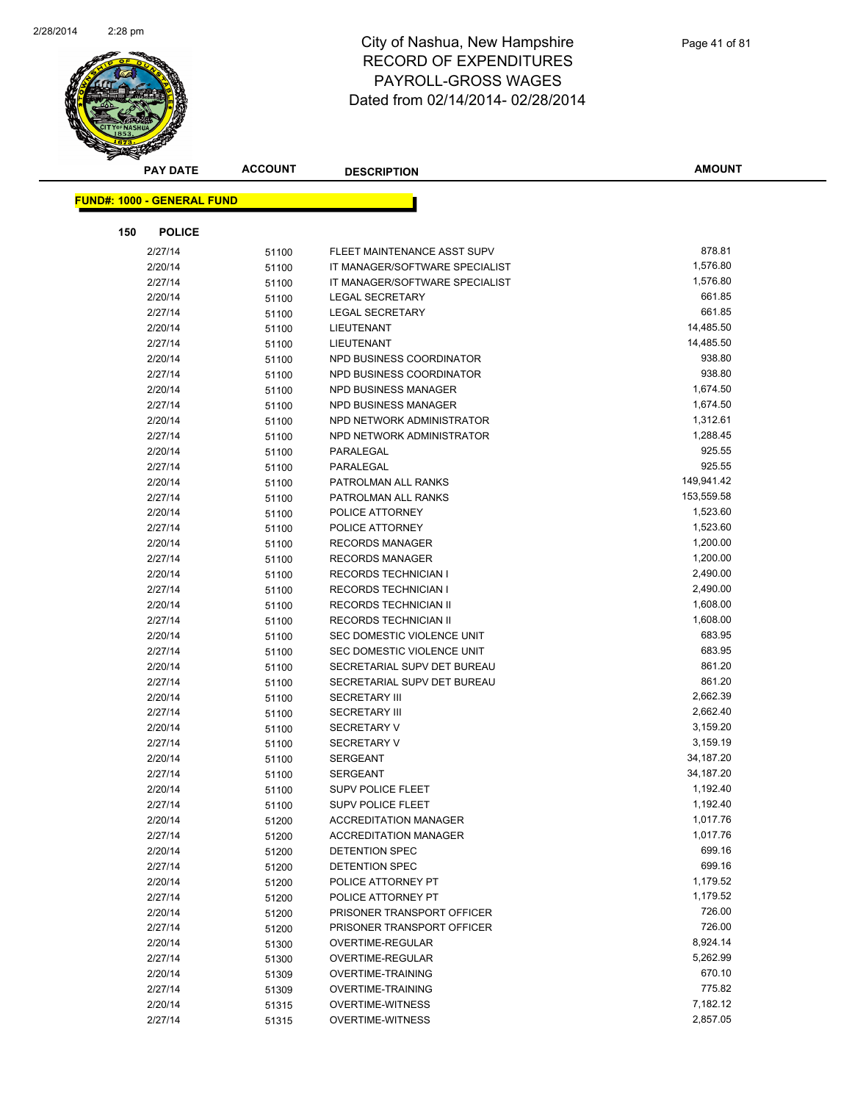

| <b>PAY DATE</b>                   | <b>ACCOUNT</b> | <b>DESCRIPTION</b>                                       | <b>AMOUNT</b>          |
|-----------------------------------|----------------|----------------------------------------------------------|------------------------|
| <b>FUND#: 1000 - GENERAL FUND</b> |                |                                                          |                        |
|                                   |                |                                                          |                        |
| 150<br><b>POLICE</b>              |                |                                                          |                        |
| 2/27/14                           | 51100          | FLEET MAINTENANCE ASST SUPV                              | 878.81                 |
| 2/20/14                           | 51100          | IT MANAGER/SOFTWARE SPECIALIST                           | 1,576.80               |
| 2/27/14                           | 51100          | IT MANAGER/SOFTWARE SPECIALIST                           | 1,576.80               |
| 2/20/14                           | 51100          | <b>LEGAL SECRETARY</b>                                   | 661.85                 |
| 2/27/14                           | 51100          | <b>LEGAL SECRETARY</b>                                   | 661.85                 |
| 2/20/14                           | 51100          | LIEUTENANT                                               | 14,485.50              |
| 2/27/14                           | 51100          | LIEUTENANT                                               | 14,485.50              |
| 2/20/14                           | 51100          | NPD BUSINESS COORDINATOR                                 | 938.80                 |
| 2/27/14                           | 51100          | NPD BUSINESS COORDINATOR                                 | 938.80                 |
| 2/20/14                           | 51100          | NPD BUSINESS MANAGER                                     | 1,674.50               |
| 2/27/14                           | 51100          | NPD BUSINESS MANAGER                                     | 1,674.50               |
| 2/20/14                           | 51100          | NPD NETWORK ADMINISTRATOR                                | 1,312.61               |
| 2/27/14                           | 51100          | NPD NETWORK ADMINISTRATOR                                | 1,288.45               |
| 2/20/14                           | 51100          | PARALEGAL                                                | 925.55                 |
| 2/27/14                           | 51100          | PARALEGAL                                                | 925.55                 |
| 2/20/14                           | 51100          | PATROLMAN ALL RANKS                                      | 149,941.42             |
| 2/27/14                           | 51100          | PATROLMAN ALL RANKS                                      | 153,559.58             |
| 2/20/14                           | 51100          | POLICE ATTORNEY                                          | 1,523.60               |
| 2/27/14                           | 51100          | POLICE ATTORNEY                                          | 1,523.60               |
| 2/20/14                           | 51100          | <b>RECORDS MANAGER</b>                                   | 1,200.00               |
| 2/27/14                           | 51100          | <b>RECORDS MANAGER</b>                                   | 1,200.00               |
| 2/20/14                           | 51100          | <b>RECORDS TECHNICIAN I</b>                              | 2,490.00               |
| 2/27/14                           | 51100          | RECORDS TECHNICIAN I                                     | 2,490.00               |
| 2/20/14                           | 51100          | RECORDS TECHNICIAN II                                    | 1,608.00               |
| 2/27/14                           | 51100          | RECORDS TECHNICIAN II                                    | 1,608.00               |
| 2/20/14                           | 51100          | SEC DOMESTIC VIOLENCE UNIT                               | 683.95                 |
| 2/27/14                           | 51100          | SEC DOMESTIC VIOLENCE UNIT                               | 683.95                 |
| 2/20/14                           | 51100          | SECRETARIAL SUPV DET BUREAU                              | 861.20                 |
| 2/27/14                           | 51100          | SECRETARIAL SUPV DET BUREAU                              | 861.20                 |
| 2/20/14                           | 51100          | <b>SECRETARY III</b>                                     | 2,662.39               |
| 2/27/14                           | 51100          | <b>SECRETARY III</b>                                     | 2,662.40               |
| 2/20/14                           | 51100          | <b>SECRETARY V</b>                                       | 3,159.20               |
| 2/27/14                           | 51100          | <b>SECRETARY V</b>                                       | 3,159.19               |
| 2/20/14                           | 51100          | <b>SERGEANT</b><br><b>SERGEANT</b>                       | 34,187.20<br>34,187.20 |
| 2/27/14                           | 51100          | <b>SUPV POLICE FLEET</b>                                 | 1,192.40               |
| 2/20/14                           | 51100          |                                                          | 1,192.40               |
| 2/27/14<br>2/20/14                | 51100          | <b>SUPV POLICE FLEET</b><br><b>ACCREDITATION MANAGER</b> | 1,017.76               |
| 2/27/14                           | 51200          | <b>ACCREDITATION MANAGER</b>                             | 1,017.76               |
| 2/20/14                           | 51200          | <b>DETENTION SPEC</b>                                    | 699.16                 |
| 2/27/14                           | 51200<br>51200 | DETENTION SPEC                                           | 699.16                 |
| 2/20/14                           | 51200          | POLICE ATTORNEY PT                                       | 1,179.52               |
| 2/27/14                           | 51200          | POLICE ATTORNEY PT                                       | 1,179.52               |
| 2/20/14                           | 51200          | PRISONER TRANSPORT OFFICER                               | 726.00                 |
| 2/27/14                           | 51200          | PRISONER TRANSPORT OFFICER                               | 726.00                 |
| 2/20/14                           | 51300          | OVERTIME-REGULAR                                         | 8,924.14               |
| 2/27/14                           | 51300          | OVERTIME-REGULAR                                         | 5,262.99               |
| 2/20/14                           | 51309          | <b>OVERTIME-TRAINING</b>                                 | 670.10                 |
| 2/27/14                           | 51309          | <b>OVERTIME-TRAINING</b>                                 | 775.82                 |
| 2/20/14                           | 51315          | <b>OVERTIME-WITNESS</b>                                  | 7,182.12               |
| 2/27/14                           | 51315          | <b>OVERTIME-WITNESS</b>                                  | 2,857.05               |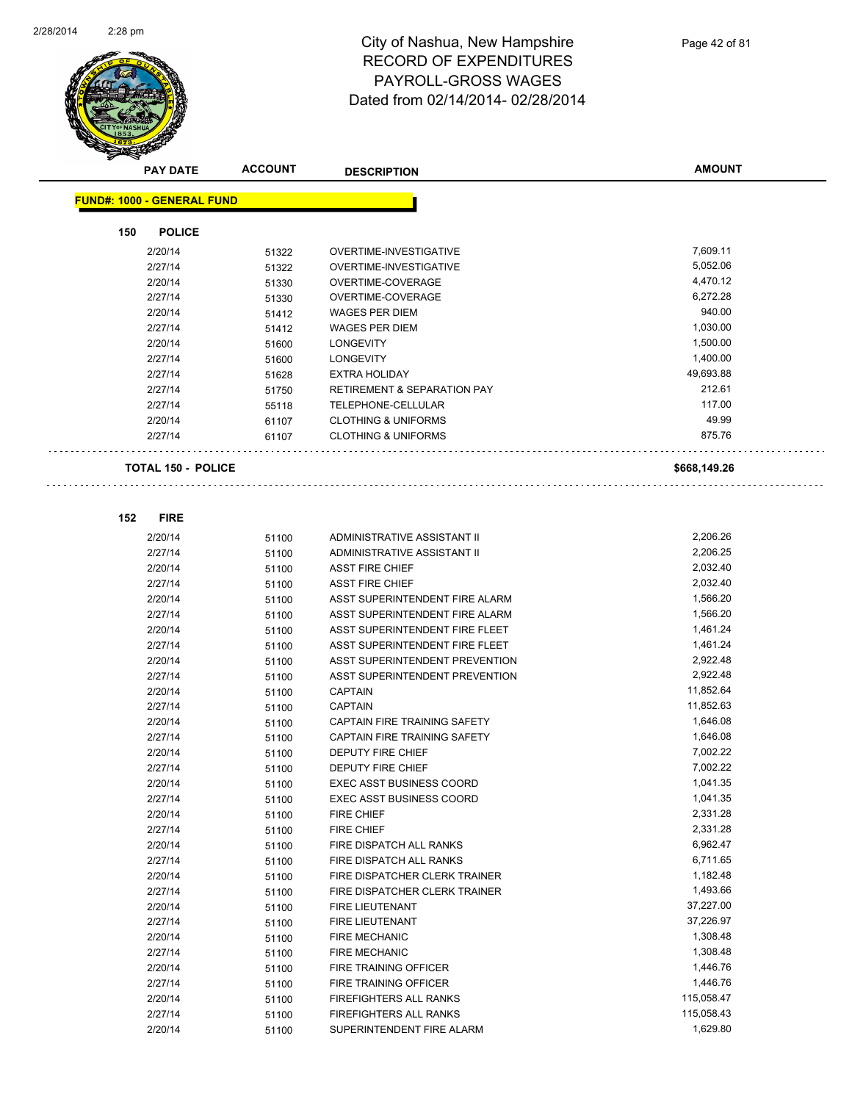

|     | <b>PAY DATE</b>                   | <b>ACCOUNT</b> | <b>DESCRIPTION</b>                     | <b>AMOUNT</b> |
|-----|-----------------------------------|----------------|----------------------------------------|---------------|
|     | <b>FUND#: 1000 - GENERAL FUND</b> |                |                                        |               |
|     |                                   |                |                                        |               |
| 150 | <b>POLICE</b>                     |                |                                        |               |
|     | 2/20/14                           | 51322          | OVERTIME-INVESTIGATIVE                 | 7,609.11      |
|     | 2/27/14                           | 51322          | OVERTIME-INVESTIGATIVE                 | 5,052.06      |
|     | 2/20/14                           | 51330          | OVERTIME-COVERAGE                      | 4,470.12      |
|     | 2/27/14                           | 51330          | OVERTIME-COVERAGE                      | 6,272.28      |
|     | 2/20/14                           | 51412          | <b>WAGES PER DIEM</b>                  | 940.00        |
|     | 2/27/14                           | 51412          | <b>WAGES PER DIEM</b>                  | 1,030.00      |
|     | 2/20/14                           | 51600          | <b>LONGEVITY</b>                       | 1,500.00      |
|     | 2/27/14                           | 51600          | <b>LONGEVITY</b>                       | 1,400.00      |
|     | 2/27/14                           | 51628          | <b>EXTRA HOLIDAY</b>                   | 49,693.88     |
|     | 2/27/14                           | 51750          | <b>RETIREMENT &amp; SEPARATION PAY</b> | 212.61        |
|     | 2/27/14                           | 55118          | TELEPHONE-CELLULAR                     | 117.00        |
|     | 2/20/14                           | 61107          | <b>CLOTHING &amp; UNIFORMS</b>         | 49.99         |
|     | 2/27/14                           | 61107          | <b>CLOTHING &amp; UNIFORMS</b>         | 875.76        |
|     |                                   |                |                                        |               |
|     | <b>TOTAL 150 - POLICE</b>         |                |                                        | \$668,149.26  |
|     |                                   |                |                                        |               |
| 152 | <b>FIRE</b>                       |                |                                        |               |
|     | 2/20/14                           | 51100          | ADMINISTRATIVE ASSISTANT II            | 2,206.26      |
|     | 2/27/14                           | 51100          | ADMINISTRATIVE ASSISTANT II            | 2,206.25      |
|     | 2/20/14                           | 51100          | <b>ASST FIRE CHIEF</b>                 | 2,032.40      |
|     | 2/27/14                           | 51100          | <b>ASST FIRE CHIEF</b>                 | 2,032.40      |
|     | 2/20/14                           | 51100          | ASST SUPERINTENDENT FIRE ALARM         | 1,566.20      |
|     | 2/27/14                           | 51100          | ASST SUPERINTENDENT FIRE ALARM         | 1,566.20      |
|     | 2/20/14                           | 51100          | ASST SUPERINTENDENT FIRE FLEET         | 1,461.24      |
|     | 2/27/14                           | 51100          | ASST SUPERINTENDENT FIRE FLEET         | 1,461.24      |
|     | 2/20/14                           | 51100          | ASST SUPERINTENDENT PREVENTION         | 2,922.48      |
|     | 2/27/14                           | 51100          | ASST SUPERINTENDENT PREVENTION         | 2,922.48      |
|     | 2/20/14                           | 51100          | <b>CAPTAIN</b>                         | 11,852.64     |
|     | 2/27/14                           | 51100          | <b>CAPTAIN</b>                         | 11,852.63     |
|     | 2/20/14                           | 51100          | CAPTAIN FIRE TRAINING SAFETY           | 1,646.08      |
|     | 2/27/14                           | 51100          | CAPTAIN FIRE TRAINING SAFETY           | 1,646.08      |
|     | 2/20/14                           | 51100          | <b>DEPUTY FIRE CHIEF</b>               | 7,002.22      |
|     | 2/27/14                           | 51100          | <b>DEPUTY FIRE CHIEF</b>               | 7,002.22      |
|     | 2/20/14                           | 51100          | <b>EXEC ASST BUSINESS COORD</b>        | 1,041.35      |
|     | 2/27/14                           | 51100          | <b>EXEC ASST BUSINESS COORD</b>        | 1,041.35      |
|     | 2/20/14                           | 51100          | <b>FIRE CHIEF</b>                      | 2,331.28      |
|     | 2/27/14                           | 51100          | FIRE CHIEF                             | 2,331.28      |
|     | 2/20/14                           | 51100          | FIRE DISPATCH ALL RANKS                | 6,962.47      |
|     | 2/27/14                           | 51100          | FIRE DISPATCH ALL RANKS                | 6,711.65      |
|     | 2/20/14                           | 51100          | FIRE DISPATCHER CLERK TRAINER          | 1,182.48      |
|     | 2/27/14                           | 51100          | FIRE DISPATCHER CLERK TRAINER          | 1,493.66      |
|     | 2/20/14                           | 51100          | FIRE LIEUTENANT                        | 37,227.00     |
|     | 2/27/14                           | 51100          | FIRE LIEUTENANT                        | 37,226.97     |
|     | 2/20/14                           | 51100          | <b>FIRE MECHANIC</b>                   | 1,308.48      |
|     | 2/27/14                           | 51100          | <b>FIRE MECHANIC</b>                   | 1,308.48      |
|     | 2/20/14                           | 51100          | FIRE TRAINING OFFICER                  | 1,446.76      |
|     | 2/27/14                           | 51100          | FIRE TRAINING OFFICER                  | 1,446.76      |
|     | 2/20/14                           | 51100          | FIREFIGHTERS ALL RANKS                 | 115,058.47    |
|     | 2/27/14                           | 51100          | FIREFIGHTERS ALL RANKS                 | 115,058.43    |
|     | 2/20/14                           | 51100          | SUPERINTENDENT FIRE ALARM              | 1,629.80      |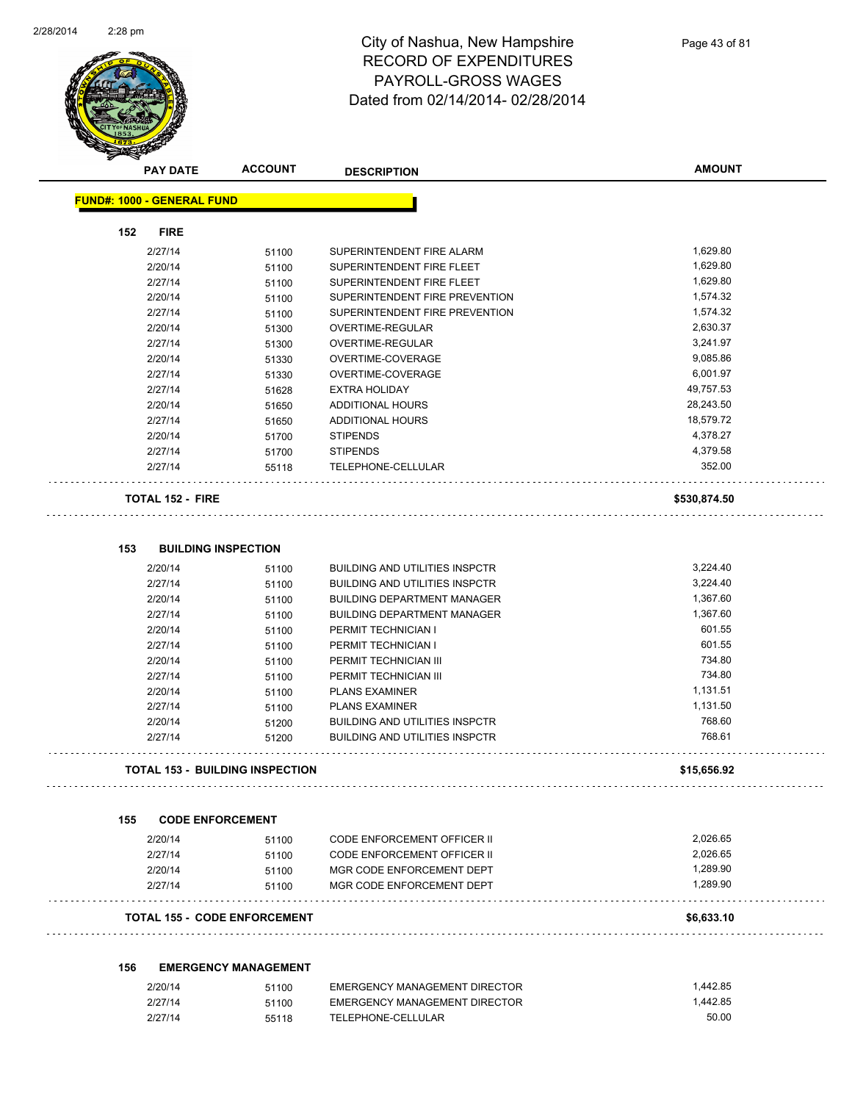

|     | <b>PAY DATE</b>                   | <b>ACCOUNT</b>                         | <b>DESCRIPTION</b>                                                          | <b>AMOUNT</b>        |
|-----|-----------------------------------|----------------------------------------|-----------------------------------------------------------------------------|----------------------|
|     | <b>FUND#: 1000 - GENERAL FUND</b> |                                        |                                                                             |                      |
| 152 | <b>FIRE</b>                       |                                        |                                                                             |                      |
|     | 2/27/14                           | 51100                                  | SUPERINTENDENT FIRE ALARM                                                   | 1,629.80             |
|     | 2/20/14                           | 51100                                  | SUPERINTENDENT FIRE FLEET                                                   | 1,629.80             |
|     | 2/27/14                           | 51100                                  | SUPERINTENDENT FIRE FLEET                                                   | 1,629.80             |
|     | 2/20/14                           | 51100                                  | SUPERINTENDENT FIRE PREVENTION                                              | 1,574.32             |
|     | 2/27/14                           | 51100                                  | SUPERINTENDENT FIRE PREVENTION                                              | 1,574.32             |
|     | 2/20/14                           | 51300                                  | OVERTIME-REGULAR                                                            | 2,630.37             |
|     | 2/27/14                           | 51300                                  | OVERTIME-REGULAR                                                            | 3,241.97             |
|     | 2/20/14                           | 51330                                  | OVERTIME-COVERAGE                                                           | 9,085.86             |
|     | 2/27/14                           | 51330                                  | OVERTIME-COVERAGE                                                           | 6,001.97             |
|     | 2/27/14                           | 51628                                  | <b>EXTRA HOLIDAY</b>                                                        | 49,757.53            |
|     | 2/20/14                           | 51650                                  | <b>ADDITIONAL HOURS</b>                                                     | 28,243.50            |
|     | 2/27/14                           | 51650                                  | <b>ADDITIONAL HOURS</b>                                                     | 18,579.72            |
|     | 2/20/14                           | 51700                                  | <b>STIPENDS</b>                                                             | 4,378.27             |
|     | 2/27/14                           | 51700                                  | <b>STIPENDS</b>                                                             | 4,379.58             |
|     | 2/27/14                           | 55118                                  | TELEPHONE-CELLULAR                                                          | 352.00               |
|     | <b>TOTAL 152 - FIRE</b>           |                                        |                                                                             | \$530,874.50         |
| 153 |                                   | <b>BUILDING INSPECTION</b>             |                                                                             |                      |
|     |                                   |                                        |                                                                             |                      |
|     | 2/20/14                           | 51100                                  | <b>BUILDING AND UTILITIES INSPCTR</b>                                       | 3,224.40<br>3,224.40 |
|     | 2/27/14<br>2/20/14                | 51100                                  | <b>BUILDING AND UTILITIES INSPCTR</b><br><b>BUILDING DEPARTMENT MANAGER</b> | 1,367.60             |
|     | 2/27/14                           | 51100                                  | <b>BUILDING DEPARTMENT MANAGER</b>                                          | 1,367.60             |
|     | 2/20/14                           | 51100<br>51100                         | PERMIT TECHNICIAN I                                                         | 601.55               |
|     | 2/27/14                           | 51100                                  | PERMIT TECHNICIAN I                                                         | 601.55               |
|     | 2/20/14                           | 51100                                  | PERMIT TECHNICIAN III                                                       | 734.80               |
|     | 2/27/14                           | 51100                                  | PERMIT TECHNICIAN III                                                       | 734.80               |
|     | 2/20/14                           | 51100                                  | <b>PLANS EXAMINER</b>                                                       | 1,131.51             |
|     | 2/27/14                           | 51100                                  | <b>PLANS EXAMINER</b>                                                       | 1,131.50             |
|     | 2/20/14                           | 51200                                  | <b>BUILDING AND UTILITIES INSPCTR</b>                                       | 768.60               |
|     | 2/27/14                           | 51200                                  | <b>BUILDING AND UTILITIES INSPCTR</b>                                       | 768.61               |
|     |                                   | <b>TOTAL 153 - BUILDING INSPECTION</b> |                                                                             | \$15,656.92          |
| 155 | <b>CODE ENFORCEMENT</b>           |                                        |                                                                             |                      |
|     |                                   |                                        |                                                                             |                      |
|     | 2/20/14                           | 51100                                  | <b>CODE ENFORCEMENT OFFICER II</b>                                          | 2,026.65<br>2,026.65 |
|     | 2/27/14                           | 51100                                  | CODE ENFORCEMENT OFFICER II                                                 | 1.289.90             |
|     | 2/20/14                           | 51100                                  | MGR CODE ENFORCEMENT DEPT<br>MGR CODE ENFORCEMENT DEPT                      | 1.289.90             |
|     | 2/27/14                           | 51100                                  |                                                                             |                      |
|     |                                   | <b>TOTAL 155 - CODE ENFORCEMENT</b>    |                                                                             | \$6,633.10           |
| 156 |                                   | <b>EMERGENCY MANAGEMENT</b>            |                                                                             |                      |
|     | 2/20/14                           | 51100                                  | <b>EMERGENCY MANAGEMENT DIRECTOR</b>                                        | 1,442.85             |
|     | 2/27/14                           | 51100                                  | EMERGENCY MANAGEMENT DIRECTOR                                               | 1,442.85             |
|     | 2/27/14                           | 55118                                  | TELEPHONE-CELLULAR                                                          | 50.00                |
|     |                                   |                                        |                                                                             |                      |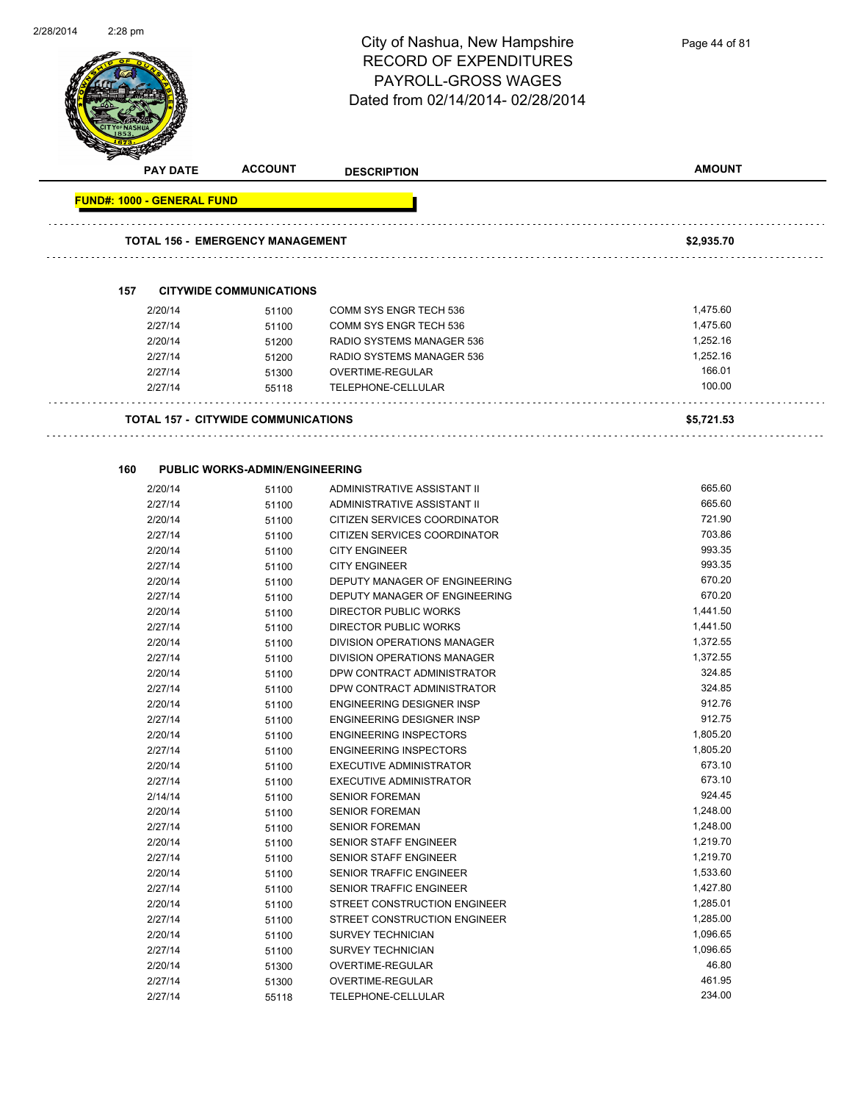

**FUND#: 1000 - GENERAL FUND TOTAL 156 - EMERGENCY MANAGEMENT \$2,935.70 157 CITYWIDE COMMUNICATIONS** 2/20/14 51100 COMM SYS ENGR TECH 536 1,475.60 2/27/14 51100 COMM SYS ENGR TECH 536 1,475.60 2/20/14 51200 RADIO SYSTEMS MANAGER 536 1,252.16 2/27/14 51200 RADIO SYSTEMS MANAGER 536 1,252.16 2/27/14 51300 OVERTIME-REGULAR 166.01 2/27/14 55118 TELEPHONE-CELLULAR 100.00 . . . . . . . . . . . . **TOTAL 157 - CITYWIDE COMMUNICATIONS \$5,721.53 160 PUBLIC WORKS-ADMIN/ENGINEERING** 2/20/14 51100 ADMINISTRATIVE ASSISTANT II 665.60 2/27/14 51100 ADMINISTRATIVE ASSISTANT II 665.60 2/20/14 51100 CITIZEN SERVICES COORDINATOR 721.90 2/27/14 51100 CITIZEN SERVICES COORDINATOR 703.86 2/20/14 51100 CITY ENGINEER 993.35 2/27/14 51100 CITY ENGINEER 993.35 2/20/14 51100 DEPUTY MANAGER OF ENGINEERING 670.20 2/27/14 51100 DEPUTY MANAGER OF ENGINEERING 670.20 2/20/14 51100 DIRECTOR PUBLIC WORKS 1,441.50 2/27/14 51100 DIRECTOR PUBLIC WORKS 1,441.50 2/20/14 51100 DIVISION OPERATIONS MANAGER 1,372.55 2/27/14 51100 DIVISION OPERATIONS MANAGER 1,372.55 2/20/14 51100 DPW CONTRACT ADMINISTRATOR 324.85 2/27/14 51100 DPW CONTRACT ADMINISTRATOR 324.85 2/20/14 51100 ENGINEERING DESIGNER INSP 912.76 2/27/14 51100 ENGINEERING DESIGNER INSP 912.75 2/20/14 51100 ENGINEERING INSPECTORS 1,805.20 2/27/14 51100 ENGINEERING INSPECTORS 1,805.20 2/20/14 51100 EXECUTIVE ADMINISTRATOR 673.10 2/27/14 51100 EXECUTIVE ADMINISTRATOR 673.10 2/14/14 51100 SENIOR FOREMAN 924.45 2/20/14 51100 SENIOR FOREMAN 1,248.00 2/27/14 51100 SENIOR FOREMAN 1,248.00 2/20/14 51100 SENIOR STAFF ENGINEER 1,219.70 2/27/14 51100 SENIOR STAFF ENGINEER 1,219.70 2/20/14 51100 SENIOR TRAFFIC ENGINEER 1,533.60 2/27/14 51100 SENIOR TRAFFIC ENGINEER 1,427.80 2/20/14 51100 STREET CONSTRUCTION ENGINEER 1,285.01 2/27/14 51100 STREET CONSTRUCTION ENGINEER 1,285.00 2/20/14 51100 SURVEY TECHNICIAN 1,096.65 2/27/14 51100 SURVEY TECHNICIAN 1,096.65 2/20/14 51300 OVERTIME-REGULAR 46.80 2/27/14 51300 OVERTIME-REGULAR 461.95 2/27/14 55118 TELEPHONE-CELLULAR 234.00

**AMOUNT**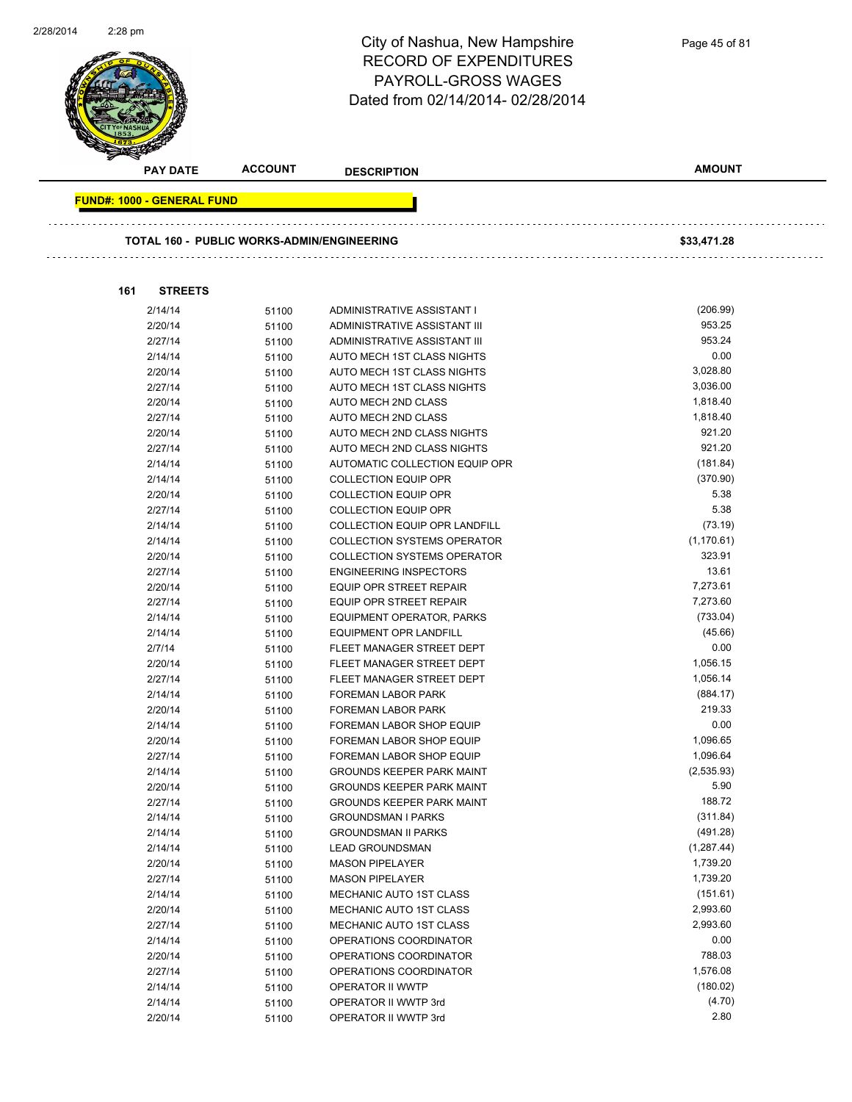

2/20/14 51100 OPERATIONS COORDINATOR 788.03 2/27/14 51100 OPERATIONS COORDINATOR<br>2/14/14 51100 OPERATOR II WWTP 180.02)

2/14/14 51100 OPERATOR II WWTP 3rd (4.70) 2/20/14 51100 OPERATOR II WWTP 3rd 2.80

2/14/14 51100 OPERATOR II WWTP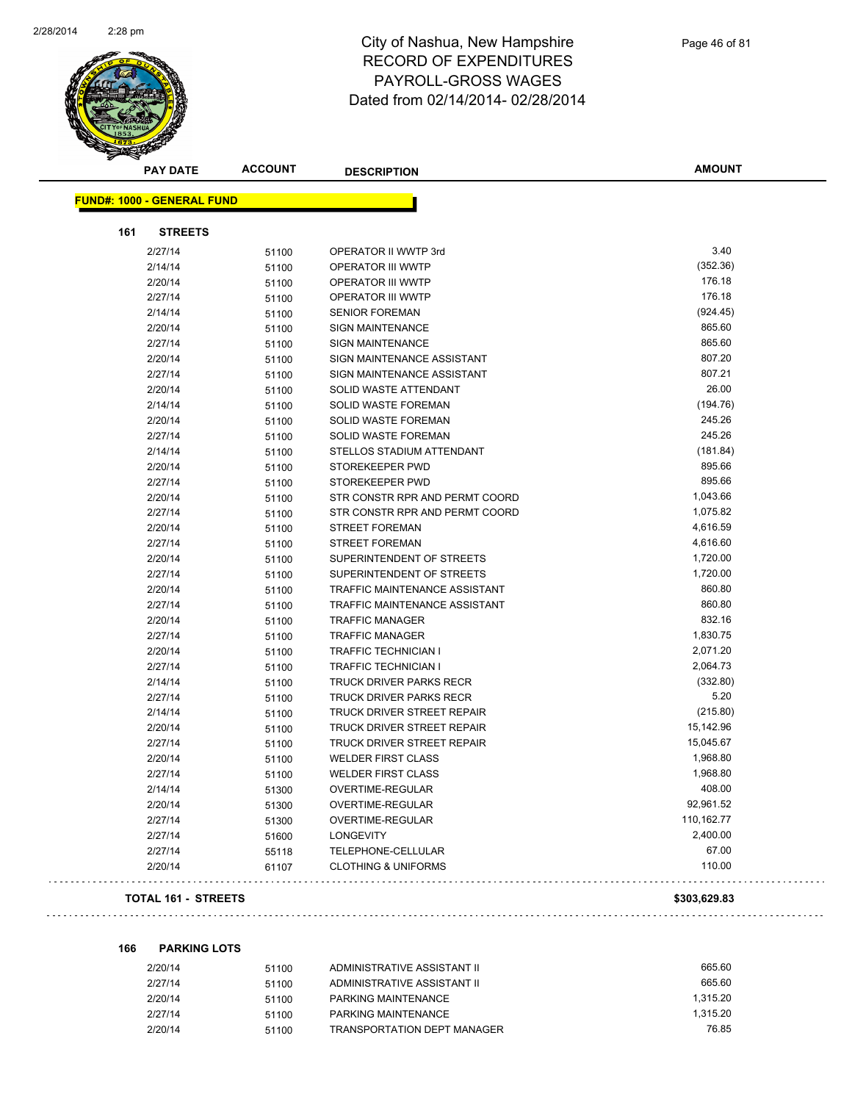

| <b>PAY DATE</b>                   | <b>ACCOUNT</b> | <b>DESCRIPTION</b>                               | <b>AMOUNT</b> |
|-----------------------------------|----------------|--------------------------------------------------|---------------|
| <b>FUND#: 1000 - GENERAL FUND</b> |                |                                                  |               |
| 161<br><b>STREETS</b>             |                |                                                  |               |
| 2/27/14                           |                |                                                  | 3.40          |
| 2/14/14                           | 51100          | OPERATOR II WWTP 3rd<br><b>OPERATOR III WWTP</b> | (352.36)      |
| 2/20/14                           | 51100          | <b>OPERATOR III WWTP</b>                         | 176.18        |
| 2/27/14                           | 51100          | OPERATOR III WWTP                                | 176.18        |
|                                   | 51100          | <b>SENIOR FOREMAN</b>                            | (924.45)      |
| 2/14/14                           | 51100          | <b>SIGN MAINTENANCE</b>                          | 865.60        |
| 2/20/14<br>2/27/14                | 51100          | <b>SIGN MAINTENANCE</b>                          | 865.60        |
| 2/20/14                           | 51100          | SIGN MAINTENANCE ASSISTANT                       | 807.20        |
| 2/27/14                           | 51100          | SIGN MAINTENANCE ASSISTANT                       | 807.21        |
| 2/20/14                           | 51100          | SOLID WASTE ATTENDANT                            | 26.00         |
| 2/14/14                           | 51100          | SOLID WASTE FOREMAN                              | (194.76)      |
| 2/20/14                           | 51100          | <b>SOLID WASTE FOREMAN</b>                       | 245.26        |
| 2/27/14                           | 51100<br>51100 | SOLID WASTE FOREMAN                              | 245.26        |
| 2/14/14                           | 51100          | STELLOS STADIUM ATTENDANT                        | (181.84)      |
| 2/20/14                           | 51100          | STOREKEEPER PWD                                  | 895.66        |
| 2/27/14                           | 51100          | STOREKEEPER PWD                                  | 895.66        |
| 2/20/14                           | 51100          | STR CONSTR RPR AND PERMT COORD                   | 1,043.66      |
| 2/27/14                           | 51100          | STR CONSTR RPR AND PERMT COORD                   | 1,075.82      |
| 2/20/14                           | 51100          | <b>STREET FOREMAN</b>                            | 4,616.59      |
| 2/27/14                           | 51100          | STREET FOREMAN                                   | 4,616.60      |
| 2/20/14                           | 51100          | SUPERINTENDENT OF STREETS                        | 1,720.00      |
| 2/27/14                           | 51100          | SUPERINTENDENT OF STREETS                        | 1,720.00      |
| 2/20/14                           | 51100          | TRAFFIC MAINTENANCE ASSISTANT                    | 860.80        |
| 2/27/14                           | 51100          | TRAFFIC MAINTENANCE ASSISTANT                    | 860.80        |
| 2/20/14                           | 51100          | <b>TRAFFIC MANAGER</b>                           | 832.16        |
| 2/27/14                           | 51100          | <b>TRAFFIC MANAGER</b>                           | 1,830.75      |
| 2/20/14                           | 51100          | TRAFFIC TECHNICIAN I                             | 2,071.20      |
| 2/27/14                           | 51100          | TRAFFIC TECHNICIAN I                             | 2,064.73      |
| 2/14/14                           | 51100          | <b>TRUCK DRIVER PARKS RECR</b>                   | (332.80)      |
| 2/27/14                           | 51100          | TRUCK DRIVER PARKS RECR                          | 5.20          |
| 2/14/14                           | 51100          | TRUCK DRIVER STREET REPAIR                       | (215.80)      |
| 2/20/14                           | 51100          | <b>TRUCK DRIVER STREET REPAIR</b>                | 15,142.96     |
| 2/27/14                           | 51100          | TRUCK DRIVER STREET REPAIR                       | 15,045.67     |
| 2/20/14                           | 51100          | <b>WELDER FIRST CLASS</b>                        | 1,968.80      |
| 2/27/14                           | 51100          | <b>WELDER FIRST CLASS</b>                        | 1,968.80      |
| 2/14/14                           | 51300          | OVERTIME-REGULAR                                 | 408.00        |
| 2/20/14                           | 51300          | <b>OVERTIME-REGULAR</b>                          | 92,961.52     |
| 2/27/14                           | 51300          | OVERTIME-REGULAR                                 | 110,162.77    |
| 2/27/14                           | 51600          | <b>LONGEVITY</b>                                 | 2,400.00      |
| 2/27/14                           | 55118          | <b>TELEPHONE-CELLULAR</b>                        | 67.00         |
| 2/20/14                           | 61107          | <b>CLOTHING &amp; UNIFORMS</b>                   | 110.00        |
|                                   |                |                                                  |               |

#### **TOTAL 161 - STREETS \$303,629.83**

**166 PARKING LOTS**

| 2/20/14 | 51100 | ADMINISTRATIVE ASSISTANT II        | 665.60   |
|---------|-------|------------------------------------|----------|
| 2/27/14 | 51100 | ADMINISTRATIVE ASSISTANT II        | 665.60   |
| 2/20/14 | 51100 | PARKING MAINTENANCE                | 1.315.20 |
| 2/27/14 | 51100 | PARKING MAINTENANCE                | 1.315.20 |
| 2/20/14 | 51100 | <b>TRANSPORTATION DEPT MANAGER</b> | 76.85    |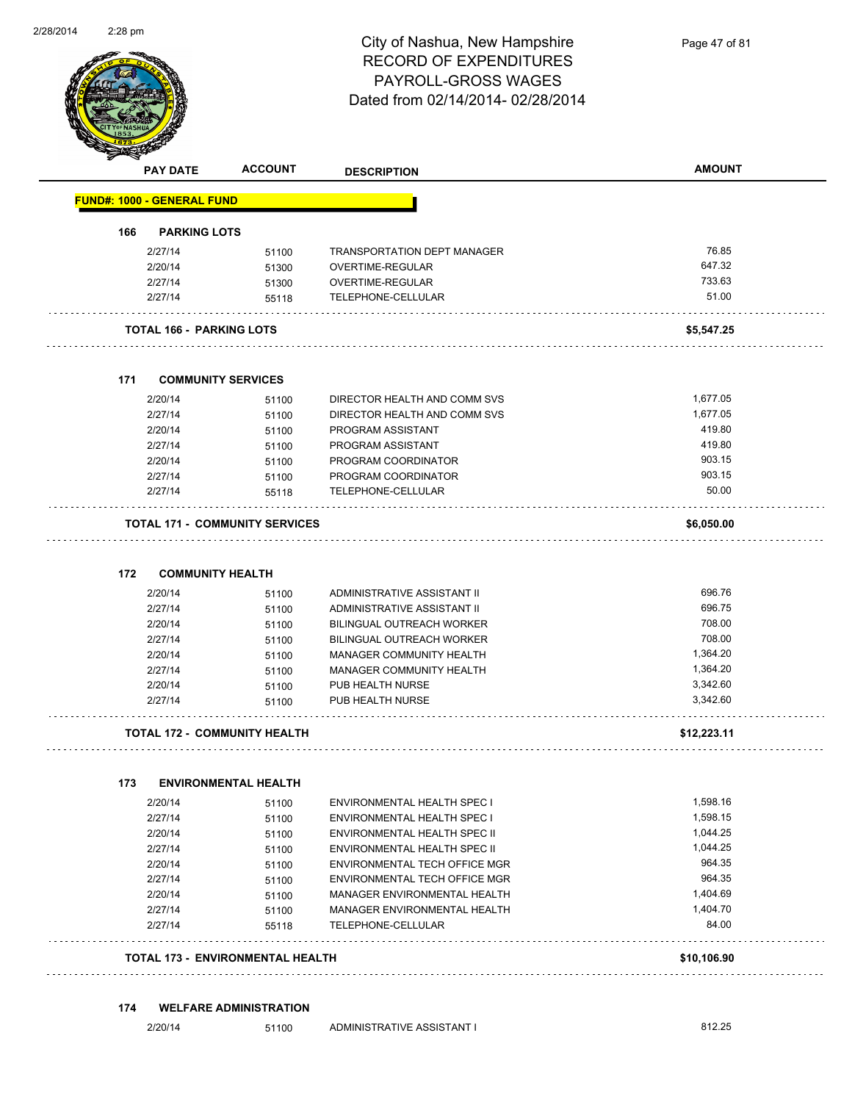

Page 47 of 81

| 166 | <b>FUND#: 1000 - GENERAL FUND</b><br><b>PARKING LOTS</b><br>2/27/14 |                                         |                                            |                    |
|-----|---------------------------------------------------------------------|-----------------------------------------|--------------------------------------------|--------------------|
|     |                                                                     |                                         |                                            |                    |
|     |                                                                     |                                         |                                            |                    |
|     |                                                                     | 51100                                   | <b>TRANSPORTATION DEPT MANAGER</b>         | 76.85              |
|     | 2/20/14                                                             | 51300                                   | OVERTIME-REGULAR                           | 647.32             |
|     | 2/27/14                                                             | 51300                                   | OVERTIME-REGULAR                           | 733.63             |
|     | 2/27/14                                                             | 55118                                   | TELEPHONE-CELLULAR                         | 51.00              |
|     |                                                                     | <b>TOTAL 166 - PARKING LOTS</b>         |                                            | \$5,547.25         |
| 171 |                                                                     | <b>COMMUNITY SERVICES</b>               |                                            |                    |
|     |                                                                     |                                         |                                            |                    |
|     | 2/20/14                                                             | 51100                                   | DIRECTOR HEALTH AND COMM SVS               | 1,677.05           |
|     | 2/27/14                                                             | 51100                                   | DIRECTOR HEALTH AND COMM SVS               | 1,677.05<br>419.80 |
|     | 2/20/14                                                             | 51100                                   | PROGRAM ASSISTANT                          | 419.80             |
|     | 2/27/14<br>2/20/14                                                  | 51100                                   | PROGRAM ASSISTANT                          | 903.15             |
|     | 2/27/14                                                             | 51100                                   | PROGRAM COORDINATOR<br>PROGRAM COORDINATOR | 903.15             |
|     | 2/27/14                                                             | 51100<br>55118                          | TELEPHONE-CELLULAR                         | 50.00              |
|     |                                                                     |                                         |                                            |                    |
|     |                                                                     | <b>TOTAL 171 - COMMUNITY SERVICES</b>   |                                            | \$6,050.00         |
| 172 |                                                                     | <b>COMMUNITY HEALTH</b>                 |                                            |                    |
|     | 2/20/14                                                             |                                         | ADMINISTRATIVE ASSISTANT II                | 696.76             |
|     | 2/27/14                                                             | 51100<br>51100                          | ADMINISTRATIVE ASSISTANT II                | 696.75             |
|     | 2/20/14                                                             | 51100                                   | BILINGUAL OUTREACH WORKER                  | 708.00             |
|     | 2/27/14                                                             | 51100                                   | BILINGUAL OUTREACH WORKER                  | 708.00             |
|     | 2/20/14                                                             | 51100                                   | MANAGER COMMUNITY HEALTH                   | 1,364.20           |
|     | 2/27/14                                                             | 51100                                   | MANAGER COMMUNITY HEALTH                   | 1,364.20           |
|     | 2/20/14                                                             | 51100                                   | PUB HEALTH NURSE                           | 3,342.60           |
|     | 2/27/14                                                             | 51100                                   | PUB HEALTH NURSE                           | 3,342.60           |
|     |                                                                     | <b>TOTAL 172 - COMMUNITY HEALTH</b>     |                                            | \$12,223.11        |
|     |                                                                     |                                         |                                            |                    |
| 173 |                                                                     | <b>ENVIRONMENTAL HEALTH</b>             |                                            |                    |
|     | 2/20/14                                                             | 51100                                   | ENVIRONMENTAL HEALTH SPEC I                | 1,598.16           |
|     | 2/27/14                                                             | 51100                                   | ENVIRONMENTAL HEALTH SPEC I                | 1,598.15           |
|     | 2/20/14                                                             | 51100                                   | ENVIRONMENTAL HEALTH SPEC II               | 1,044.25           |
|     | 2/27/14                                                             | 51100                                   | ENVIRONMENTAL HEALTH SPEC II               | 1,044.25           |
|     | 2/20/14                                                             | 51100                                   | ENVIRONMENTAL TECH OFFICE MGR              | 964.35             |
|     | 2/27/14                                                             | 51100                                   | ENVIRONMENTAL TECH OFFICE MGR              | 964.35             |
|     | 2/20/14                                                             | 51100                                   | MANAGER ENVIRONMENTAL HEALTH               | 1,404.69           |
|     | 2/27/14                                                             | 51100                                   | MANAGER ENVIRONMENTAL HEALTH               | 1,404.70           |
|     | 2/27/14                                                             | 55118                                   | TELEPHONE-CELLULAR                         | 84.00              |
|     |                                                                     | <b>TOTAL 173 - ENVIRONMENTAL HEALTH</b> |                                            | \$10,106.90        |

#### **174 WELFARE ADMINISTRATION**

2/20/14 51100 ADMINISTRATIVE ASSISTANT I 812.25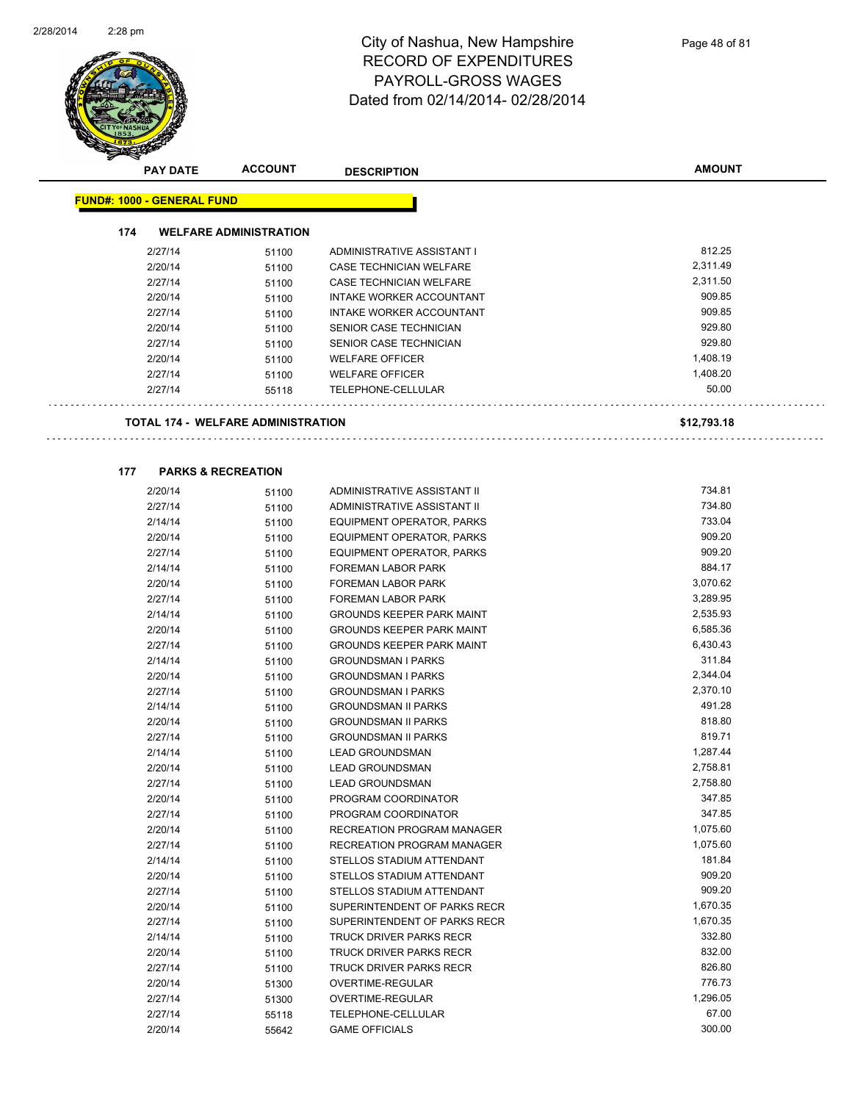

| <b>PAY DATE</b>                           | <b>ACCOUNT</b>                | <b>DESCRIPTION</b>                           | <b>AMOUNT</b> |
|-------------------------------------------|-------------------------------|----------------------------------------------|---------------|
|                                           |                               |                                              |               |
| <b>FUND#: 1000 - GENERAL FUND</b>         |                               |                                              |               |
| 174                                       | <b>WELFARE ADMINISTRATION</b> |                                              |               |
| 2/27/14                                   | 51100                         | <b>ADMINISTRATIVE ASSISTANT I</b>            | 812.25        |
| 2/20/14                                   | 51100                         | CASE TECHNICIAN WELFARE                      | 2,311.49      |
| 2/27/14                                   | 51100                         | <b>CASE TECHNICIAN WELFARE</b>               | 2,311.50      |
| 2/20/14                                   | 51100                         | INTAKE WORKER ACCOUNTANT                     | 909.85        |
| 2/27/14                                   | 51100                         | INTAKE WORKER ACCOUNTANT                     | 909.85        |
| 2/20/14                                   |                               | <b>SENIOR CASE TECHNICIAN</b>                | 929.80        |
| 2/27/14                                   | 51100                         | <b>SENIOR CASE TECHNICIAN</b>                | 929.80        |
| 2/20/14                                   | 51100                         | <b>WELFARE OFFICER</b>                       | 1,408.19      |
|                                           | 51100                         |                                              | 1,408.20      |
| 2/27/14<br>2/27/14                        | 51100                         | <b>WELFARE OFFICER</b><br>TELEPHONE-CELLULAR | 50.00         |
|                                           | 55118                         |                                              |               |
| <b>TOTAL 174 - WELFARE ADMINISTRATION</b> |                               |                                              | \$12,793.18   |
|                                           |                               |                                              |               |
|                                           |                               |                                              |               |
| <b>PARKS &amp; RECREATION</b><br>177      |                               |                                              |               |
| 2/20/14                                   | 51100                         | ADMINISTRATIVE ASSISTANT II                  | 734.81        |
| 2/27/14                                   | 51100                         | ADMINISTRATIVE ASSISTANT II                  | 734.80        |
| 2/14/14                                   | 51100                         | EQUIPMENT OPERATOR, PARKS                    | 733.04        |
| 2/20/14                                   | 51100                         | EQUIPMENT OPERATOR, PARKS                    | 909.20        |
| 2/27/14                                   | 51100                         | <b>EQUIPMENT OPERATOR, PARKS</b>             | 909.20        |
| 2/14/14                                   | 51100                         | FOREMAN LABOR PARK                           | 884.17        |
| 2/20/14                                   | 51100                         | FOREMAN LABOR PARK                           | 3,070.62      |
| 2/27/14                                   | 51100                         | <b>FOREMAN LABOR PARK</b>                    | 3,289.95      |
| 2/14/14                                   | 51100                         | <b>GROUNDS KEEPER PARK MAINT</b>             | 2,535.93      |
| 2/20/14                                   | 51100                         | <b>GROUNDS KEEPER PARK MAINT</b>             | 6,585.36      |
| 2/27/14                                   | 51100                         | <b>GROUNDS KEEPER PARK MAINT</b>             | 6,430.43      |
| 2/14/14                                   | 51100                         | <b>GROUNDSMAN I PARKS</b>                    | 311.84        |
| 2/20/14                                   | 51100                         | <b>GROUNDSMAN I PARKS</b>                    | 2,344.04      |
| 2/27/14                                   | 51100                         | <b>GROUNDSMAN I PARKS</b>                    | 2,370.10      |
| 2/14/14                                   | 51100                         | <b>GROUNDSMAN II PARKS</b>                   | 491.28        |
| 2/20/14                                   | 51100                         | <b>GROUNDSMAN II PARKS</b>                   | 818.80        |
| 2/27/14                                   | 51100                         | <b>GROUNDSMAN II PARKS</b>                   | 819.71        |
| 2/14/14                                   | 51100                         | <b>LEAD GROUNDSMAN</b>                       | 1,287.44      |
| 2/20/14                                   | 51100                         | <b>LEAD GROUNDSMAN</b>                       | 2,758.81      |
| 2/27/14                                   | 51100                         | <b>LEAD GROUNDSMAN</b>                       | 2,758.80      |
| 2/20/14                                   | 51100                         | PROGRAM COORDINATOR                          | 347.85        |
| 2/27/14                                   | 51100                         | PROGRAM COORDINATOR                          | 347.85        |
| 2/20/14                                   | 51100                         | RECREATION PROGRAM MANAGER                   | 1,075.60      |
| 2/27/14                                   | 51100                         | RECREATION PROGRAM MANAGER                   | 1,075.60      |
| 2/14/14                                   | 51100                         | STELLOS STADIUM ATTENDANT                    | 181.84        |
| 2/20/14                                   | 51100                         | STELLOS STADIUM ATTENDANT                    | 909.20        |
| 2/27/14                                   | 51100                         | STELLOS STADIUM ATTENDANT                    | 909.20        |
| 2/20/14                                   | 51100                         | SUPERINTENDENT OF PARKS RECR                 | 1,670.35      |
| 2/27/14                                   | 51100                         | SUPERINTENDENT OF PARKS RECR                 | 1,670.35      |
| 2/14/14                                   | 51100                         | TRUCK DRIVER PARKS RECR                      | 332.80        |
| 2/20/14                                   | 51100                         | TRUCK DRIVER PARKS RECR                      | 832.00        |
| 2/27/14                                   | 51100                         | TRUCK DRIVER PARKS RECR                      | 826.80        |
| 2/20/14                                   | 51300                         | OVERTIME-REGULAR                             | 776.73        |
| 2/27/14                                   | 51300                         | OVERTIME-REGULAR                             | 1,296.05      |

2/27/14 55118 TELEPHONE-CELLULAR 67.00

2/20/14 55642 GAME OFFICIALS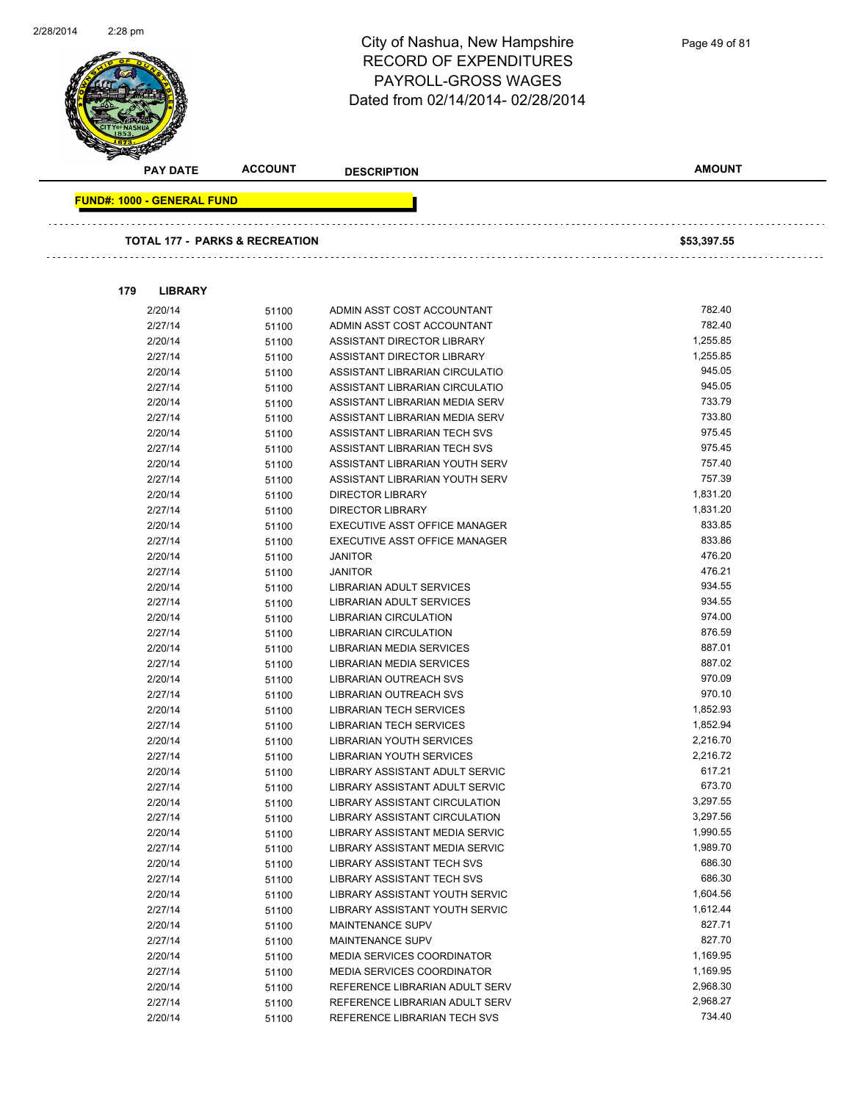

2/20/14 51100 MEDIA SERVICES COORDINATOR 1,169.95 2/27/14 51100 MEDIA SERVICES COORDINATOR 1,169.95 2/20/14 51100 REFERENCE LIBRARIAN ADULT SERV 2,968.30 2/27/14 51100 REFERENCE LIBRARIAN ADULT SERV 2,968.27 2/20/14 51100 REFERENCE LIBRARIAN TECH SVS 734.40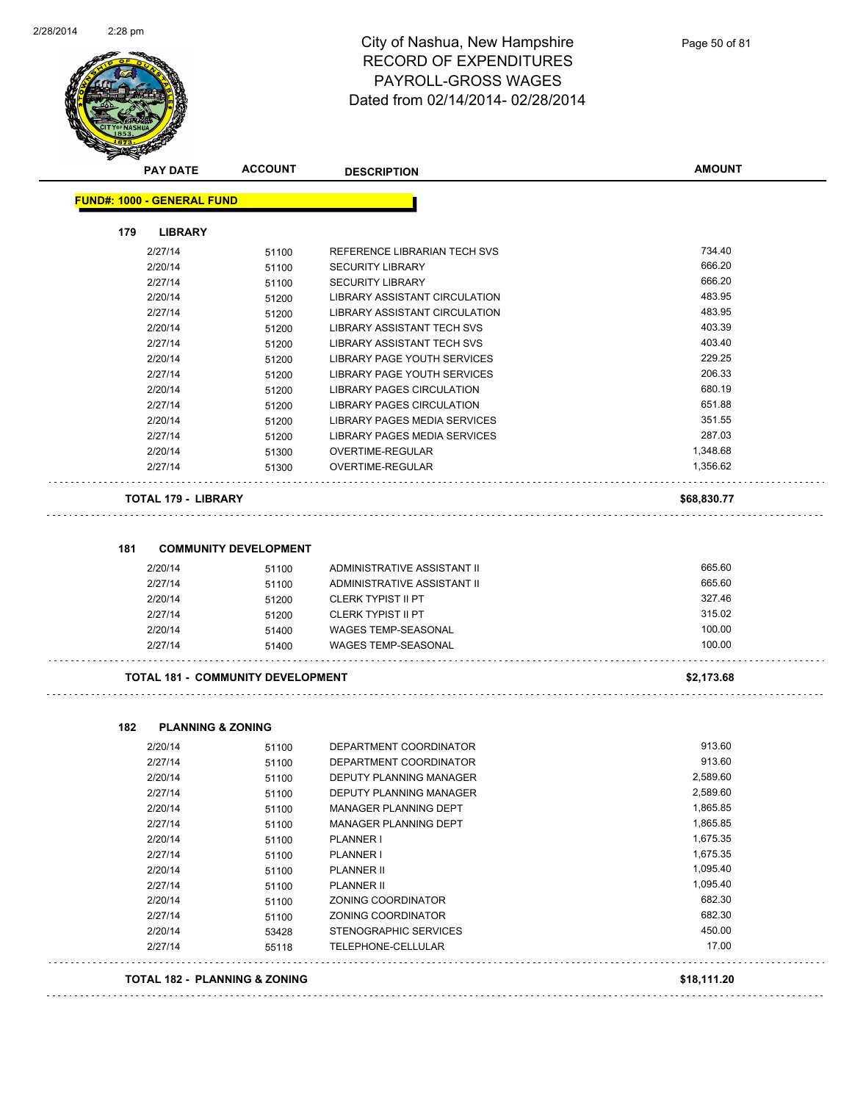

| <b>PAY DATE</b>                          | <b>ACCOUNT</b>               | <b>DESCRIPTION</b>                                      | <b>AMOUNT</b>      |
|------------------------------------------|------------------------------|---------------------------------------------------------|--------------------|
| <b>FUND#: 1000 - GENERAL FUND</b>        |                              |                                                         |                    |
| 179<br><b>LIBRARY</b>                    |                              |                                                         |                    |
| 2/27/14                                  | 51100                        | REFERENCE LIBRARIAN TECH SVS                            | 734.40             |
| 2/20/14                                  | 51100                        | <b>SECURITY LIBRARY</b>                                 | 666.20             |
| 2/27/14                                  | 51100                        | <b>SECURITY LIBRARY</b>                                 | 666.20             |
| 2/20/14                                  | 51200                        | LIBRARY ASSISTANT CIRCULATION                           | 483.95             |
| 2/27/14                                  | 51200                        | LIBRARY ASSISTANT CIRCULATION                           | 483.95             |
| 2/20/14                                  | 51200                        | <b>LIBRARY ASSISTANT TECH SVS</b>                       | 403.39             |
| 2/27/14                                  | 51200                        | LIBRARY ASSISTANT TECH SVS                              | 403.40             |
| 2/20/14                                  | 51200                        | LIBRARY PAGE YOUTH SERVICES                             | 229.25             |
| 2/27/14                                  | 51200                        | LIBRARY PAGE YOUTH SERVICES                             | 206.33             |
| 2/20/14                                  | 51200                        | LIBRARY PAGES CIRCULATION                               | 680.19             |
| 2/27/14                                  | 51200                        | LIBRARY PAGES CIRCULATION                               | 651.88             |
| 2/20/14                                  | 51200                        | LIBRARY PAGES MEDIA SERVICES                            | 351.55             |
| 2/27/14                                  | 51200                        | LIBRARY PAGES MEDIA SERVICES                            | 287.03             |
| 2/20/14                                  | 51300                        | OVERTIME-REGULAR                                        | 1,348.68           |
| 2/27/14                                  | 51300                        | <b>OVERTIME-REGULAR</b>                                 | 1,356.62           |
| <b>TOTAL 179 - LIBRARY</b>               |                              |                                                         | \$68,830.77        |
|                                          |                              |                                                         |                    |
| 181                                      | <b>COMMUNITY DEVELOPMENT</b> |                                                         |                    |
| 2/20/14                                  | 51100                        | ADMINISTRATIVE ASSISTANT II                             | 665.60             |
| 2/27/14                                  | 51100                        | ADMINISTRATIVE ASSISTANT II                             | 665.60             |
| 2/20/14                                  | 51200                        | <b>CLERK TYPIST II PT</b>                               | 327.46             |
| 2/27/14                                  | 51200                        | <b>CLERK TYPIST II PT</b>                               | 315.02             |
| 2/20/14                                  | 51400                        | <b>WAGES TEMP-SEASONAL</b>                              | 100.00             |
| 2/27/14                                  | 51400                        | <b>WAGES TEMP-SEASONAL</b>                              | 100.00             |
| <b>TOTAL 181 - COMMUNITY DEVELOPMENT</b> |                              |                                                         | \$2,173.68         |
|                                          |                              |                                                         |                    |
| 182<br><b>PLANNING &amp; ZONING</b>      |                              |                                                         |                    |
| 2/20/14                                  | 51100                        | DEPARTMENT COORDINATOR                                  | 913.60             |
| 2/27/14                                  | 51100                        | DEPARTMENT COORDINATOR                                  | 913.60<br>2,589.60 |
| 2/20/14                                  | 51100                        | <b>DEPUTY PLANNING MANAGER</b>                          |                    |
| 2/27/14                                  | 51100                        | DEPUTY PLANNING MANAGER<br><b>MANAGER PLANNING DEPT</b> | 2,589.60           |
| 2/20/14                                  | 51100                        |                                                         | 1,865.85           |
| 2/27/14                                  | 51100                        | MANAGER PLANNING DEPT                                   | 1,865.85           |
| 2/20/14                                  | 51100                        | PLANNER I                                               | 1,675.35           |
| 2/27/14                                  | 51100                        | PLANNER I                                               | 1,675.35           |
| 2/20/14                                  | 51100                        | PLANNER II                                              | 1,095.40           |
| 2/27/14                                  | 51100                        | <b>PLANNER II</b>                                       | 1,095.40           |
| 2/20/14                                  | 51100                        | ZONING COORDINATOR                                      | 682.30             |
| 2/27/14                                  | 51100                        | ZONING COORDINATOR                                      | 682.30             |
| 2/20/14                                  | 53428                        | STENOGRAPHIC SERVICES                                   | 450.00             |
| 2/27/14                                  | 55118                        | TELEPHONE-CELLULAR                                      | 17.00              |
| TOTAL 182 - PLANNING & ZONING            |                              |                                                         | \$18,111.20        |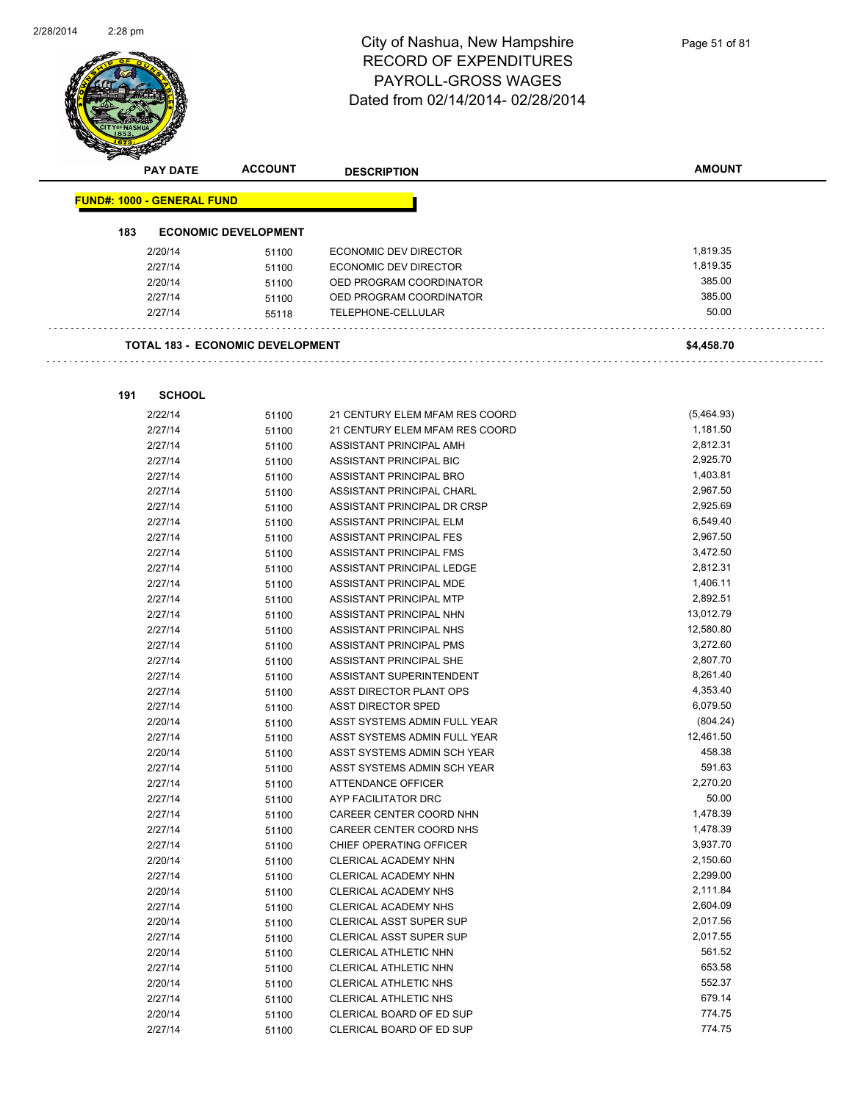$\overline{\phantom{0}}$ 



# City of Nashua, New Hampshire RECORD OF EXPENDITURES PAYROLL-GROSS WAGES Dated from 02/14/2014- 02/28/2014

|     | <b>PAY DATE</b>                   | <b>ACCOUNT</b>                          | <b>DESCRIPTION</b>             | <b>AMOUNT</b> |
|-----|-----------------------------------|-----------------------------------------|--------------------------------|---------------|
|     |                                   |                                         |                                |               |
|     | <b>FUND#: 1000 - GENERAL FUND</b> |                                         |                                |               |
| 183 |                                   | <b>ECONOMIC DEVELOPMENT</b>             |                                |               |
|     | 2/20/14                           | 51100                                   | <b>ECONOMIC DEV DIRECTOR</b>   | 1,819.35      |
|     | 2/27/14                           | 51100                                   | ECONOMIC DEV DIRECTOR          | 1,819.35      |
|     | 2/20/14                           | 51100                                   | OED PROGRAM COORDINATOR        | 385.00        |
|     | 2/27/14                           | 51100                                   | OED PROGRAM COORDINATOR        | 385.00        |
|     | 2/27/14                           | 55118                                   | TELEPHONE-CELLULAR             | 50.00         |
|     |                                   |                                         |                                |               |
|     |                                   | <b>TOTAL 183 - ECONOMIC DEVELOPMENT</b> |                                | \$4,458.70    |
|     |                                   |                                         |                                |               |
| 191 | <b>SCHOOL</b>                     |                                         |                                |               |
|     | 2/22/14                           | 51100                                   | 21 CENTURY ELEM MFAM RES COORD | (5,464.93)    |
|     | 2/27/14                           | 51100                                   | 21 CENTURY ELEM MFAM RES COORD | 1,181.50      |
|     | 2/27/14                           | 51100                                   | ASSISTANT PRINCIPAL AMH        | 2,812.31      |
|     | 2/27/14                           | 51100                                   | ASSISTANT PRINCIPAL BIC        | 2,925.70      |
|     | 2/27/14                           | 51100                                   | ASSISTANT PRINCIPAL BRO        | 1,403.81      |
|     | 2/27/14                           | 51100                                   | ASSISTANT PRINCIPAL CHARL      | 2,967.50      |
|     | 2/27/14                           | 51100                                   | ASSISTANT PRINCIPAL DR CRSP    | 2,925.69      |
|     | 2/27/14                           | 51100                                   | ASSISTANT PRINCIPAL ELM        | 6,549.40      |
|     | 2/27/14                           | 51100                                   | <b>ASSISTANT PRINCIPAL FES</b> | 2,967.50      |
|     | 2/27/14                           | 51100                                   | ASSISTANT PRINCIPAL FMS        | 3,472.50      |
|     | 2/27/14                           | 51100                                   | ASSISTANT PRINCIPAL LEDGE      | 2,812.31      |
|     | 2/27/14                           | 51100                                   | ASSISTANT PRINCIPAL MDE        | 1,406.11      |
|     | 2/27/14                           | 51100                                   | ASSISTANT PRINCIPAL MTP        | 2,892.51      |
|     | 2/27/14                           | 51100                                   | ASSISTANT PRINCIPAL NHN        | 13,012.79     |
|     | 2/27/14                           | 51100                                   | ASSISTANT PRINCIPAL NHS        | 12,580.80     |
|     | 2/27/14                           | 51100                                   | ASSISTANT PRINCIPAL PMS        | 3,272.60      |
|     | 2/27/14                           | 51100                                   | ASSISTANT PRINCIPAL SHE        | 2,807.70      |
|     | 2/27/14                           | 51100                                   | ASSISTANT SUPERINTENDENT       | 8,261.40      |
|     | 2/27/14                           | 51100                                   | ASST DIRECTOR PLANT OPS        | 4,353.40      |
|     | 2/27/14                           | 51100                                   | ASST DIRECTOR SPED             | 6,079.50      |
|     | 2/20/14                           | 51100                                   | ASST SYSTEMS ADMIN FULL YEAR   | (804.24)      |
|     | 2/27/14                           |                                         | ASST SYSTEMS ADMIN FULL YEAR   | 12,461.50     |
|     | 2/20/14                           | 51100<br>51100                          | ASST SYSTEMS ADMIN SCH YEAR    | 458.38        |
|     | 2/27/14                           |                                         | ASST SYSTEMS ADMIN SCH YEAR    | 591.63        |
|     | 2/27/14                           | 51100                                   |                                | 2.270.20      |
|     |                                   | 51100                                   | ATTENDANCE OFFICER             | 50.00         |
|     | 2/27/14                           | 51100                                   | AYP FACILITATOR DRC            |               |
|     | 2/27/14                           | 51100                                   | CAREER CENTER COORD NHN        | 1,478.39      |
|     | 2/27/14                           | 51100                                   | CAREER CENTER COORD NHS        | 1,478.39      |
|     | 2/27/14                           | 51100                                   | CHIEF OPERATING OFFICER        | 3,937.70      |
|     | 2/20/14                           | 51100                                   | CLERICAL ACADEMY NHN           | 2,150.60      |
|     | 2/27/14                           | 51100                                   | CLERICAL ACADEMY NHN           | 2,299.00      |
|     | 2/20/14                           | 51100                                   | <b>CLERICAL ACADEMY NHS</b>    | 2,111.84      |
|     | 2/27/14                           | 51100                                   | <b>CLERICAL ACADEMY NHS</b>    | 2,604.09      |
|     | 2/20/14                           | 51100                                   | CLERICAL ASST SUPER SUP        | 2,017.56      |
|     | 2/27/14                           | 51100                                   | CLERICAL ASST SUPER SUP        | 2,017.55      |
|     | 2/20/14                           | 51100                                   | CLERICAL ATHLETIC NHN          | 561.52        |
|     | 2/27/14                           | 51100                                   | CLERICAL ATHLETIC NHN          | 653.58        |
|     | 2/20/14                           | 51100                                   | CLERICAL ATHLETIC NHS          | 552.37        |
|     | 2/27/14                           | 51100                                   | CLERICAL ATHLETIC NHS          | 679.14        |

2/20/14 51100 CLERICAL BOARD OF ED SUP 774.75

2/27/14 51100 CLERICAL BOARD OF ED SUP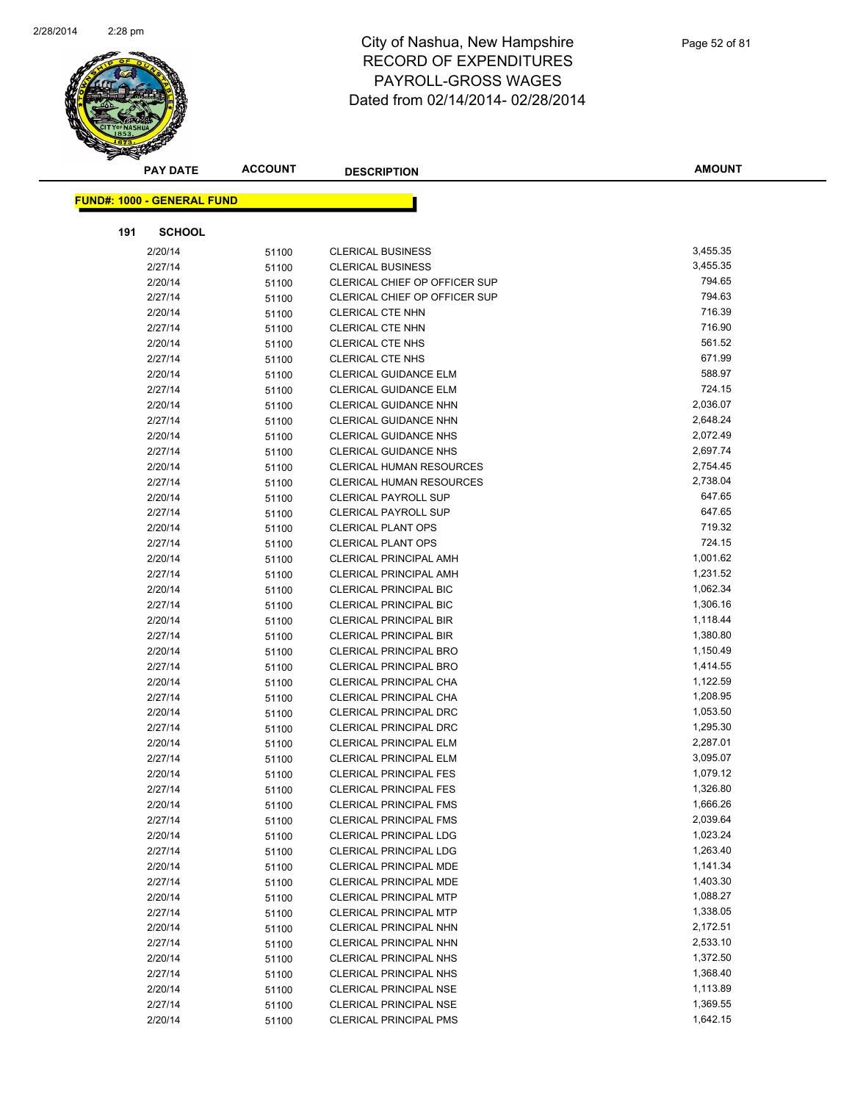

|     | <b>PAY DATE</b>                   | <b>ACCOUNT</b> | <b>DESCRIPTION</b>              | <b>AMOUNT</b> |
|-----|-----------------------------------|----------------|---------------------------------|---------------|
|     | <b>FUND#: 1000 - GENERAL FUND</b> |                |                                 |               |
|     |                                   |                |                                 |               |
| 191 | <b>SCHOOL</b>                     |                |                                 |               |
|     | 2/20/14                           | 51100          | <b>CLERICAL BUSINESS</b>        | 3,455.35      |
|     | 2/27/14                           | 51100          | <b>CLERICAL BUSINESS</b>        | 3,455.35      |
|     | 2/20/14                           | 51100          | CLERICAL CHIEF OP OFFICER SUP   | 794.65        |
|     | 2/27/14                           | 51100          | CLERICAL CHIEF OP OFFICER SUP   | 794.63        |
|     | 2/20/14                           | 51100          | <b>CLERICAL CTE NHN</b>         | 716.39        |
|     | 2/27/14                           | 51100          | <b>CLERICAL CTE NHN</b>         | 716.90        |
|     | 2/20/14                           | 51100          | <b>CLERICAL CTE NHS</b>         | 561.52        |
|     | 2/27/14                           | 51100          | <b>CLERICAL CTE NHS</b>         | 671.99        |
|     | 2/20/14                           | 51100          | <b>CLERICAL GUIDANCE ELM</b>    | 588.97        |
|     | 2/27/14                           | 51100          | <b>CLERICAL GUIDANCE ELM</b>    | 724.15        |
|     | 2/20/14                           | 51100          | <b>CLERICAL GUIDANCE NHN</b>    | 2,036.07      |
|     | 2/27/14                           | 51100          | <b>CLERICAL GUIDANCE NHN</b>    | 2,648.24      |
|     | 2/20/14                           | 51100          | <b>CLERICAL GUIDANCE NHS</b>    | 2,072.49      |
|     | 2/27/14                           | 51100          | <b>CLERICAL GUIDANCE NHS</b>    | 2,697.74      |
|     | 2/20/14                           | 51100          | <b>CLERICAL HUMAN RESOURCES</b> | 2,754.45      |
|     | 2/27/14                           | 51100          | CLERICAL HUMAN RESOURCES        | 2,738.04      |
|     | 2/20/14                           | 51100          | <b>CLERICAL PAYROLL SUP</b>     | 647.65        |
|     | 2/27/14                           | 51100          | <b>CLERICAL PAYROLL SUP</b>     | 647.65        |
|     | 2/20/14                           | 51100          | <b>CLERICAL PLANT OPS</b>       | 719.32        |
|     | 2/27/14                           | 51100          | <b>CLERICAL PLANT OPS</b>       | 724.15        |
|     | 2/20/14                           | 51100          | <b>CLERICAL PRINCIPAL AMH</b>   | 1,001.62      |
|     | 2/27/14                           | 51100          | <b>CLERICAL PRINCIPAL AMH</b>   | 1,231.52      |
|     | 2/20/14                           | 51100          | <b>CLERICAL PRINCIPAL BIC</b>   | 1,062.34      |
|     | 2/27/14                           | 51100          | <b>CLERICAL PRINCIPAL BIC</b>   | 1,306.16      |
|     | 2/20/14                           | 51100          | <b>CLERICAL PRINCIPAL BIR</b>   | 1,118.44      |
|     | 2/27/14                           | 51100          | <b>CLERICAL PRINCIPAL BIR</b>   | 1,380.80      |
|     | 2/20/14                           | 51100          | <b>CLERICAL PRINCIPAL BRO</b>   | 1,150.49      |
|     | 2/27/14                           | 51100          | <b>CLERICAL PRINCIPAL BRO</b>   | 1,414.55      |
|     | 2/20/14                           | 51100          | CLERICAL PRINCIPAL CHA          | 1,122.59      |
|     | 2/27/14                           | 51100          | CLERICAL PRINCIPAL CHA          | 1,208.95      |
|     | 2/20/14                           | 51100          | CLERICAL PRINCIPAL DRC          | 1,053.50      |
|     | 2/27/14                           | 51100          | <b>CLERICAL PRINCIPAL DRC</b>   | 1,295.30      |
|     | 2/20/14                           | 51100          | CLERICAL PRINCIPAL ELM          | 2,287.01      |
|     | 2/27/14                           | 51100          | CLERICAL PRINCIPAL ELM          | 3,095.07      |
|     | 2/20/14                           | 51100          | <b>CLERICAL PRINCIPAL FES</b>   | 1,079.12      |
|     | 2/27/14                           | 51100          | <b>CLERICAL PRINCIPAL FES</b>   | 1,326.80      |
|     | 2/20/14                           | 51100          | <b>CLERICAL PRINCIPAL FMS</b>   | 1,666.26      |
|     | 2/27/14                           | 51100          | <b>CLERICAL PRINCIPAL FMS</b>   | 2,039.64      |
|     | 2/20/14                           | 51100          | <b>CLERICAL PRINCIPAL LDG</b>   | 1,023.24      |
|     | 2/27/14                           | 51100          | <b>CLERICAL PRINCIPAL LDG</b>   | 1,263.40      |
|     | 2/20/14                           | 51100          | <b>CLERICAL PRINCIPAL MDE</b>   | 1,141.34      |
|     | 2/27/14                           | 51100          | CLERICAL PRINCIPAL MDE          | 1,403.30      |
|     | 2/20/14                           | 51100          | <b>CLERICAL PRINCIPAL MTP</b>   | 1,088.27      |
|     | 2/27/14                           | 51100          | <b>CLERICAL PRINCIPAL MTP</b>   | 1,338.05      |
|     | 2/20/14                           | 51100          | CLERICAL PRINCIPAL NHN          | 2,172.51      |
|     | 2/27/14                           | 51100          | CLERICAL PRINCIPAL NHN          | 2,533.10      |
|     | 2/20/14                           | 51100          | CLERICAL PRINCIPAL NHS          | 1,372.50      |
|     | 2/27/14                           | 51100          | CLERICAL PRINCIPAL NHS          | 1,368.40      |
|     | 2/20/14                           | 51100          | <b>CLERICAL PRINCIPAL NSE</b>   | 1,113.89      |
|     | 2/27/14                           | 51100          | CLERICAL PRINCIPAL NSE          | 1,369.55      |
|     | 2/20/14                           | 51100          | CLERICAL PRINCIPAL PMS          | 1,642.15      |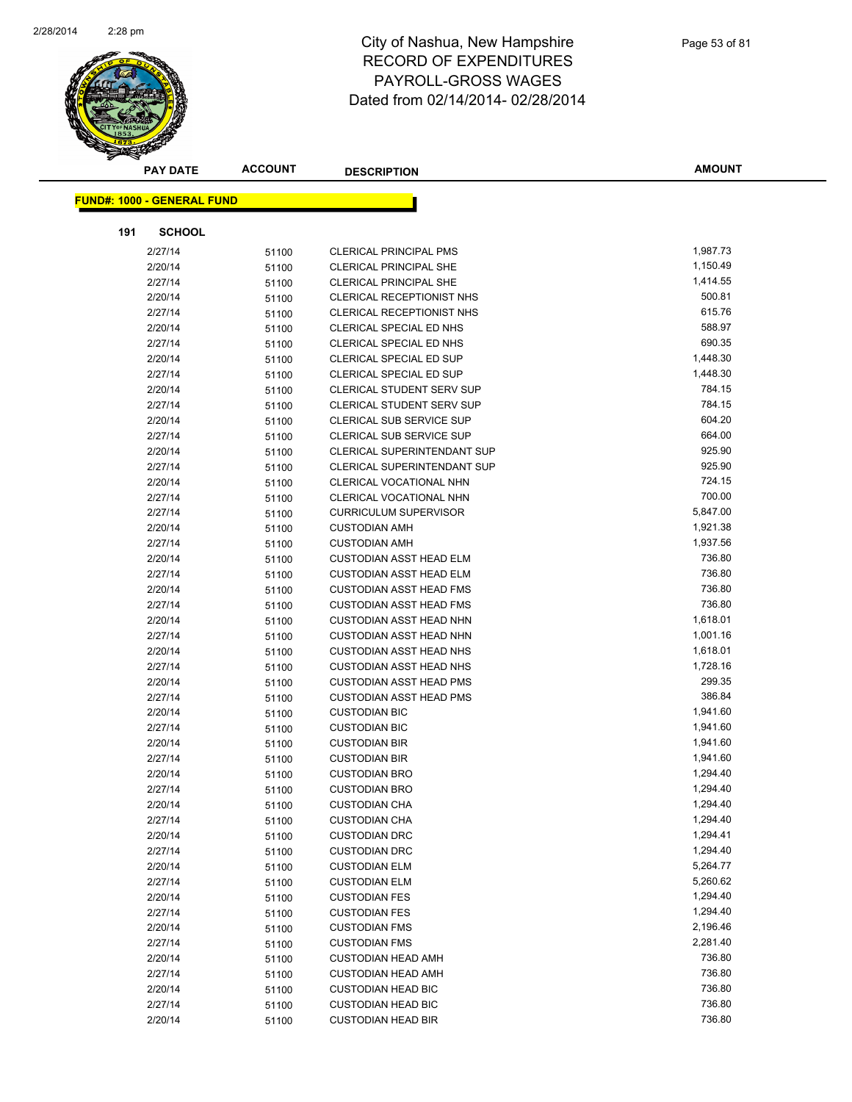

|     | <b>PAY DATE</b>                   | <b>ACCOUNT</b> | <b>DESCRIPTION</b>                 | <b>AMOUNT</b> |
|-----|-----------------------------------|----------------|------------------------------------|---------------|
|     | <b>FUND#: 1000 - GENERAL FUND</b> |                |                                    |               |
|     |                                   |                |                                    |               |
| 191 | <b>SCHOOL</b>                     |                |                                    |               |
|     | 2/27/14                           | 51100          | <b>CLERICAL PRINCIPAL PMS</b>      | 1,987.73      |
|     | 2/20/14                           | 51100          | <b>CLERICAL PRINCIPAL SHE</b>      | 1,150.49      |
|     | 2/27/14                           | 51100          | <b>CLERICAL PRINCIPAL SHE</b>      | 1,414.55      |
|     | 2/20/14                           | 51100          | CLERICAL RECEPTIONIST NHS          | 500.81        |
|     | 2/27/14                           | 51100          | CLERICAL RECEPTIONIST NHS          | 615.76        |
|     | 2/20/14                           | 51100          | CLERICAL SPECIAL ED NHS            | 588.97        |
|     | 2/27/14                           | 51100          | CLERICAL SPECIAL ED NHS            | 690.35        |
|     | 2/20/14                           | 51100          | CLERICAL SPECIAL ED SUP            | 1,448.30      |
|     | 2/27/14                           | 51100          | <b>CLERICAL SPECIAL ED SUP</b>     | 1,448.30      |
|     | 2/20/14                           | 51100          | CLERICAL STUDENT SERV SUP          | 784.15        |
|     | 2/27/14                           | 51100          | CLERICAL STUDENT SERV SUP          | 784.15        |
|     | 2/20/14                           | 51100          | CLERICAL SUB SERVICE SUP           | 604.20        |
|     | 2/27/14                           | 51100          | CLERICAL SUB SERVICE SUP           | 664.00        |
|     | 2/20/14                           | 51100          | <b>CLERICAL SUPERINTENDANT SUP</b> | 925.90        |
|     | 2/27/14                           | 51100          | <b>CLERICAL SUPERINTENDANT SUP</b> | 925.90        |
|     | 2/20/14                           | 51100          | CLERICAL VOCATIONAL NHN            | 724.15        |
|     | 2/27/14                           | 51100          | CLERICAL VOCATIONAL NHN            | 700.00        |
|     | 2/27/14                           | 51100          | <b>CURRICULUM SUPERVISOR</b>       | 5,847.00      |
|     | 2/20/14                           | 51100          | <b>CUSTODIAN AMH</b>               | 1,921.38      |
|     | 2/27/14                           | 51100          | <b>CUSTODIAN AMH</b>               | 1,937.56      |
|     | 2/20/14                           | 51100          | <b>CUSTODIAN ASST HEAD ELM</b>     | 736.80        |
|     | 2/27/14                           | 51100          | <b>CUSTODIAN ASST HEAD ELM</b>     | 736.80        |
|     | 2/20/14                           | 51100          | <b>CUSTODIAN ASST HEAD FMS</b>     | 736.80        |
|     | 2/27/14                           | 51100          | <b>CUSTODIAN ASST HEAD FMS</b>     | 736.80        |
|     | 2/20/14                           | 51100          | <b>CUSTODIAN ASST HEAD NHN</b>     | 1,618.01      |
|     | 2/27/14                           | 51100          | <b>CUSTODIAN ASST HEAD NHN</b>     | 1,001.16      |
|     | 2/20/14                           | 51100          | <b>CUSTODIAN ASST HEAD NHS</b>     | 1,618.01      |
|     | 2/27/14                           | 51100          | <b>CUSTODIAN ASST HEAD NHS</b>     | 1,728.16      |
|     | 2/20/14                           | 51100          | <b>CUSTODIAN ASST HEAD PMS</b>     | 299.35        |
|     | 2/27/14                           | 51100          | <b>CUSTODIAN ASST HEAD PMS</b>     | 386.84        |
|     | 2/20/14                           | 51100          | <b>CUSTODIAN BIC</b>               | 1,941.60      |
|     | 2/27/14                           | 51100          | <b>CUSTODIAN BIC</b>               | 1,941.60      |
|     | 2/20/14                           | 51100          | <b>CUSTODIAN BIR</b>               | 1,941.60      |
|     | 2/27/14                           | 51100          | <b>CUSTODIAN BIR</b>               | 1,941.60      |
|     | 2/20/14                           | 51100          | <b>CUSTODIAN BRO</b>               | 1,294.40      |
|     | 2/27/14                           | 51100          | <b>CUSTODIAN BRO</b>               | 1,294.40      |
|     | 2/20/14                           | 51100          | <b>CUSTODIAN CHA</b>               | 1,294.40      |
|     | 2/27/14                           | 51100          | <b>CUSTODIAN CHA</b>               | 1,294.40      |
|     | 2/20/14                           | 51100          | <b>CUSTODIAN DRC</b>               | 1,294.41      |
|     | 2/27/14                           | 51100          | <b>CUSTODIAN DRC</b>               | 1,294.40      |
|     | 2/20/14                           | 51100          | <b>CUSTODIAN ELM</b>               | 5,264.77      |
|     | 2/27/14                           | 51100          | <b>CUSTODIAN ELM</b>               | 5,260.62      |
|     | 2/20/14                           | 51100          | <b>CUSTODIAN FES</b>               | 1,294.40      |
|     | 2/27/14                           | 51100          | <b>CUSTODIAN FES</b>               | 1,294.40      |
|     | 2/20/14                           | 51100          | <b>CUSTODIAN FMS</b>               | 2,196.46      |
|     | 2/27/14                           | 51100          | <b>CUSTODIAN FMS</b>               | 2,281.40      |
|     | 2/20/14                           | 51100          | <b>CUSTODIAN HEAD AMH</b>          | 736.80        |
|     | 2/27/14                           | 51100          | <b>CUSTODIAN HEAD AMH</b>          | 736.80        |
|     | 2/20/14                           | 51100          | <b>CUSTODIAN HEAD BIC</b>          | 736.80        |
|     | 2/27/14                           | 51100          | <b>CUSTODIAN HEAD BIC</b>          | 736.80        |
|     | 2/20/14                           | 51100          | <b>CUSTODIAN HEAD BIR</b>          | 736.80        |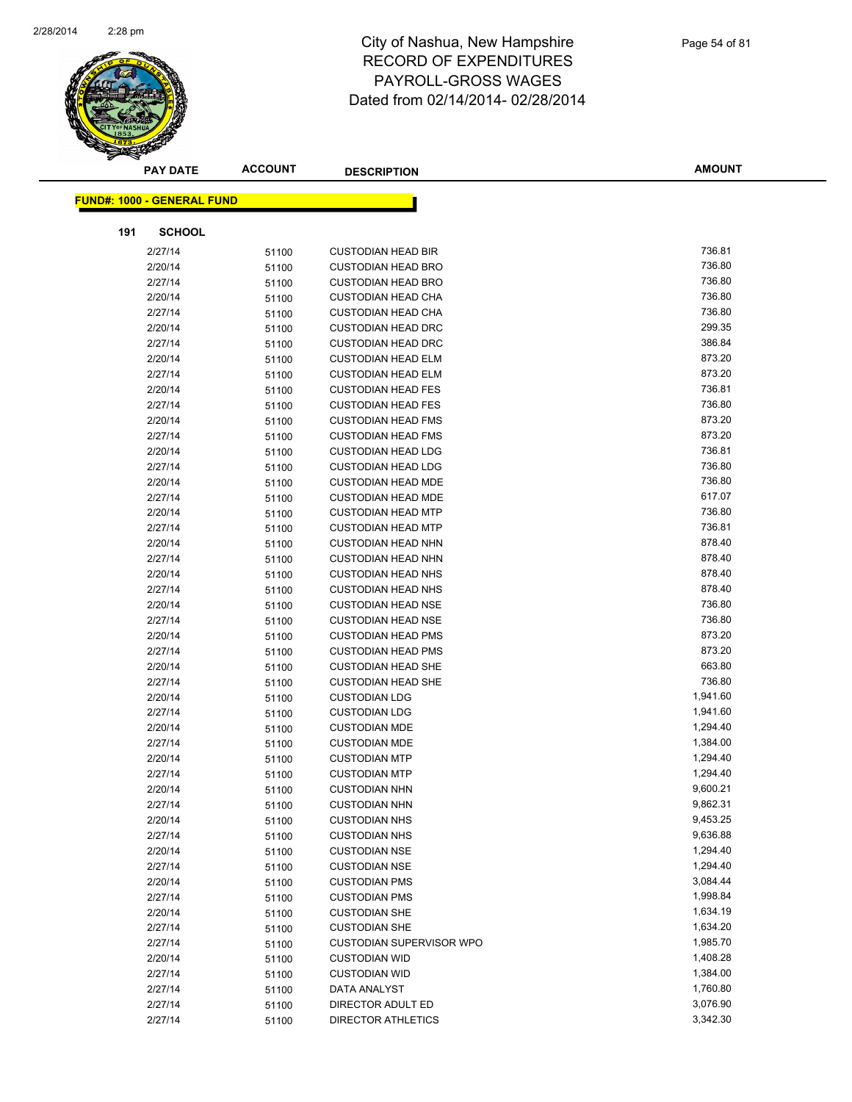

|     | <b>PAY DATE</b>                   | <b>ACCOUNT</b> | <b>DESCRIPTION</b>              | <b>AMOUNT</b> |
|-----|-----------------------------------|----------------|---------------------------------|---------------|
|     | <b>FUND#: 1000 - GENERAL FUND</b> |                |                                 |               |
|     |                                   |                |                                 |               |
| 191 | <b>SCHOOL</b>                     |                |                                 |               |
|     | 2/27/14                           | 51100          | <b>CUSTODIAN HEAD BIR</b>       | 736.81        |
|     | 2/20/14                           | 51100          | <b>CUSTODIAN HEAD BRO</b>       | 736.80        |
|     | 2/27/14                           | 51100          | <b>CUSTODIAN HEAD BRO</b>       | 736.80        |
|     | 2/20/14                           | 51100          | <b>CUSTODIAN HEAD CHA</b>       | 736.80        |
|     | 2/27/14                           | 51100          | <b>CUSTODIAN HEAD CHA</b>       | 736.80        |
|     | 2/20/14                           | 51100          | <b>CUSTODIAN HEAD DRC</b>       | 299.35        |
|     | 2/27/14                           | 51100          | <b>CUSTODIAN HEAD DRC</b>       | 386.84        |
|     | 2/20/14                           | 51100          | <b>CUSTODIAN HEAD ELM</b>       | 873.20        |
|     | 2/27/14                           | 51100          | <b>CUSTODIAN HEAD ELM</b>       | 873.20        |
|     | 2/20/14                           | 51100          | <b>CUSTODIAN HEAD FES</b>       | 736.81        |
|     | 2/27/14                           | 51100          | <b>CUSTODIAN HEAD FES</b>       | 736.80        |
|     | 2/20/14                           | 51100          | <b>CUSTODIAN HEAD FMS</b>       | 873.20        |
|     | 2/27/14                           | 51100          | <b>CUSTODIAN HEAD FMS</b>       | 873.20        |
|     | 2/20/14                           | 51100          | <b>CUSTODIAN HEAD LDG</b>       | 736.81        |
|     | 2/27/14                           | 51100          | <b>CUSTODIAN HEAD LDG</b>       | 736.80        |
|     | 2/20/14                           | 51100          | <b>CUSTODIAN HEAD MDE</b>       | 736.80        |
|     | 2/27/14                           | 51100          | <b>CUSTODIAN HEAD MDE</b>       | 617.07        |
|     | 2/20/14                           | 51100          | <b>CUSTODIAN HEAD MTP</b>       | 736.80        |
|     | 2/27/14                           | 51100          | <b>CUSTODIAN HEAD MTP</b>       | 736.81        |
|     | 2/20/14                           | 51100          | <b>CUSTODIAN HEAD NHN</b>       | 878.40        |
|     | 2/27/14                           | 51100          | <b>CUSTODIAN HEAD NHN</b>       | 878.40        |
|     | 2/20/14                           | 51100          | <b>CUSTODIAN HEAD NHS</b>       | 878.40        |
|     | 2/27/14                           | 51100          | <b>CUSTODIAN HEAD NHS</b>       | 878.40        |
|     | 2/20/14                           | 51100          | <b>CUSTODIAN HEAD NSE</b>       | 736.80        |
|     | 2/27/14                           | 51100          | <b>CUSTODIAN HEAD NSE</b>       | 736.80        |
|     | 2/20/14                           | 51100          | <b>CUSTODIAN HEAD PMS</b>       | 873.20        |
|     | 2/27/14                           | 51100          | <b>CUSTODIAN HEAD PMS</b>       | 873.20        |
|     | 2/20/14                           | 51100          | <b>CUSTODIAN HEAD SHE</b>       | 663.80        |
|     | 2/27/14                           | 51100          | <b>CUSTODIAN HEAD SHE</b>       | 736.80        |
|     | 2/20/14                           | 51100          | <b>CUSTODIAN LDG</b>            | 1,941.60      |
|     | 2/27/14                           | 51100          | <b>CUSTODIAN LDG</b>            | 1,941.60      |
|     | 2/20/14                           | 51100          | <b>CUSTODIAN MDE</b>            | 1,294.40      |
|     | 2/27/14                           | 51100          | <b>CUSTODIAN MDE</b>            | 1,384.00      |
|     | 2/20/14                           | 51100          | <b>CUSTODIAN MTP</b>            | 1,294.40      |
|     | 2/27/14                           | 51100          | <b>CUSTODIAN MTP</b>            | 1,294.40      |
|     | 2/20/14                           | 51100          | <b>CUSTODIAN NHN</b>            | 9,600.21      |
|     | 2/27/14                           | 51100          | <b>CUSTODIAN NHN</b>            | 9,862.31      |
|     | 2/20/14                           | 51100          | <b>CUSTODIAN NHS</b>            | 9,453.25      |
|     | 2/27/14                           | 51100          | <b>CUSTODIAN NHS</b>            | 9,636.88      |
|     | 2/20/14                           | 51100          | <b>CUSTODIAN NSE</b>            | 1,294.40      |
|     | 2/27/14                           | 51100          | <b>CUSTODIAN NSE</b>            | 1,294.40      |
|     | 2/20/14                           | 51100          | <b>CUSTODIAN PMS</b>            | 3,084.44      |
|     | 2/27/14                           | 51100          | <b>CUSTODIAN PMS</b>            | 1,998.84      |
|     | 2/20/14                           | 51100          | <b>CUSTODIAN SHE</b>            | 1,634.19      |
|     | 2/27/14                           | 51100          | <b>CUSTODIAN SHE</b>            | 1,634.20      |
|     | 2/27/14                           | 51100          | <b>CUSTODIAN SUPERVISOR WPO</b> | 1,985.70      |
|     | 2/20/14                           | 51100          | <b>CUSTODIAN WID</b>            | 1,408.28      |
|     | 2/27/14                           | 51100          | <b>CUSTODIAN WID</b>            | 1,384.00      |
|     | 2/27/14                           | 51100          | DATA ANALYST                    | 1,760.80      |
|     | 2/27/14                           | 51100          | DIRECTOR ADULT ED               | 3,076.90      |
|     | 2/27/14                           | 51100          | <b>DIRECTOR ATHLETICS</b>       | 3,342.30      |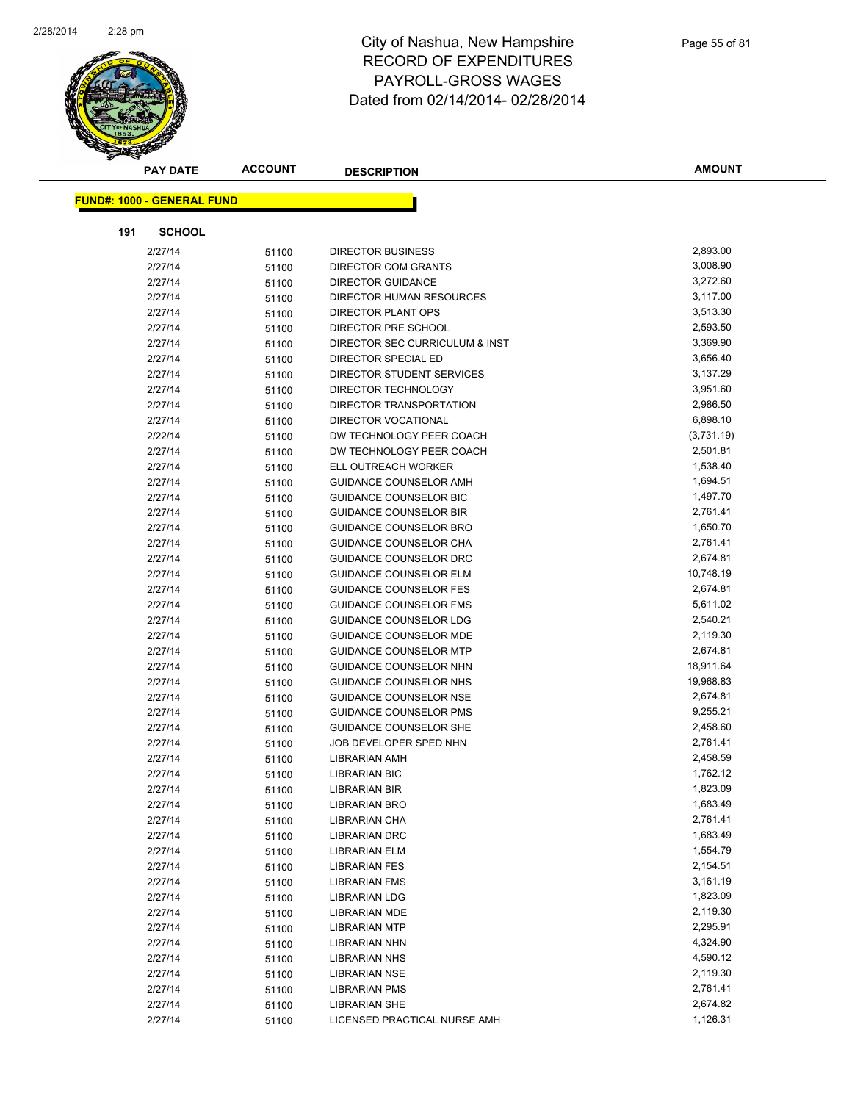

|     | <b>PAY DATE</b>                   | <b>ACCOUNT</b> | <b>DESCRIPTION</b>             | <b>AMOUNT</b> |
|-----|-----------------------------------|----------------|--------------------------------|---------------|
|     | <b>FUND#: 1000 - GENERAL FUND</b> |                |                                |               |
|     |                                   |                |                                |               |
| 191 | <b>SCHOOL</b>                     |                |                                |               |
|     | 2/27/14                           | 51100          | <b>DIRECTOR BUSINESS</b>       | 2,893.00      |
|     | 2/27/14                           | 51100          | DIRECTOR COM GRANTS            | 3,008.90      |
|     | 2/27/14                           | 51100          | <b>DIRECTOR GUIDANCE</b>       | 3,272.60      |
|     | 2/27/14                           | 51100          | DIRECTOR HUMAN RESOURCES       | 3,117.00      |
|     | 2/27/14                           | 51100          | <b>DIRECTOR PLANT OPS</b>      | 3,513.30      |
|     | 2/27/14                           | 51100          | DIRECTOR PRE SCHOOL            | 2,593.50      |
|     | 2/27/14                           | 51100          | DIRECTOR SEC CURRICULUM & INST | 3,369.90      |
|     | 2/27/14                           | 51100          | DIRECTOR SPECIAL ED            | 3,656.40      |
|     | 2/27/14                           | 51100          | DIRECTOR STUDENT SERVICES      | 3,137.29      |
|     | 2/27/14                           | 51100          | DIRECTOR TECHNOLOGY            | 3,951.60      |
|     | 2/27/14                           | 51100          | DIRECTOR TRANSPORTATION        | 2,986.50      |
|     | 2/27/14                           | 51100          | <b>DIRECTOR VOCATIONAL</b>     | 6,898.10      |
|     | 2/22/14                           | 51100          | DW TECHNOLOGY PEER COACH       | (3,731.19)    |
|     | 2/27/14                           | 51100          | DW TECHNOLOGY PEER COACH       | 2,501.81      |
|     | 2/27/14                           | 51100          | ELL OUTREACH WORKER            | 1,538.40      |
|     | 2/27/14                           | 51100          | <b>GUIDANCE COUNSELOR AMH</b>  | 1,694.51      |
|     | 2/27/14                           | 51100          | <b>GUIDANCE COUNSELOR BIC</b>  | 1,497.70      |
|     | 2/27/14                           | 51100          | <b>GUIDANCE COUNSELOR BIR</b>  | 2,761.41      |
|     | 2/27/14                           | 51100          | <b>GUIDANCE COUNSELOR BRO</b>  | 1,650.70      |
|     | 2/27/14                           | 51100          | <b>GUIDANCE COUNSELOR CHA</b>  | 2,761.41      |
|     | 2/27/14                           | 51100          | GUIDANCE COUNSELOR DRC         | 2,674.81      |
|     | 2/27/14                           | 51100          | <b>GUIDANCE COUNSELOR ELM</b>  | 10,748.19     |
|     | 2/27/14                           | 51100          | <b>GUIDANCE COUNSELOR FES</b>  | 2,674.81      |
|     | 2/27/14                           | 51100          | <b>GUIDANCE COUNSELOR FMS</b>  | 5,611.02      |
|     | 2/27/14                           | 51100          | <b>GUIDANCE COUNSELOR LDG</b>  | 2,540.21      |
|     | 2/27/14                           | 51100          | GUIDANCE COUNSELOR MDE         | 2,119.30      |
|     | 2/27/14                           | 51100          | <b>GUIDANCE COUNSELOR MTP</b>  | 2,674.81      |
|     | 2/27/14                           | 51100          | GUIDANCE COUNSELOR NHN         | 18,911.64     |
|     | 2/27/14                           | 51100          | GUIDANCE COUNSELOR NHS         | 19,968.83     |
|     | 2/27/14                           | 51100          | <b>GUIDANCE COUNSELOR NSE</b>  | 2,674.81      |
|     | 2/27/14                           | 51100          | <b>GUIDANCE COUNSELOR PMS</b>  | 9,255.21      |
|     | 2/27/14                           | 51100          | <b>GUIDANCE COUNSELOR SHE</b>  | 2,458.60      |
|     | 2/27/14                           | 51100          | JOB DEVELOPER SPED NHN         | 2,761.41      |
|     | 2/27/14                           | 51100          | LIBRARIAN AMH                  | 2,458.59      |
|     | 2/27/14                           | 51100          | <b>LIBRARIAN BIC</b>           | 1,762.12      |
|     | 2/27/14                           | 51100          | <b>LIBRARIAN BIR</b>           | 1,823.09      |
|     | 2/27/14                           | 51100          | <b>LIBRARIAN BRO</b>           | 1,683.49      |
|     | 2/27/14                           | 51100          | LIBRARIAN CHA                  | 2,761.41      |
|     | 2/27/14                           | 51100          | <b>LIBRARIAN DRC</b>           | 1,683.49      |
|     | 2/27/14                           | 51100          | LIBRARIAN ELM                  | 1,554.79      |
|     | 2/27/14                           | 51100          | <b>LIBRARIAN FES</b>           | 2,154.51      |
|     | 2/27/14                           | 51100          | <b>LIBRARIAN FMS</b>           | 3,161.19      |
|     | 2/27/14                           | 51100          | <b>LIBRARIAN LDG</b>           | 1,823.09      |
|     | 2/27/14                           | 51100          | <b>LIBRARIAN MDE</b>           | 2,119.30      |
|     | 2/27/14                           | 51100          | <b>LIBRARIAN MTP</b>           | 2,295.91      |
|     | 2/27/14                           | 51100          | <b>LIBRARIAN NHN</b>           | 4,324.90      |
|     | 2/27/14                           | 51100          | <b>LIBRARIAN NHS</b>           | 4,590.12      |
|     | 2/27/14                           | 51100          | <b>LIBRARIAN NSE</b>           | 2,119.30      |
|     | 2/27/14                           | 51100          | <b>LIBRARIAN PMS</b>           | 2,761.41      |
|     | 2/27/14                           | 51100          | <b>LIBRARIAN SHE</b>           | 2,674.82      |
|     | 2/27/14                           | 51100          | LICENSED PRACTICAL NURSE AMH   | 1,126.31      |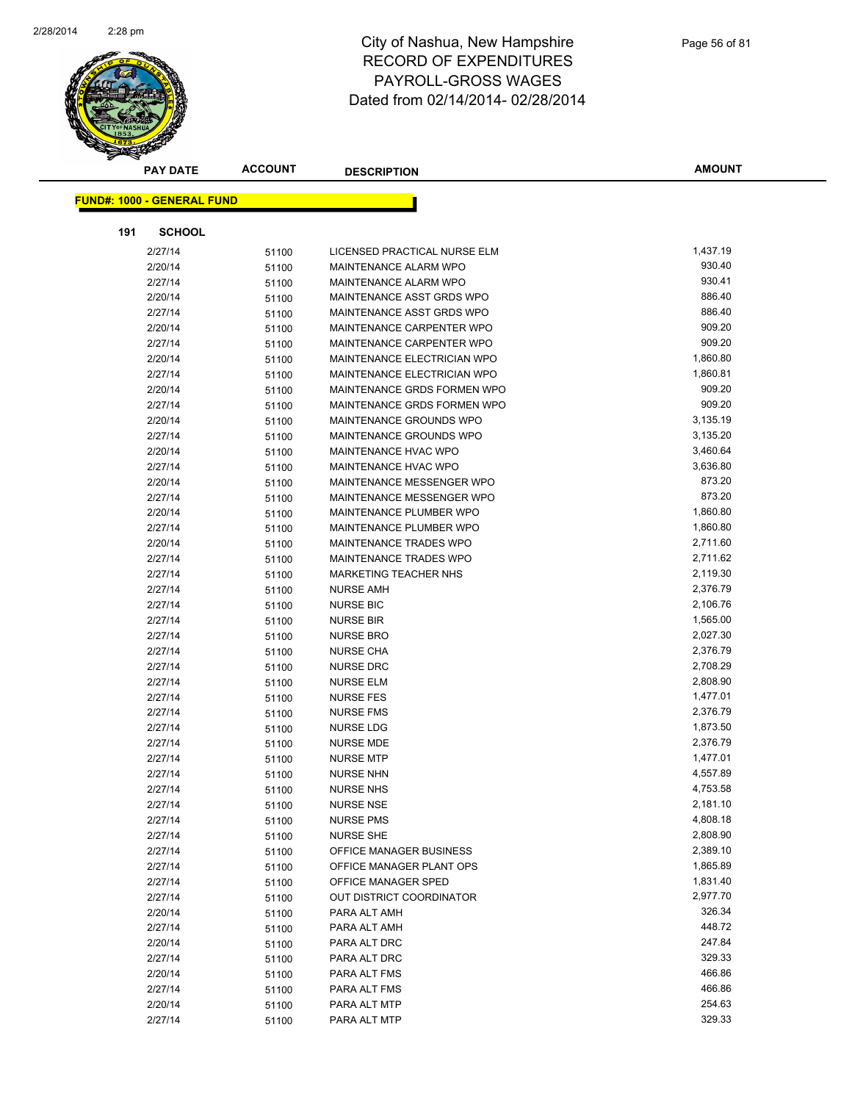

|     | <b>PAY DATE</b>                   | <b>ACCOUNT</b> | <b>DESCRIPTION</b>            | <b>AMOUNT</b> |
|-----|-----------------------------------|----------------|-------------------------------|---------------|
|     | <b>FUND#: 1000 - GENERAL FUND</b> |                |                               |               |
|     |                                   |                |                               |               |
| 191 | <b>SCHOOL</b>                     |                |                               |               |
|     | 2/27/14                           | 51100          | LICENSED PRACTICAL NURSE ELM  | 1,437.19      |
|     | 2/20/14                           | 51100          | MAINTENANCE ALARM WPO         | 930.40        |
|     | 2/27/14                           | 51100          | MAINTENANCE ALARM WPO         | 930.41        |
|     | 2/20/14                           | 51100          | MAINTENANCE ASST GRDS WPO     | 886.40        |
|     | 2/27/14                           | 51100          | MAINTENANCE ASST GRDS WPO     | 886.40        |
|     | 2/20/14                           | 51100          | MAINTENANCE CARPENTER WPO     | 909.20        |
|     | 2/27/14                           | 51100          | MAINTENANCE CARPENTER WPO     | 909.20        |
|     | 2/20/14                           | 51100          | MAINTENANCE ELECTRICIAN WPO   | 1,860.80      |
|     | 2/27/14                           | 51100          | MAINTENANCE ELECTRICIAN WPO   | 1,860.81      |
|     | 2/20/14                           | 51100          | MAINTENANCE GRDS FORMEN WPO   | 909.20        |
|     | 2/27/14                           | 51100          | MAINTENANCE GRDS FORMEN WPO   | 909.20        |
|     | 2/20/14                           | 51100          | MAINTENANCE GROUNDS WPO       | 3,135.19      |
|     | 2/27/14                           | 51100          | MAINTENANCE GROUNDS WPO       | 3,135.20      |
|     | 2/20/14                           | 51100          | MAINTENANCE HVAC WPO          | 3,460.64      |
|     | 2/27/14                           | 51100          | <b>MAINTENANCE HVAC WPO</b>   | 3,636.80      |
|     | 2/20/14                           | 51100          | MAINTENANCE MESSENGER WPO     | 873.20        |
|     | 2/27/14                           | 51100          | MAINTENANCE MESSENGER WPO     | 873.20        |
|     | 2/20/14                           | 51100          | MAINTENANCE PLUMBER WPO       | 1,860.80      |
|     | 2/27/14                           | 51100          | MAINTENANCE PLUMBER WPO       | 1,860.80      |
|     | 2/20/14                           | 51100          | MAINTENANCE TRADES WPO        | 2,711.60      |
|     | 2/27/14                           | 51100          | <b>MAINTENANCE TRADES WPO</b> | 2,711.62      |
|     | 2/27/14                           | 51100          | <b>MARKETING TEACHER NHS</b>  | 2,119.30      |
|     | 2/27/14                           | 51100          | <b>NURSE AMH</b>              | 2,376.79      |
|     | 2/27/14                           | 51100          | <b>NURSE BIC</b>              | 2,106.76      |
|     | 2/27/14                           | 51100          | <b>NURSE BIR</b>              | 1,565.00      |
|     | 2/27/14                           | 51100          | <b>NURSE BRO</b>              | 2,027.30      |
|     | 2/27/14                           | 51100          | <b>NURSE CHA</b>              | 2,376.79      |
|     | 2/27/14                           | 51100          | <b>NURSE DRC</b>              | 2,708.29      |
|     | 2/27/14                           | 51100          | <b>NURSE ELM</b>              | 2,808.90      |
|     | 2/27/14                           | 51100          | <b>NURSE FES</b>              | 1,477.01      |
|     | 2/27/14                           | 51100          | <b>NURSE FMS</b>              | 2,376.79      |
|     | 2/27/14                           | 51100          | <b>NURSE LDG</b>              | 1,873.50      |
|     | 2/27/14                           | 51100          | <b>NURSE MDE</b>              | 2,376.79      |
|     | 2/27/14                           | 51100          | <b>NURSE MTP</b>              | 1,477.01      |
|     | 2/27/14                           | 51100          | <b>NURSE NHN</b>              | 4,557.89      |
|     | 2/27/14                           | 51100          | <b>NURSE NHS</b>              | 4,753.58      |
|     | 2/27/14                           | 51100          | <b>NURSE NSE</b>              | 2,181.10      |
|     | 2/27/14                           | 51100          | <b>NURSE PMS</b>              | 4,808.18      |
|     | 2/27/14                           | 51100          | <b>NURSE SHE</b>              | 2,808.90      |
|     | 2/27/14                           | 51100          | OFFICE MANAGER BUSINESS       | 2,389.10      |
|     | 2/27/14                           | 51100          | OFFICE MANAGER PLANT OPS      | 1,865.89      |
|     | 2/27/14                           | 51100          | OFFICE MANAGER SPED           | 1,831.40      |
|     | 2/27/14                           | 51100          | OUT DISTRICT COORDINATOR      | 2,977.70      |
|     | 2/20/14                           | 51100          | PARA ALT AMH                  | 326.34        |
|     | 2/27/14                           | 51100          | PARA ALT AMH                  | 448.72        |
|     | 2/20/14                           | 51100          | PARA ALT DRC                  | 247.84        |
|     | 2/27/14                           | 51100          | PARA ALT DRC                  | 329.33        |
|     | 2/20/14                           | 51100          | PARA ALT FMS                  | 466.86        |
|     | 2/27/14                           | 51100          | PARA ALT FMS                  | 466.86        |
|     | 2/20/14                           | 51100          | PARA ALT MTP                  | 254.63        |
|     | 2/27/14                           | 51100          | PARA ALT MTP                  | 329.33        |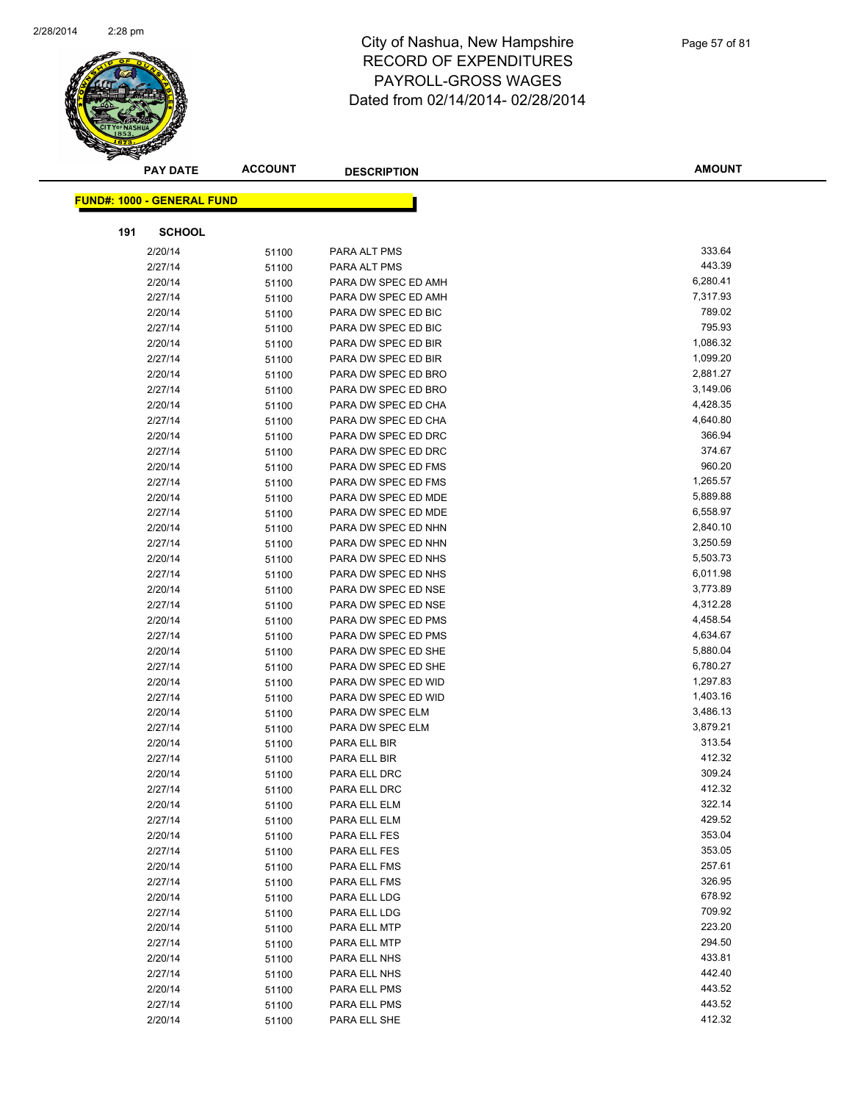

|     | <b>PAY DATE</b>                   | <b>ACCOUNT</b> | <b>DESCRIPTION</b>           | <b>AMOUNT</b>        |
|-----|-----------------------------------|----------------|------------------------------|----------------------|
|     | <b>FUND#: 1000 - GENERAL FUND</b> |                |                              |                      |
|     |                                   |                |                              |                      |
| 191 | <b>SCHOOL</b>                     |                |                              |                      |
|     | 2/20/14                           | 51100          | PARA ALT PMS                 | 333.64               |
|     | 2/27/14                           | 51100          | PARA ALT PMS                 | 443.39               |
|     | 2/20/14                           | 51100          | PARA DW SPEC ED AMH          | 6,280.41             |
|     | 2/27/14                           | 51100          | PARA DW SPEC ED AMH          | 7,317.93             |
|     | 2/20/14                           | 51100          | PARA DW SPEC ED BIC          | 789.02               |
|     | 2/27/14                           | 51100          | PARA DW SPEC ED BIC          | 795.93               |
|     | 2/20/14                           | 51100          | PARA DW SPEC ED BIR          | 1,086.32             |
|     | 2/27/14                           | 51100          | PARA DW SPEC ED BIR          | 1,099.20             |
|     | 2/20/14                           | 51100          | PARA DW SPEC ED BRO          | 2,881.27             |
|     | 2/27/14                           | 51100          | PARA DW SPEC ED BRO          | 3,149.06             |
|     | 2/20/14                           | 51100          | PARA DW SPEC ED CHA          | 4,428.35             |
|     | 2/27/14                           | 51100          | PARA DW SPEC ED CHA          | 4,640.80             |
|     | 2/20/14                           | 51100          | PARA DW SPEC ED DRC          | 366.94               |
|     | 2/27/14                           | 51100          | PARA DW SPEC ED DRC          | 374.67               |
|     | 2/20/14                           | 51100          | PARA DW SPEC ED FMS          | 960.20               |
|     | 2/27/14                           | 51100          | PARA DW SPEC ED FMS          | 1,265.57             |
|     | 2/20/14                           | 51100          | PARA DW SPEC ED MDE          | 5,889.88             |
|     | 2/27/14                           | 51100          | PARA DW SPEC ED MDE          | 6,558.97             |
|     | 2/20/14                           | 51100          | PARA DW SPEC ED NHN          | 2,840.10             |
|     | 2/27/14                           | 51100          | PARA DW SPEC ED NHN          | 3,250.59             |
|     | 2/20/14                           | 51100          | PARA DW SPEC ED NHS          | 5,503.73             |
|     | 2/27/14                           | 51100          | PARA DW SPEC ED NHS          | 6,011.98             |
|     | 2/20/14                           | 51100          | PARA DW SPEC ED NSE          | 3,773.89             |
|     | 2/27/14                           | 51100          | PARA DW SPEC ED NSE          | 4,312.28             |
|     | 2/20/14                           | 51100          | PARA DW SPEC ED PMS          | 4,458.54             |
|     | 2/27/14                           | 51100          | PARA DW SPEC ED PMS          | 4,634.67             |
|     | 2/20/14                           | 51100          | PARA DW SPEC ED SHE          | 5,880.04             |
|     | 2/27/14                           | 51100          | PARA DW SPEC ED SHE          | 6,780.27             |
|     | 2/20/14                           | 51100          | PARA DW SPEC ED WID          | 1,297.83             |
|     | 2/27/14                           | 51100          | PARA DW SPEC ED WID          | 1,403.16             |
|     | 2/20/14                           | 51100          | PARA DW SPEC ELM             | 3,486.13<br>3,879.21 |
|     | 2/27/14                           | 51100          | PARA DW SPEC ELM             | 313.54               |
|     | 2/20/14<br>2/27/14                | 51100          | PARA ELL BIR                 | 412.32               |
|     | 2/20/14                           | 51100          | PARA ELL BIR<br>PARA ELL DRC | 309.24               |
|     | 2/27/14                           | 51100          | PARA ELL DRC                 | 412.32               |
|     | 2/20/14                           | 51100<br>51100 | PARA ELL ELM                 | 322.14               |
|     | 2/27/14                           | 51100          | PARA ELL ELM                 | 429.52               |
|     | 2/20/14                           | 51100          | PARA ELL FES                 | 353.04               |
|     | 2/27/14                           | 51100          | PARA ELL FES                 | 353.05               |
|     | 2/20/14                           | 51100          | PARA ELL FMS                 | 257.61               |
|     | 2/27/14                           | 51100          | PARA ELL FMS                 | 326.95               |
|     | 2/20/14                           | 51100          | PARA ELL LDG                 | 678.92               |
|     | 2/27/14                           | 51100          | PARA ELL LDG                 | 709.92               |
|     | 2/20/14                           | 51100          | PARA ELL MTP                 | 223.20               |
|     | 2/27/14                           | 51100          | PARA ELL MTP                 | 294.50               |
|     | 2/20/14                           | 51100          | PARA ELL NHS                 | 433.81               |
|     | 2/27/14                           | 51100          | PARA ELL NHS                 | 442.40               |
|     | 2/20/14                           | 51100          | PARA ELL PMS                 | 443.52               |
|     | 2/27/14                           | 51100          | PARA ELL PMS                 | 443.52               |
|     | 2/20/14                           | 51100          | PARA ELL SHE                 | 412.32               |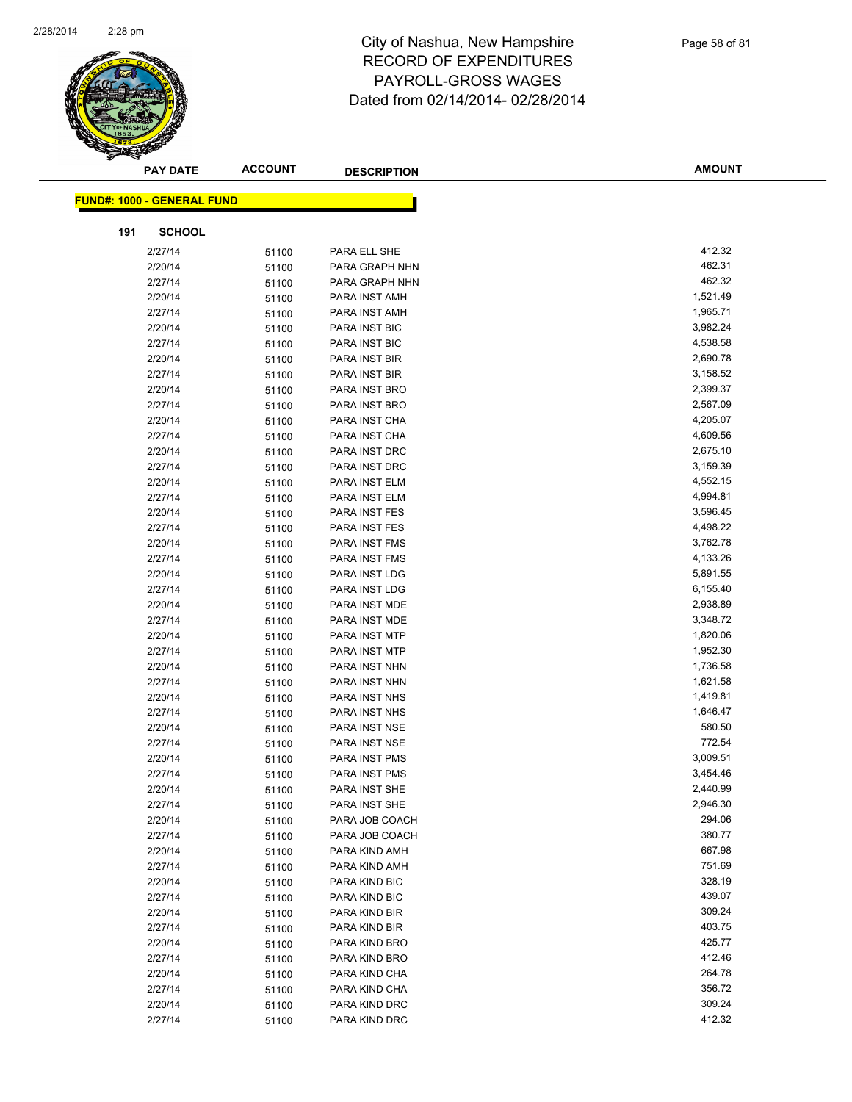

|     | <b>PAY DATE</b>                   | <b>ACCOUNT</b> | <b>DESCRIPTION</b> | <b>AMOUNT</b> |
|-----|-----------------------------------|----------------|--------------------|---------------|
|     |                                   |                |                    |               |
|     | <b>FUND#: 1000 - GENERAL FUND</b> |                |                    |               |
| 191 | <b>SCHOOL</b>                     |                |                    |               |
|     | 2/27/14                           | 51100          | PARA ELL SHE       | 412.32        |
|     | 2/20/14                           | 51100          | PARA GRAPH NHN     | 462.31        |
|     | 2/27/14                           | 51100          | PARA GRAPH NHN     | 462.32        |
|     | 2/20/14                           | 51100          | PARA INST AMH      | 1,521.49      |
|     | 2/27/14                           | 51100          | PARA INST AMH      | 1,965.71      |
|     | 2/20/14                           | 51100          | PARA INST BIC      | 3,982.24      |
|     | 2/27/14                           | 51100          | PARA INST BIC      | 4,538.58      |
|     | 2/20/14                           | 51100          | PARA INST BIR      | 2,690.78      |
|     | 2/27/14                           | 51100          | PARA INST BIR      | 3,158.52      |
|     | 2/20/14                           | 51100          | PARA INST BRO      | 2,399.37      |
|     | 2/27/14                           | 51100          | PARA INST BRO      | 2,567.09      |
|     | 2/20/14                           | 51100          | PARA INST CHA      | 4,205.07      |
|     | 2/27/14                           | 51100          | PARA INST CHA      | 4,609.56      |
|     | 2/20/14                           | 51100          | PARA INST DRC      | 2,675.10      |
|     | 2/27/14                           | 51100          | PARA INST DRC      | 3,159.39      |
|     | 2/20/14                           | 51100          | PARA INST ELM      | 4,552.15      |
|     | 2/27/14                           | 51100          | PARA INST ELM      | 4,994.81      |
|     | 2/20/14                           | 51100          | PARA INST FES      | 3,596.45      |
|     | 2/27/14                           | 51100          | PARA INST FES      | 4,498.22      |
|     | 2/20/14                           | 51100          | PARA INST FMS      | 3,762.78      |
|     | 2/27/14                           | 51100          | PARA INST FMS      | 4,133.26      |
|     | 2/20/14                           | 51100          | PARA INST LDG      | 5,891.55      |
|     | 2/27/14                           | 51100          | PARA INST LDG      | 6,155.40      |
|     | 2/20/14                           | 51100          | PARA INST MDE      | 2,938.89      |
|     | 2/27/14                           | 51100          | PARA INST MDE      | 3,348.72      |
|     | 2/20/14                           | 51100          | PARA INST MTP      | 1,820.06      |
|     | 2/27/14                           | 51100          | PARA INST MTP      | 1,952.30      |
|     | 2/20/14                           | 51100          | PARA INST NHN      | 1,736.58      |
|     | 2/27/14                           | 51100          | PARA INST NHN      | 1,621.58      |
|     | 2/20/14                           | 51100          | PARA INST NHS      | 1,419.81      |
|     | 2/27/14                           | 51100          | PARA INST NHS      | 1,646.47      |
|     | 2/20/14                           | 51100          | PARA INST NSE      | 580.50        |
|     | 2/27/14                           | 51100          | PARA INST NSE      | 772.54        |
|     | 2/20/14                           | 51100          | PARA INST PMS      | 3,009.51      |
|     | 2/27/14                           | 51100          | PARA INST PMS      | 3,454.46      |
|     | 2/20/14                           | 51100          | PARA INST SHE      | 2,440.99      |
|     | 2/27/14                           | 51100          | PARA INST SHE      | 2,946.30      |
|     | 2/20/14                           | 51100          | PARA JOB COACH     | 294.06        |
|     | 2/27/14                           | 51100          | PARA JOB COACH     | 380.77        |
|     | 2/20/14                           | 51100          | PARA KIND AMH      | 667.98        |
|     | 2/27/14                           | 51100          | PARA KIND AMH      | 751.69        |
|     | 2/20/14                           | 51100          | PARA KIND BIC      | 328.19        |
|     | 2/27/14                           | 51100          | PARA KIND BIC      | 439.07        |
|     | 2/20/14                           | 51100          | PARA KIND BIR      | 309.24        |
|     | 2/27/14                           | 51100          | PARA KIND BIR      | 403.75        |
|     | 2/20/14                           | 51100          | PARA KIND BRO      | 425.77        |
|     | 2/27/14                           | 51100          | PARA KIND BRO      | 412.46        |
|     | 2/20/14                           | 51100          | PARA KIND CHA      | 264.78        |
|     | 2/27/14                           | 51100          | PARA KIND CHA      | 356.72        |
|     | 2/20/14                           | 51100          | PARA KIND DRC      | 309.24        |
|     | 2/27/14                           | 51100          | PARA KIND DRC      | 412.32        |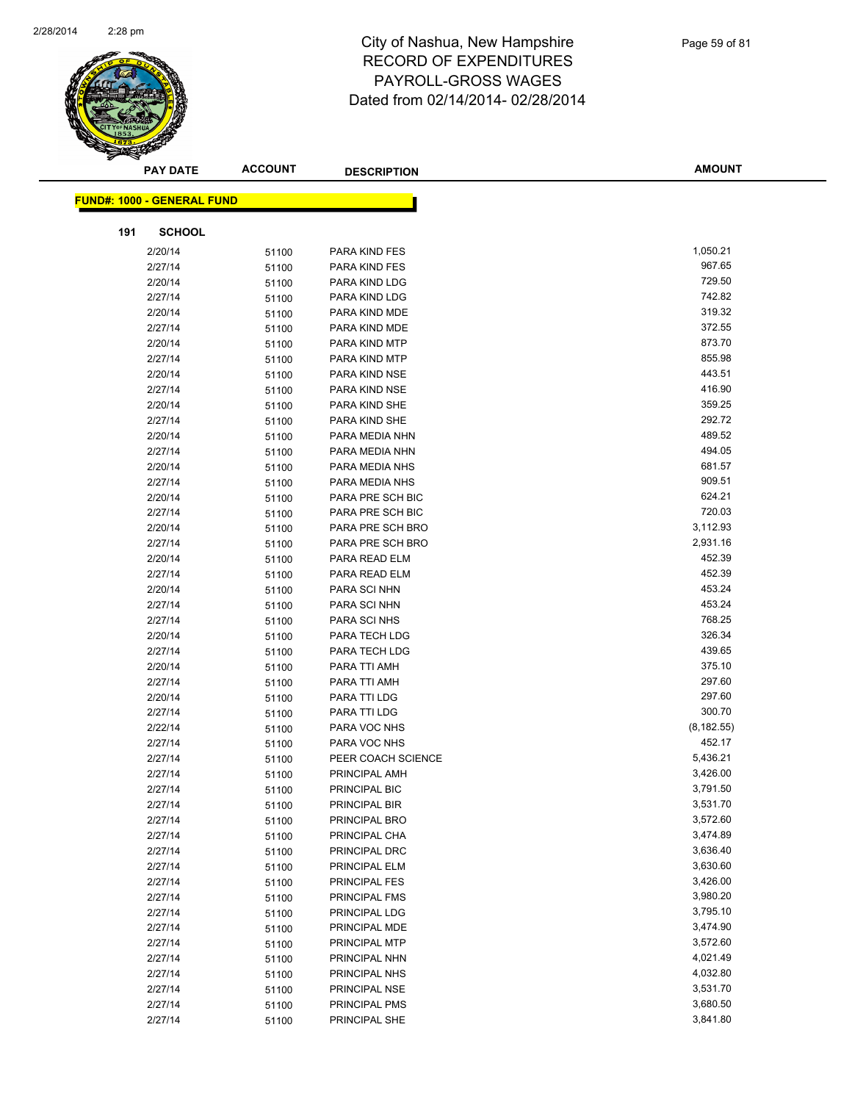

|     | <b>PAY DATE</b>                   | <b>ACCOUNT</b> | <b>DESCRIPTION</b>             | <b>AMOUNT</b>        |  |
|-----|-----------------------------------|----------------|--------------------------------|----------------------|--|
|     |                                   |                |                                |                      |  |
|     | <b>FUND#: 1000 - GENERAL FUND</b> |                |                                |                      |  |
| 191 | <b>SCHOOL</b>                     |                |                                |                      |  |
|     | 2/20/14                           | 51100          | PARA KIND FES                  | 1,050.21             |  |
|     | 2/27/14                           | 51100          | PARA KIND FES                  | 967.65               |  |
|     | 2/20/14                           | 51100          | PARA KIND LDG                  | 729.50               |  |
|     | 2/27/14                           | 51100          | PARA KIND LDG                  | 742.82               |  |
|     | 2/20/14                           | 51100          | PARA KIND MDE                  | 319.32               |  |
|     | 2/27/14                           | 51100          | PARA KIND MDE                  | 372.55               |  |
|     | 2/20/14                           | 51100          | PARA KIND MTP                  | 873.70               |  |
|     | 2/27/14                           | 51100          | PARA KIND MTP                  | 855.98               |  |
|     | 2/20/14                           | 51100          | PARA KIND NSE                  | 443.51               |  |
|     | 2/27/14                           | 51100          | PARA KIND NSE                  | 416.90               |  |
|     | 2/20/14                           | 51100          | PARA KIND SHE                  | 359.25               |  |
|     | 2/27/14                           | 51100          | PARA KIND SHE                  | 292.72               |  |
|     | 2/20/14                           | 51100          | PARA MEDIA NHN                 | 489.52               |  |
|     | 2/27/14                           | 51100          | PARA MEDIA NHN                 | 494.05               |  |
|     | 2/20/14                           | 51100          | PARA MEDIA NHS                 | 681.57               |  |
|     | 2/27/14                           | 51100          | PARA MEDIA NHS                 | 909.51               |  |
|     | 2/20/14                           | 51100          | PARA PRE SCH BIC               | 624.21               |  |
|     | 2/27/14                           | 51100          | PARA PRE SCH BIC               | 720.03               |  |
|     | 2/20/14                           | 51100          | PARA PRE SCH BRO               | 3,112.93             |  |
|     | 2/27/14                           | 51100          | PARA PRE SCH BRO               | 2,931.16             |  |
|     | 2/20/14                           | 51100          | PARA READ ELM                  | 452.39               |  |
|     | 2/27/14                           | 51100          | PARA READ ELM                  | 452.39               |  |
|     | 2/20/14                           | 51100          | PARA SCI NHN                   | 453.24               |  |
|     | 2/27/14                           | 51100          | PARA SCI NHN                   | 453.24               |  |
|     | 2/27/14                           | 51100          | PARA SCI NHS                   | 768.25               |  |
|     | 2/20/14                           | 51100          | PARA TECH LDG                  | 326.34               |  |
|     | 2/27/14                           | 51100          | PARA TECH LDG                  | 439.65               |  |
|     | 2/20/14                           | 51100          | PARA TTI AMH                   | 375.10               |  |
|     | 2/27/14                           | 51100          | PARA TTI AMH                   | 297.60               |  |
|     | 2/20/14                           | 51100          | PARA TTI LDG                   | 297.60               |  |
|     | 2/27/14                           | 51100          | PARA TTI LDG                   | 300.70               |  |
|     | 2/22/14                           | 51100          | PARA VOC NHS                   | (8, 182.55)          |  |
|     | 2/27/14                           | 51100          | PARA VOC NHS                   | 452.17               |  |
|     | 2/27/14                           | 51100          | PEER COACH SCIENCE             | 5,436.21             |  |
|     | 2/27/14                           | 51100          | PRINCIPAL AMH                  | 3,426.00<br>3,791.50 |  |
|     | 2/27/14                           | 51100          | PRINCIPAL BIC                  | 3,531.70             |  |
|     | 2/27/14<br>2/27/14                | 51100          | PRINCIPAL BIR<br>PRINCIPAL BRO | 3,572.60             |  |
|     |                                   | 51100          |                                | 3,474.89             |  |
|     | 2/27/14<br>2/27/14                | 51100          | PRINCIPAL CHA<br>PRINCIPAL DRC | 3,636.40             |  |
|     | 2/27/14                           | 51100          | PRINCIPAL ELM                  | 3,630.60             |  |
|     | 2/27/14                           | 51100          | <b>PRINCIPAL FES</b>           | 3,426.00             |  |
|     | 2/27/14                           | 51100<br>51100 | PRINCIPAL FMS                  | 3,980.20             |  |
|     | 2/27/14                           | 51100          | PRINCIPAL LDG                  | 3,795.10             |  |
|     | 2/27/14                           | 51100          | PRINCIPAL MDE                  | 3,474.90             |  |
|     | 2/27/14                           | 51100          | PRINCIPAL MTP                  | 3,572.60             |  |
|     | 2/27/14                           | 51100          | PRINCIPAL NHN                  | 4,021.49             |  |
|     | 2/27/14                           | 51100          | PRINCIPAL NHS                  | 4,032.80             |  |
|     | 2/27/14                           | 51100          | PRINCIPAL NSE                  | 3,531.70             |  |
|     | 2/27/14                           | 51100          | PRINCIPAL PMS                  | 3,680.50             |  |
|     | 2/27/14                           | 51100          | PRINCIPAL SHE                  | 3,841.80             |  |
|     |                                   |                |                                |                      |  |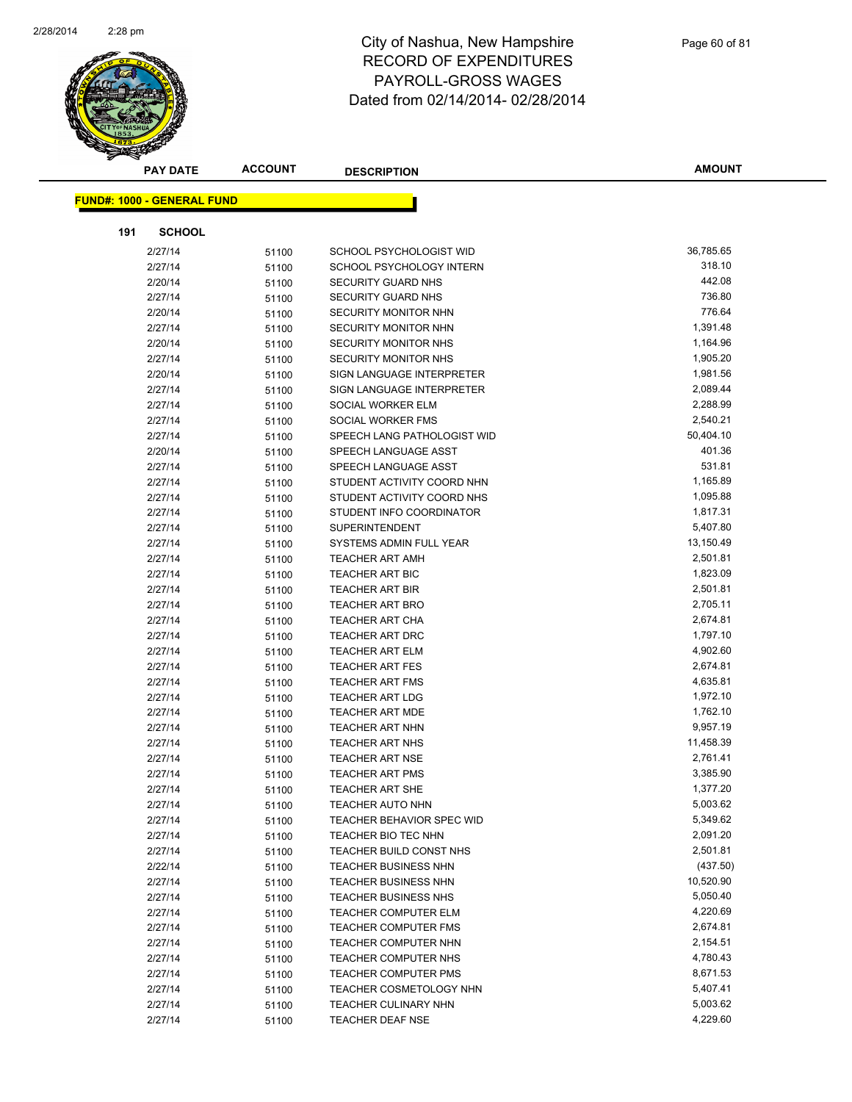

|     | <b>PAY DATE</b>                   | <b>ACCOUNT</b> | <b>DESCRIPTION</b>                                  | <b>AMOUNT</b>         |
|-----|-----------------------------------|----------------|-----------------------------------------------------|-----------------------|
|     | <b>FUND#: 1000 - GENERAL FUND</b> |                |                                                     |                       |
|     |                                   |                |                                                     |                       |
| 191 | <b>SCHOOL</b>                     |                |                                                     |                       |
|     | 2/27/14                           | 51100          | SCHOOL PSYCHOLOGIST WID                             | 36,785.65             |
|     | 2/27/14                           | 51100          | SCHOOL PSYCHOLOGY INTERN                            | 318.10                |
|     | 2/20/14                           | 51100          | <b>SECURITY GUARD NHS</b>                           | 442.08                |
|     | 2/27/14                           | 51100          | <b>SECURITY GUARD NHS</b>                           | 736.80                |
|     | 2/20/14                           | 51100          | <b>SECURITY MONITOR NHN</b>                         | 776.64                |
|     | 2/27/14                           | 51100          | SECURITY MONITOR NHN                                | 1,391.48              |
|     | 2/20/14                           | 51100          | <b>SECURITY MONITOR NHS</b>                         | 1,164.96              |
|     | 2/27/14                           | 51100          | SECURITY MONITOR NHS                                | 1,905.20              |
|     | 2/20/14                           | 51100          | SIGN LANGUAGE INTERPRETER                           | 1,981.56              |
|     | 2/27/14                           | 51100          | SIGN LANGUAGE INTERPRETER                           | 2,089.44              |
|     | 2/27/14                           | 51100          | SOCIAL WORKER ELM                                   | 2,288.99              |
|     | 2/27/14                           | 51100          | SOCIAL WORKER FMS                                   | 2,540.21              |
|     | 2/27/14                           | 51100          | SPEECH LANG PATHOLOGIST WID                         | 50,404.10             |
|     | 2/20/14                           | 51100          | SPEECH LANGUAGE ASST                                | 401.36                |
|     | 2/27/14                           | 51100          | SPEECH LANGUAGE ASST                                | 531.81                |
|     | 2/27/14                           | 51100          | STUDENT ACTIVITY COORD NHN                          | 1,165.89              |
|     | 2/27/14                           | 51100          | STUDENT ACTIVITY COORD NHS                          | 1,095.88              |
|     | 2/27/14                           | 51100          | STUDENT INFO COORDINATOR                            | 1,817.31              |
|     | 2/27/14                           | 51100          | <b>SUPERINTENDENT</b>                               | 5,407.80              |
|     | 2/27/14                           | 51100          | SYSTEMS ADMIN FULL YEAR                             | 13,150.49             |
|     | 2/27/14                           | 51100          | <b>TEACHER ART AMH</b>                              | 2,501.81              |
|     | 2/27/14                           | 51100          | <b>TEACHER ART BIC</b>                              | 1,823.09              |
|     | 2/27/14                           | 51100          | <b>TEACHER ART BIR</b>                              | 2,501.81              |
|     | 2/27/14                           | 51100          | <b>TEACHER ART BRO</b>                              | 2,705.11              |
|     | 2/27/14                           | 51100          | <b>TEACHER ART CHA</b>                              | 2,674.81              |
|     | 2/27/14                           | 51100          | <b>TEACHER ART DRC</b>                              | 1,797.10              |
|     | 2/27/14                           | 51100          | <b>TEACHER ART ELM</b>                              | 4,902.60              |
|     | 2/27/14                           | 51100          | <b>TEACHER ART FES</b>                              | 2,674.81              |
|     | 2/27/14                           | 51100          | <b>TEACHER ART FMS</b>                              | 4,635.81              |
|     | 2/27/14                           | 51100          | <b>TEACHER ART LDG</b>                              | 1,972.10              |
|     | 2/27/14                           | 51100          | <b>TEACHER ART MDE</b>                              | 1,762.10              |
|     | 2/27/14                           | 51100          | <b>TEACHER ART NHN</b>                              | 9,957.19              |
|     | 2/27/14                           | 51100          | <b>TEACHER ART NHS</b>                              | 11,458.39             |
|     | 2/27/14                           | 51100          | <b>TEACHER ART NSE</b>                              | 2,761.41              |
|     | 2/27/14                           | 51100          | <b>TEACHER ART PMS</b>                              | 3,385.90              |
|     | 2/27/14                           | 51100          | <b>TEACHER ART SHE</b>                              | 1,377.20              |
|     | 2/27/14                           | 51100          | <b>TEACHER AUTO NHN</b>                             | 5,003.62              |
|     | 2/27/14                           | 51100          | TEACHER BEHAVIOR SPEC WID                           | 5,349.62              |
|     | 2/27/14                           | 51100          | TEACHER BIO TEC NHN                                 | 2,091.20<br>2,501.81  |
|     | 2/27/14                           | 51100          | TEACHER BUILD CONST NHS                             |                       |
|     | 2/22/14                           | 51100          | <b>TEACHER BUSINESS NHN</b>                         | (437.50)<br>10,520.90 |
|     | 2/27/14                           | 51100          | <b>TEACHER BUSINESS NHN</b>                         | 5,050.40              |
|     | 2/27/14                           | 51100          | <b>TEACHER BUSINESS NHS</b><br>TEACHER COMPUTER ELM | 4,220.69              |
|     | 2/27/14<br>2/27/14                | 51100          | TEACHER COMPUTER FMS                                | 2,674.81              |
|     | 2/27/14                           | 51100          | <b>TEACHER COMPUTER NHN</b>                         | 2,154.51              |
|     | 2/27/14                           | 51100          | TEACHER COMPUTER NHS                                | 4,780.43              |
|     | 2/27/14                           | 51100          | <b>TEACHER COMPUTER PMS</b>                         | 8,671.53              |
|     | 2/27/14                           | 51100          | TEACHER COSMETOLOGY NHN                             | 5,407.41              |
|     | 2/27/14                           | 51100<br>51100 | <b>TEACHER CULINARY NHN</b>                         | 5,003.62              |
|     | 2/27/14                           | 51100          | TEACHER DEAF NSE                                    | 4,229.60              |
|     |                                   |                |                                                     |                       |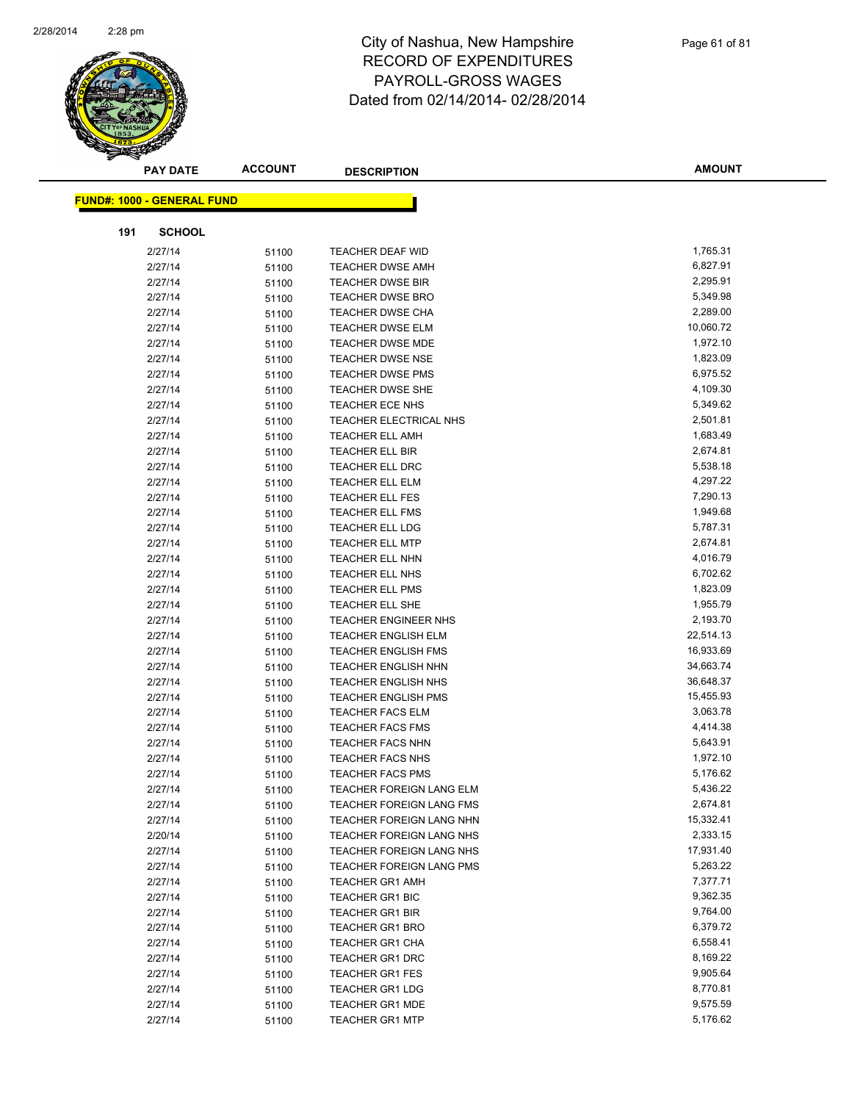

|     | <b>PAY DATE</b>                   | <b>ACCOUNT</b> | <b>DESCRIPTION</b>              | <b>AMOUNT</b> |
|-----|-----------------------------------|----------------|---------------------------------|---------------|
|     | <b>FUND#: 1000 - GENERAL FUND</b> |                |                                 |               |
|     |                                   |                |                                 |               |
| 191 | <b>SCHOOL</b>                     |                |                                 |               |
|     | 2/27/14                           | 51100          | <b>TEACHER DEAF WID</b>         | 1,765.31      |
|     | 2/27/14                           | 51100          | <b>TEACHER DWSE AMH</b>         | 6,827.91      |
|     | 2/27/14                           | 51100          | <b>TEACHER DWSE BIR</b>         | 2,295.91      |
|     | 2/27/14                           | 51100          | <b>TEACHER DWSE BRO</b>         | 5,349.98      |
|     | 2/27/14                           | 51100          | <b>TEACHER DWSE CHA</b>         | 2,289.00      |
|     | 2/27/14                           | 51100          | <b>TEACHER DWSE ELM</b>         | 10,060.72     |
|     | 2/27/14                           | 51100          | <b>TEACHER DWSE MDE</b>         | 1,972.10      |
|     | 2/27/14                           | 51100          | <b>TEACHER DWSE NSE</b>         | 1,823.09      |
|     | 2/27/14                           | 51100          | <b>TEACHER DWSE PMS</b>         | 6,975.52      |
|     | 2/27/14                           | 51100          | <b>TEACHER DWSE SHE</b>         | 4,109.30      |
|     | 2/27/14                           | 51100          | <b>TEACHER ECE NHS</b>          | 5,349.62      |
|     | 2/27/14                           | 51100          | TEACHER ELECTRICAL NHS          | 2,501.81      |
|     | 2/27/14                           | 51100          | <b>TEACHER ELL AMH</b>          | 1,683.49      |
|     | 2/27/14                           | 51100          | <b>TEACHER ELL BIR</b>          | 2,674.81      |
|     | 2/27/14                           | 51100          | TEACHER ELL DRC                 | 5,538.18      |
|     | 2/27/14                           | 51100          | <b>TEACHER ELL ELM</b>          | 4,297.22      |
|     | 2/27/14                           | 51100          | <b>TEACHER ELL FES</b>          | 7,290.13      |
|     | 2/27/14                           | 51100          | <b>TEACHER ELL FMS</b>          | 1,949.68      |
|     | 2/27/14                           | 51100          | <b>TEACHER ELL LDG</b>          | 5,787.31      |
|     | 2/27/14                           | 51100          | <b>TEACHER ELL MTP</b>          | 2,674.81      |
|     | 2/27/14                           | 51100          | <b>TEACHER ELL NHN</b>          | 4,016.79      |
|     | 2/27/14                           | 51100          | <b>TEACHER ELL NHS</b>          | 6,702.62      |
|     | 2/27/14                           | 51100          | <b>TEACHER ELL PMS</b>          | 1,823.09      |
|     | 2/27/14                           | 51100          | TEACHER ELL SHE                 | 1,955.79      |
|     | 2/27/14                           | 51100          | <b>TEACHER ENGINEER NHS</b>     | 2,193.70      |
|     | 2/27/14                           | 51100          | <b>TEACHER ENGLISH ELM</b>      | 22,514.13     |
|     | 2/27/14                           | 51100          | <b>TEACHER ENGLISH FMS</b>      | 16,933.69     |
|     | 2/27/14                           | 51100          | <b>TEACHER ENGLISH NHN</b>      | 34,663.74     |
|     | 2/27/14                           | 51100          | <b>TEACHER ENGLISH NHS</b>      | 36,648.37     |
|     | 2/27/14                           | 51100          | <b>TEACHER ENGLISH PMS</b>      | 15,455.93     |
|     | 2/27/14                           | 51100          | <b>TEACHER FACS ELM</b>         | 3,063.78      |
|     | 2/27/14                           | 51100          | <b>TEACHER FACS FMS</b>         | 4,414.38      |
|     | 2/27/14                           | 51100          | <b>TEACHER FACS NHN</b>         | 5,643.91      |
|     | 2/27/14                           | 51100          | <b>TEACHER FACS NHS</b>         | 1,972.10      |
|     | 2/27/14                           | 51100          | <b>TEACHER FACS PMS</b>         | 5,176.62      |
|     | 2/27/14                           | 51100          | TEACHER FOREIGN LANG ELM        | 5,436.22      |
|     | 2/27/14                           | 51100          | <b>TEACHER FOREIGN LANG FMS</b> | 2,674.81      |
|     | 2/27/14                           | 51100          | TEACHER FOREIGN LANG NHN        | 15,332.41     |
|     | 2/20/14                           | 51100          | TEACHER FOREIGN LANG NHS        | 2,333.15      |
|     | 2/27/14                           | 51100          | TEACHER FOREIGN LANG NHS        | 17,931.40     |
|     | 2/27/14                           | 51100          | TEACHER FOREIGN LANG PMS        | 5,263.22      |
|     | 2/27/14                           | 51100          | <b>TEACHER GR1 AMH</b>          | 7,377.71      |
|     | 2/27/14                           | 51100          | <b>TEACHER GR1 BIC</b>          | 9,362.35      |
|     | 2/27/14                           | 51100          | <b>TEACHER GR1 BIR</b>          | 9,764.00      |
|     | 2/27/14                           | 51100          | <b>TEACHER GR1 BRO</b>          | 6,379.72      |
|     | 2/27/14                           | 51100          | <b>TEACHER GR1 CHA</b>          | 6,558.41      |
|     | 2/27/14                           | 51100          | <b>TEACHER GR1 DRC</b>          | 8,169.22      |
|     | 2/27/14                           | 51100          | <b>TEACHER GR1 FES</b>          | 9,905.64      |
|     | 2/27/14                           | 51100          | <b>TEACHER GR1 LDG</b>          | 8,770.81      |
|     | 2/27/14                           | 51100          | <b>TEACHER GR1 MDE</b>          | 9,575.59      |
|     | 2/27/14                           | 51100          | <b>TEACHER GR1 MTP</b>          | 5,176.62      |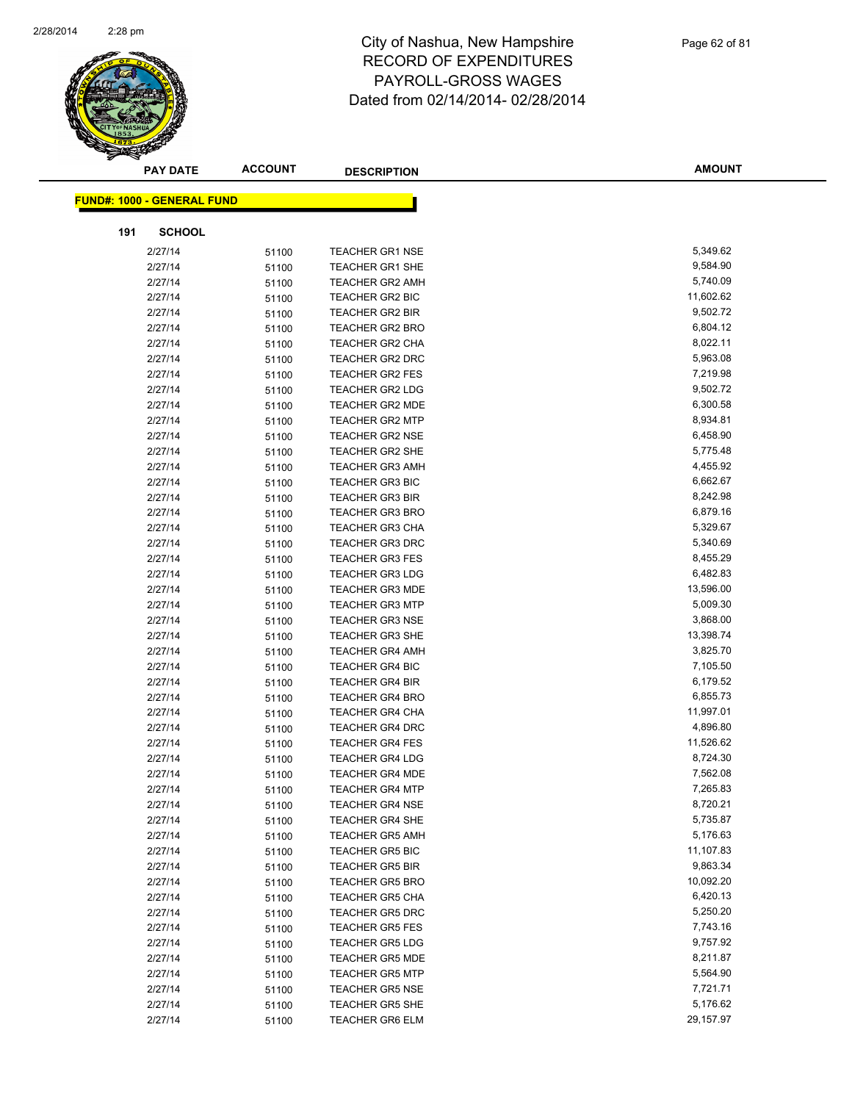

|     | <b>PAY DATE</b>                   | <b>ACCOUNT</b> | <b>DESCRIPTION</b>                        | <b>AMOUNT</b>         |
|-----|-----------------------------------|----------------|-------------------------------------------|-----------------------|
|     | <b>FUND#: 1000 - GENERAL FUND</b> |                |                                           |                       |
|     |                                   |                |                                           |                       |
| 191 | <b>SCHOOL</b>                     |                |                                           |                       |
|     | 2/27/14                           | 51100          | <b>TEACHER GR1 NSE</b>                    | 5,349.62              |
|     | 2/27/14                           | 51100          | <b>TEACHER GR1 SHE</b>                    | 9,584.90              |
|     | 2/27/14                           | 51100          | <b>TEACHER GR2 AMH</b>                    | 5,740.09              |
|     | 2/27/14                           | 51100          | TEACHER GR2 BIC                           | 11,602.62             |
|     | 2/27/14                           | 51100          | TEACHER GR2 BIR                           | 9,502.72              |
|     | 2/27/14                           | 51100          | <b>TEACHER GR2 BRO</b>                    | 6,804.12              |
|     | 2/27/14                           | 51100          | <b>TEACHER GR2 CHA</b>                    | 8,022.11              |
|     | 2/27/14                           | 51100          | <b>TEACHER GR2 DRC</b>                    | 5,963.08              |
|     | 2/27/14                           | 51100          | <b>TEACHER GR2 FES</b>                    | 7,219.98              |
|     | 2/27/14                           | 51100          | <b>TEACHER GR2 LDG</b>                    | 9,502.72              |
|     | 2/27/14                           | 51100          | TEACHER GR2 MDE                           | 6,300.58              |
|     | 2/27/14                           | 51100          | <b>TEACHER GR2 MTP</b>                    | 8,934.81              |
|     | 2/27/14                           | 51100          | <b>TEACHER GR2 NSE</b>                    | 6,458.90              |
|     | 2/27/14                           | 51100          | <b>TEACHER GR2 SHE</b>                    | 5,775.48              |
|     | 2/27/14                           | 51100          | <b>TEACHER GR3 AMH</b>                    | 4,455.92              |
|     | 2/27/14                           | 51100          | <b>TEACHER GR3 BIC</b>                    | 6,662.67              |
|     | 2/27/14                           | 51100          | <b>TEACHER GR3 BIR</b>                    | 8,242.98              |
|     | 2/27/14                           | 51100          | <b>TEACHER GR3 BRO</b>                    | 6,879.16              |
|     | 2/27/14                           | 51100          | <b>TEACHER GR3 CHA</b>                    | 5,329.67              |
|     | 2/27/14                           | 51100          | <b>TEACHER GR3 DRC</b>                    | 5,340.69              |
|     | 2/27/14                           | 51100          | <b>TEACHER GR3 FES</b>                    | 8,455.29              |
|     | 2/27/14                           | 51100          | <b>TEACHER GR3 LDG</b>                    | 6,482.83              |
|     | 2/27/14                           | 51100          | <b>TEACHER GR3 MDE</b>                    | 13,596.00             |
|     | 2/27/14                           | 51100          | <b>TEACHER GR3 MTP</b>                    | 5,009.30              |
|     | 2/27/14                           | 51100          | <b>TEACHER GR3 NSE</b>                    | 3,868.00              |
|     | 2/27/14                           | 51100          | <b>TEACHER GR3 SHE</b>                    | 13,398.74             |
|     | 2/27/14                           | 51100          | <b>TEACHER GR4 AMH</b>                    | 3,825.70              |
|     | 2/27/14                           | 51100          | <b>TEACHER GR4 BIC</b>                    | 7,105.50              |
|     | 2/27/14                           | 51100          | <b>TEACHER GR4 BIR</b>                    | 6,179.52              |
|     | 2/27/14                           | 51100          | <b>TEACHER GR4 BRO</b>                    | 6,855.73<br>11,997.01 |
|     | 2/27/14                           | 51100          | <b>TEACHER GR4 CHA</b>                    | 4,896.80              |
|     | 2/27/14                           | 51100          | TEACHER GR4 DRC<br><b>TEACHER GR4 FES</b> | 11,526.62             |
|     | 2/27/14<br>2/27/14                | 51100          | <b>TEACHER GR4 LDG</b>                    | 8,724.30              |
|     | 2/27/14                           | 51100          | <b>TEACHER GR4 MDE</b>                    | 7,562.08              |
|     | 2/27/14                           | 51100          | <b>TEACHER GR4 MTP</b>                    | 7,265.83              |
|     | 2/27/14                           | 51100          | <b>TEACHER GR4 NSE</b>                    | 8,720.21              |
|     | 2/27/14                           | 51100          | <b>TEACHER GR4 SHE</b>                    | 5,735.87              |
|     | 2/27/14                           | 51100<br>51100 | <b>TEACHER GR5 AMH</b>                    | 5,176.63              |
|     | 2/27/14                           | 51100          | <b>TEACHER GR5 BIC</b>                    | 11,107.83             |
|     | 2/27/14                           | 51100          | <b>TEACHER GR5 BIR</b>                    | 9,863.34              |
|     | 2/27/14                           | 51100          | <b>TEACHER GR5 BRO</b>                    | 10,092.20             |
|     | 2/27/14                           | 51100          | <b>TEACHER GR5 CHA</b>                    | 6,420.13              |
|     | 2/27/14                           | 51100          | <b>TEACHER GR5 DRC</b>                    | 5,250.20              |
|     | 2/27/14                           | 51100          | <b>TEACHER GR5 FES</b>                    | 7,743.16              |
|     | 2/27/14                           | 51100          | <b>TEACHER GR5 LDG</b>                    | 9,757.92              |
|     | 2/27/14                           | 51100          | <b>TEACHER GR5 MDE</b>                    | 8,211.87              |
|     | 2/27/14                           | 51100          | <b>TEACHER GR5 MTP</b>                    | 5,564.90              |
|     | 2/27/14                           | 51100          | <b>TEACHER GR5 NSE</b>                    | 7,721.71              |
|     | 2/27/14                           | 51100          | <b>TEACHER GR5 SHE</b>                    | 5,176.62              |
|     | 2/27/14                           | 51100          | TEACHER GR6 ELM                           | 29,157.97             |
|     |                                   |                |                                           |                       |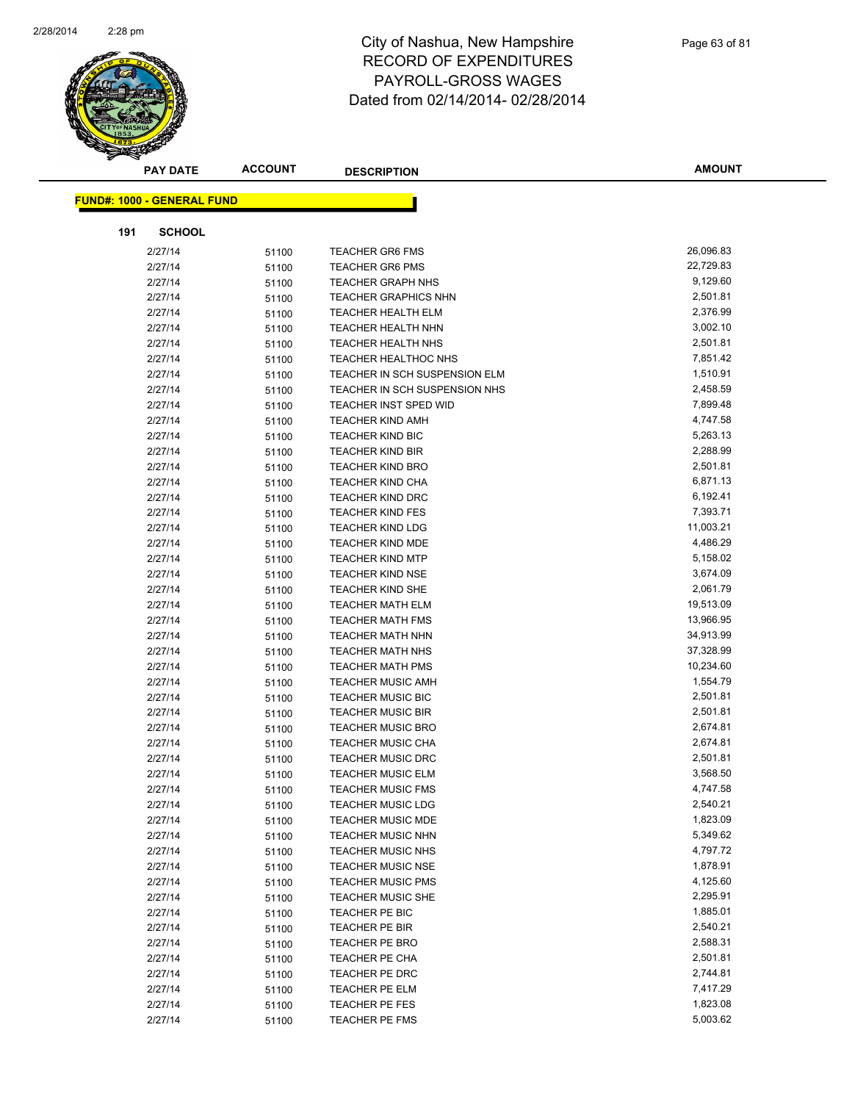

|     | <b>PAY DATE</b>                   | <b>ACCOUNT</b> | <b>DESCRIPTION</b>            | <b>AMOUNT</b> |
|-----|-----------------------------------|----------------|-------------------------------|---------------|
|     |                                   |                |                               |               |
|     | <b>FUND#: 1000 - GENERAL FUND</b> |                |                               |               |
| 191 | <b>SCHOOL</b>                     |                |                               |               |
|     | 2/27/14                           | 51100          | <b>TEACHER GR6 FMS</b>        | 26,096.83     |
|     | 2/27/14                           | 51100          | <b>TEACHER GR6 PMS</b>        | 22,729.83     |
|     | 2/27/14                           | 51100          | <b>TEACHER GRAPH NHS</b>      | 9,129.60      |
|     | 2/27/14                           | 51100          | <b>TEACHER GRAPHICS NHN</b>   | 2,501.81      |
|     | 2/27/14                           | 51100          | <b>TEACHER HEALTH ELM</b>     | 2,376.99      |
|     | 2/27/14                           | 51100          | <b>TEACHER HEALTH NHN</b>     | 3,002.10      |
|     | 2/27/14                           | 51100          | TEACHER HEALTH NHS            | 2,501.81      |
|     | 2/27/14                           | 51100          | <b>TEACHER HEALTHOC NHS</b>   | 7,851.42      |
|     | 2/27/14                           | 51100          | TEACHER IN SCH SUSPENSION ELM | 1,510.91      |
|     | 2/27/14                           | 51100          | TEACHER IN SCH SUSPENSION NHS | 2,458.59      |
|     | 2/27/14                           | 51100          | TEACHER INST SPED WID         | 7,899.48      |
|     | 2/27/14                           | 51100          | <b>TEACHER KIND AMH</b>       | 4,747.58      |
|     | 2/27/14                           | 51100          | <b>TEACHER KIND BIC</b>       | 5,263.13      |
|     | 2/27/14                           | 51100          | <b>TEACHER KIND BIR</b>       | 2,288.99      |
|     | 2/27/14                           | 51100          | <b>TEACHER KIND BRO</b>       | 2,501.81      |
|     | 2/27/14                           | 51100          | <b>TEACHER KIND CHA</b>       | 6,871.13      |
|     | 2/27/14                           | 51100          | <b>TEACHER KIND DRC</b>       | 6,192.41      |
|     | 2/27/14                           | 51100          | <b>TEACHER KIND FES</b>       | 7,393.71      |
|     | 2/27/14                           | 51100          | <b>TEACHER KIND LDG</b>       | 11,003.21     |
|     | 2/27/14                           | 51100          | <b>TEACHER KIND MDE</b>       | 4,486.29      |
|     | 2/27/14                           | 51100          | <b>TEACHER KIND MTP</b>       | 5,158.02      |
|     | 2/27/14                           | 51100          | <b>TEACHER KIND NSE</b>       | 3,674.09      |
|     | 2/27/14                           | 51100          | <b>TEACHER KIND SHE</b>       | 2,061.79      |
|     | 2/27/14                           | 51100          | <b>TEACHER MATH ELM</b>       | 19,513.09     |
|     | 2/27/14                           | 51100          | <b>TEACHER MATH FMS</b>       | 13,966.95     |
|     | 2/27/14                           | 51100          | <b>TEACHER MATH NHN</b>       | 34,913.99     |
|     | 2/27/14                           | 51100          | <b>TEACHER MATH NHS</b>       | 37,328.99     |
|     | 2/27/14                           | 51100          | <b>TEACHER MATH PMS</b>       | 10,234.60     |
|     | 2/27/14                           | 51100          | <b>TEACHER MUSIC AMH</b>      | 1,554.79      |
|     | 2/27/14                           | 51100          | <b>TEACHER MUSIC BIC</b>      | 2,501.81      |
|     | 2/27/14                           | 51100          | <b>TEACHER MUSIC BIR</b>      | 2,501.81      |
|     | 2/27/14                           | 51100          | <b>TEACHER MUSIC BRO</b>      | 2,674.81      |
|     | 2/27/14                           | 51100          | <b>TEACHER MUSIC CHA</b>      | 2,674.81      |
|     | 2/27/14                           | 51100          | <b>TEACHER MUSIC DRC</b>      | 2,501.81      |
|     | 2/27/14                           | 51100          | <b>TEACHER MUSIC ELM</b>      | 3,568.50      |
|     | 2/27/14                           | 51100          | <b>TEACHER MUSIC FMS</b>      | 4,747.58      |
|     | 2/27/14                           | 51100          | <b>TEACHER MUSIC LDG</b>      | 2,540.21      |
|     | 2/27/14                           | 51100          | <b>TEACHER MUSIC MDE</b>      | 1,823.09      |
|     | 2/27/14                           | 51100          | <b>TEACHER MUSIC NHN</b>      | 5,349.62      |
|     | 2/27/14                           | 51100          | <b>TEACHER MUSIC NHS</b>      | 4,797.72      |
|     | 2/27/14                           | 51100          | <b>TEACHER MUSIC NSE</b>      | 1,878.91      |
|     | 2/27/14                           | 51100          | <b>TEACHER MUSIC PMS</b>      | 4,125.60      |
|     | 2/27/14                           | 51100          | <b>TEACHER MUSIC SHE</b>      | 2,295.91      |
|     | 2/27/14                           | 51100          | TEACHER PE BIC                | 1,885.01      |
|     | 2/27/14                           | 51100          | TEACHER PE BIR                | 2,540.21      |
|     | 2/27/14                           | 51100          | TEACHER PE BRO                | 2,588.31      |
|     | 2/27/14                           | 51100          | TEACHER PE CHA                | 2,501.81      |
|     | 2/27/14                           | 51100          | TEACHER PE DRC                | 2,744.81      |
|     | 2/27/14                           | 51100          | TEACHER PE ELM                | 7,417.29      |
|     | 2/27/14                           | 51100          | TEACHER PE FES                | 1,823.08      |
|     | 2/27/14                           | 51100          | TEACHER PE FMS                | 5,003.62      |
|     |                                   |                |                               |               |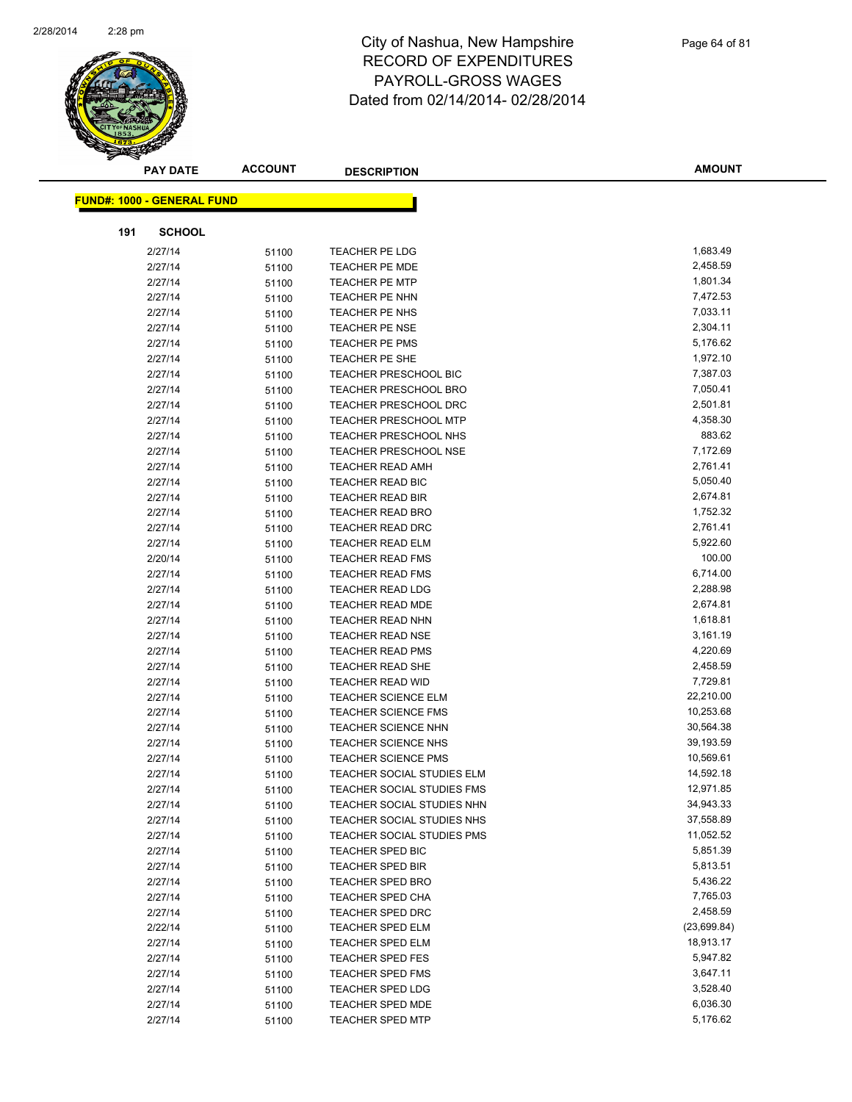

| <b>FUND#: 1000 - GENERAL FUND</b><br><b>SCHOOL</b><br>191<br>1,683.49<br>2/27/14<br>51100<br><b>TEACHER PE LDG</b><br>2/27/14<br>2,458.59<br><b>TEACHER PE MDE</b><br>51100<br>1,801.34<br>2/27/14<br><b>TEACHER PE MTP</b><br>51100<br>2/27/14<br>7,472.53<br>TEACHER PE NHN<br>51100<br>7,033.11<br>2/27/14<br>TEACHER PE NHS<br>51100<br>2,304.11<br>2/27/14<br><b>TEACHER PE NSE</b><br>51100<br>5,176.62<br>2/27/14<br>TEACHER PE PMS<br>51100<br>1,972.10<br>2/27/14<br>TEACHER PE SHE<br>51100 |  |
|-------------------------------------------------------------------------------------------------------------------------------------------------------------------------------------------------------------------------------------------------------------------------------------------------------------------------------------------------------------------------------------------------------------------------------------------------------------------------------------------------------|--|
|                                                                                                                                                                                                                                                                                                                                                                                                                                                                                                       |  |
|                                                                                                                                                                                                                                                                                                                                                                                                                                                                                                       |  |
|                                                                                                                                                                                                                                                                                                                                                                                                                                                                                                       |  |
|                                                                                                                                                                                                                                                                                                                                                                                                                                                                                                       |  |
|                                                                                                                                                                                                                                                                                                                                                                                                                                                                                                       |  |
|                                                                                                                                                                                                                                                                                                                                                                                                                                                                                                       |  |
|                                                                                                                                                                                                                                                                                                                                                                                                                                                                                                       |  |
|                                                                                                                                                                                                                                                                                                                                                                                                                                                                                                       |  |
|                                                                                                                                                                                                                                                                                                                                                                                                                                                                                                       |  |
|                                                                                                                                                                                                                                                                                                                                                                                                                                                                                                       |  |
|                                                                                                                                                                                                                                                                                                                                                                                                                                                                                                       |  |
| 7,387.03<br>2/27/14<br><b>TEACHER PRESCHOOL BIC</b><br>51100                                                                                                                                                                                                                                                                                                                                                                                                                                          |  |
| 7,050.41<br>2/27/14<br><b>TEACHER PRESCHOOL BRO</b><br>51100                                                                                                                                                                                                                                                                                                                                                                                                                                          |  |
| 2/27/14<br>2,501.81<br><b>TEACHER PRESCHOOL DRC</b><br>51100                                                                                                                                                                                                                                                                                                                                                                                                                                          |  |
| <b>TEACHER PRESCHOOL MTP</b><br>4,358.30<br>2/27/14<br>51100                                                                                                                                                                                                                                                                                                                                                                                                                                          |  |
| 883.62<br>2/27/14<br>TEACHER PRESCHOOL NHS<br>51100                                                                                                                                                                                                                                                                                                                                                                                                                                                   |  |
| 7,172.69<br>2/27/14<br><b>TEACHER PRESCHOOL NSE</b><br>51100                                                                                                                                                                                                                                                                                                                                                                                                                                          |  |
| 2,761.41<br>2/27/14<br><b>TEACHER READ AMH</b><br>51100                                                                                                                                                                                                                                                                                                                                                                                                                                               |  |
| 5,050.40<br>TEACHER READ BIC<br>2/27/14<br>51100                                                                                                                                                                                                                                                                                                                                                                                                                                                      |  |
| 2,674.81<br>2/27/14<br><b>TEACHER READ BIR</b><br>51100                                                                                                                                                                                                                                                                                                                                                                                                                                               |  |
| 2/27/14<br>TEACHER READ BRO<br>1,752.32<br>51100                                                                                                                                                                                                                                                                                                                                                                                                                                                      |  |
| 2,761.41<br>2/27/14<br><b>TEACHER READ DRC</b><br>51100                                                                                                                                                                                                                                                                                                                                                                                                                                               |  |
| 5,922.60<br>2/27/14<br><b>TEACHER READ ELM</b><br>51100                                                                                                                                                                                                                                                                                                                                                                                                                                               |  |
| 100.00<br>2/20/14<br><b>TEACHER READ FMS</b><br>51100                                                                                                                                                                                                                                                                                                                                                                                                                                                 |  |
| 6,714.00<br>2/27/14<br><b>TEACHER READ FMS</b><br>51100                                                                                                                                                                                                                                                                                                                                                                                                                                               |  |
| 2,288.98<br>2/27/14<br><b>TEACHER READ LDG</b><br>51100                                                                                                                                                                                                                                                                                                                                                                                                                                               |  |
| 2,674.81<br>2/27/14<br><b>TEACHER READ MDE</b><br>51100                                                                                                                                                                                                                                                                                                                                                                                                                                               |  |
| 1,618.81<br>2/27/14<br><b>TEACHER READ NHN</b><br>51100                                                                                                                                                                                                                                                                                                                                                                                                                                               |  |
| 3,161.19<br>2/27/14<br><b>TEACHER READ NSE</b><br>51100                                                                                                                                                                                                                                                                                                                                                                                                                                               |  |
| 4,220.69<br>2/27/14<br><b>TEACHER READ PMS</b><br>51100                                                                                                                                                                                                                                                                                                                                                                                                                                               |  |
| 2,458.59<br>2/27/14<br><b>TEACHER READ SHE</b><br>51100                                                                                                                                                                                                                                                                                                                                                                                                                                               |  |
| 7,729.81<br>2/27/14<br><b>TEACHER READ WID</b><br>51100                                                                                                                                                                                                                                                                                                                                                                                                                                               |  |
| 2/27/14<br>22,210.00<br><b>TEACHER SCIENCE ELM</b><br>51100                                                                                                                                                                                                                                                                                                                                                                                                                                           |  |
| 10,253.68<br><b>TEACHER SCIENCE FMS</b><br>2/27/14<br>51100                                                                                                                                                                                                                                                                                                                                                                                                                                           |  |
| 30,564.38<br>2/27/14<br><b>TEACHER SCIENCE NHN</b><br>51100                                                                                                                                                                                                                                                                                                                                                                                                                                           |  |
| 39,193.59<br>2/27/14<br><b>TEACHER SCIENCE NHS</b><br>51100                                                                                                                                                                                                                                                                                                                                                                                                                                           |  |
| 10,569.61<br>2/27/14<br><b>TEACHER SCIENCE PMS</b><br>51100                                                                                                                                                                                                                                                                                                                                                                                                                                           |  |
| 14,592.18<br>2/27/14<br><b>TEACHER SOCIAL STUDIES ELM</b><br>51100                                                                                                                                                                                                                                                                                                                                                                                                                                    |  |
| 12,971.85<br>2/27/14<br>TEACHER SOCIAL STUDIES FMS<br>51100                                                                                                                                                                                                                                                                                                                                                                                                                                           |  |
| 34,943.33<br>2/27/14<br>TEACHER SOCIAL STUDIES NHN<br>51100                                                                                                                                                                                                                                                                                                                                                                                                                                           |  |
| 37,558.89<br>2/27/14<br>TEACHER SOCIAL STUDIES NHS<br>51100                                                                                                                                                                                                                                                                                                                                                                                                                                           |  |
| 11,052.52<br>2/27/14<br>TEACHER SOCIAL STUDIES PMS<br>51100                                                                                                                                                                                                                                                                                                                                                                                                                                           |  |
| 5,851.39<br>2/27/14<br><b>TEACHER SPED BIC</b><br>51100                                                                                                                                                                                                                                                                                                                                                                                                                                               |  |
| 5,813.51<br>2/27/14<br><b>TEACHER SPED BIR</b><br>51100                                                                                                                                                                                                                                                                                                                                                                                                                                               |  |
| 5,436.22<br>2/27/14<br><b>TEACHER SPED BRO</b><br>51100                                                                                                                                                                                                                                                                                                                                                                                                                                               |  |
| 2/27/14<br>7,765.03<br><b>TEACHER SPED CHA</b><br>51100                                                                                                                                                                                                                                                                                                                                                                                                                                               |  |
| 2,458.59<br>2/27/14<br><b>TEACHER SPED DRC</b><br>51100                                                                                                                                                                                                                                                                                                                                                                                                                                               |  |
| 2/22/14<br>(23,699.84)<br><b>TEACHER SPED ELM</b><br>51100                                                                                                                                                                                                                                                                                                                                                                                                                                            |  |
| 18,913.17<br>2/27/14<br>TEACHER SPED ELM<br>51100                                                                                                                                                                                                                                                                                                                                                                                                                                                     |  |
| 5,947.82<br>2/27/14<br><b>TEACHER SPED FES</b><br>51100                                                                                                                                                                                                                                                                                                                                                                                                                                               |  |
| 3,647.11<br>2/27/14<br>TEACHER SPED FMS<br>51100                                                                                                                                                                                                                                                                                                                                                                                                                                                      |  |
| 2/27/14<br>3,528.40<br><b>TEACHER SPED LDG</b><br>51100                                                                                                                                                                                                                                                                                                                                                                                                                                               |  |
| 6,036.30<br>2/27/14<br>TEACHER SPED MDE<br>51100                                                                                                                                                                                                                                                                                                                                                                                                                                                      |  |
| 5,176.62<br>2/27/14<br><b>TEACHER SPED MTP</b><br>51100                                                                                                                                                                                                                                                                                                                                                                                                                                               |  |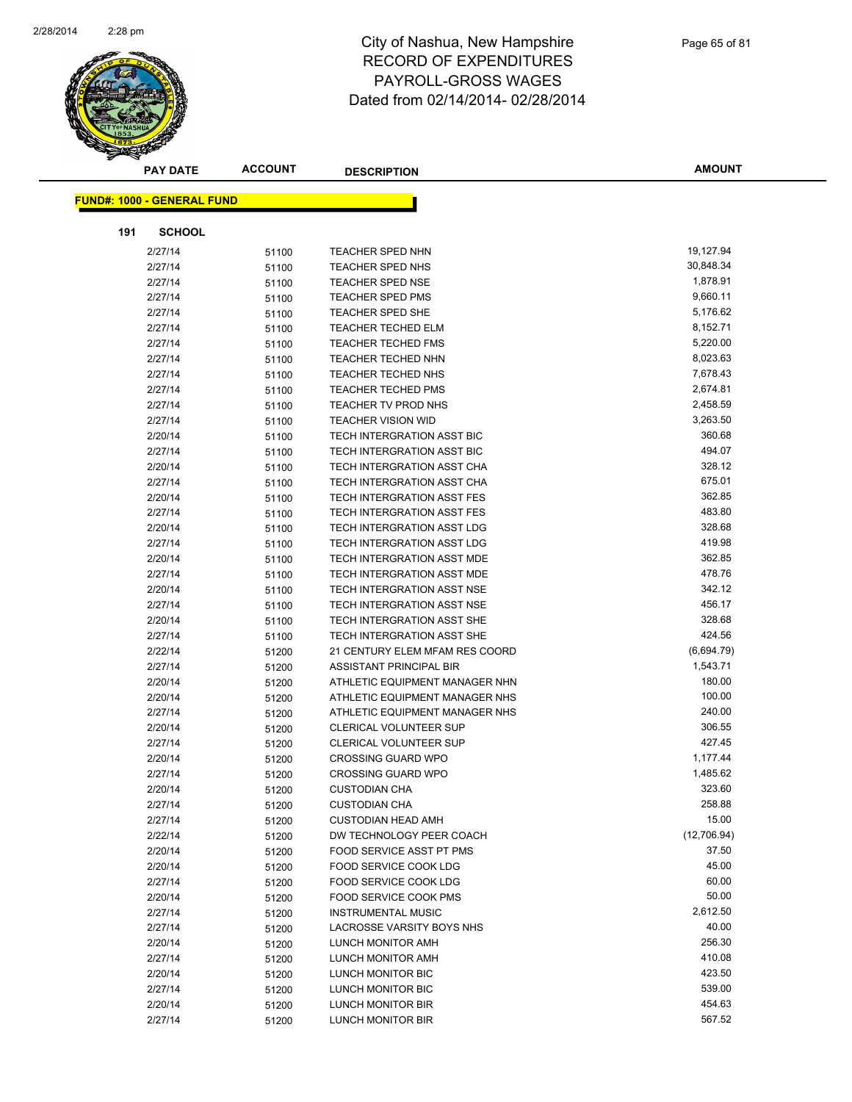

|     | <b>PAY DATE</b>                   | <b>ACCOUNT</b> | <b>DESCRIPTION</b>                                | <b>AMOUNT</b>   |
|-----|-----------------------------------|----------------|---------------------------------------------------|-----------------|
|     | <b>FUND#: 1000 - GENERAL FUND</b> |                |                                                   |                 |
|     |                                   |                |                                                   |                 |
| 191 | <b>SCHOOL</b>                     |                |                                                   |                 |
|     | 2/27/14                           | 51100          | <b>TEACHER SPED NHN</b>                           | 19,127.94       |
|     | 2/27/14                           | 51100          | TEACHER SPED NHS                                  | 30,848.34       |
|     | 2/27/14                           | 51100          | <b>TEACHER SPED NSE</b>                           | 1,878.91        |
|     | 2/27/14                           | 51100          | <b>TEACHER SPED PMS</b>                           | 9,660.11        |
|     | 2/27/14                           | 51100          | TEACHER SPED SHE                                  | 5,176.62        |
|     | 2/27/14                           | 51100          | <b>TEACHER TECHED ELM</b>                         | 8,152.71        |
|     | 2/27/14                           | 51100          | <b>TEACHER TECHED FMS</b>                         | 5,220.00        |
|     | 2/27/14                           | 51100          | <b>TEACHER TECHED NHN</b>                         | 8,023.63        |
|     | 2/27/14                           | 51100          | <b>TEACHER TECHED NHS</b>                         | 7,678.43        |
|     | 2/27/14                           | 51100          | <b>TEACHER TECHED PMS</b>                         | 2,674.81        |
|     | 2/27/14                           | 51100          | TEACHER TV PROD NHS                               | 2,458.59        |
|     | 2/27/14                           | 51100          | <b>TEACHER VISION WID</b>                         | 3,263.50        |
|     | 2/20/14                           | 51100          | TECH INTERGRATION ASST BIC                        | 360.68          |
|     | 2/27/14                           | 51100          | TECH INTERGRATION ASST BIC                        | 494.07          |
|     | 2/20/14                           | 51100          | TECH INTERGRATION ASST CHA                        | 328.12          |
|     | 2/27/14                           | 51100          | TECH INTERGRATION ASST CHA                        | 675.01          |
|     | 2/20/14                           | 51100          | TECH INTERGRATION ASST FES                        | 362.85          |
|     | 2/27/14                           | 51100          | <b>TECH INTERGRATION ASST FES</b>                 | 483.80          |
|     | 2/20/14                           | 51100          | TECH INTERGRATION ASST LDG                        | 328.68          |
|     | 2/27/14                           | 51100          | TECH INTERGRATION ASST LDG                        | 419.98          |
|     | 2/20/14                           | 51100          | TECH INTERGRATION ASST MDE                        | 362.85          |
|     | 2/27/14                           | 51100          | TECH INTERGRATION ASST MDE                        | 478.76          |
|     | 2/20/14                           | 51100          | TECH INTERGRATION ASST NSE                        | 342.12          |
|     | 2/27/14                           | 51100          | TECH INTERGRATION ASST NSE                        | 456.17          |
|     | 2/20/14                           | 51100          | TECH INTERGRATION ASST SHE                        | 328.68          |
|     | 2/27/14                           | 51100          | TECH INTERGRATION ASST SHE                        | 424.56          |
|     | 2/22/14                           | 51200          | 21 CENTURY ELEM MFAM RES COORD                    | (6,694.79)      |
|     | 2/27/14                           | 51200          | ASSISTANT PRINCIPAL BIR                           | 1,543.71        |
|     | 2/20/14                           | 51200          | ATHLETIC EQUIPMENT MANAGER NHN                    | 180.00          |
|     | 2/20/14                           | 51200          | ATHLETIC EQUIPMENT MANAGER NHS                    | 100.00          |
|     | 2/27/14                           | 51200          | ATHLETIC EQUIPMENT MANAGER NHS                    | 240.00          |
|     | 2/20/14                           | 51200          | <b>CLERICAL VOLUNTEER SUP</b>                     | 306.55          |
|     | 2/27/14                           | 51200          | CLERICAL VOLUNTEER SUP                            | 427.45          |
|     | 2/20/14                           | 51200          | <b>CROSSING GUARD WPO</b>                         | 1,177.44        |
|     | 2/27/14                           | 51200          | <b>CROSSING GUARD WPO</b>                         | 1,485.62        |
|     | 2/20/14                           | 51200          | <b>CUSTODIAN CHA</b>                              | 323.60          |
|     | 2/27/14                           | 51200          | <b>CUSTODIAN CHA</b>                              | 258.88<br>15.00 |
|     | 2/27/14                           | 51200          | <b>CUSTODIAN HEAD AMH</b>                         | (12,706.94)     |
|     | 2/22/14                           | 51200          | DW TECHNOLOGY PEER COACH                          | 37.50           |
|     | 2/20/14                           | 51200          | FOOD SERVICE ASST PT PMS<br>FOOD SERVICE COOK LDG | 45.00           |
|     | 2/20/14<br>2/27/14                | 51200          | FOOD SERVICE COOK LDG                             | 60.00           |
|     | 2/20/14                           | 51200          | FOOD SERVICE COOK PMS                             | 50.00           |
|     | 2/27/14                           | 51200          | <b>INSTRUMENTAL MUSIC</b>                         | 2,612.50        |
|     | 2/27/14                           | 51200<br>51200 | LACROSSE VARSITY BOYS NHS                         | 40.00           |
|     | 2/20/14                           | 51200          | LUNCH MONITOR AMH                                 | 256.30          |
|     | 2/27/14                           | 51200          | LUNCH MONITOR AMH                                 | 410.08          |
|     | 2/20/14                           | 51200          | LUNCH MONITOR BIC                                 | 423.50          |
|     | 2/27/14                           | 51200          | LUNCH MONITOR BIC                                 | 539.00          |
|     | 2/20/14                           | 51200          | LUNCH MONITOR BIR                                 | 454.63          |
|     | 2/27/14                           | 51200          | <b>LUNCH MONITOR BIR</b>                          | 567.52          |
|     |                                   |                |                                                   |                 |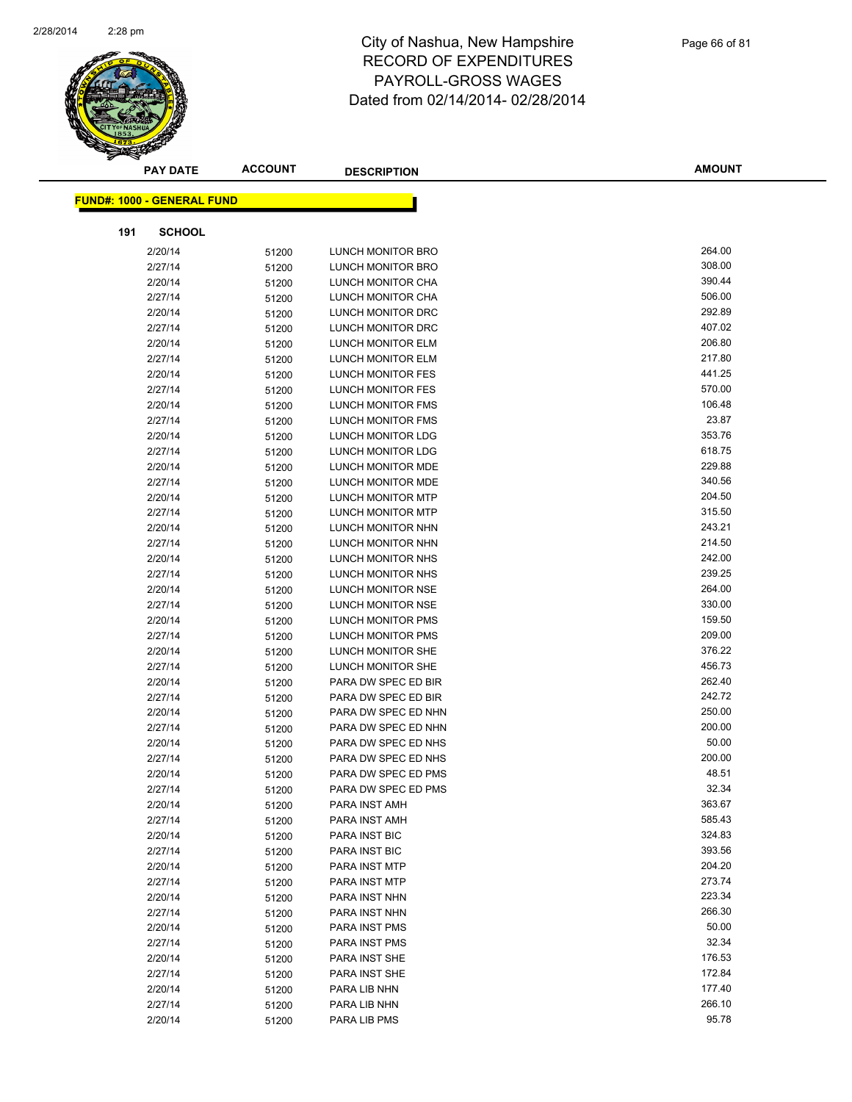

|     | <b>PAY DATE</b>                   | <b>ACCOUNT</b> | <b>DESCRIPTION</b>       | <b>AMOUNT</b> |
|-----|-----------------------------------|----------------|--------------------------|---------------|
|     | <b>FUND#: 1000 - GENERAL FUND</b> |                |                          |               |
|     |                                   |                |                          |               |
| 191 | <b>SCHOOL</b>                     |                |                          |               |
|     | 2/20/14                           | 51200          | LUNCH MONITOR BRO        | 264.00        |
|     | 2/27/14                           | 51200          | LUNCH MONITOR BRO        | 308.00        |
|     | 2/20/14                           | 51200          | LUNCH MONITOR CHA        | 390.44        |
|     | 2/27/14                           | 51200          | LUNCH MONITOR CHA        | 506.00        |
|     | 2/20/14                           | 51200          | LUNCH MONITOR DRC        | 292.89        |
|     | 2/27/14                           | 51200          | LUNCH MONITOR DRC        | 407.02        |
|     | 2/20/14                           | 51200          | LUNCH MONITOR ELM        | 206.80        |
|     | 2/27/14                           | 51200          | LUNCH MONITOR ELM        | 217.80        |
|     | 2/20/14                           | 51200          | LUNCH MONITOR FES        | 441.25        |
|     | 2/27/14                           | 51200          | LUNCH MONITOR FES        | 570.00        |
|     | 2/20/14                           | 51200          | LUNCH MONITOR FMS        | 106.48        |
|     | 2/27/14                           | 51200          | LUNCH MONITOR FMS        | 23.87         |
|     | 2/20/14                           | 51200          | LUNCH MONITOR LDG        | 353.76        |
|     | 2/27/14                           | 51200          | LUNCH MONITOR LDG        | 618.75        |
|     | 2/20/14                           | 51200          | LUNCH MONITOR MDE        | 229.88        |
|     | 2/27/14                           | 51200          | LUNCH MONITOR MDE        | 340.56        |
|     | 2/20/14                           | 51200          | <b>LUNCH MONITOR MTP</b> | 204.50        |
|     | 2/27/14                           | 51200          | <b>LUNCH MONITOR MTP</b> | 315.50        |
|     | 2/20/14                           | 51200          | LUNCH MONITOR NHN        | 243.21        |
|     | 2/27/14                           | 51200          | LUNCH MONITOR NHN        | 214.50        |
|     | 2/20/14                           | 51200          | LUNCH MONITOR NHS        | 242.00        |
|     | 2/27/14                           | 51200          | LUNCH MONITOR NHS        | 239.25        |
|     | 2/20/14                           | 51200          | LUNCH MONITOR NSE        | 264.00        |
|     | 2/27/14                           | 51200          | LUNCH MONITOR NSE        | 330.00        |
|     | 2/20/14                           | 51200          | LUNCH MONITOR PMS        | 159.50        |
|     | 2/27/14                           | 51200          | LUNCH MONITOR PMS        | 209.00        |
|     | 2/20/14                           | 51200          | LUNCH MONITOR SHE        | 376.22        |
|     | 2/27/14                           | 51200          | LUNCH MONITOR SHE        | 456.73        |
|     | 2/20/14                           | 51200          | PARA DW SPEC ED BIR      | 262.40        |
|     | 2/27/14                           | 51200          | PARA DW SPEC ED BIR      | 242.72        |
|     | 2/20/14                           | 51200          | PARA DW SPEC ED NHN      | 250.00        |
|     | 2/27/14                           | 51200          | PARA DW SPEC ED NHN      | 200.00        |
|     | 2/20/14                           | 51200          | PARA DW SPEC ED NHS      | 50.00         |
|     | 2/27/14                           | 51200          | PARA DW SPEC ED NHS      | 200.00        |
|     | 2/20/14                           | 51200          | PARA DW SPEC ED PMS      | 48.51         |
|     | 2/27/14                           | 51200          | PARA DW SPEC ED PMS      | 32.34         |
|     | 2/20/14                           | 51200          | PARA INST AMH            | 363.67        |
|     | 2/27/14                           | 51200          | PARA INST AMH            | 585.43        |
|     | 2/20/14                           | 51200          | PARA INST BIC            | 324.83        |
|     | 2/27/14                           | 51200          | PARA INST BIC            | 393.56        |
|     | 2/20/14                           | 51200          | PARA INST MTP            | 204.20        |
|     | 2/27/14                           | 51200          | PARA INST MTP            | 273.74        |
|     | 2/20/14                           | 51200          | PARA INST NHN            | 223.34        |
|     | 2/27/14                           | 51200          | PARA INST NHN            | 266.30        |
|     | 2/20/14                           | 51200          | <b>PARA INST PMS</b>     | 50.00         |
|     | 2/27/14                           | 51200          | <b>PARA INST PMS</b>     | 32.34         |
|     | 2/20/14                           | 51200          | PARA INST SHE            | 176.53        |
|     | 2/27/14                           | 51200          | PARA INST SHE            | 172.84        |
|     | 2/20/14                           | 51200          | PARA LIB NHN             | 177.40        |
|     | 2/27/14                           | 51200          | PARA LIB NHN             | 266.10        |
|     | 2/20/14                           | 51200          | PARA LIB PMS             | 95.78         |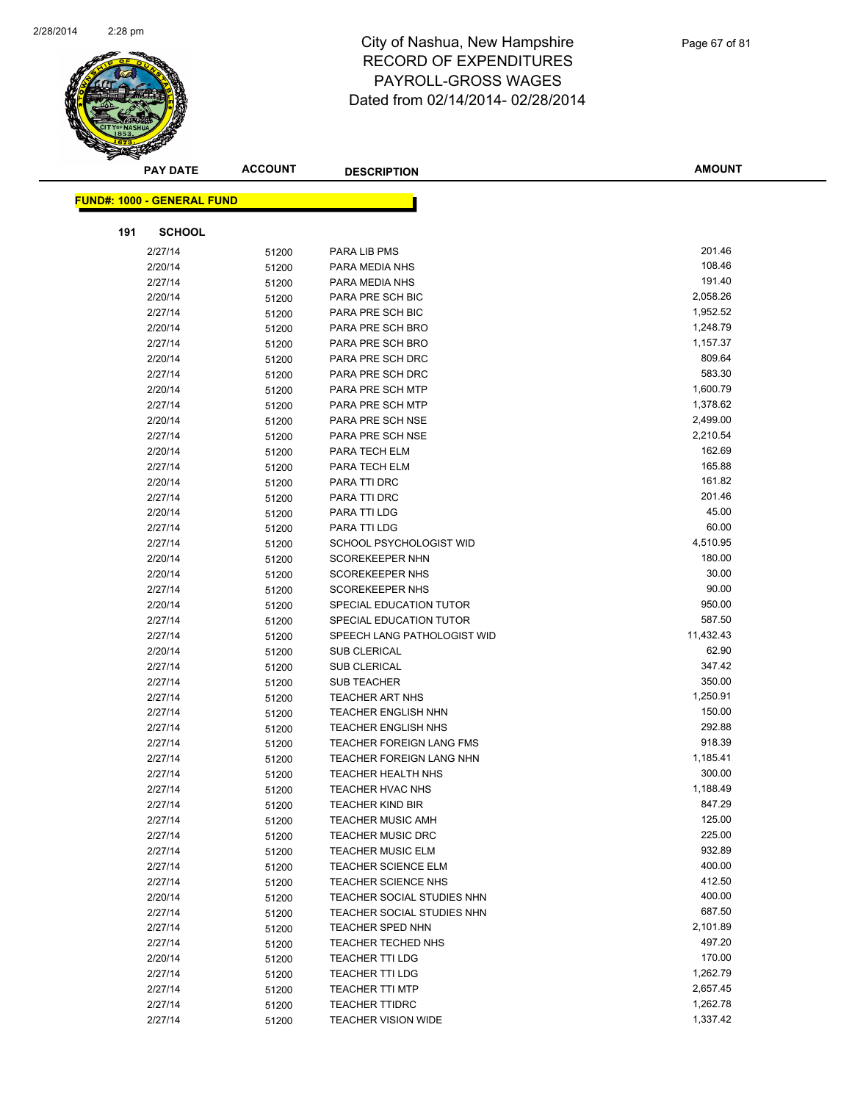

|     | <b>PAY DATE</b>                   | <b>ACCOUNT</b> | <b>DESCRIPTION</b>                                       | <b>AMOUNT</b>    |
|-----|-----------------------------------|----------------|----------------------------------------------------------|------------------|
|     |                                   |                |                                                          |                  |
|     | <b>FUND#: 1000 - GENERAL FUND</b> |                |                                                          |                  |
| 191 | <b>SCHOOL</b>                     |                |                                                          |                  |
|     | 2/27/14                           | 51200          | PARA LIB PMS                                             | 201.46           |
|     | 2/20/14                           | 51200          | PARA MEDIA NHS                                           | 108.46           |
|     | 2/27/14                           | 51200          | PARA MEDIA NHS                                           | 191.40           |
|     | 2/20/14                           | 51200          | PARA PRE SCH BIC                                         | 2,058.26         |
|     | 2/27/14                           | 51200          | PARA PRE SCH BIC                                         | 1,952.52         |
|     | 2/20/14                           | 51200          | PARA PRE SCH BRO                                         | 1,248.79         |
|     | 2/27/14                           | 51200          | PARA PRE SCH BRO                                         | 1,157.37         |
|     | 2/20/14                           | 51200          | PARA PRE SCH DRC                                         | 809.64           |
|     | 2/27/14                           | 51200          | PARA PRE SCH DRC                                         | 583.30           |
|     | 2/20/14                           | 51200          | PARA PRE SCH MTP                                         | 1,600.79         |
|     | 2/27/14                           | 51200          | PARA PRE SCH MTP                                         | 1,378.62         |
|     | 2/20/14                           | 51200          | PARA PRE SCH NSE                                         | 2,499.00         |
|     | 2/27/14                           | 51200          | <b>PARA PRE SCH NSE</b>                                  | 2,210.54         |
|     | 2/20/14                           | 51200          | PARA TECH ELM                                            | 162.69           |
|     | 2/27/14                           | 51200          | PARA TECH ELM                                            | 165.88           |
|     | 2/20/14                           | 51200          | PARA TTI DRC                                             | 161.82           |
|     | 2/27/14                           | 51200          | PARA TTI DRC                                             | 201.46           |
|     | 2/20/14                           | 51200          | PARA TTI LDG                                             | 45.00            |
|     | 2/27/14                           | 51200          | PARA TTI LDG                                             | 60.00            |
|     | 2/27/14                           | 51200          | SCHOOL PSYCHOLOGIST WID                                  | 4,510.95         |
|     | 2/20/14                           | 51200          | <b>SCOREKEEPER NHN</b>                                   | 180.00           |
|     | 2/20/14                           | 51200          | <b>SCOREKEEPER NHS</b>                                   | 30.00            |
|     | 2/27/14                           | 51200          | <b>SCOREKEEPER NHS</b>                                   | 90.00            |
|     | 2/20/14                           | 51200          | SPECIAL EDUCATION TUTOR                                  | 950.00           |
|     | 2/27/14                           | 51200          | SPECIAL EDUCATION TUTOR                                  | 587.50           |
|     | 2/27/14                           | 51200          | SPEECH LANG PATHOLOGIST WID                              | 11,432.43        |
|     | 2/20/14                           | 51200          | <b>SUB CLERICAL</b>                                      | 62.90            |
|     | 2/27/14                           | 51200          | <b>SUB CLERICAL</b>                                      | 347.42           |
|     | 2/27/14                           | 51200          | <b>SUB TEACHER</b>                                       | 350.00           |
|     | 2/27/14                           | 51200          | <b>TEACHER ART NHS</b>                                   | 1,250.91         |
|     | 2/27/14                           | 51200          | <b>TEACHER ENGLISH NHN</b>                               | 150.00           |
|     | 2/27/14                           | 51200          | <b>TEACHER ENGLISH NHS</b>                               | 292.88           |
|     | 2/27/14                           | 51200          | <b>TEACHER FOREIGN LANG FMS</b>                          | 918.39           |
|     | 2/27/14                           | 51200          | <b>TEACHER FOREIGN LANG NHN</b>                          | 1,185.41         |
|     | 2/27/14                           | 51200          | <b>TEACHER HEALTH NHS</b>                                | 300.00           |
|     | 2/27/14                           | 51200          | TEACHER HVAC NHS                                         | 1,188.49         |
|     | 2/27/14                           | 51200          | <b>TEACHER KIND BIR</b>                                  | 847.29           |
|     | 2/27/14                           | 51200          | <b>TEACHER MUSIC AMH</b>                                 | 125.00           |
|     | 2/27/14                           | 51200          | <b>TEACHER MUSIC DRC</b>                                 | 225.00           |
|     | 2/27/14                           | 51200          | <b>TEACHER MUSIC ELM</b>                                 | 932.89           |
|     | 2/27/14                           | 51200          | <b>TEACHER SCIENCE ELM</b>                               | 400.00<br>412.50 |
|     | 2/27/14                           | 51200          | <b>TEACHER SCIENCE NHS</b><br>TEACHER SOCIAL STUDIES NHN | 400.00           |
|     | 2/20/14                           | 51200          |                                                          | 687.50           |
|     | 2/27/14<br>2/27/14                | 51200          | TEACHER SOCIAL STUDIES NHN<br><b>TEACHER SPED NHN</b>    | 2,101.89         |
|     | 2/27/14                           | 51200<br>51200 | TEACHER TECHED NHS                                       | 497.20           |
|     | 2/20/14                           |                | <b>TEACHER TTI LDG</b>                                   | 170.00           |
|     | 2/27/14                           | 51200<br>51200 | <b>TEACHER TTI LDG</b>                                   | 1,262.79         |
|     | 2/27/14                           | 51200          | <b>TEACHER TTI MTP</b>                                   | 2,657.45         |
|     | 2/27/14                           | 51200          | <b>TEACHER TTIDRC</b>                                    | 1,262.78         |
|     | 2/27/14                           | 51200          | <b>TEACHER VISION WIDE</b>                               | 1,337.42         |
|     |                                   |                |                                                          |                  |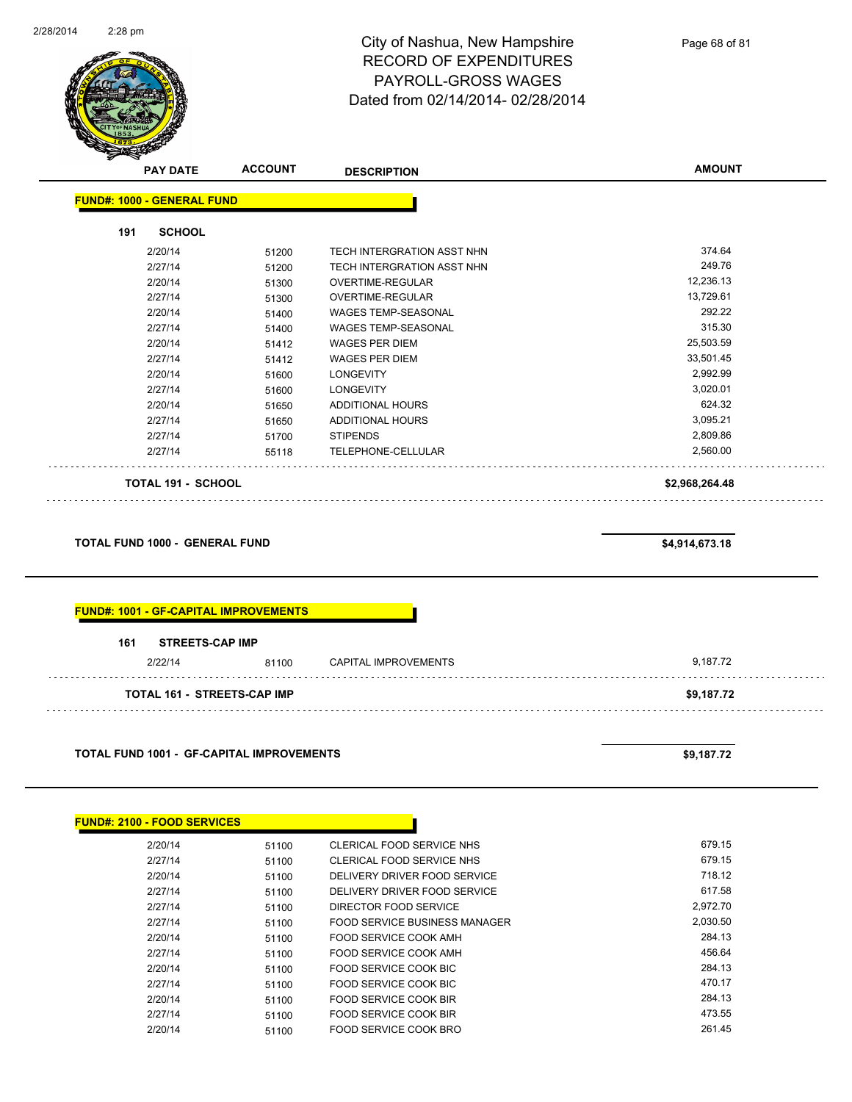

|     | <b>PAY DATE</b>                   | <b>ACCOUNT</b> | <b>DESCRIPTION</b>                | <b>AMOUNT</b>  |
|-----|-----------------------------------|----------------|-----------------------------------|----------------|
|     | <b>FUND#: 1000 - GENERAL FUND</b> |                |                                   |                |
| 191 | <b>SCHOOL</b>                     |                |                                   |                |
|     | 2/20/14                           | 51200          | TECH INTERGRATION ASST NHN        | 374.64         |
|     | 2/27/14                           | 51200          | <b>TECH INTERGRATION ASST NHN</b> | 249.76         |
|     | 2/20/14                           | 51300          | OVERTIME-REGULAR                  | 12,236.13      |
|     | 2/27/14                           | 51300          | OVERTIME-REGULAR                  | 13,729.61      |
|     | 2/20/14                           | 51400          | <b>WAGES TEMP-SEASONAL</b>        | 292.22         |
|     | 2/27/14                           | 51400          | <b>WAGES TEMP-SEASONAL</b>        | 315.30         |
|     | 2/20/14                           | 51412          | <b>WAGES PER DIEM</b>             | 25,503.59      |
|     | 2/27/14                           | 51412          | <b>WAGES PER DIEM</b>             | 33,501.45      |
|     | 2/20/14                           | 51600          | <b>LONGEVITY</b>                  | 2,992.99       |
|     | 2/27/14                           | 51600          | <b>LONGEVITY</b>                  | 3,020.01       |
|     | 2/20/14                           | 51650          | <b>ADDITIONAL HOURS</b>           | 624.32         |
|     | 2/27/14                           | 51650          | ADDITIONAL HOURS                  | 3,095.21       |
|     | 2/27/14                           | 51700          | <b>STIPENDS</b>                   | 2,809.86       |
|     | 2/27/14                           | 55118          | TELEPHONE-CELLULAR                | 2,560.00       |
|     | <b>TOTAL 191 - SCHOOL</b>         |                |                                   | \$2,968,264.48 |

**TOTAL FUND 1000 - GENERAL FUND \$4,914,673.18** 

| 161<br><b>STREETS-CAP IMP</b> |       |                      |          |
|-------------------------------|-------|----------------------|----------|
|                               |       |                      | 9,187.72 |
| 2/22/14                       | 81100 | CAPITAL IMPROVEMENTS |          |

**TOTAL FUND 1001 - GF-CAPITAL IMPROVEMENTS \$9,187.72** 

| <b>FUND#: 2100 - FOOD SERVICES</b> |       |                               |          |
|------------------------------------|-------|-------------------------------|----------|
| 2/20/14                            | 51100 | CLERICAL FOOD SERVICE NHS     | 679.15   |
| 2/27/14                            | 51100 | CLERICAL FOOD SERVICE NHS     | 679.15   |
| 2/20/14                            | 51100 | DELIVERY DRIVER FOOD SERVICE  | 718.12   |
| 2/27/14                            | 51100 | DELIVERY DRIVER FOOD SERVICE  | 617.58   |
| 2/27/14                            | 51100 | DIRECTOR FOOD SERVICE         | 2,972.70 |
| 2/27/14                            | 51100 | FOOD SERVICE BUSINESS MANAGER | 2,030.50 |
| 2/20/14                            | 51100 | FOOD SERVICE COOK AMH         | 284.13   |
| 2/27/14                            | 51100 | FOOD SERVICE COOK AMH         | 456.64   |
| 2/20/14                            | 51100 | FOOD SERVICE COOK BIC         | 284.13   |
| 2/27/14                            | 51100 | FOOD SERVICE COOK BIC         | 470.17   |
| 2/20/14                            | 51100 | FOOD SERVICE COOK BIR         | 284.13   |
| 2/27/14                            | 51100 | FOOD SERVICE COOK BIR         | 473.55   |
| 2/20/14                            | 51100 | <b>FOOD SERVICE COOK BRO</b>  | 261.45   |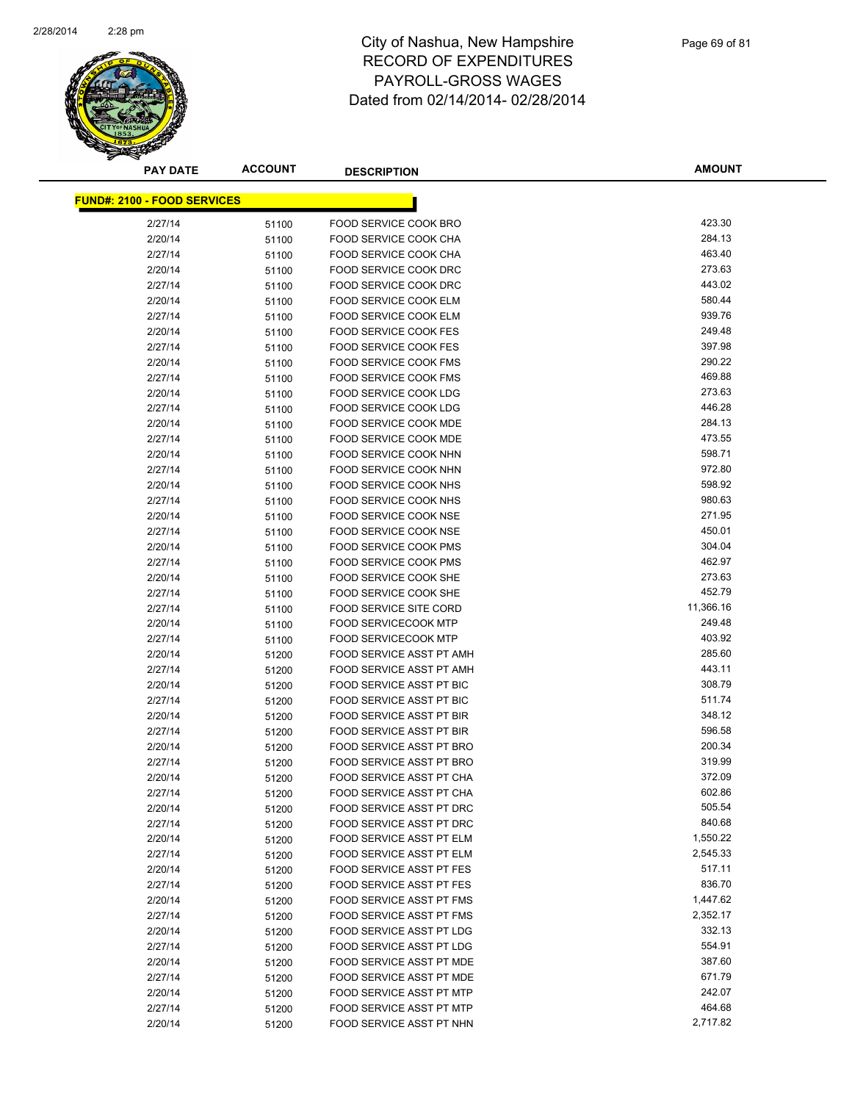

| <b>PAY DATE</b>                    | <b>ACCOUNT</b> | <b>DESCRIPTION</b>                                           | <b>AMOUNT</b>    |
|------------------------------------|----------------|--------------------------------------------------------------|------------------|
| <b>FUND#: 2100 - FOOD SERVICES</b> |                |                                                              |                  |
|                                    |                |                                                              |                  |
| 2/27/14                            | 51100          | FOOD SERVICE COOK BRO                                        | 423.30<br>284.13 |
| 2/20/14                            | 51100          | FOOD SERVICE COOK CHA                                        | 463.40           |
| 2/27/14                            | 51100          | FOOD SERVICE COOK CHA                                        |                  |
| 2/20/14                            | 51100          | FOOD SERVICE COOK DRC                                        | 273.63           |
| 2/27/14                            | 51100          | FOOD SERVICE COOK DRC                                        | 443.02           |
| 2/20/14                            | 51100          | FOOD SERVICE COOK ELM                                        | 580.44<br>939.76 |
| 2/27/14                            | 51100          | FOOD SERVICE COOK ELM                                        |                  |
| 2/20/14                            | 51100          | <b>FOOD SERVICE COOK FES</b><br><b>FOOD SERVICE COOK FES</b> | 249.48<br>397.98 |
| 2/27/14                            | 51100          |                                                              |                  |
| 2/20/14                            | 51100          | <b>FOOD SERVICE COOK FMS</b>                                 | 290.22<br>469.88 |
| 2/27/14                            | 51100          | FOOD SERVICE COOK FMS<br>FOOD SERVICE COOK LDG               | 273.63           |
| 2/20/14                            | 51100          |                                                              | 446.28           |
| 2/27/14                            | 51100          | FOOD SERVICE COOK LDG                                        | 284.13           |
| 2/20/14                            | 51100          | FOOD SERVICE COOK MDE                                        | 473.55           |
| 2/27/14                            | 51100          | FOOD SERVICE COOK MDE                                        | 598.71           |
| 2/20/14                            | 51100          | FOOD SERVICE COOK NHN                                        | 972.80           |
| 2/27/14                            | 51100          | FOOD SERVICE COOK NHN                                        | 598.92           |
| 2/20/14                            | 51100          | FOOD SERVICE COOK NHS<br><b>FOOD SERVICE COOK NHS</b>        | 980.63           |
| 2/27/14                            | 51100          |                                                              | 271.95           |
| 2/20/14                            | 51100          | FOOD SERVICE COOK NSE                                        | 450.01           |
| 2/27/14                            | 51100          | <b>FOOD SERVICE COOK NSE</b>                                 | 304.04           |
| 2/20/14                            | 51100          | FOOD SERVICE COOK PMS                                        | 462.97           |
| 2/27/14                            | 51100          | <b>FOOD SERVICE COOK PMS</b>                                 | 273.63           |
| 2/20/14                            | 51100          | FOOD SERVICE COOK SHE                                        |                  |
| 2/27/14                            | 51100          | FOOD SERVICE COOK SHE                                        | 452.79           |
| 2/27/14                            | 51100          | <b>FOOD SERVICE SITE CORD</b>                                | 11,366.16        |
| 2/20/14                            | 51100          | <b>FOOD SERVICECOOK MTP</b>                                  | 249.48           |
| 2/27/14                            | 51100          | <b>FOOD SERVICECOOK MTP</b>                                  | 403.92<br>285.60 |
| 2/20/14                            | 51200          | FOOD SERVICE ASST PT AMH                                     | 443.11           |
| 2/27/14                            | 51200          | FOOD SERVICE ASST PT AMH                                     | 308.79           |
| 2/20/14                            | 51200          | FOOD SERVICE ASST PT BIC                                     | 511.74           |
| 2/27/14<br>2/20/14                 | 51200          | FOOD SERVICE ASST PT BIC<br>FOOD SERVICE ASST PT BIR         | 348.12           |
|                                    | 51200          |                                                              | 596.58           |
| 2/27/14                            | 51200          | <b>FOOD SERVICE ASST PT BIR</b><br>FOOD SERVICE ASST PT BRO  | 200.34           |
| 2/20/14                            | 51200          | <b>FOOD SERVICE ASST PT BRO</b>                              | 319.99           |
| 2/27/14<br>2/20/14                 | 51200          | FOOD SERVICE ASST PT CHA                                     | 372.09           |
|                                    | 51200          | FOOD SERVICE ASST PT CHA                                     | 602.86           |
| 2/27/14<br>2/20/14                 | 51200          | FOOD SERVICE ASST PT DRC                                     | 505.54           |
| 2/27/14                            | 51200          | FOOD SERVICE ASST PT DRC                                     | 840.68           |
| 2/20/14                            | 51200          | FOOD SERVICE ASST PT ELM                                     | 1,550.22         |
| 2/27/14                            | 51200          | FOOD SERVICE ASST PT ELM                                     | 2,545.33         |
| 2/20/14                            | 51200          | FOOD SERVICE ASST PT FES                                     | 517.11           |
| 2/27/14                            | 51200          | FOOD SERVICE ASST PT FES                                     | 836.70           |
|                                    | 51200          |                                                              | 1,447.62         |
| 2/20/14<br>2/27/14                 | 51200          | FOOD SERVICE ASST PT FMS<br>FOOD SERVICE ASST PT FMS         | 2,352.17         |
|                                    | 51200          | FOOD SERVICE ASST PT LDG                                     | 332.13           |
| 2/20/14<br>2/27/14                 | 51200          | FOOD SERVICE ASST PT LDG                                     | 554.91           |
|                                    | 51200          | FOOD SERVICE ASST PT MDE                                     | 387.60           |
| 2/20/14<br>2/27/14                 | 51200          | FOOD SERVICE ASST PT MDE                                     | 671.79           |
|                                    | 51200          |                                                              | 242.07           |
| 2/20/14<br>2/27/14                 | 51200          | FOOD SERVICE ASST PT MTP<br>FOOD SERVICE ASST PT MTP         | 464.68           |
|                                    | 51200          |                                                              | 2,717.82         |
| 2/20/14                            | 51200          | FOOD SERVICE ASST PT NHN                                     |                  |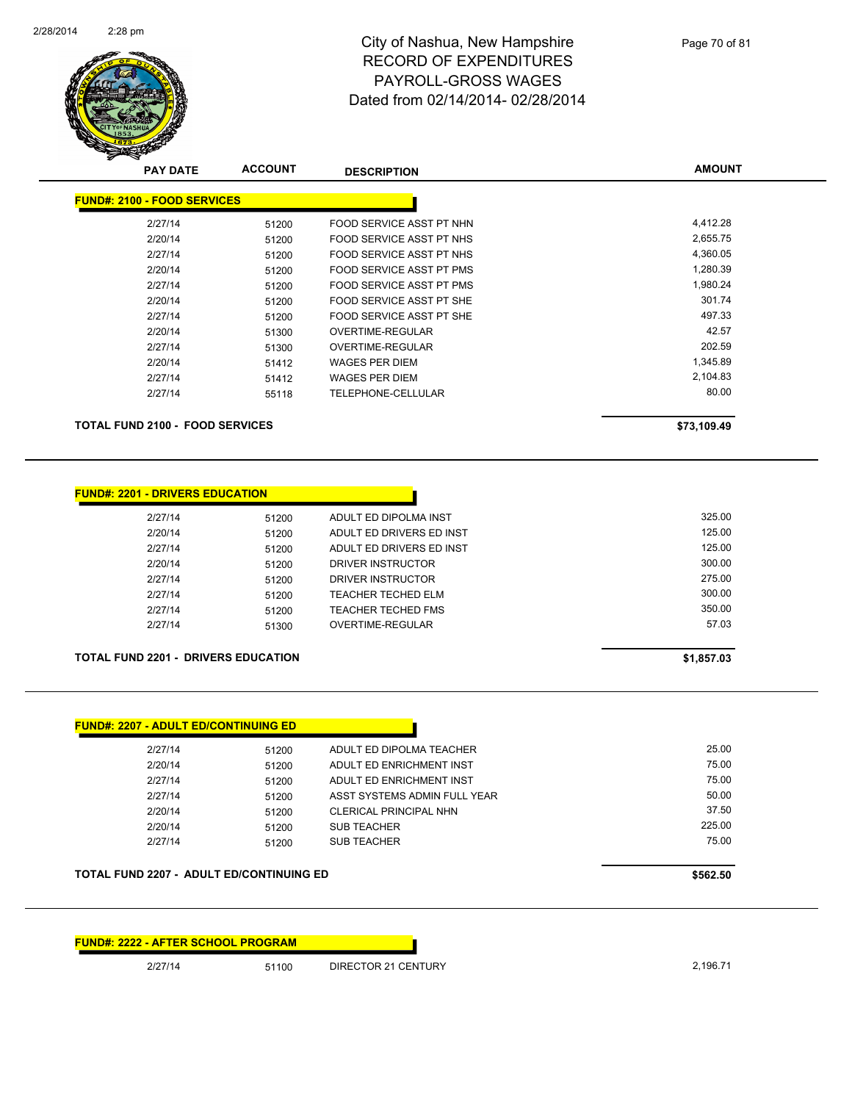

| <b>PAY DATE</b>                        | <b>ACCOUNT</b> | <b>DESCRIPTION</b>        | <b>AMOUNT</b> |
|----------------------------------------|----------------|---------------------------|---------------|
| <b>FUND#: 2100 - FOOD SERVICES</b>     |                |                           |               |
| 2/27/14                                | 51200          | FOOD SERVICE ASST PT NHN  | 4,412.28      |
| 2/20/14                                | 51200          | FOOD SERVICE ASST PT NHS  | 2,655.75      |
| 2/27/14                                | 51200          | FOOD SERVICE ASST PT NHS  | 4,360.05      |
| 2/20/14                                | 51200          | FOOD SERVICE ASST PT PMS  | 1,280.39      |
| 2/27/14                                | 51200          | FOOD SERVICE ASST PT PMS  | 1,980.24      |
| 2/20/14                                | 51200          | FOOD SERVICE ASST PT SHE  | 301.74        |
| 2/27/14                                | 51200          | FOOD SERVICE ASST PT SHE  | 497.33        |
| 2/20/14                                | 51300          | OVERTIME-REGULAR          | 42.57         |
| 2/27/14                                | 51300          | OVERTIME-REGULAR          | 202.59        |
| 2/20/14                                | 51412          | <b>WAGES PER DIEM</b>     | 1,345.89      |
| 2/27/14                                | 51412          | <b>WAGES PER DIEM</b>     | 2,104.83      |
| 2/27/14                                | 55118          | <b>TELEPHONE-CELLULAR</b> | 80.00         |
| <b>TOTAL FUND 2100 - FOOD SERVICES</b> |                |                           | \$73,109.49   |

| 2/27/14 | 51200 | ADULT ED DIPOLMA INST     | 325.00 |
|---------|-------|---------------------------|--------|
| 2/20/14 | 51200 | ADULT ED DRIVERS ED INST  | 125.00 |
| 2/27/14 | 51200 | ADULT ED DRIVERS ED INST  | 125.00 |
| 2/20/14 | 51200 | DRIVER INSTRUCTOR         | 300.00 |
| 2/27/14 | 51200 | DRIVER INSTRUCTOR         | 275.00 |
| 2/27/14 | 51200 | <b>TEACHER TECHED ELM</b> | 300.00 |
| 2/27/14 | 51200 | TEACHER TECHED FMS        | 350.00 |
| 2/27/14 | 51300 | OVERTIME-REGULAR          | 57.03  |

| \$1,857.03 |
|------------|
|            |

| 2/27/14 | 51200 | ADULT ED DIPOLMA TEACHER     | 25.00  |
|---------|-------|------------------------------|--------|
| 2/20/14 | 51200 | ADULT ED ENRICHMENT INST     | 75.00  |
| 2/27/14 | 51200 | ADULT ED ENRICHMENT INST     | 75.00  |
| 2/27/14 | 51200 | ASST SYSTEMS ADMIN FULL YEAR | 50.00  |
| 2/20/14 | 51200 | CLERICAL PRINCIPAL NHN       | 37.50  |
| 2/20/14 | 51200 | <b>SUB TEACHER</b>           | 225.00 |
| 2/27/14 | 51200 | <b>SUB TEACHER</b>           | 75.00  |

**FUND#: 2222 - AFTER SCHOOL PROGRAM**

2/27/14 51100 DIRECTOR 21 CENTURY 2,196.71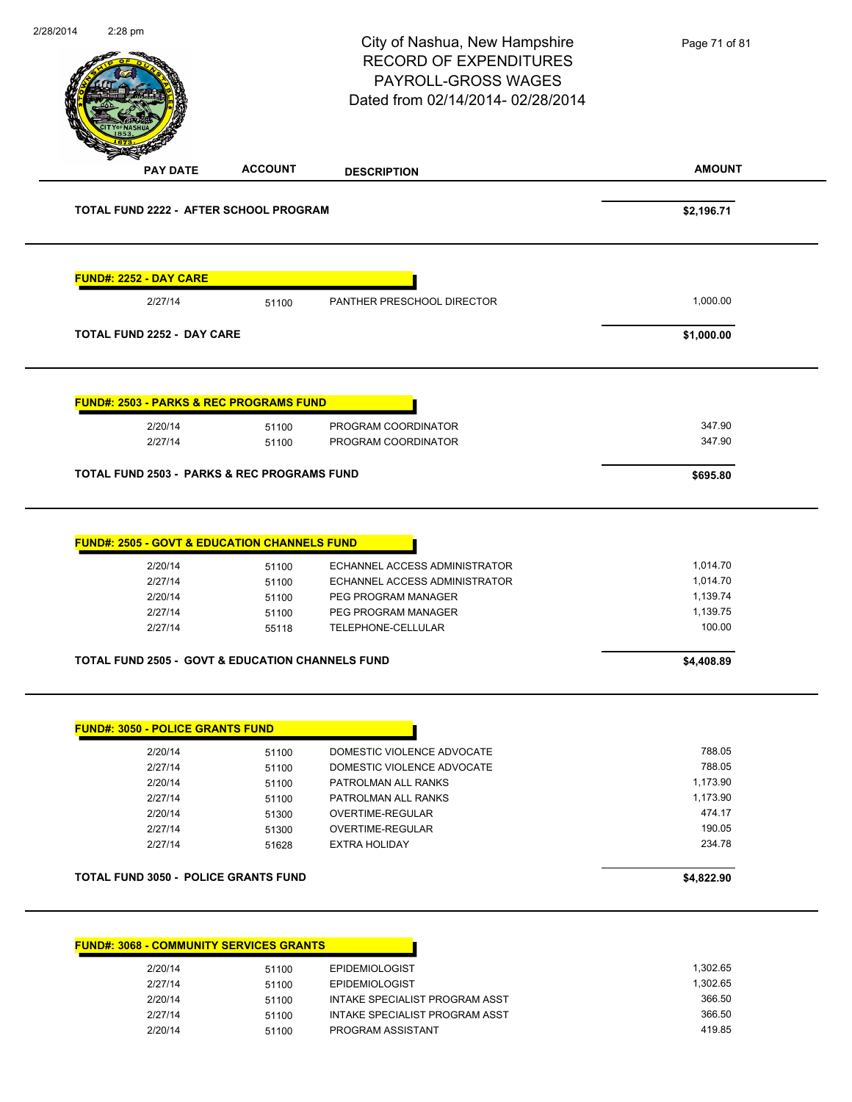|                                             |                                                             | City of Nashua, New Hampshire<br><b>RECORD OF EXPENDITURES</b><br><b>PAYROLL-GROSS WAGES</b><br>Dated from 02/14/2014-02/28/2014 | Page 71 of 81        |
|---------------------------------------------|-------------------------------------------------------------|----------------------------------------------------------------------------------------------------------------------------------|----------------------|
| <b>PAY DATE</b>                             | <b>ACCOUNT</b>                                              | <b>DESCRIPTION</b>                                                                                                               | <b>AMOUNT</b>        |
| TOTAL FUND 2222 - AFTER SCHOOL PROGRAM      | \$2,196.71                                                  |                                                                                                                                  |                      |
| <b>FUND#: 2252 - DAY CARE</b>               |                                                             |                                                                                                                                  |                      |
| 2/27/14                                     | 51100                                                       | PANTHER PRESCHOOL DIRECTOR                                                                                                       | 1,000.00             |
| <b>TOTAL FUND 2252 - DAY CARE</b>           |                                                             |                                                                                                                                  | \$1,000.00           |
|                                             | <b>FUND#: 2503 - PARKS &amp; REC PROGRAMS FUND</b>          |                                                                                                                                  |                      |
| 2/20/14                                     | 51100                                                       | PROGRAM COORDINATOR                                                                                                              | 347.90               |
| 2/27/14                                     | 51100                                                       | PROGRAM COORDINATOR                                                                                                              | 347.90               |
|                                             | <b>TOTAL FUND 2503 - PARKS &amp; REC PROGRAMS FUND</b>      |                                                                                                                                  | \$695.80             |
|                                             | <b>FUND#: 2505 - GOVT &amp; EDUCATION CHANNELS FUND</b>     |                                                                                                                                  |                      |
| 2/20/14                                     | 51100                                                       | ECHANNEL ACCESS ADMINISTRATOR                                                                                                    | 1,014.70             |
| 2/27/14                                     | 51100                                                       | ECHANNEL ACCESS ADMINISTRATOR                                                                                                    | 1,014.70             |
| 2/20/14                                     | 51100                                                       | PEG PROGRAM MANAGER                                                                                                              | 1,139.74<br>1,139.75 |
| 2/27/14<br>2/27/14                          | 51100<br>55118                                              | PEG PROGRAM MANAGER<br>TELEPHONE-CELLULAR                                                                                        | 100.00               |
|                                             | <b>TOTAL FUND 2505 - GOVT &amp; EDUCATION CHANNELS FUND</b> |                                                                                                                                  | \$4,408.89           |
| <b>FUND#: 3050 - POLICE GRANTS FUND</b>     |                                                             |                                                                                                                                  |                      |
| 2/20/14                                     | 51100                                                       | DOMESTIC VIOLENCE ADVOCATE                                                                                                       | 788.05               |
| 2/27/14                                     | 51100                                                       | DOMESTIC VIOLENCE ADVOCATE                                                                                                       | 788.05               |
| 2/20/14                                     | 51100                                                       | PATROLMAN ALL RANKS                                                                                                              | 1,173.90             |
| 2/27/14                                     | 51100                                                       | PATROLMAN ALL RANKS                                                                                                              | 1,173.90             |
| 2/20/14                                     | 51300                                                       | <b>OVERTIME-REGULAR</b>                                                                                                          | 474.17               |
| 2/27/14                                     | 51300                                                       | OVERTIME-REGULAR                                                                                                                 | 190.05               |
| 2/27/14                                     | 51628                                                       | <b>EXTRA HOLIDAY</b>                                                                                                             | 234.78               |
| <b>TOTAL FUND 3050 - POLICE GRANTS FUND</b> |                                                             |                                                                                                                                  | \$4,822.90           |
|                                             | <b>FUND#: 3068 - COMMUNITY SERVICES GRANTS</b>              |                                                                                                                                  |                      |
|                                             |                                                             | <b>EPIDEMIOLOGIST</b>                                                                                                            | 1,302.65             |
|                                             | 51100                                                       |                                                                                                                                  |                      |
| 2/20/14                                     |                                                             |                                                                                                                                  |                      |
| 2/27/14                                     | 51100                                                       | <b>EPIDEMIOLOGIST</b>                                                                                                            | 1,302.65             |
| 2/20/14<br>2/27/14                          | 51100<br>51100                                              | INTAKE SPECIALIST PROGRAM ASST<br>INTAKE SPECIALIST PROGRAM ASST                                                                 | 366.50<br>366.50     |

2/20/14 51100 PROGRAM ASSISTANT 419.85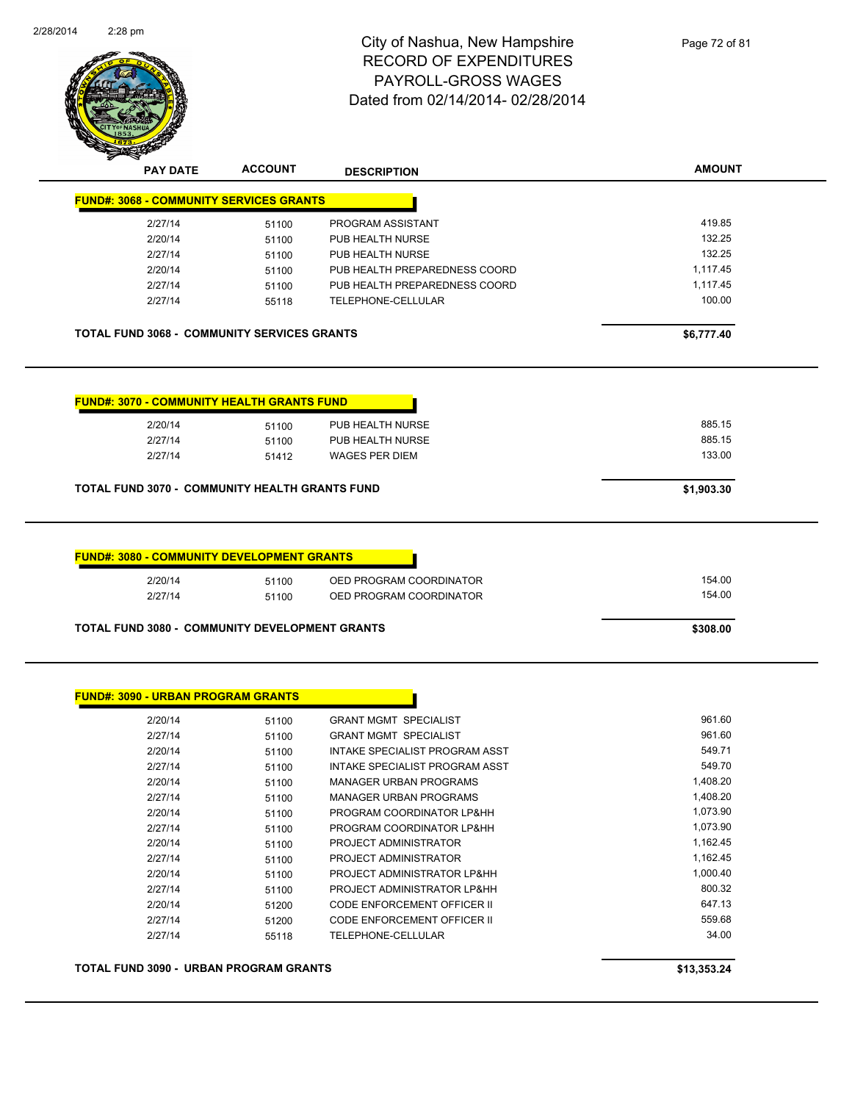

| <b>PAY DATE</b>                                                                                                                                          | <b>ACCOUNT</b>          | <b>DESCRIPTION</b>                        | <b>AMOUNT</b>    |
|----------------------------------------------------------------------------------------------------------------------------------------------------------|-------------------------|-------------------------------------------|------------------|
| <b>FUND#: 3068 - COMMUNITY SERVICES GRANTS</b>                                                                                                           |                         |                                           |                  |
| 2/27/14                                                                                                                                                  | 51100                   | PROGRAM ASSISTANT                         | 419.85           |
| 2/20/14                                                                                                                                                  | 51100                   | PUB HEALTH NURSE                          | 132.25           |
| 2/27/14                                                                                                                                                  | 51100                   | PUB HEALTH NURSE                          | 132.25           |
| 2/20/14                                                                                                                                                  | 51100                   | PUB HEALTH PREPAREDNESS COORD             | 1,117.45         |
| 2/27/14                                                                                                                                                  | 51100                   | PUB HEALTH PREPAREDNESS COORD             | 1,117.45         |
| 2/27/14                                                                                                                                                  | 55118                   | TELEPHONE-CELLULAR                        | 100.00           |
| <b>TOTAL FUND 3068 - COMMUNITY SERVICES GRANTS</b>                                                                                                       |                         |                                           | \$6,777.40       |
| 2/20/14                                                                                                                                                  |                         | PUB HEALTH NURSE                          | 885.15           |
| 2/27/14<br>2/27/14                                                                                                                                       | 51100<br>51100<br>51412 | PUB HEALTH NURSE<br><b>WAGES PER DIEM</b> | 885.15<br>133.00 |
|                                                                                                                                                          |                         |                                           | \$1,903.30       |
| <b>FUND#: 3070 - COMMUNITY HEALTH GRANTS FUND</b><br>TOTAL FUND 3070 - COMMUNITY HEALTH GRANTS FUND<br><b>FUND#: 3080 - COMMUNITY DEVELOPMENT GRANTS</b> |                         |                                           |                  |
| 2/20/14                                                                                                                                                  | 51100                   | OED PROGRAM COORDINATOR                   | 154.00           |
| 2/27/14                                                                                                                                                  | 51100                   | OED PROGRAM COORDINATOR                   | 154.00           |

| 2/20/14 | 51100 | <b>GRANT MGMT SPECIALIST</b>       | 961.60   |
|---------|-------|------------------------------------|----------|
| 2/27/14 | 51100 | <b>GRANT MGMT SPECIALIST</b>       | 961.60   |
| 2/20/14 | 51100 | INTAKE SPECIALIST PROGRAM ASST     | 549.71   |
| 2/27/14 | 51100 | INTAKE SPECIALIST PROGRAM ASST     | 549.70   |
| 2/20/14 | 51100 | <b>MANAGER URBAN PROGRAMS</b>      | 1,408.20 |
| 2/27/14 | 51100 | MANAGER URBAN PROGRAMS             | 1,408.20 |
| 2/20/14 | 51100 | PROGRAM COORDINATOR LP&HH          | 1,073.90 |
| 2/27/14 | 51100 | PROGRAM COORDINATOR LP&HH          | 1,073.90 |
| 2/20/14 | 51100 | PROJECT ADMINISTRATOR              | 1,162.45 |
| 2/27/14 | 51100 | PROJECT ADMINISTRATOR              | 1,162.45 |
| 2/20/14 | 51100 | PROJECT ADMINISTRATOR LP&HH        | 1,000.40 |
| 2/27/14 | 51100 | PROJECT ADMINISTRATOR LP&HH        | 800.32   |
| 2/20/14 | 51200 | <b>CODE ENFORCEMENT OFFICER II</b> | 647.13   |
| 2/27/14 | 51200 | <b>CODE ENFORCEMENT OFFICER II</b> | 559.68   |
| 2/27/14 | 55118 | TELEPHONE-CELLULAR                 | 34.00    |

**TOTAL FUND 3090 - URBAN PROGRAM GRANTS \$13,353.24**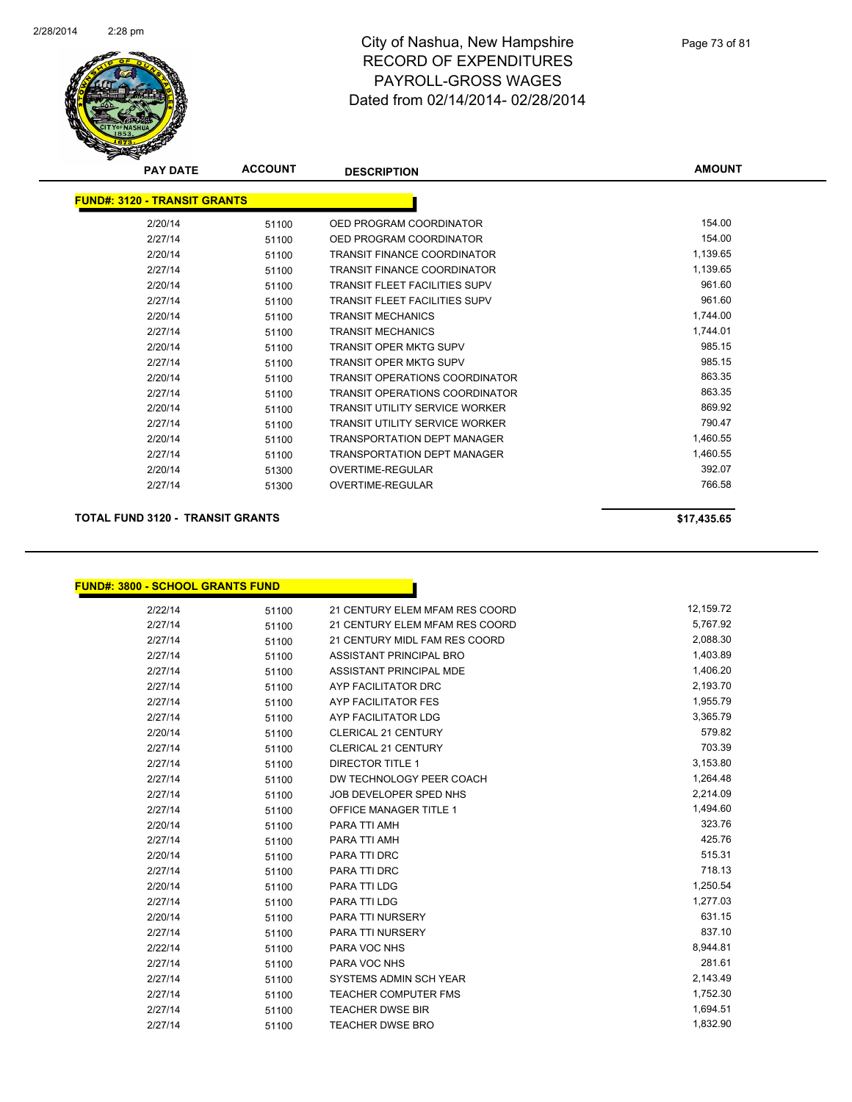

| <b>PAY DATE</b>                     | <b>ACCOUNT</b> | <b>DESCRIPTION</b>                    | <b>AMOUNT</b> |
|-------------------------------------|----------------|---------------------------------------|---------------|
| <b>FUND#: 3120 - TRANSIT GRANTS</b> |                |                                       |               |
| 2/20/14                             | 51100          | OED PROGRAM COORDINATOR               | 154.00        |
| 2/27/14                             | 51100          | OED PROGRAM COORDINATOR               | 154.00        |
| 2/20/14                             | 51100          | <b>TRANSIT FINANCE COORDINATOR</b>    | 1,139.65      |
| 2/27/14                             | 51100          | <b>TRANSIT FINANCE COORDINATOR</b>    | 1,139.65      |
| 2/20/14                             | 51100          | <b>TRANSIT FLEET FACILITIES SUPV</b>  | 961.60        |
| 2/27/14                             | 51100          | <b>TRANSIT FLEET FACILITIES SUPV</b>  | 961.60        |
| 2/20/14                             | 51100          | <b>TRANSIT MECHANICS</b>              | 1,744.00      |
| 2/27/14                             | 51100          | <b>TRANSIT MECHANICS</b>              | 1,744.01      |
| 2/20/14                             | 51100          | <b>TRANSIT OPER MKTG SUPV</b>         | 985.15        |
| 2/27/14                             | 51100          | <b>TRANSIT OPER MKTG SUPV</b>         | 985.15        |
| 2/20/14                             | 51100          | <b>TRANSIT OPERATIONS COORDINATOR</b> | 863.35        |
| 2/27/14                             | 51100          | <b>TRANSIT OPERATIONS COORDINATOR</b> | 863.35        |
| 2/20/14                             | 51100          | <b>TRANSIT UTILITY SERVICE WORKER</b> | 869.92        |
| 2/27/14                             | 51100          | <b>TRANSIT UTILITY SERVICE WORKER</b> | 790.47        |
| 2/20/14                             | 51100          | <b>TRANSPORTATION DEPT MANAGER</b>    | 1,460.55      |
| 2/27/14                             | 51100          | <b>TRANSPORTATION DEPT MANAGER</b>    | 1,460.55      |
| 2/20/14                             | 51300          | <b>OVERTIME-REGULAR</b>               | 392.07        |
| 2/27/14                             | 51300          | OVERTIME-REGULAR                      | 766.58        |

#### **TOTAL FUND 3120 - TRANSIT GRANTS \$17,435.65**

**FUND#: 3800 - SCHOOL GRANTS FUND**

| 2/22/14 | 51100 | 21 CENTURY ELEM MFAM RES COORD | 12,159.72 |
|---------|-------|--------------------------------|-----------|
| 2/27/14 | 51100 | 21 CENTURY ELEM MFAM RES COORD | 5,767.92  |
| 2/27/14 | 51100 | 21 CENTURY MIDL FAM RES COORD  | 2,088.30  |
| 2/27/14 | 51100 | ASSISTANT PRINCIPAL BRO        | 1,403.89  |
| 2/27/14 | 51100 | ASSISTANT PRINCIPAL MDE        | 1,406.20  |
| 2/27/14 | 51100 | AYP FACILITATOR DRC            | 2,193.70  |
| 2/27/14 | 51100 | <b>AYP FACILITATOR FES</b>     | 1,955.79  |
| 2/27/14 | 51100 | AYP FACILITATOR LDG            | 3,365.79  |
| 2/20/14 | 51100 | <b>CLERICAL 21 CENTURY</b>     | 579.82    |
| 2/27/14 | 51100 | <b>CLERICAL 21 CENTURY</b>     | 703.39    |
| 2/27/14 | 51100 | <b>DIRECTOR TITLE 1</b>        | 3,153.80  |
| 2/27/14 | 51100 | DW TECHNOLOGY PEER COACH       | 1,264.48  |
| 2/27/14 | 51100 | JOB DEVELOPER SPED NHS         | 2,214.09  |
| 2/27/14 | 51100 | <b>OFFICE MANAGER TITLE 1</b>  | 1,494.60  |
| 2/20/14 | 51100 | PARA TTI AMH                   | 323.76    |
| 2/27/14 | 51100 | PARA TTI AMH                   | 425.76    |
| 2/20/14 | 51100 | PARA TTI DRC                   | 515.31    |
| 2/27/14 | 51100 | <b>PARA TTI DRC</b>            | 718.13    |
| 2/20/14 | 51100 | PARA TTI LDG                   | 1,250.54  |
| 2/27/14 | 51100 | PARA TTI LDG                   | 1,277.03  |
| 2/20/14 | 51100 | PARA TTI NURSERY               | 631.15    |
| 2/27/14 | 51100 | PARA TTI NURSERY               | 837.10    |
| 2/22/14 | 51100 | PARA VOC NHS                   | 8,944.81  |
| 2/27/14 | 51100 | PARA VOC NHS                   | 281.61    |
| 2/27/14 | 51100 | SYSTEMS ADMIN SCH YEAR         | 2,143.49  |
| 2/27/14 | 51100 | <b>TEACHER COMPUTER FMS</b>    | 1,752.30  |
| 2/27/14 | 51100 | <b>TEACHER DWSE BIR</b>        | 1,694.51  |
| 2/27/14 | 51100 | <b>TEACHER DWSE BRO</b>        | 1,832.90  |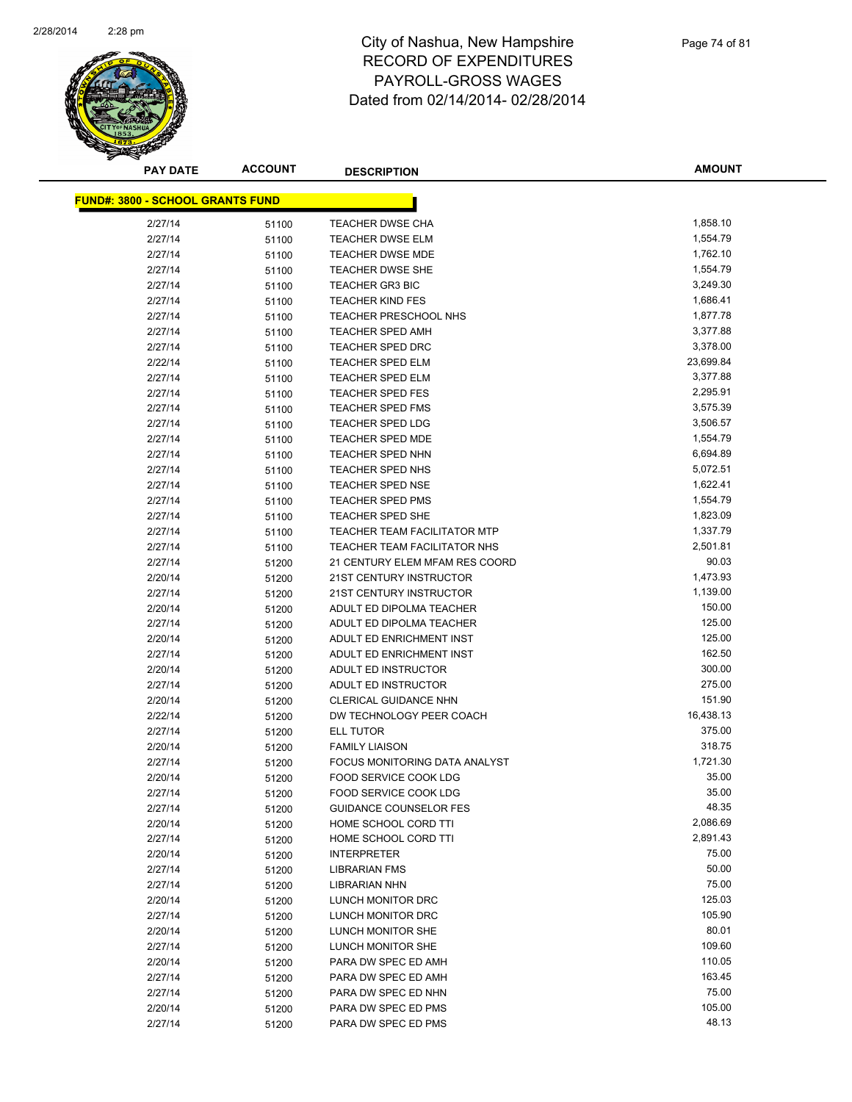

| <b>PAY DATE</b>                         | <b>ACCOUNT</b> | <b>DESCRIPTION</b>             | <b>AMOUNT</b> |
|-----------------------------------------|----------------|--------------------------------|---------------|
| <b>FUND#: 3800 - SCHOOL GRANTS FUND</b> |                |                                |               |
|                                         |                |                                |               |
| 2/27/14                                 | 51100          | TEACHER DWSE CHA               | 1,858.10      |
| 2/27/14                                 | 51100          | <b>TEACHER DWSE ELM</b>        | 1,554.79      |
| 2/27/14                                 | 51100          | <b>TEACHER DWSE MDE</b>        | 1,762.10      |
| 2/27/14                                 | 51100          | TEACHER DWSE SHE               | 1,554.79      |
| 2/27/14                                 | 51100          | <b>TEACHER GR3 BIC</b>         | 3,249.30      |
| 2/27/14                                 | 51100          | <b>TEACHER KIND FES</b>        | 1,686.41      |
| 2/27/14                                 | 51100          | TEACHER PRESCHOOL NHS          | 1,877.78      |
| 2/27/14                                 | 51100          | <b>TEACHER SPED AMH</b>        | 3,377.88      |
| 2/27/14                                 | 51100          | <b>TEACHER SPED DRC</b>        | 3,378.00      |
| 2/22/14                                 | 51100          | TEACHER SPED ELM               | 23,699.84     |
| 2/27/14                                 | 51100          | <b>TEACHER SPED ELM</b>        | 3,377.88      |
| 2/27/14                                 | 51100          | <b>TEACHER SPED FES</b>        | 2,295.91      |
| 2/27/14                                 | 51100          | <b>TEACHER SPED FMS</b>        | 3,575.39      |
| 2/27/14                                 | 51100          | TEACHER SPED LDG               | 3,506.57      |
| 2/27/14                                 | 51100          | <b>TEACHER SPED MDE</b>        | 1,554.79      |
| 2/27/14                                 | 51100          | <b>TEACHER SPED NHN</b>        | 6,694.89      |
| 2/27/14                                 | 51100          | TEACHER SPED NHS               | 5,072.51      |
| 2/27/14                                 | 51100          | <b>TEACHER SPED NSE</b>        | 1,622.41      |
| 2/27/14                                 | 51100          | <b>TEACHER SPED PMS</b>        | 1,554.79      |
| 2/27/14                                 | 51100          | <b>TEACHER SPED SHE</b>        | 1,823.09      |
| 2/27/14                                 | 51100          | TEACHER TEAM FACILITATOR MTP   | 1,337.79      |
| 2/27/14                                 | 51100          | TEACHER TEAM FACILITATOR NHS   | 2,501.81      |
| 2/27/14                                 | 51200          | 21 CENTURY ELEM MFAM RES COORD | 90.03         |
| 2/20/14                                 | 51200          | 21ST CENTURY INSTRUCTOR        | 1,473.93      |
| 2/27/14                                 | 51200          | 21ST CENTURY INSTRUCTOR        | 1,139.00      |
| 2/20/14                                 | 51200          | ADULT ED DIPOLMA TEACHER       | 150.00        |
| 2/27/14                                 | 51200          | ADULT ED DIPOLMA TEACHER       | 125.00        |
| 2/20/14                                 | 51200          | ADULT ED ENRICHMENT INST       | 125.00        |
| 2/27/14                                 | 51200          | ADULT ED ENRICHMENT INST       | 162.50        |
| 2/20/14                                 | 51200          | ADULT ED INSTRUCTOR            | 300.00        |
| 2/27/14                                 | 51200          | ADULT ED INSTRUCTOR            | 275.00        |
| 2/20/14                                 | 51200          | CLERICAL GUIDANCE NHN          | 151.90        |
| 2/22/14                                 | 51200          | DW TECHNOLOGY PEER COACH       | 16,438.13     |
| 2/27/14                                 | 51200          | <b>ELL TUTOR</b>               | 375.00        |
| 2/20/14                                 | 51200          | <b>FAMILY LIAISON</b>          | 318.75        |
| 2/27/14                                 | 51200          | FOCUS MONITORING DATA ANALYST  | 1,721.30      |
| 2/20/14                                 | 51200          | FOOD SERVICE COOK LDG          | 35.00         |
| 2/27/14                                 | 51200          | <b>FOOD SERVICE COOK LDG</b>   | 35.00         |
| 2/27/14                                 | 51200          | <b>GUIDANCE COUNSELOR FES</b>  | 48.35         |
| 2/20/14                                 | 51200          | HOME SCHOOL CORD TTI           | 2,086.69      |
| 2/27/14                                 | 51200          | HOME SCHOOL CORD TTI           | 2,891.43      |
| 2/20/14                                 | 51200          | <b>INTERPRETER</b>             | 75.00         |
| 2/27/14                                 | 51200          | <b>LIBRARIAN FMS</b>           | 50.00         |
| 2/27/14                                 | 51200          | LIBRARIAN NHN                  | 75.00         |
| 2/20/14                                 | 51200          | LUNCH MONITOR DRC              | 125.03        |
| 2/27/14                                 | 51200          | LUNCH MONITOR DRC              | 105.90        |
| 2/20/14                                 | 51200          | LUNCH MONITOR SHE              | 80.01         |
| 2/27/14                                 | 51200          | LUNCH MONITOR SHE              | 109.60        |
| 2/20/14                                 | 51200          | PARA DW SPEC ED AMH            | 110.05        |
| 2/27/14                                 | 51200          | PARA DW SPEC ED AMH            | 163.45        |
| 2/27/14                                 | 51200          | PARA DW SPEC ED NHN            | 75.00         |
| 2/20/14                                 | 51200          | PARA DW SPEC ED PMS            | 105.00        |
| 2/27/14                                 | 51200          | PARA DW SPEC ED PMS            | 48.13         |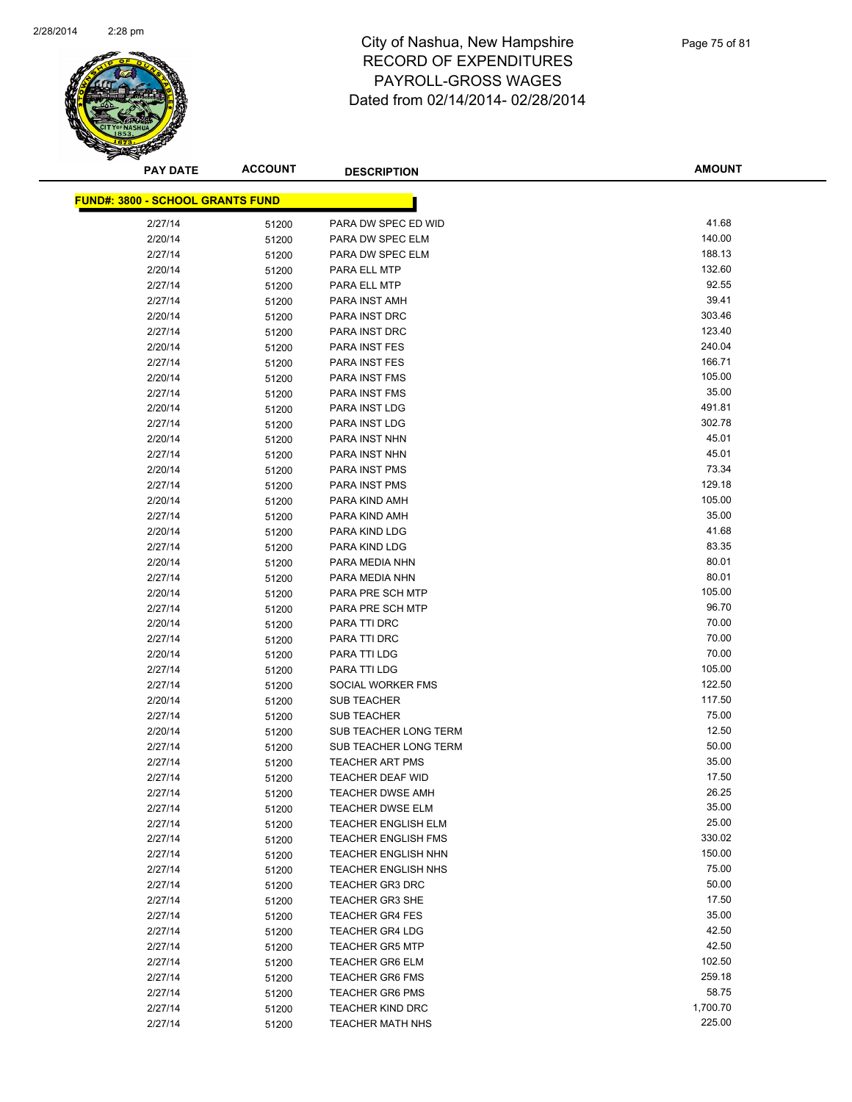

| <b>PAY DATE</b>                         | <b>ACCOUNT</b> | <b>DESCRIPTION</b>                                    | <b>AMOUNT</b>    |
|-----------------------------------------|----------------|-------------------------------------------------------|------------------|
| <b>FUND#: 3800 - SCHOOL GRANTS FUND</b> |                |                                                       |                  |
|                                         |                | PARA DW SPEC ED WID                                   | 41.68            |
| 2/27/14                                 | 51200          |                                                       | 140.00           |
| 2/20/14                                 | 51200          | PARA DW SPEC ELM                                      |                  |
| 2/27/14                                 | 51200          | PARA DW SPEC ELM                                      | 188.13<br>132.60 |
| 2/20/14                                 | 51200          | PARA ELL MTP                                          |                  |
| 2/27/14                                 | 51200          | PARA ELL MTP                                          | 92.55            |
| 2/27/14                                 | 51200          | PARA INST AMH                                         | 39.41<br>303.46  |
| 2/20/14                                 | 51200          | PARA INST DRC                                         |                  |
| 2/27/14                                 | 51200          | PARA INST DRC                                         | 123.40<br>240.04 |
| 2/20/14                                 | 51200          | PARA INST FES<br>PARA INST FES                        | 166.71           |
| 2/27/14                                 | 51200          |                                                       | 105.00           |
| 2/20/14                                 | 51200          | <b>PARA INST FMS</b>                                  | 35.00            |
| 2/27/14                                 | 51200          | <b>PARA INST FMS</b>                                  |                  |
| 2/20/14                                 | 51200          | PARA INST LDG                                         | 491.81           |
| 2/27/14                                 | 51200          | PARA INST LDG                                         | 302.78<br>45.01  |
| 2/20/14                                 | 51200          | PARA INST NHN                                         |                  |
| 2/27/14                                 | 51200          | PARA INST NHN                                         | 45.01<br>73.34   |
| 2/20/14                                 | 51200          | PARA INST PMS                                         |                  |
| 2/27/14                                 | 51200          | PARA INST PMS                                         | 129.18           |
| 2/20/14                                 | 51200          | PARA KIND AMH                                         | 105.00           |
| 2/27/14                                 | 51200          | PARA KIND AMH                                         | 35.00<br>41.68   |
| 2/20/14                                 | 51200          | PARA KIND LDG                                         | 83.35            |
| 2/27/14                                 | 51200          | PARA KIND LDG                                         |                  |
| 2/20/14                                 | 51200          | PARA MEDIA NHN                                        | 80.01<br>80.01   |
| 2/27/14                                 | 51200          | PARA MEDIA NHN                                        |                  |
| 2/20/14                                 | 51200          | PARA PRE SCH MTP                                      | 105.00<br>96.70  |
| 2/27/14                                 | 51200          | PARA PRE SCH MTP                                      |                  |
| 2/20/14                                 | 51200          | PARA TTI DRC                                          | 70.00            |
| 2/27/14                                 | 51200          | PARA TTI DRC                                          | 70.00            |
| 2/20/14                                 | 51200          | PARA TTI LDG                                          | 70.00            |
| 2/27/14                                 | 51200          | PARA TTI LDG                                          | 105.00           |
| 2/27/14                                 | 51200          | SOCIAL WORKER FMS                                     | 122.50<br>117.50 |
| 2/20/14                                 | 51200          | <b>SUB TEACHER</b>                                    | 75.00            |
| 2/27/14                                 | 51200          | <b>SUB TEACHER</b>                                    | 12.50            |
| 2/20/14                                 | 51200          | SUB TEACHER LONG TERM                                 | 50.00            |
| 2/27/14                                 | 51200          | SUB TEACHER LONG TERM<br><b>TEACHER ART PMS</b>       | 35.00            |
| 2/27/14                                 | 51200          |                                                       | 17.50            |
| 2/27/14                                 | 51200          | <b>TEACHER DEAF WID</b>                               | 26.25            |
| 2/27/14                                 | 51200          | TEACHER DWSE AMH                                      | 35.00            |
| 2/27/14                                 | 51200          | <b>TEACHER DWSE ELM</b><br><b>TEACHER ENGLISH ELM</b> | 25.00            |
| 2/27/14                                 | 51200          |                                                       | 330.02           |
| 2/27/14                                 | 51200          | <b>TEACHER ENGLISH FMS</b>                            | 150.00           |
| 2/27/14                                 | 51200          | <b>TEACHER ENGLISH NHN</b>                            | 75.00            |
| 2/27/14                                 | 51200          | <b>TEACHER ENGLISH NHS</b><br><b>TEACHER GR3 DRC</b>  |                  |
| 2/27/14                                 | 51200          |                                                       | 50.00<br>17.50   |
| 2/27/14                                 | 51200          | <b>TEACHER GR3 SHE</b>                                | 35.00            |
| 2/27/14                                 | 51200          | <b>TEACHER GR4 FES</b>                                | 42.50            |
| 2/27/14                                 | 51200          | <b>TEACHER GR4 LDG</b>                                | 42.50            |
| 2/27/14                                 | 51200          | <b>TEACHER GR5 MTP</b>                                |                  |
| 2/27/14                                 | 51200          | <b>TEACHER GR6 ELM</b>                                | 102.50           |
| 2/27/14                                 | 51200          | <b>TEACHER GR6 FMS</b>                                | 259.18           |
| 2/27/14                                 | 51200          | <b>TEACHER GR6 PMS</b>                                | 58.75            |
| 2/27/14                                 | 51200          | <b>TEACHER KIND DRC</b>                               | 1,700.70         |
| 2/27/14                                 | 51200          | TEACHER MATH NHS                                      | 225.00           |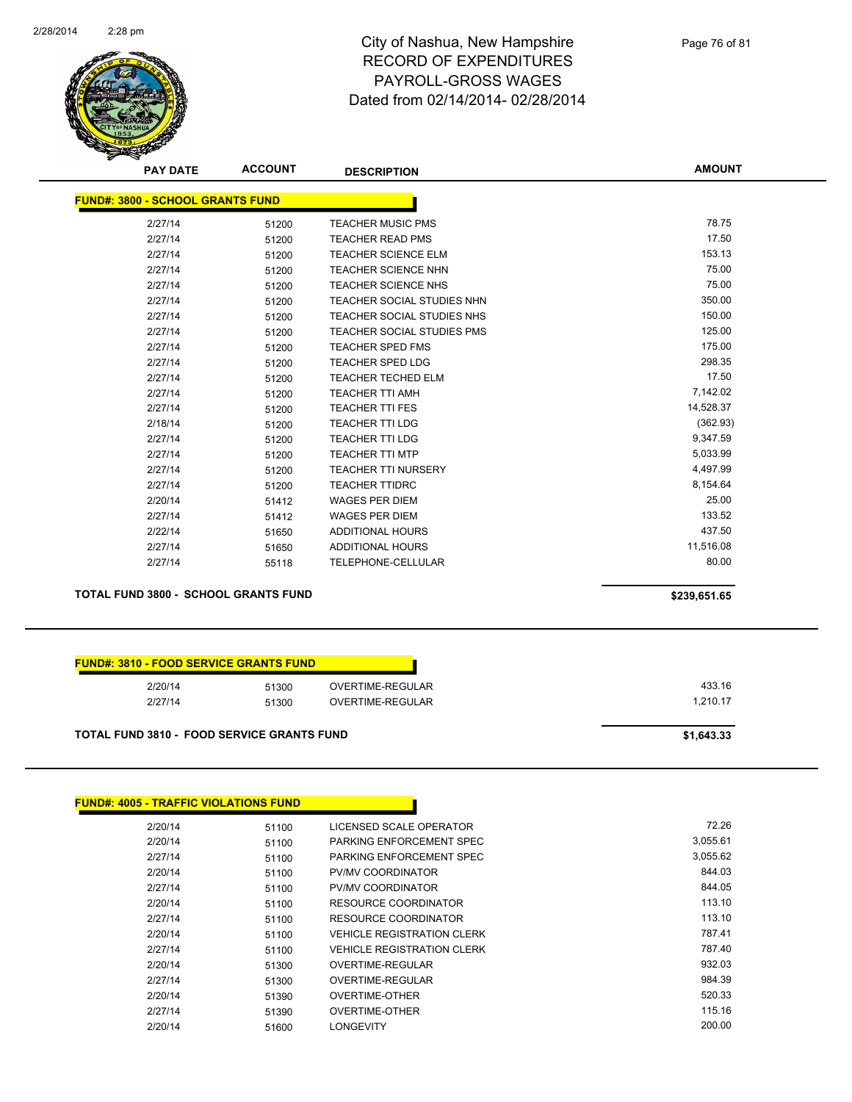

Page 76 of 81

| <b>PAY DATE</b>                             | <b>ACCOUNT</b> | <b>DESCRIPTION</b>                | <b>AMOUNT</b> |
|---------------------------------------------|----------------|-----------------------------------|---------------|
| <b>FUND#: 3800 - SCHOOL GRANTS FUND</b>     |                |                                   |               |
| 2/27/14                                     | 51200          | <b>TEACHER MUSIC PMS</b>          | 78.75         |
| 2/27/14                                     | 51200          | <b>TEACHER READ PMS</b>           | 17.50         |
| 2/27/14                                     | 51200          | <b>TEACHER SCIENCE ELM</b>        | 153.13        |
| 2/27/14                                     | 51200          | <b>TEACHER SCIENCE NHN</b>        | 75.00         |
| 2/27/14                                     | 51200          | <b>TEACHER SCIENCE NHS</b>        | 75.00         |
| 2/27/14                                     | 51200          | TEACHER SOCIAL STUDIES NHN        | 350.00        |
| 2/27/14                                     | 51200          | TEACHER SOCIAL STUDIES NHS        | 150.00        |
| 2/27/14                                     | 51200          | <b>TEACHER SOCIAL STUDIES PMS</b> | 125.00        |
| 2/27/14                                     | 51200          | <b>TEACHER SPED FMS</b>           | 175.00        |
| 2/27/14                                     | 51200          | <b>TEACHER SPED LDG</b>           | 298.35        |
| 2/27/14                                     | 51200          | <b>TEACHER TECHED ELM</b>         | 17.50         |
| 2/27/14                                     | 51200          | <b>TEACHER TTI AMH</b>            | 7,142.02      |
| 2/27/14                                     | 51200          | <b>TEACHER TTI FES</b>            | 14,528.37     |
| 2/18/14                                     | 51200          | <b>TEACHER TTI LDG</b>            | (362.93)      |
| 2/27/14                                     | 51200          | <b>TEACHER TTI LDG</b>            | 9,347.59      |
| 2/27/14                                     | 51200          | <b>TEACHER TTI MTP</b>            | 5,033.99      |
| 2/27/14                                     | 51200          | <b>TEACHER TTI NURSERY</b>        | 4,497.99      |
| 2/27/14                                     | 51200          | <b>TEACHER TTIDRC</b>             | 8,154.64      |
| 2/20/14                                     | 51412          | <b>WAGES PER DIEM</b>             | 25.00         |
| 2/27/14                                     | 51412          | <b>WAGES PER DIEM</b>             | 133.52        |
| 2/22/14                                     | 51650          | ADDITIONAL HOURS                  | 437.50        |
| 2/27/14                                     | 51650          | ADDITIONAL HOURS                  | 11,516.08     |
| 2/27/14                                     | 55118          | TELEPHONE-CELLULAR                | 80.00         |
| <b>TOTAL FUND 3800 - SCHOOL GRANTS FUND</b> |                |                                   | \$239,651.65  |

| 2/20/14 | 51300 | OVERTIME-REGULAR | 433.16   |
|---------|-------|------------------|----------|
| 2/27/14 | 51300 | OVERTIME-REGULAR | 1.210.17 |

| <b>FUND#: 4005 - TRAFFIC VIOLATIONS FUND</b> |       |                                   |          |
|----------------------------------------------|-------|-----------------------------------|----------|
| 2/20/14                                      | 51100 | LICENSED SCALE OPERATOR           | 72.26    |
| 2/20/14                                      | 51100 | PARKING ENFORCEMENT SPEC          | 3,055.61 |
| 2/27/14                                      | 51100 | PARKING ENFORCEMENT SPEC          | 3,055.62 |
| 2/20/14                                      | 51100 | <b>PV/MV COORDINATOR</b>          | 844.03   |
| 2/27/14                                      | 51100 | <b>PV/MV COORDINATOR</b>          | 844.05   |
| 2/20/14                                      | 51100 | RESOURCE COORDINATOR              | 113.10   |
| 2/27/14                                      | 51100 | <b>RESOURCE COORDINATOR</b>       | 113.10   |
| 2/20/14                                      | 51100 | <b>VEHICLE REGISTRATION CLERK</b> | 787.41   |
| 2/27/14                                      | 51100 | <b>VEHICLE REGISTRATION CLERK</b> | 787.40   |
| 2/20/14                                      | 51300 | OVERTIME-REGULAR                  | 932.03   |
| 2/27/14                                      | 51300 | OVERTIME-REGULAR                  | 984.39   |
| 2/20/14                                      | 51390 | <b>OVERTIME-OTHER</b>             | 520.33   |
| 2/27/14                                      | 51390 | <b>OVERTIME-OTHER</b>             | 115.16   |
| 2/20/14                                      | 51600 | <b>LONGEVITY</b>                  | 200.00   |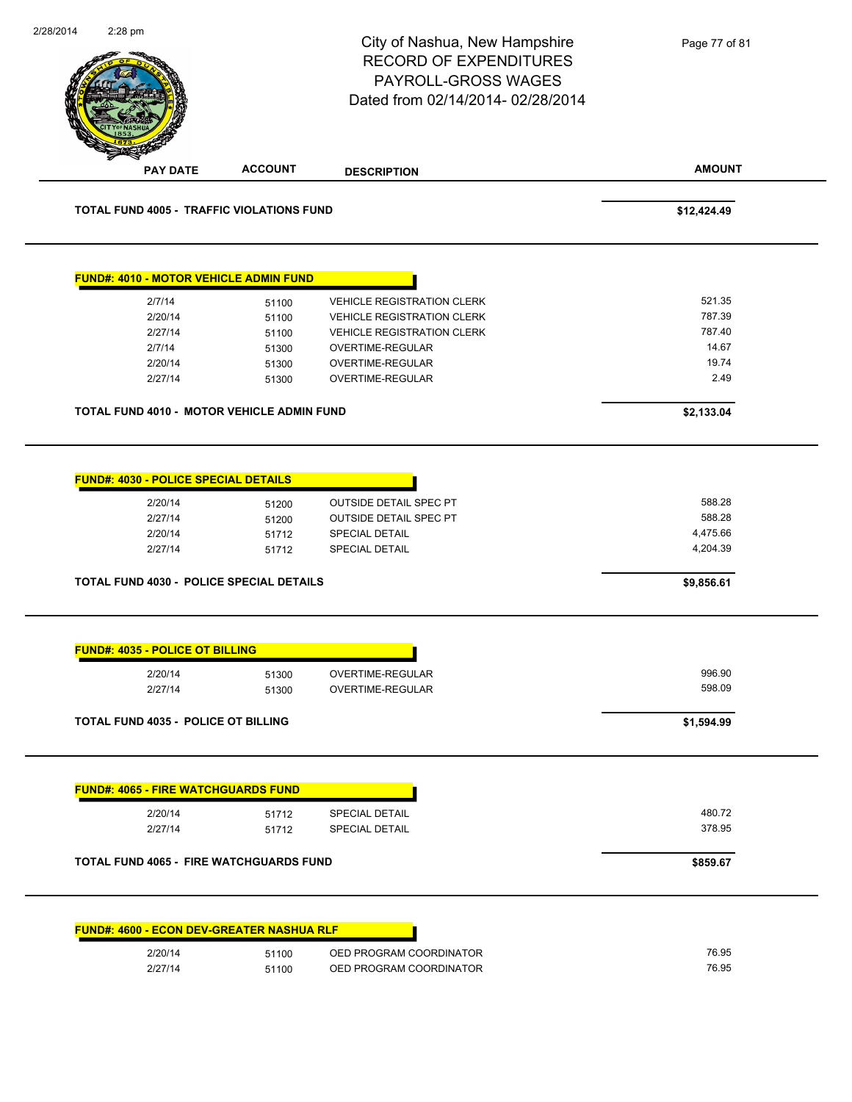|                                                  |                | City of Nashua, New Hampshire<br><b>RECORD OF EXPENDITURES</b><br>PAYROLL-GROSS WAGES<br>Dated from 02/14/2014-02/28/2014 | Page 77 of 81        |
|--------------------------------------------------|----------------|---------------------------------------------------------------------------------------------------------------------------|----------------------|
| <b>PAY DATE</b>                                  | <b>ACCOUNT</b> | <b>DESCRIPTION</b>                                                                                                        | <b>AMOUNT</b>        |
| <b>TOTAL FUND 4005 - TRAFFIC VIOLATIONS FUND</b> |                |                                                                                                                           | \$12,424.49          |
| <b>FUND#: 4010 - MOTOR VEHICLE ADMIN FUND</b>    |                |                                                                                                                           |                      |
| 2/7/14                                           | 51100          | <b>VEHICLE REGISTRATION CLERK</b>                                                                                         | 521.35               |
| 2/20/14                                          | 51100          | <b>VEHICLE REGISTRATION CLERK</b>                                                                                         | 787.39               |
| 2/27/14                                          | 51100          | <b>VEHICLE REGISTRATION CLERK</b>                                                                                         | 787.40               |
| 2/7/14                                           | 51300          | OVERTIME-REGULAR                                                                                                          | 14.67                |
| 2/20/14                                          | 51300          | OVERTIME-REGULAR                                                                                                          | 19.74                |
| 2/27/14                                          | 51300          | OVERTIME-REGULAR                                                                                                          | 2.49                 |
| TOTAL FUND 4010 - MOTOR VEHICLE ADMIN FUND       |                |                                                                                                                           | \$2,133.04           |
| 2/27/14                                          | 51200          | <b>OUTSIDE DETAIL SPEC PT</b>                                                                                             | 588.28               |
| 2/20/14<br>2/27/14                               | 51712<br>51712 | SPECIAL DETAIL<br><b>SPECIAL DETAIL</b>                                                                                   | 4,475.66<br>4,204.39 |
| <b>TOTAL FUND 4030 - POLICE SPECIAL DETAILS</b>  |                |                                                                                                                           | \$9,856.61           |
| FUND#: 4035 - POLICE OT BILLING                  |                |                                                                                                                           |                      |
| 2/20/14                                          | 51300          | OVERTIME-REGULAR                                                                                                          | 996.90               |
| 2/27/14                                          | 51300          | OVERTIME-REGULAR                                                                                                          | 598.09               |
| <b>TOTAL FUND 4035 - POLICE OT BILLING</b>       |                |                                                                                                                           | \$1,594.99           |
| <b>FUND#: 4065 - FIRE WATCHGUARDS FUND</b>       |                |                                                                                                                           |                      |
|                                                  |                |                                                                                                                           |                      |
| 2/20/14                                          | 51712          | SPECIAL DETAIL                                                                                                            | 480.72               |
| 2/27/14                                          | 51712          | SPECIAL DETAIL                                                                                                            | 378.95               |
| <b>TOTAL FUND 4065 - FIRE WATCHGUARDS FUND</b>   |                |                                                                                                                           | \$859.67             |
|                                                  |                |                                                                                                                           |                      |
| <b>FUND#: 4600 - ECON DEV-GREATER NASHUA RLF</b> |                |                                                                                                                           |                      |
| 2/20/14                                          | 51100          | OED PROGRAM COORDINATOR                                                                                                   | 76.95                |
| 2/27/14                                          | 51100          | OED PROGRAM COORDINATOR                                                                                                   | 76.95                |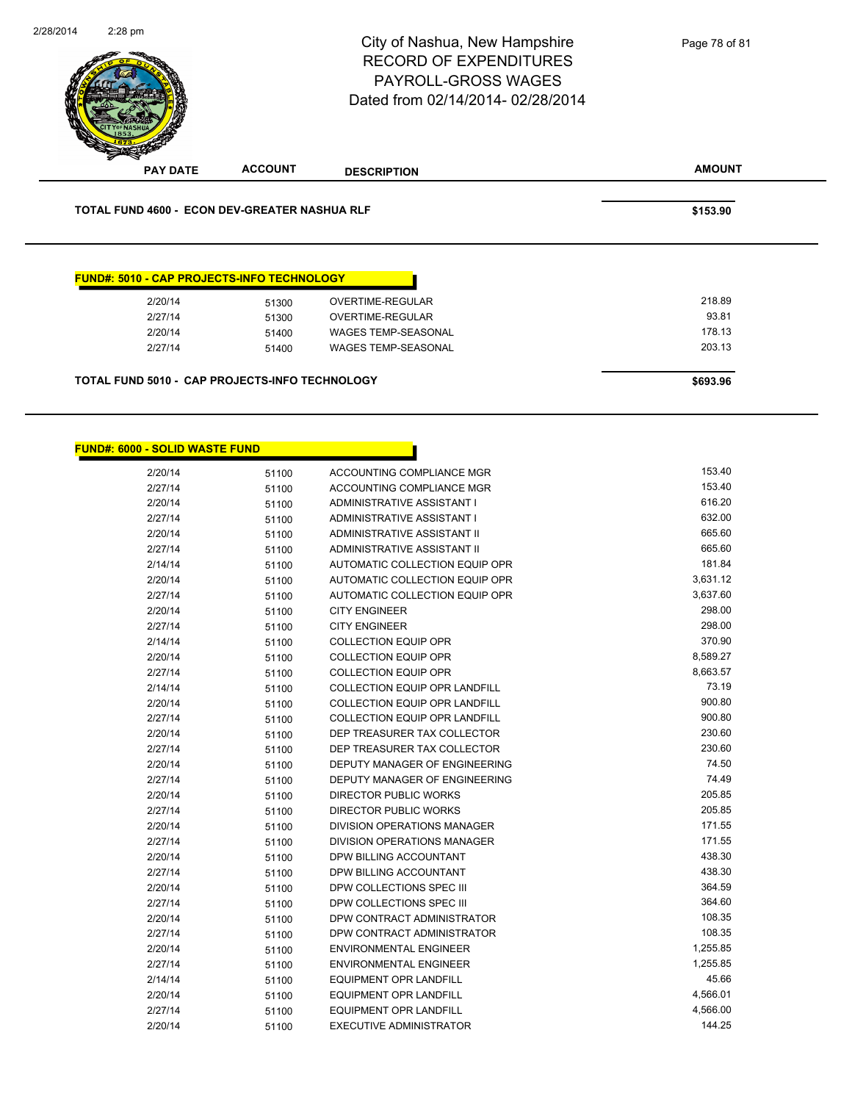

| \$693.96 |
|----------|
|          |

2/27/14 51400 WAGES TEMP-SEASONAL

| <b>FUND#: 6000 - SOLID WASTE FUND</b> |       |                                      |          |
|---------------------------------------|-------|--------------------------------------|----------|
| 2/20/14                               | 51100 | ACCOUNTING COMPLIANCE MGR            | 153.40   |
| 2/27/14                               | 51100 | ACCOUNTING COMPLIANCE MGR            | 153.40   |
| 2/20/14                               | 51100 | ADMINISTRATIVE ASSISTANT I           | 616.20   |
| 2/27/14                               | 51100 | ADMINISTRATIVE ASSISTANT I           | 632.00   |
| 2/20/14                               | 51100 | ADMINISTRATIVE ASSISTANT II          | 665.60   |
| 2/27/14                               | 51100 | ADMINISTRATIVE ASSISTANT II          | 665.60   |
| 2/14/14                               | 51100 | AUTOMATIC COLLECTION EQUIP OPR       | 181.84   |
| 2/20/14                               | 51100 | AUTOMATIC COLLECTION EQUIP OPR       | 3,631.12 |
| 2/27/14                               | 51100 | AUTOMATIC COLLECTION EQUIP OPR       | 3,637.60 |
| 2/20/14                               | 51100 | <b>CITY ENGINEER</b>                 | 298.00   |
| 2/27/14                               | 51100 | <b>CITY ENGINEER</b>                 | 298.00   |
| 2/14/14                               | 51100 | <b>COLLECTION EQUIP OPR</b>          | 370.90   |
| 2/20/14                               | 51100 | <b>COLLECTION EQUIP OPR</b>          | 8,589.27 |
| 2/27/14                               | 51100 | <b>COLLECTION EQUIP OPR</b>          | 8,663.57 |
| 2/14/14                               | 51100 | <b>COLLECTION EQUIP OPR LANDFILL</b> | 73.19    |
| 2/20/14                               | 51100 | <b>COLLECTION EQUIP OPR LANDFILL</b> | 900.80   |
| 2/27/14                               | 51100 | <b>COLLECTION EQUIP OPR LANDFILL</b> | 900.80   |
| 2/20/14                               | 51100 | DEP TREASURER TAX COLLECTOR          | 230.60   |
| 2/27/14                               | 51100 | DEP TREASURER TAX COLLECTOR          | 230.60   |
| 2/20/14                               | 51100 | DEPUTY MANAGER OF ENGINEERING        | 74.50    |
| 2/27/14                               | 51100 | DEPUTY MANAGER OF ENGINEERING        | 74.49    |
| 2/20/14                               | 51100 | <b>DIRECTOR PUBLIC WORKS</b>         | 205.85   |
| 2/27/14                               | 51100 | <b>DIRECTOR PUBLIC WORKS</b>         | 205.85   |
| 2/20/14                               | 51100 | DIVISION OPERATIONS MANAGER          | 171.55   |
| 2/27/14                               | 51100 | <b>DIVISION OPERATIONS MANAGER</b>   | 171.55   |
| 2/20/14                               | 51100 | DPW BILLING ACCOUNTANT               | 438.30   |
| 2/27/14                               | 51100 | DPW BILLING ACCOUNTANT               | 438.30   |
| 2/20/14                               | 51100 | DPW COLLECTIONS SPEC III             | 364.59   |
| 2/27/14                               | 51100 | DPW COLLECTIONS SPEC III             | 364.60   |
| 2/20/14                               | 51100 | DPW CONTRACT ADMINISTRATOR           | 108.35   |
| 2/27/14                               | 51100 | DPW CONTRACT ADMINISTRATOR           | 108.35   |
| 2/20/14                               | 51100 | <b>ENVIRONMENTAL ENGINEER</b>        | 1,255.85 |
| 2/27/14                               | 51100 | <b>ENVIRONMENTAL ENGINEER</b>        | 1,255.85 |
| 2/14/14                               | 51100 | <b>EQUIPMENT OPR LANDFILL</b>        | 45.66    |
| 2/20/14                               | 51100 | <b>EQUIPMENT OPR LANDFILL</b>        | 4,566.01 |
| 2/27/14                               | 51100 | <b>EQUIPMENT OPR LANDFILL</b>        | 4,566.00 |
| 2/20/14                               | 51100 | <b>EXECUTIVE ADMINISTRATOR</b>       | 144.25   |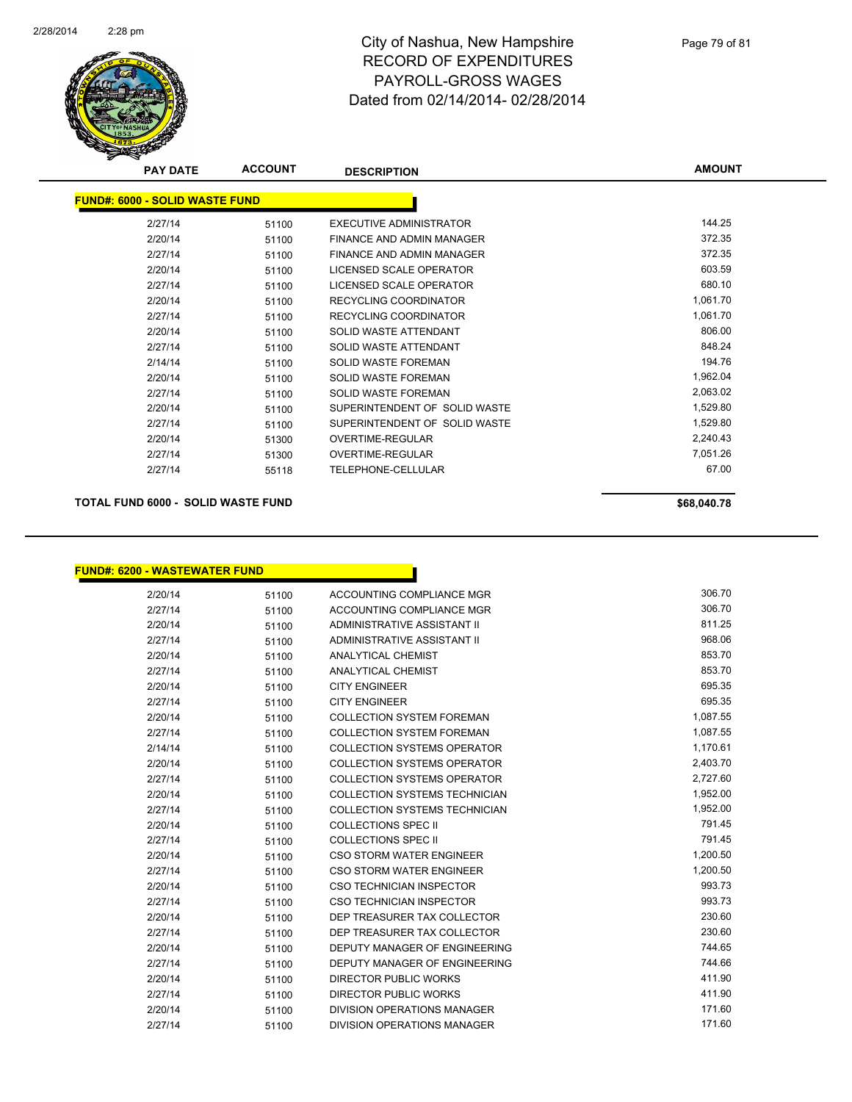

| <b>PAY DATE</b>                       | <b>ACCOUNT</b> | <b>DESCRIPTION</b>            | <b>AMOUNT</b> |
|---------------------------------------|----------------|-------------------------------|---------------|
| <b>FUND#: 6000 - SOLID WASTE FUND</b> |                |                               |               |
| 2/27/14                               | 51100          | EXECUTIVE ADMINISTRATOR       | 144.25        |
| 2/20/14                               | 51100          | FINANCE AND ADMIN MANAGER     | 372.35        |
| 2/27/14                               | 51100          | FINANCE AND ADMIN MANAGER     | 372.35        |
| 2/20/14                               | 51100          | LICENSED SCALE OPERATOR       | 603.59        |
| 2/27/14                               | 51100          | LICENSED SCALE OPERATOR       | 680.10        |
| 2/20/14                               | 51100          | RECYCLING COORDINATOR         | 1,061.70      |
| 2/27/14                               | 51100          | RECYCLING COORDINATOR         | 1,061.70      |
| 2/20/14                               | 51100          | SOLID WASTE ATTENDANT         | 806.00        |
| 2/27/14                               | 51100          | SOLID WASTE ATTENDANT         | 848.24        |
| 2/14/14                               | 51100          | <b>SOLID WASTE FOREMAN</b>    | 194.76        |
| 2/20/14                               | 51100          | <b>SOLID WASTE FOREMAN</b>    | 1,962.04      |
| 2/27/14                               | 51100          | SOLID WASTE FOREMAN           | 2,063.02      |
| 2/20/14                               | 51100          | SUPERINTENDENT OF SOLID WASTE | 1,529.80      |
| 2/27/14                               | 51100          | SUPERINTENDENT OF SOLID WASTE | 1,529.80      |
| 2/20/14                               | 51300          | <b>OVERTIME-REGULAR</b>       | 2,240.43      |
| 2/27/14                               | 51300          | OVERTIME-REGULAR              | 7,051.26      |
| 2/27/14                               | 55118          | TELEPHONE-CELLULAR            | 67.00         |

#### **TOTAL FUND 6000 - SOLID WASTE FUND \$68,040.78**

**FUND#: 6200 - WASTEWATER FUND**

| 2/20/14 | 51100 | ACCOUNTING COMPLIANCE MGR            | 306.70   |
|---------|-------|--------------------------------------|----------|
| 2/27/14 | 51100 | ACCOUNTING COMPLIANCE MGR            | 306.70   |
| 2/20/14 | 51100 | ADMINISTRATIVE ASSISTANT II          | 811.25   |
| 2/27/14 | 51100 | ADMINISTRATIVE ASSISTANT II          | 968.06   |
| 2/20/14 | 51100 | ANALYTICAL CHEMIST                   | 853.70   |
| 2/27/14 | 51100 | <b>ANALYTICAL CHEMIST</b>            | 853.70   |
| 2/20/14 | 51100 | <b>CITY ENGINEER</b>                 | 695.35   |
| 2/27/14 | 51100 | <b>CITY ENGINEER</b>                 | 695.35   |
| 2/20/14 | 51100 | <b>COLLECTION SYSTEM FOREMAN</b>     | 1,087.55 |
| 2/27/14 | 51100 | <b>COLLECTION SYSTEM FOREMAN</b>     | 1,087.55 |
| 2/14/14 | 51100 | <b>COLLECTION SYSTEMS OPERATOR</b>   | 1,170.61 |
| 2/20/14 | 51100 | <b>COLLECTION SYSTEMS OPERATOR</b>   | 2,403.70 |
| 2/27/14 | 51100 | <b>COLLECTION SYSTEMS OPERATOR</b>   | 2,727.60 |
| 2/20/14 | 51100 | <b>COLLECTION SYSTEMS TECHNICIAN</b> | 1,952.00 |
| 2/27/14 | 51100 | <b>COLLECTION SYSTEMS TECHNICIAN</b> | 1,952.00 |
| 2/20/14 | 51100 | <b>COLLECTIONS SPEC II</b>           | 791.45   |
| 2/27/14 | 51100 | <b>COLLECTIONS SPEC II</b>           | 791.45   |
| 2/20/14 | 51100 | <b>CSO STORM WATER ENGINEER</b>      | 1,200.50 |
| 2/27/14 | 51100 | <b>CSO STORM WATER ENGINEER</b>      | 1,200.50 |
| 2/20/14 | 51100 | <b>CSO TECHNICIAN INSPECTOR</b>      | 993.73   |
| 2/27/14 | 51100 | CSO TECHNICIAN INSPECTOR             | 993.73   |
| 2/20/14 | 51100 | DEP TREASURER TAX COLLECTOR          | 230.60   |
| 2/27/14 | 51100 | DEP TREASURER TAX COLLECTOR          | 230.60   |
| 2/20/14 | 51100 | DEPUTY MANAGER OF ENGINEERING        | 744.65   |
| 2/27/14 | 51100 | DEPUTY MANAGER OF ENGINEERING        | 744.66   |
| 2/20/14 | 51100 | <b>DIRECTOR PUBLIC WORKS</b>         | 411.90   |
| 2/27/14 | 51100 | <b>DIRECTOR PUBLIC WORKS</b>         | 411.90   |
| 2/20/14 | 51100 | DIVISION OPERATIONS MANAGER          | 171.60   |
| 2/27/14 | 51100 | <b>DIVISION OPERATIONS MANAGER</b>   | 171.60   |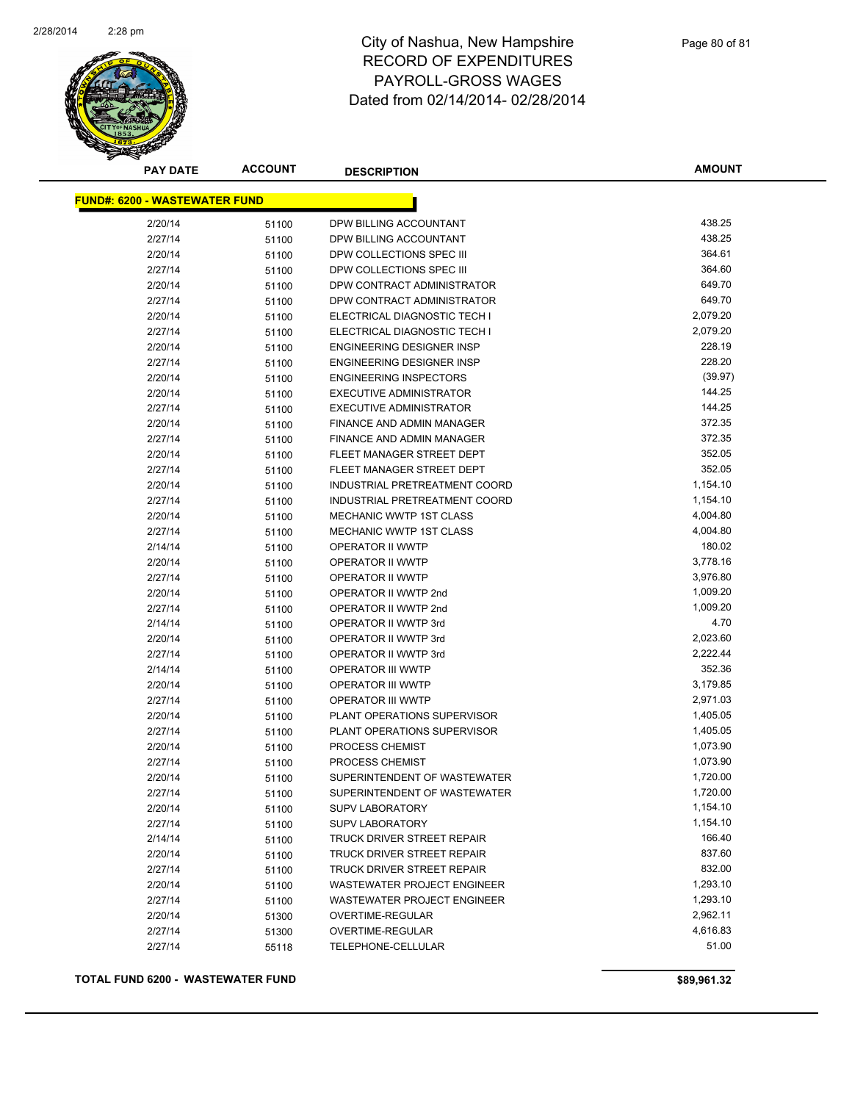

| <b>PAY DATE</b>                      | <b>ACCOUNT</b> | <b>DESCRIPTION</b>               | <b>AMOUNT</b> |
|--------------------------------------|----------------|----------------------------------|---------------|
| <b>FUND#: 6200 - WASTEWATER FUND</b> |                |                                  |               |
| 2/20/14                              | 51100          | DPW BILLING ACCOUNTANT           | 438.25        |
| 2/27/14                              | 51100          | DPW BILLING ACCOUNTANT           | 438.25        |
| 2/20/14                              | 51100          | DPW COLLECTIONS SPEC III         | 364.61        |
| 2/27/14                              | 51100          | DPW COLLECTIONS SPEC III         | 364.60        |
| 2/20/14                              | 51100          | DPW CONTRACT ADMINISTRATOR       | 649.70        |
| 2/27/14                              | 51100          | DPW CONTRACT ADMINISTRATOR       | 649.70        |
| 2/20/14                              | 51100          | ELECTRICAL DIAGNOSTIC TECH I     | 2,079.20      |
| 2/27/14                              | 51100          | ELECTRICAL DIAGNOSTIC TECH I     | 2,079.20      |
| 2/20/14                              | 51100          | <b>ENGINEERING DESIGNER INSP</b> | 228.19        |
| 2/27/14                              | 51100          | ENGINEERING DESIGNER INSP        | 228.20        |
| 2/20/14                              | 51100          | <b>ENGINEERING INSPECTORS</b>    | (39.97)       |
| 2/20/14                              | 51100          | <b>EXECUTIVE ADMINISTRATOR</b>   | 144.25        |
| 2/27/14                              | 51100          | <b>EXECUTIVE ADMINISTRATOR</b>   | 144.25        |
| 2/20/14                              | 51100          | FINANCE AND ADMIN MANAGER        | 372.35        |
| 2/27/14                              | 51100          | FINANCE AND ADMIN MANAGER        | 372.35        |
| 2/20/14                              | 51100          | FLEET MANAGER STREET DEPT        | 352.05        |
| 2/27/14                              | 51100          | FLEET MANAGER STREET DEPT        | 352.05        |
| 2/20/14                              | 51100          | INDUSTRIAL PRETREATMENT COORD    | 1,154.10      |
| 2/27/14                              | 51100          | INDUSTRIAL PRETREATMENT COORD    | 1,154.10      |
| 2/20/14                              | 51100          | <b>MECHANIC WWTP 1ST CLASS</b>   | 4,004.80      |
| 2/27/14                              | 51100          | <b>MECHANIC WWTP 1ST CLASS</b>   | 4,004.80      |
| 2/14/14                              | 51100          | OPERATOR II WWTP                 | 180.02        |
| 2/20/14                              | 51100          | OPERATOR II WWTP                 | 3,778.16      |
| 2/27/14                              | 51100          | OPERATOR II WWTP                 | 3,976.80      |
| 2/20/14                              | 51100          | OPERATOR II WWTP 2nd             | 1,009.20      |
| 2/27/14                              | 51100          | OPERATOR II WWTP 2nd             | 1,009.20      |
| 2/14/14                              | 51100          | OPERATOR II WWTP 3rd             | 4.70          |
| 2/20/14                              | 51100          | OPERATOR II WWTP 3rd             | 2,023.60      |
| 2/27/14                              | 51100          | OPERATOR II WWTP 3rd             | 2,222.44      |
| 2/14/14                              | 51100          | OPERATOR III WWTP                | 352.36        |
| 2/20/14                              | 51100          | OPERATOR III WWTP                | 3,179.85      |
| 2/27/14                              | 51100          | <b>OPERATOR III WWTP</b>         | 2,971.03      |
| 2/20/14                              | 51100          | PLANT OPERATIONS SUPERVISOR      | 1,405.05      |
| 2/27/14                              | 51100          | PLANT OPERATIONS SUPERVISOR      | 1,405.05      |
| 2/20/14                              | 51100          | PROCESS CHEMIST                  | 1,073.90      |
| 2/27/14                              | 51100          | PROCESS CHEMIST                  | 1,073.90      |
| 2/20/14                              | 51100          | SUPERINTENDENT OF WASTEWATER     | 1,720.00      |
| 2/27/14                              | 51100          | SUPERINTENDENT OF WASTEWATER     | 1,720.00      |
| 2/20/14                              | 51100          | <b>SUPV LABORATORY</b>           | 1,154.10      |
| 2/27/14                              | 51100          | <b>SUPV LABORATORY</b>           | 1,154.10      |
| 2/14/14                              | 51100          | TRUCK DRIVER STREET REPAIR       | 166.40        |
| 2/20/14                              | 51100          | TRUCK DRIVER STREET REPAIR       | 837.60        |
| 2/27/14                              | 51100          | TRUCK DRIVER STREET REPAIR       | 832.00        |
| 2/20/14                              | 51100          | WASTEWATER PROJECT ENGINEER      | 1,293.10      |
| 2/27/14                              | 51100          | WASTEWATER PROJECT ENGINEER      | 1,293.10      |
| 2/20/14                              | 51300          | OVERTIME-REGULAR                 | 2,962.11      |
| 2/27/14                              | 51300          | <b>OVERTIME-REGULAR</b>          | 4,616.83      |
| 2/27/14                              | 55118          | TELEPHONE-CELLULAR               | 51.00         |

**TOTAL FUND 6200 - WASTEWATER FUND \$89,961.32**